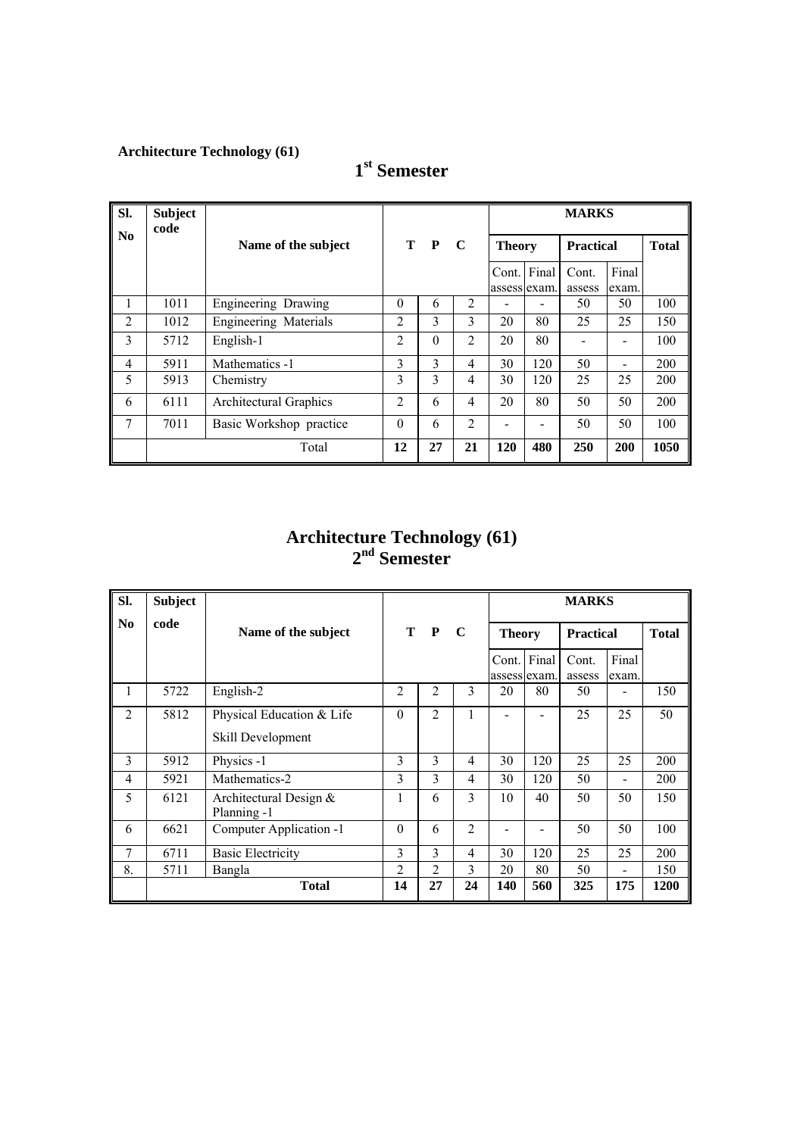| SI.                    | <b>Subject</b><br>code |                         |                |          |                |                       |       | <b>MARKS</b>     |                          |              |
|------------------------|------------------------|-------------------------|----------------|----------|----------------|-----------------------|-------|------------------|--------------------------|--------------|
| $\mathbf{N}\mathbf{0}$ |                        | Name of the subject     |                | T P      | $\mathbf C$    | <b>Theory</b>         |       | <b>Practical</b> |                          | <b>Total</b> |
|                        |                        |                         |                |          |                | Cont.<br>assess exam. | Final | Cont.<br>assess  | Final<br>exam.           |              |
| 1                      | 1011                   | Engineering Drawing     | $\theta$       | 6        | $\overline{2}$ |                       | -     | 50               | 50                       | 100          |
| 2                      | 1012                   | Engineering Materials   | $\mathfrak{D}$ | 3        | 3              | 20                    | 80    | 25               | 25                       | 150          |
| 3                      | 5712                   | English-1               | $\overline{2}$ | $\theta$ | $\overline{2}$ | 20                    | 80    |                  |                          | 100          |
| 4                      | 5911                   | Mathematics -1          | 3              | 3        | $\overline{4}$ | 30                    | 120   | 50               | $\overline{\phantom{a}}$ | 200          |
| 5                      | 5913                   | Chemistry               | 3              | 3        | 4              | 30                    | 120   | 25               | 25                       | 200          |
| 6                      | 6111                   | Architectural Graphics  | 2              | 6        | 4              | 20                    | 80    | 50               | 50                       | 200          |
| 7                      | 7011                   | Basic Workshop practice | $\theta$       | 6        | $\overline{2}$ |                       | -     | 50               | 50                       | 100          |
|                        |                        | Total                   | 12             | 27       | 21             | 120                   | 480   | <b>250</b>       | 200                      | 1050         |

## **1st Semester**

#### **Architecture Technology (61) 2nd Semester**

| SI.            | <b>Subject</b> |                                                |                |                |                |                       |       | <b>MARKS</b>     |                          |              |
|----------------|----------------|------------------------------------------------|----------------|----------------|----------------|-----------------------|-------|------------------|--------------------------|--------------|
| N <sub>0</sub> | code           | Name of the subject                            |                | T P            | - C            | <b>Theory</b>         |       | <b>Practical</b> |                          | <b>Total</b> |
|                |                |                                                |                |                |                | Cont.<br>assess exam. | Final | Cont.<br>assess  | Final<br>exam.           |              |
|                | 5722           | English-2                                      | 2              | $\overline{2}$ | 3              | 20                    | 80    | 50               | $\overline{\phantom{0}}$ | 150          |
| $\overline{2}$ | 5812           | Physical Education & Life<br>Skill Development | $\theta$       | $\overline{2}$ |                |                       |       | 25               | 25                       | 50           |
| 3              | 5912           | Physics -1                                     | 3              | 3              | 4              | 30                    | 120   | 25               | 25                       | 200          |
| $\overline{4}$ | 5921           | Mathematics-2                                  | 3              | $\mathcal{E}$  | 4              | 30                    | 120   | 50               | $\blacksquare$           | 200          |
| 5              | 6121           | Architectural Design $&$<br>Planning -1        | 1              | 6              | 3              | 10                    | 40    | 50               | 50                       | 150          |
| 6              | 6621           | Computer Application -1                        | $\theta$       | 6              | $\mathfrak{D}$ |                       |       | 50               | 50                       | 100          |
| 7              | 6711           | <b>Basic Electricity</b>                       | 3              | $\overline{3}$ | 4              | 30                    | 120   | 25               | 25                       | 200          |
| 8.             | 5711           | Bangla                                         | $\overline{2}$ | $\overline{2}$ | 3              | 20                    | 80    | 50               |                          | 150          |
|                |                | <b>Total</b>                                   | 14             | 27             | 24             | 140                   | 560   | 325              | 175                      | 1200         |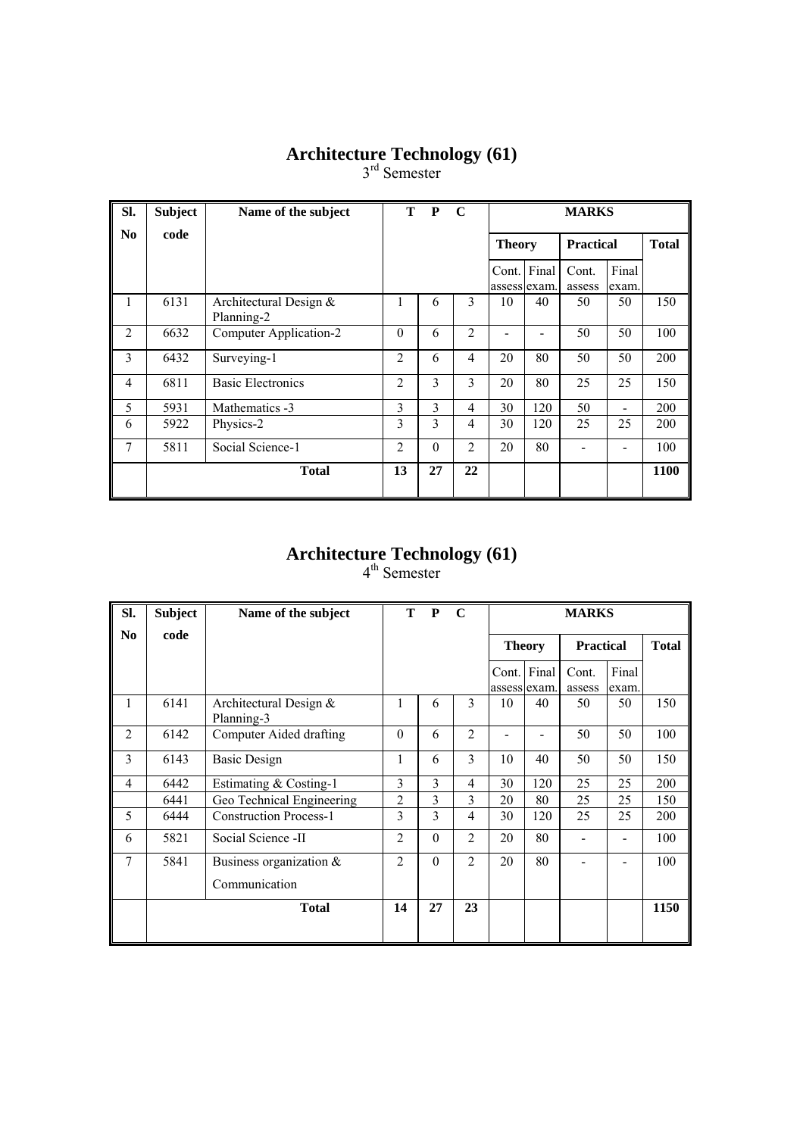3<sup>rd</sup> Semester

| SI.            | <b>Subject</b> | Name of the subject                  | T              | P        | $\mathbf C$    |                       | <b>MARKS</b>                                      |                 |                |      |  |  |
|----------------|----------------|--------------------------------------|----------------|----------|----------------|-----------------------|---------------------------------------------------|-----------------|----------------|------|--|--|
| No             | code           |                                      |                |          |                |                       | <b>Total</b><br><b>Theory</b><br><b>Practical</b> |                 |                |      |  |  |
|                |                |                                      |                |          |                | Cont.<br>assess exam. | Final                                             | Cont.<br>assess | Final<br>exam. |      |  |  |
| 1              | 6131           | Architectural Design &<br>Planning-2 | 1              | 6        | 3              | 10                    | 40                                                | 50              | 50             | 150  |  |  |
| $\overline{2}$ | 6632           | Computer Application-2               | $\theta$       | 6        | $\overline{2}$ |                       |                                                   | 50              | 50             | 100  |  |  |
| 3              | 6432           | Surveying-1                          | $\overline{2}$ | 6        | $\overline{4}$ | 20                    | 80                                                | 50              | 50             | 200  |  |  |
| 4              | 6811           | <b>Basic Electronics</b>             | $\overline{2}$ | 3        | 3              | 20                    | 80                                                | 25              | 25             | 150  |  |  |
| 5              | 5931           | Mathematics -3                       | 3              | 3        | $\overline{4}$ | 30                    | 120                                               | 50              |                | 200  |  |  |
| 6              | 5922           | Physics-2                            | 3              | 3        | 4              | 30                    | 120                                               | 25              | 25             | 200  |  |  |
| $\overline{7}$ | 5811           | Social Science-1                     | $\overline{2}$ | $\theta$ | $\overline{2}$ | 20                    | 80                                                |                 |                | 100  |  |  |
|                |                | <b>Total</b>                         | 13             | 27       | 22             |                       |                                                   |                 |                | 1100 |  |  |

#### **Architecture Technology (61)**

| SI.            | <b>Subject</b> | Name of the subject                  | <sup>T</sup>   | $\mathbf{P}$ | $\mathbf C$    |              |               | <b>MARKS</b>     |                |              |
|----------------|----------------|--------------------------------------|----------------|--------------|----------------|--------------|---------------|------------------|----------------|--------------|
| No.            | code           |                                      |                |              |                |              | <b>Theory</b> | <b>Practical</b> |                | <b>Total</b> |
|                |                |                                      |                |              |                | assess exam. | Cont. Final   | Cont.<br>assess  | Final<br>exam. |              |
| 1              | 6141           | Architectural Design &<br>Planning-3 | 1              | 6            | 3              | 10           | 40            | 50               | 50             | 150          |
| $\overline{2}$ | 6142           | Computer Aided drafting              | $\Omega$       | 6            | $\overline{2}$ |              |               | 50               | 50             | 100          |
| 3              | 6143           | <b>Basic Design</b>                  | 1              | 6            | 3              | 10           | 40            | 50               | 50             | 150          |
| $\overline{4}$ | 6442           | Estimating & Costing-1               | 3              | 3            | 4              | 30           | 120           | 25               | 25             | 200          |
|                | 6441           | Geo Technical Engineering            | $\overline{2}$ | 3            | 3              | 20           | 80            | 25               | 25             | 150          |
| 5              | 6444           | <b>Construction Process-1</b>        | 3              | 3            | 4              | 30           | 120           | 25               | 25             | 200          |
| 6              | 5821           | Social Science -II                   | $\overline{2}$ | $\theta$     | $\overline{2}$ | 20           | 80            |                  |                | 100          |
| 7              | 5841           | Business organization $\&$           | $\overline{2}$ | $\Omega$     | $\overline{2}$ | 20           | 80            |                  |                | 100          |
|                |                | Communication                        |                |              |                |              |               |                  |                |              |
|                |                | <b>Total</b>                         | 14             | 27           | 23             |              |               |                  |                | 1150         |
|                |                |                                      |                |              |                |              |               |                  |                |              |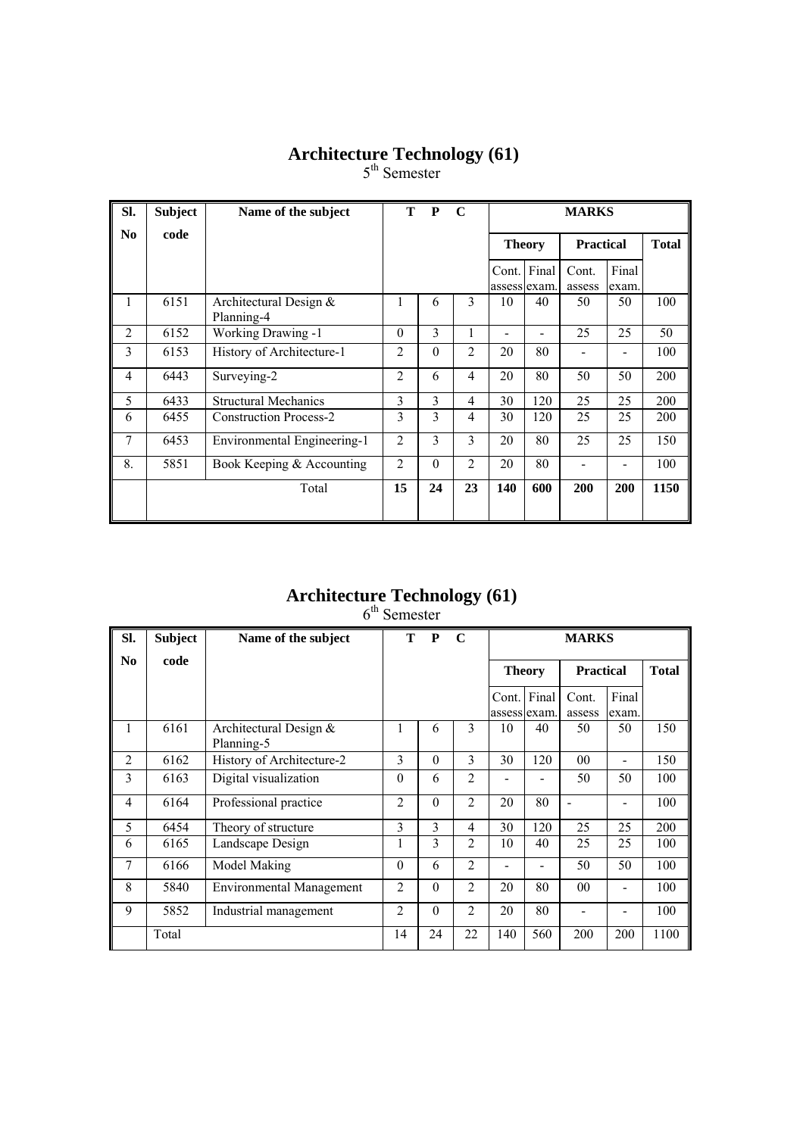5<sup>th</sup> Semester

| Sl.            | <b>Subject</b> | Name of the subject                  | T              | P        | $\mathbf C$    | <b>MARKS</b>                 |               |                  |                |              |  |
|----------------|----------------|--------------------------------------|----------------|----------|----------------|------------------------------|---------------|------------------|----------------|--------------|--|
| No             | code           |                                      |                |          |                |                              | <b>Theory</b> | <b>Practical</b> |                | <b>Total</b> |  |
|                |                |                                      |                |          |                | Cont. Final<br>assess exam.  |               | Cont.<br>assess  | Final<br>exam. |              |  |
| 1              | 6151           | Architectural Design &<br>Planning-4 | 1              | 6        | 3              | 10                           | 40            | 50               | 50             | 100          |  |
| $\overline{2}$ | 6152           | Working Drawing -1                   | $\theta$       | 3        | 1              | $\qquad \qquad \blacksquare$ |               | 25               | 25             | 50           |  |
| 3              | 6153           | History of Architecture-1            | 2              | $\theta$ | 2              | 20                           | 80            |                  |                | 100          |  |
| $\overline{4}$ | 6443           | Surveying-2                          | $\overline{2}$ | 6        | $\overline{4}$ | 20                           | 80            | 50               | 50             | 200          |  |
| 5              | 6433           | <b>Structural Mechanics</b>          | 3              | 3        | $\overline{4}$ | 30                           | 120           | 25               | 25             | 200          |  |
| 6              | 6455           | <b>Construction Process-2</b>        | 3              | 3        | 4              | 30                           | 120           | 25               | 25             | 200          |  |
| $\overline{7}$ | 6453           | Environmental Engineering-1          | $\overline{2}$ | 3        | 3              | 20                           | 80            | 25               | 25             | 150          |  |
| 8.             | 5851           | Book Keeping & Accounting            | 2              | $\theta$ | $\overline{2}$ | 20                           | 80            |                  |                | 100          |  |
|                |                | Total                                | 15             | 24       | 23             | 140                          | 600           | 200              | 200            | 1150         |  |

#### **Architecture Technology (61)**

6<sup>th</sup> Semester

| SI.            | <b>Subject</b> | Name of the subject                    | T –            | $\mathbf{P}$ | $\mathbf C$    |                       |               | <b>MARKS</b>     |                |              |
|----------------|----------------|----------------------------------------|----------------|--------------|----------------|-----------------------|---------------|------------------|----------------|--------------|
| N <sub>0</sub> | code           |                                        |                |              |                |                       | <b>Theory</b> | <b>Practical</b> |                | <b>Total</b> |
|                |                |                                        |                |              |                | Cont.<br>assess exam. | Final         | Cont.<br>assess  | Final<br>exam. |              |
| 1              | 6161           | Architectural Design $&$<br>Planning-5 |                | 6            | 3              | 10                    | 40            | 50               | 50             | 150          |
| $\overline{2}$ | 6162           | History of Architecture-2              | 3              | $\theta$     | 3              | 30                    | 120           | $00\,$           | -              | 150          |
| 3              | 6163           | Digital visualization                  | $\theta$       | 6            | $\overline{2}$ |                       |               | 50               | 50             | 100          |
| $\overline{4}$ | 6164           | Professional practice                  | $\overline{2}$ | $\theta$     | $\overline{2}$ | 20                    | 80            | $\blacksquare$   | $\blacksquare$ | 100          |
| 5              | 6454           | Theory of structure                    | 3              | 3            | 4              | 30                    | 120           | 25               | 25             | 200          |
| 6              | 6165           | Landscape Design                       | 1              | 3            | $\mathfrak{D}$ | 10                    | 40            | 25               | 25             | 100          |
| 7              | 6166           | Model Making                           | $\theta$       | 6            | $\overline{2}$ |                       |               | 50               | 50             | 100          |
| 8              | 5840           | <b>Environmental Management</b>        | $\overline{c}$ | $\Omega$     | $\overline{2}$ | 20                    | 80            | 00               | -              | 100          |
| 9              | 5852           | Industrial management                  | $\overline{2}$ | $\theta$     | $\overline{2}$ | 20                    | 80            |                  |                | 100          |
|                | Total          |                                        | 14             | 24           | 22             | 140                   | 560           | 200              | 200            | 1100         |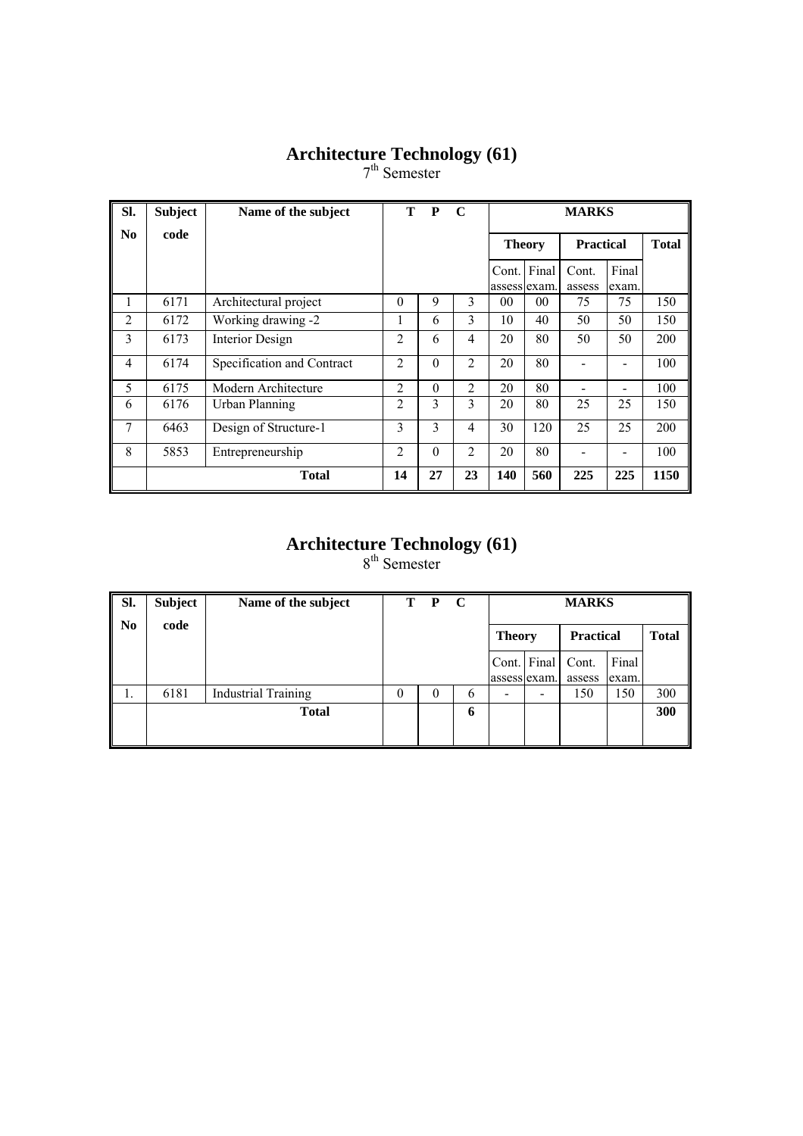7<sup>th</sup> Semester

| SI.            | <b>Subject</b> | Name of the subject        | т              | P        | $\mathbf C$    |                 | <b>MARKS</b>                      |                 |                |      |  |  |
|----------------|----------------|----------------------------|----------------|----------|----------------|-----------------|-----------------------------------|-----------------|----------------|------|--|--|
| N <sub>0</sub> | code           |                            |                |          |                |                 | <b>Practical</b><br><b>Theory</b> |                 |                |      |  |  |
|                |                |                            |                |          |                | Cont.           | Final<br>assess lexam.            | Cont.<br>assess | Final<br>exam. |      |  |  |
| 1              | 6171           | Architectural project      | $\theta$       | 9        | 3              | 00 <sup>°</sup> | $00\,$                            | 75              | 75             | 150  |  |  |
| $\overline{2}$ | 6172           | Working drawing -2         |                | 6        | 3              | 10              | 40                                | 50              | 50             | 150  |  |  |
| 3              | 6173           | Interior Design            | 2              | 6        | $\overline{4}$ | 20              | 80                                | 50              | 50             | 200  |  |  |
| $\overline{4}$ | 6174           | Specification and Contract | $\overline{2}$ | $\theta$ | $\overline{2}$ | 20              | 80                                |                 |                | 100  |  |  |
| 5              | 6175           | Modern Architecture        | $\overline{2}$ | $\theta$ | $\overline{2}$ | 20              | 80                                |                 |                | 100  |  |  |
| 6              | 6176           | Urban Planning             | $\overline{c}$ | 3        | 3              | 20              | 80                                | 25              | 25             | 150  |  |  |
| 7              | 6463           | Design of Structure-1      | 3              | 3        | $\overline{4}$ | 30              | 120                               | 25              | 25             | 200  |  |  |
| 8              | 5853           | Entrepreneurship           | $\overline{2}$ | $\theta$ | $\overline{2}$ | 20              | 80                                |                 |                | 100  |  |  |
|                |                | <b>Total</b>               | 14             | 27       | 23             | 140             | 560                               | 225             | 225            | 1150 |  |  |

#### **Architecture Technology (61)**  8<sup>th</sup> Semester

| SI.            | Subject | Name of the subject        | T. | $\mathbf{P}$ | C            |               |                   | <b>MARKS</b>     |       |              |
|----------------|---------|----------------------------|----|--------------|--------------|---------------|-------------------|------------------|-------|--------------|
| N <sub>0</sub> | code    |                            |    |              |              | <b>Theory</b> |                   | <b>Practical</b> |       | <b>Total</b> |
|                |         |                            |    |              |              |               | Cont. Final Cont. |                  | Final |              |
|                |         |                            |    |              |              | assess exam.  |                   | assess           | exam. |              |
| 1.             | 6181    | <b>Industrial Training</b> | 0  | $\theta$     | <sub>b</sub> |               |                   | 150              | 150   | 300          |
|                |         | <b>Total</b>               |    |              | 6            |               |                   |                  |       | 300          |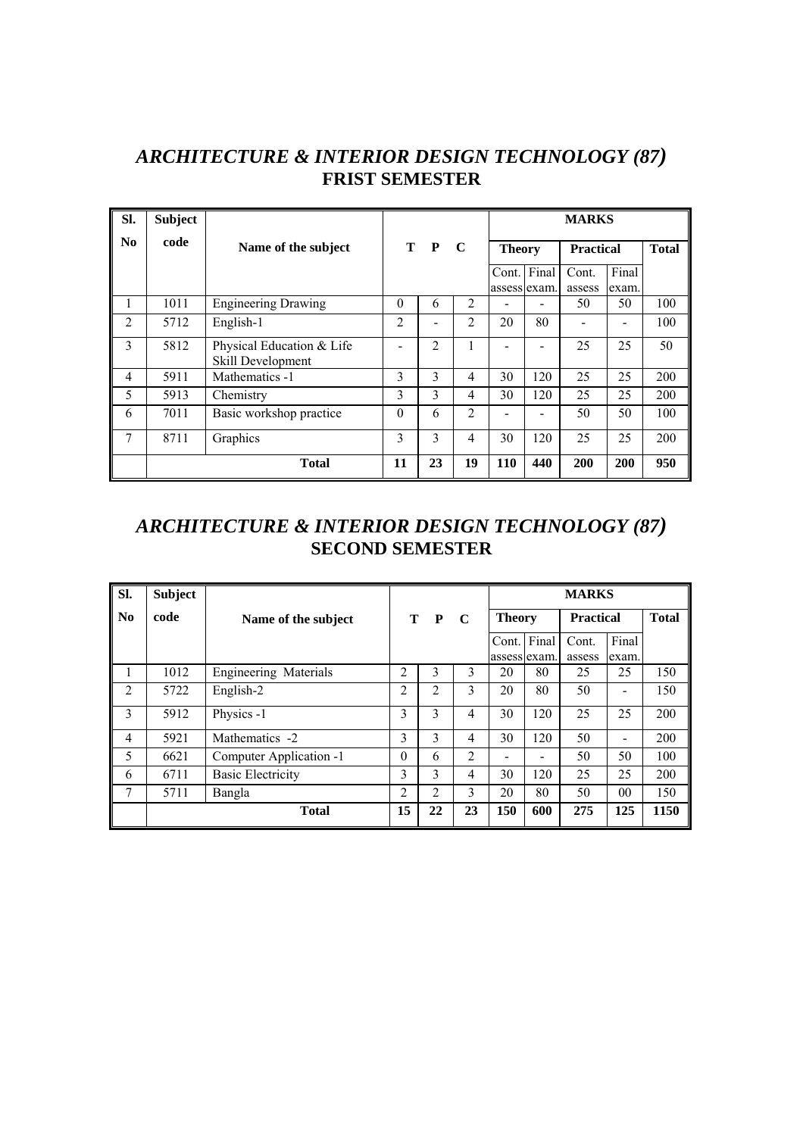#### *ARCHITECTURE & INTERIOR DESIGN TECHNOLOGY (87)*  **FRIST SEMESTER**

| SI.                    | <b>Subject</b> |                                                |          |     |             |               |             | <b>MARKS</b>     |                |              |
|------------------------|----------------|------------------------------------------------|----------|-----|-------------|---------------|-------------|------------------|----------------|--------------|
| $\mathbf{N}\mathbf{0}$ | code           | Name of the subject                            |          | T P | $\mathbf C$ | <b>Theory</b> |             | <b>Practical</b> |                | <b>Total</b> |
|                        |                |                                                |          |     |             | assess exam.  | Cont. Final | Cont.<br>assess  | Final<br>exam. |              |
| 1                      | 1011           | <b>Engineering Drawing</b>                     | $\Omega$ | 6   | 2           |               |             | 50               | 50             | 100          |
| $\overline{2}$         | 5712           | English-1                                      | 2        |     | 2           | 20            | 80          |                  |                | 100          |
| 3                      | 5812           | Physical Education & Life<br>Skill Development |          | 2   | 1           |               |             | 25               | 25             | 50           |
| 4                      | 5911           | Mathematics -1                                 | 3        | 3   | 4           | 30            | 120         | 25               | 25             | 200          |
| 5                      | 5913           | Chemistry                                      | 3        | 3   | 4           | 30            | 120         | 25               | 25             | 200          |
| 6                      | 7011           | Basic workshop practice                        | $\Omega$ | 6   | 2           |               |             | 50               | 50             | 100          |
| 7                      | 8711           | Graphics                                       | 3        | 3   | 4           | 30            | 120         | 25               | 25             | 200          |
|                        |                | <b>Total</b>                                   | 11       | 23  | 19          | 110           | 440         | 200              | 200            | 950          |

#### *ARCHITECTURE & INTERIOR DESIGN TECHNOLOGY (87)*  **SECOND SEMESTER**

| Sl.            | <b>Subject</b> |                              |                |              |                |               |       | <b>MARKS</b>     |                          |              |
|----------------|----------------|------------------------------|----------------|--------------|----------------|---------------|-------|------------------|--------------------------|--------------|
| No             | code           | Name of the subject          | Т              | $\mathbf{P}$ | $\mathbf C$    | <b>Theory</b> |       | <b>Practical</b> |                          | <b>Total</b> |
|                |                |                              |                |              |                | Cont.         | Final | Cont.            | Final                    |              |
|                |                |                              |                |              |                | assess exam.  |       | assess           | exam.                    |              |
| 1              | 1012           | <b>Engineering Materials</b> | $\overline{2}$ | 3            | 3              | 20            | 80    | 25               | 25                       | 150          |
| $\overline{2}$ | 5722           | English-2                    | 2              | 2            | 3              | 20            | 80    | 50               |                          | 150          |
| 3              | 5912           | Physics -1                   | 3              | 3            | 4              | 30            | 120   | 25               | 25                       | 200          |
| $\overline{4}$ | 5921           | Mathematics -2               | 3              | 3            | 4              | 30            | 120   | 50               | $\overline{\phantom{a}}$ | 200          |
| 5              | 6621           | Computer Application -1      | $\theta$       | 6            | $\overline{2}$ |               |       | 50               | 50                       | 100          |
| 6              | 6711           | <b>Basic Electricity</b>     | 3              | 3            | 4              | 30            | 120   | 25               | 25                       | 200          |
| 7              | 5711           | Bangla                       | $\overline{2}$ | 2            | 3              | 20            | 80    | 50               | 0 <sub>0</sub>           | 150          |
|                |                | <b>Total</b>                 | 15             | 22           | 23             | 150           | 600   | 275              | 125                      | 1150         |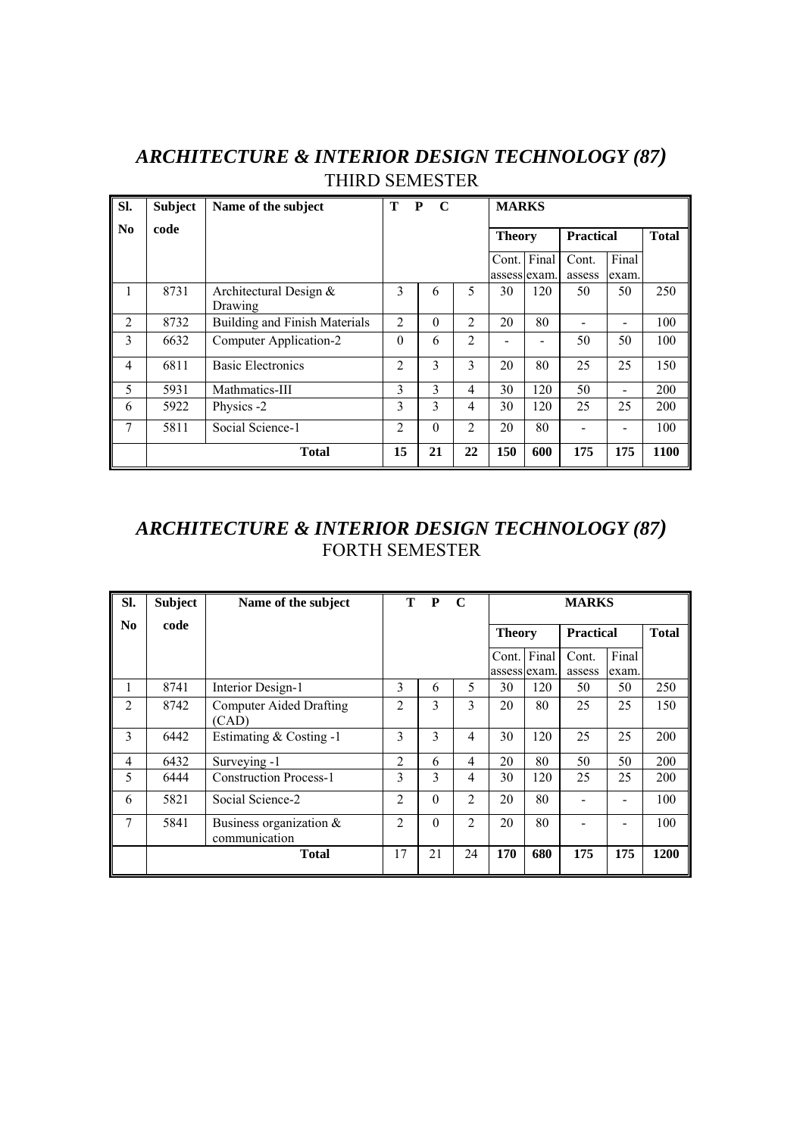| SI.            | <b>Subject</b> | Name of the subject                 | T<br>$\mathbf{P}$ | $\mathbf{C}$ |                | <b>MARKS</b>  |                             |                  |                |              |
|----------------|----------------|-------------------------------------|-------------------|--------------|----------------|---------------|-----------------------------|------------------|----------------|--------------|
| N <sub>0</sub> | code           |                                     |                   |              |                | <b>Theory</b> |                             | <b>Practical</b> |                | <b>Total</b> |
|                |                |                                     |                   |              |                |               | Cont. Final<br>assess exam. | Cont.<br>assess  | Final<br>exam. |              |
| 1              | 8731           | Architectural Design $&$<br>Drawing | 3                 | 6            | 5              | 30            | 120                         | 50               | 50             | 250          |
| $\overline{2}$ | 8732           | Building and Finish Materials       | $\overline{2}$    | $\Omega$     | 2              | 20            | 80                          |                  |                | 100          |
| 3              | 6632           | Computer Application-2              | $\Omega$          | 6            | 2              |               |                             | 50               | 50             | 100          |
| 4              | 6811           | <b>Basic Electronics</b>            | $\overline{2}$    | 3            | 3              | 20            | 80                          | 25               | 25             | 150          |
| 5              | 5931           | Mathmatics-III                      | 3                 | 3            | 4              | 30            | 120                         | 50               |                | 200          |
| 6              | 5922           | Physics -2                          | 3                 | 3            | 4              | 30            | 120                         | 25               | 25             | 200          |
| 7              | 5811           | Social Science-1                    | $\overline{2}$    | $\theta$     | $\overline{2}$ | 20            | 80                          |                  |                | 100          |
|                |                | <b>Total</b>                        | 15                | 21           | 22             | 150           | 600                         | 175              | 175            | 1100         |

#### *ARCHITECTURE & INTERIOR DESIGN TECHNOLOGY (87)*  THIRD SEMESTER

#### *ARCHITECTURE & INTERIOR DESIGN TECHNOLOGY (87)*  FORTH SEMESTER

| SI.            | <b>Subject</b> | Name of the subject                         | т              | P        | $\mathbf C$    |               |                             | <b>MARKS</b>    |                |      |
|----------------|----------------|---------------------------------------------|----------------|----------|----------------|---------------|-----------------------------|-----------------|----------------|------|
| N <sub>0</sub> | code           |                                             |                |          |                | <b>Theory</b> | <b>Total</b>                |                 |                |      |
|                |                |                                             |                |          |                |               | Cont. Final<br>assess exam. | Cont.<br>assess | Final<br>exam. |      |
| 1              | 8741           | Interior Design-1                           | 3              | 6        | 5              | 30            | 120                         | 50              | 50             | 250  |
| 2              | 8742           | <b>Computer Aided Drafting</b><br>(CAD)     | $\overline{2}$ | 3        | 3              | 20            | 80                          | 25              | 25             | 150  |
| 3              | 6442           | Estimating $& Costing -1$                   | 3              | 3        | 4              | 30            | 120                         | 25              | 25             | 200  |
| $\overline{4}$ | 6432           | Surveying -1                                | $\overline{2}$ | 6        | 4              | 20            | 80                          | 50              | 50             | 200  |
| 5              | 6444           | <b>Construction Process-1</b>               | 3              | 3        | 4              | 30            | 120                         | 25              | 25             | 200  |
| 6              | 5821           | Social Science-2                            | $\overline{2}$ | $\Omega$ | 2              | 20            | 80                          |                 |                | 100  |
| 7              | 5841           | Business organization $\&$<br>communication | $\overline{2}$ | $\Omega$ | $\overline{2}$ | 20            | 80                          |                 |                | 100  |
|                |                | <b>Total</b>                                | 17             | 21       | 24             | 170           | 680                         | 175             | 175            | 1200 |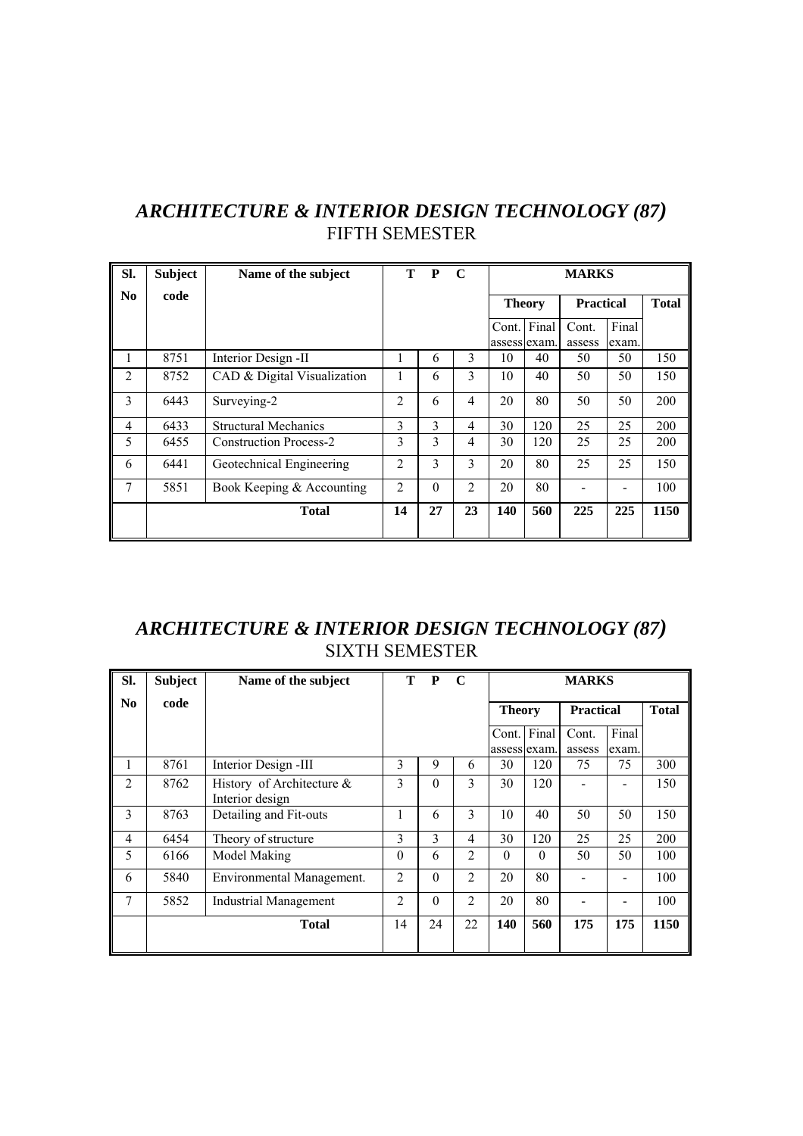| ARCHITECTURE & INTERIOR DESIGN TECHNOLOGY (87) |  |
|------------------------------------------------|--|
| <b>FIFTH SEMESTER</b>                          |  |

| SI.                    | <b>Subject</b> | Name of the subject           | т              | P        | $\mathbf C$    |             | <b>MARKS</b>  |                  |                |              |  |
|------------------------|----------------|-------------------------------|----------------|----------|----------------|-------------|---------------|------------------|----------------|--------------|--|
| $\mathbf{N}\mathbf{0}$ | code           |                               |                |          |                |             | <b>Theory</b> | <b>Practical</b> |                | <b>Total</b> |  |
|                        |                |                               |                |          |                | Cont. Final | assess exam.  | Cont.<br>assess  | Final<br>exam. |              |  |
|                        | 8751           | Interior Design -II           | 1              | 6        | 3              | 10          | 40            | 50               | 50             | 150          |  |
| 2                      | 8752           | CAD & Digital Visualization   | 1              | 6        | 3              | 10          | 40            | 50               | 50             | 150          |  |
| 3                      | 6443           | Surveying-2                   | $\overline{2}$ | 6        | 4              | 20          | 80            | 50               | 50             | 200          |  |
| 4                      | 6433           | <b>Structural Mechanics</b>   | 3              | 3        | 4              | 30          | 120           | 25               | 25             | 200          |  |
| 5                      | 6455           | <b>Construction Process-2</b> | 3              | 3        | 4              | 30          | 120           | 25               | 25             | 200          |  |
| 6                      | 6441           | Geotechnical Engineering      | $\overline{2}$ | 3        | 3              | 20          | 80            | 25               | 25             | 150          |  |
| 7                      | 5851           | Book Keeping & Accounting     | $\overline{2}$ | $\Omega$ | $\overline{2}$ | 20          | 80            |                  |                | 100          |  |
|                        |                | <b>Total</b>                  | 14             | 27       | 23             | <b>140</b>  | 560           | 225              | 225            | 1150         |  |

### *ARCHITECTURE & INTERIOR DESIGN TECHNOLOGY (87)*  SIXTH SEMESTER

| SI.            | <b>Subject</b> | Name of the subject                             |                | T P      | $\mathbf C$    |             | <b>MARKS</b>                                      |                 |                |      |  |  |
|----------------|----------------|-------------------------------------------------|----------------|----------|----------------|-------------|---------------------------------------------------|-----------------|----------------|------|--|--|
| No             | code           |                                                 |                |          |                |             | <b>Practical</b><br><b>Total</b><br><b>Theory</b> |                 |                |      |  |  |
|                |                |                                                 |                |          |                | Cont. Final | assess exam.                                      | Cont.<br>assess | Final<br>exam. |      |  |  |
| 1              | 8761           | Interior Design -III                            | 3              | 9        | 6              | 30          | 120                                               | 75              | 75             | 300  |  |  |
| $\overline{2}$ | 8762           | History of Architecture $\&$<br>Interior design | 3              | $\Omega$ | 3              | 30          | 120                                               |                 |                | 150  |  |  |
| 3              | 8763           | Detailing and Fit-outs                          | 1              | 6        | 3              | 10          | 40                                                | 50              | 50             | 150  |  |  |
| 4              | 6454           | Theory of structure                             | 3              | 3        | 4              | 30          | 120                                               | 25              | 25             | 200  |  |  |
| 5              | 6166           | Model Making                                    | $\Omega$       | 6        | $\overline{2}$ | $\Omega$    | $\Omega$                                          | 50              | 50             | 100  |  |  |
| 6              | 5840           | Environmental Management.                       | $\overline{2}$ | $\Omega$ | $\overline{2}$ | 20          | 80                                                |                 |                | 100  |  |  |
| 7              | 5852           | Industrial Management                           | $\overline{2}$ | $\theta$ | $\overline{2}$ | 20          | 80                                                |                 |                | 100  |  |  |
|                |                | <b>Total</b>                                    | 14             | 24       | 22             | 140         | 560                                               | 175             | 175            | 1150 |  |  |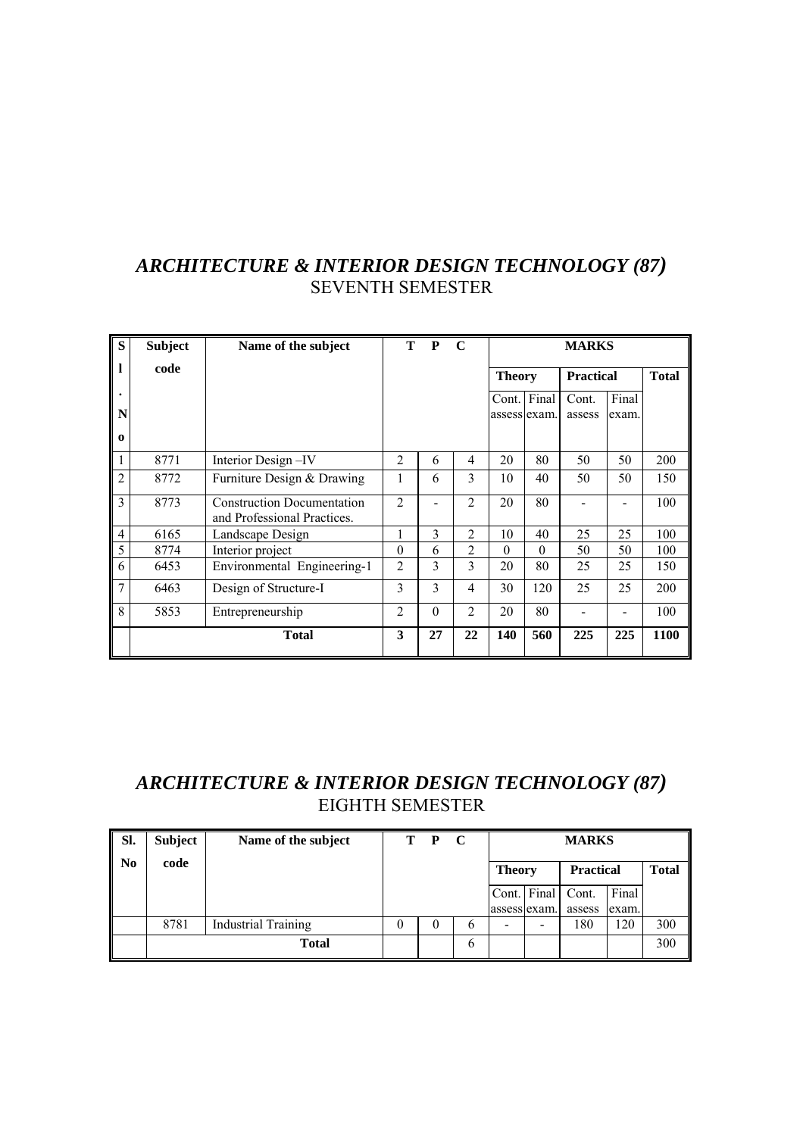#### *ARCHITECTURE & INTERIOR DESIGN TECHNOLOGY (87)*  SEVENTH SEMESTER

| S                             | <b>Subject</b> | Name of the subject                                              | T –            | P        | $\mathbf C$    |               | <b>MARKS</b> |                  |                |              |  |  |
|-------------------------------|----------------|------------------------------------------------------------------|----------------|----------|----------------|---------------|--------------|------------------|----------------|--------------|--|--|
| 1                             | code           |                                                                  |                |          |                | <b>Theory</b> |              | <b>Practical</b> |                | <b>Total</b> |  |  |
| $\bullet$<br>N<br>$\mathbf 0$ |                |                                                                  |                |          |                | assess exam.  | Cont. Final  | Cont.<br>assess  | Final<br>exam. |              |  |  |
| 1                             | 8771           | Interior Design-IV                                               | $\overline{2}$ | 6        | 4              | 20            | 80           | 50               | 50             | 200          |  |  |
| $\overline{c}$                | 8772           | Furniture Design & Drawing                                       | 1              | 6        | 3              | 10            | 40           | 50               | 50             | 150          |  |  |
| 3                             | 8773           | <b>Construction Documentation</b><br>and Professional Practices. | $\overline{2}$ |          | $\overline{2}$ | 20            | 80           |                  |                | 100          |  |  |
| $\overline{4}$                | 6165           | Landscape Design                                                 | 1              | 3        | $\overline{2}$ | 10            | 40           | 25               | 25             | 100          |  |  |
| 5                             | 8774           | Interior project                                                 | $\theta$       | 6        | 2              | $\Omega$      | $\theta$     | 50               | 50             | 100          |  |  |
| 6                             | 6453           | Environmental Engineering-1                                      | $\overline{c}$ | 3        | 3              | 20            | 80           | 25               | 25             | 150          |  |  |
| $\overline{7}$                | 6463           | Design of Structure-I                                            | 3              | 3        | 4              | 30            | 120          | 25               | 25             | 200          |  |  |
| 8                             | 5853           | Entrepreneurship                                                 | $\overline{c}$ | $\Omega$ | $\overline{c}$ | 20            | 80           |                  |                | 100          |  |  |
|                               |                | <b>Total</b>                                                     | 3              | 27       | 22             | 140           | 560          | 225              | 225            | 1100         |  |  |

#### *ARCHITECTURE & INTERIOR DESIGN TECHNOLOGY (87)*  EIGHTH SEMESTER

| SI. | Subject | Name of the subject        | т | $\mathbf{P}$ | $\mathbf C$ |               | <b>MARKS</b>             |                   |       |              |  |  |
|-----|---------|----------------------------|---|--------------|-------------|---------------|--------------------------|-------------------|-------|--------------|--|--|
| No  | code    |                            |   |              |             | <b>Theory</b> |                          | <b>Practical</b>  |       | <b>Total</b> |  |  |
|     |         |                            |   |              |             |               |                          | Cont. Final Cont. | Final |              |  |  |
|     |         |                            |   |              |             | assess exam.  |                          | assess            | exam. |              |  |  |
|     | 8781    | <b>Industrial Training</b> |   | $\theta$     | b           | -             | $\overline{\phantom{0}}$ | 180               | 120   | 300          |  |  |
|     |         | <b>Total</b>               |   |              | 6           |               |                          |                   |       | 300          |  |  |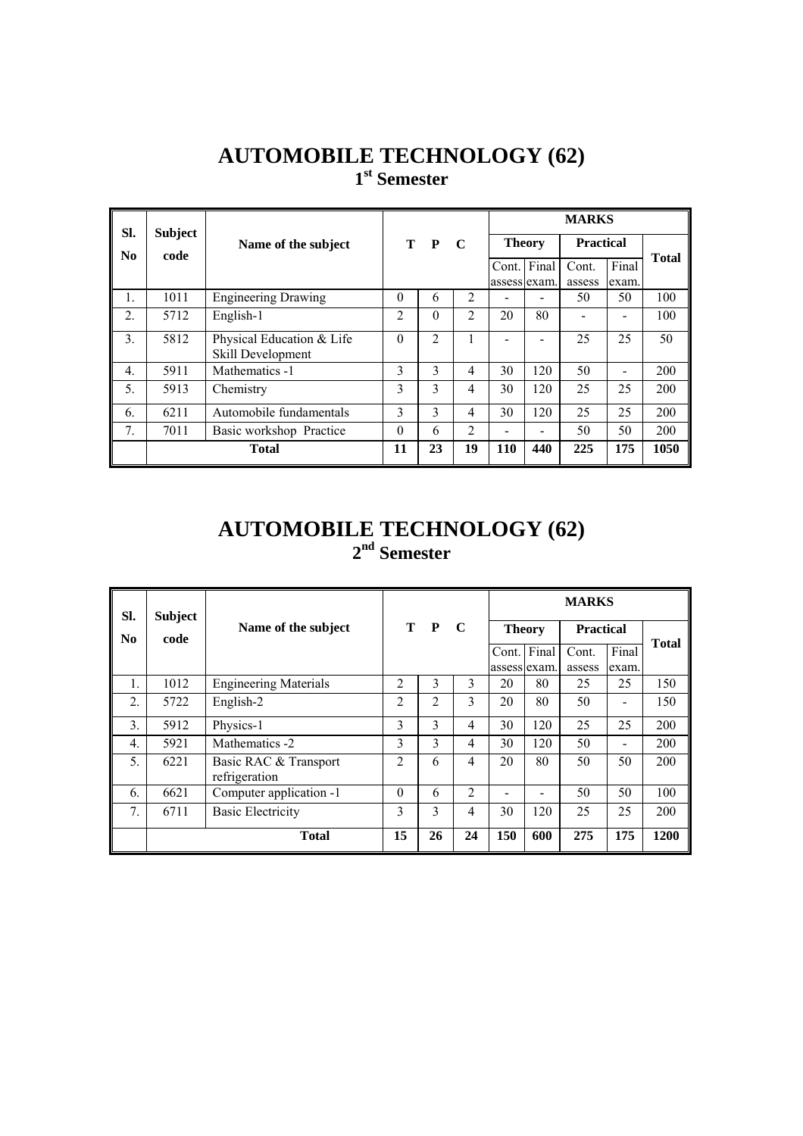## **AUTOMOBILE TECHNOLOGY (62) 1st Semester**

| SI.              | <b>Subject</b> |                                                |                    |          |                    | <b>MARKS</b> |             |        |                          |              |                  |  |  |
|------------------|----------------|------------------------------------------------|--------------------|----------|--------------------|--------------|-------------|--------|--------------------------|--------------|------------------|--|--|
| N <sub>0</sub>   | code           | Name of the subject                            | T.<br>$\mathbf{P}$ |          | <b>Theory</b><br>C |              |             |        |                          |              | <b>Practical</b> |  |  |
|                  |                |                                                |                    |          |                    |              | Cont. Final | Cont.  | Final                    | <b>Total</b> |                  |  |  |
|                  |                |                                                |                    |          |                    | assess exam. |             | assess | exam.                    |              |                  |  |  |
| 1.               | 1011           | <b>Engineering Drawing</b>                     | $\theta$           | 6        | 2                  |              |             | 50     | 50                       | 100          |                  |  |  |
| $\overline{2}$ . | 5712           | English-1                                      | $\overline{2}$     | $\Omega$ | 2                  | 20           | 80          |        |                          | 100          |                  |  |  |
| 3.               | 5812           | Physical Education & Life<br>Skill Development | $\Omega$           | 2        | 1                  |              |             | 25     | 25                       | 50           |                  |  |  |
| $\overline{4}$ . | 5911           | Mathematics -1                                 | 3                  | 3        | $\overline{4}$     | 30           | 120         | 50     | $\overline{\phantom{0}}$ | 200          |                  |  |  |
| 5.               | 5913           | Chemistry                                      | 3                  | 3        | 4                  | 30           | 120         | 25     | 25                       | 200          |                  |  |  |
| 6.               | 6211           | Automobile fundamentals                        | 3                  | 3        | $\overline{4}$     | 30           | 120         | 25     | 25                       | 200          |                  |  |  |
| 7 <sub>1</sub>   | 7011           | Basic workshop Practice                        | $\theta$           | 6        | 2                  |              |             | 50     | 50                       | 200          |                  |  |  |
|                  |                | <b>Total</b>                                   | 11                 | 23       | 19                 | <b>110</b>   | 440         | 225    | 175                      | 1050         |                  |  |  |

#### **AUTOMOBILE TECHNOLOGY (62) 2nd Semester**

| SI.              | <b>Subject</b> |                                        |                |     |                |               |     |                  |       |              |
|------------------|----------------|----------------------------------------|----------------|-----|----------------|---------------|-----|------------------|-------|--------------|
| N <sub>0</sub>   | code           | Name of the subject                    |                | T P | - C            | <b>Theory</b> |     | <b>Practical</b> |       |              |
|                  |                |                                        |                |     |                | Cont. Final   |     | Cont.            | Final | <b>Total</b> |
|                  |                |                                        |                |     |                | assess exam.  |     | assess           | exam. |              |
| 1.               | 1012           | <b>Engineering Materials</b>           | $\overline{2}$ | 3   | 3              | 20            | 80  | 25               | 25    | 150          |
| $\overline{2}$ . | 5722           | English-2                              | $\overline{2}$ | 2   | 3              | 20            | 80  | 50               |       | 150          |
| 3.               | 5912           | Physics-1                              | 3              | 3   | 4              | 30            | 120 | 25               | 25    | 200          |
| $\overline{4}$ . | 5921           | Mathematics -2                         | 3              | 3   | 4              | 30            | 120 | 50               |       | 200          |
| 5.               | 6221           | Basic RAC & Transport<br>refrigeration | $\overline{2}$ | 6   | 4              | 20            | 80  | 50               | 50    | 200          |
| 6.               | 6621           | Computer application -1                | $\theta$       | 6   | $\overline{2}$ |               |     | 50               | 50    | 100          |
| 7.               | 6711           | <b>Basic Electricity</b>               | 3              | 3   | 4              | 30            | 120 | 25               | 25    | 200          |
|                  |                | <b>Total</b>                           | 15             | 26  | 24             | 150           | 600 | 275              | 175   | 1200         |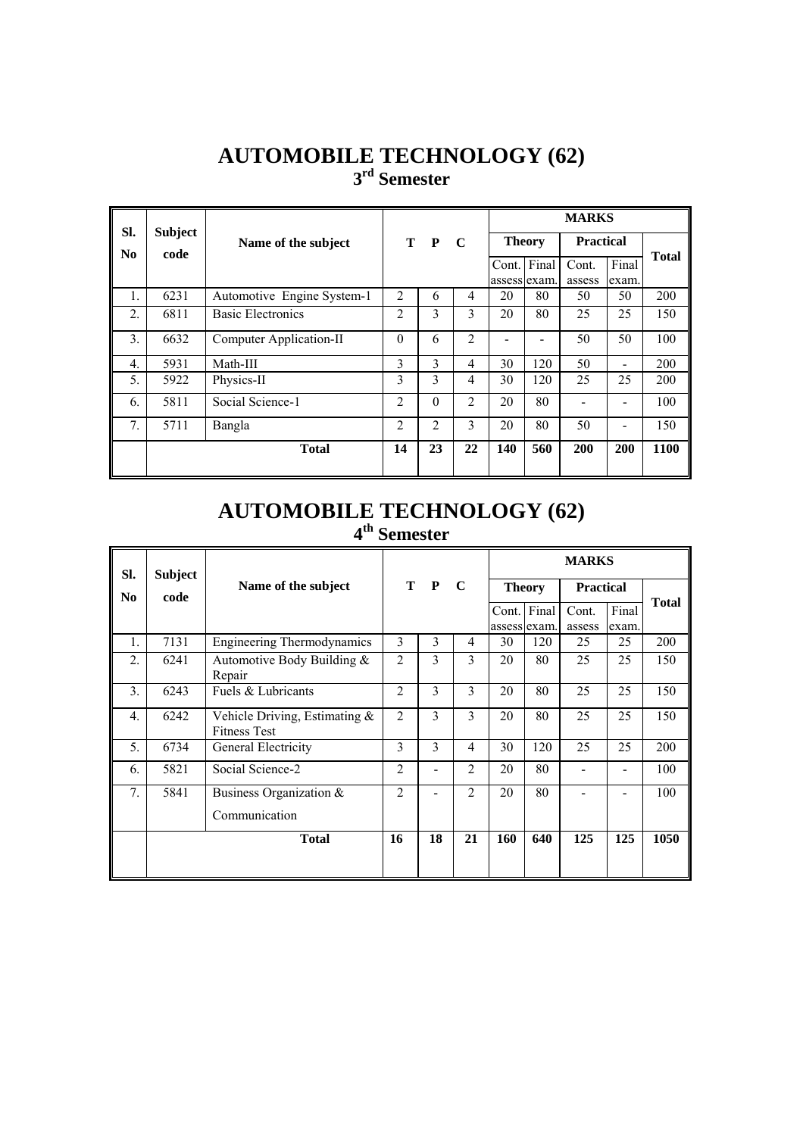### **AUTOMOBILE TECHNOLOGY (62) 3rd Semester**

| SI.                    | <b>Subject</b> |                            |                |          |                | <b>MARKS</b>  |                          |                  |                                                                                                                                                                                               |              |  |
|------------------------|----------------|----------------------------|----------------|----------|----------------|---------------|--------------------------|------------------|-----------------------------------------------------------------------------------------------------------------------------------------------------------------------------------------------|--------------|--|
| $\mathbf{N}\mathbf{0}$ | code           | Name of the subject        |                | T P C    |                | <b>Theory</b> |                          | <b>Practical</b> |                                                                                                                                                                                               |              |  |
|                        |                |                            |                |          |                | Cont. Final   |                          | Cont.            | Final                                                                                                                                                                                         | <b>Total</b> |  |
|                        |                |                            |                |          |                |               | assess exam.             | assess           | exam.                                                                                                                                                                                         |              |  |
| 1.                     | 6231           | Automotive Engine System-1 | 2              | 6        | $\overline{4}$ | 20            | 80                       | 50               | 50                                                                                                                                                                                            | 200          |  |
| 2.                     | 6811           | <b>Basic Electronics</b>   | $\overline{2}$ | 3        | 3              | 20            | 80                       | 25               | 25                                                                                                                                                                                            | 150          |  |
| $\mathbf{3}$ .         | 6632           | Computer Application-II    | $\Omega$       | 6        | $\mathfrak{D}$ |               | $\overline{\phantom{0}}$ | 50               | 50                                                                                                                                                                                            | 100          |  |
| $\overline{4}$ .       | 5931           | Math-III                   | 3              | 3        | 4              | 30            | 120                      | 50               |                                                                                                                                                                                               | 200          |  |
| 5.                     | 5922           | Physics-II                 | 3              | 3        | 4              | 30            | 120                      | 25               | 25                                                                                                                                                                                            | 200          |  |
| 6.                     | 5811           | Social Science-1           | $\overline{2}$ | $\theta$ | $\overline{2}$ | 20            | 80                       |                  |                                                                                                                                                                                               | 100          |  |
| 7 <sub>1</sub>         | 5711           | Bangla                     | $\overline{2}$ | 2        | 3              | 20            | 80                       | 50               | $\hskip1.6pt\hskip1.6pt\hskip1.6pt\hskip1.6pt\hskip1.6pt\hskip1.6pt\hskip1.6pt\hskip1.6pt\hskip1.6pt\hskip1.6pt\hskip1.6pt\hskip1.6pt\hskip1.6pt\hskip1.6pt\hskip1.6pt\hskip1.6pt\hskip1.6pt$ | 150          |  |
|                        |                | <b>Total</b>               | 14             | 23       | 22             | 140           | 560                      | <b>200</b>       | <b>200</b>                                                                                                                                                                                    | 1100         |  |

#### **AUTOMOBILE TECHNOLOGY (62) 4th Semester**

| SI.              | Subject |                                                         |                |              |                         | <b>MARKS</b> |               |                  |       |              |
|------------------|---------|---------------------------------------------------------|----------------|--------------|-------------------------|--------------|---------------|------------------|-------|--------------|
| No               | code    | Name of the subject                                     |                | T P          | $\mathbf C$             |              | <b>Theory</b> | <b>Practical</b> |       | <b>Total</b> |
|                  |         |                                                         |                |              |                         | Cont.        | Final         | Cont.            | Final |              |
|                  |         |                                                         |                |              |                         | assess exam. |               | assess           | exam. |              |
| 1.               | 7131    | <b>Engineering Thermodynamics</b>                       | 3              | $\mathbf{3}$ | 4                       | 30           | 120           | 25               | 25    | 200          |
| 2.               | 6241    | Automotive Body Building &<br>Repair                    | $\overline{2}$ | 3            | $\overline{\mathbf{3}}$ | 20           | 80            | 25               | 25    | 150          |
| 3.               | 6243    | Fuels & Lubricants                                      | $\overline{c}$ | $\mathbf{3}$ | $\overline{3}$          | 20           | 80            | 25               | 25    | 150          |
| $\overline{4}$ . | 6242    | Vehicle Driving, Estimating $\&$<br><b>Fitness Test</b> | $\mathfrak{D}$ | 3            | 3                       | 20           | 80            | 25               | 25    | 150          |
| 5.               | 6734    | General Electricity                                     | 3              | $\mathbf{3}$ | $\overline{4}$          | 30           | 120           | 25               | 25    | 200          |
| 6.               | 5821    | Social Science-2                                        | $\overline{c}$ | -            | $\overline{2}$          | 20           | 80            |                  |       | 100          |
| $\overline{7}$ . | 5841    | Business Organization $\&$                              | $\mathfrak{D}$ |              | $\mathfrak{D}$          | 20           | 80            |                  |       | 100          |
|                  |         | Communication                                           |                |              |                         |              |               |                  |       |              |
|                  |         | <b>Total</b>                                            | 16             | 18           | 21                      | 160          | 640           | 125              | 125   | 1050         |
|                  |         |                                                         |                |              |                         |              |               |                  |       |              |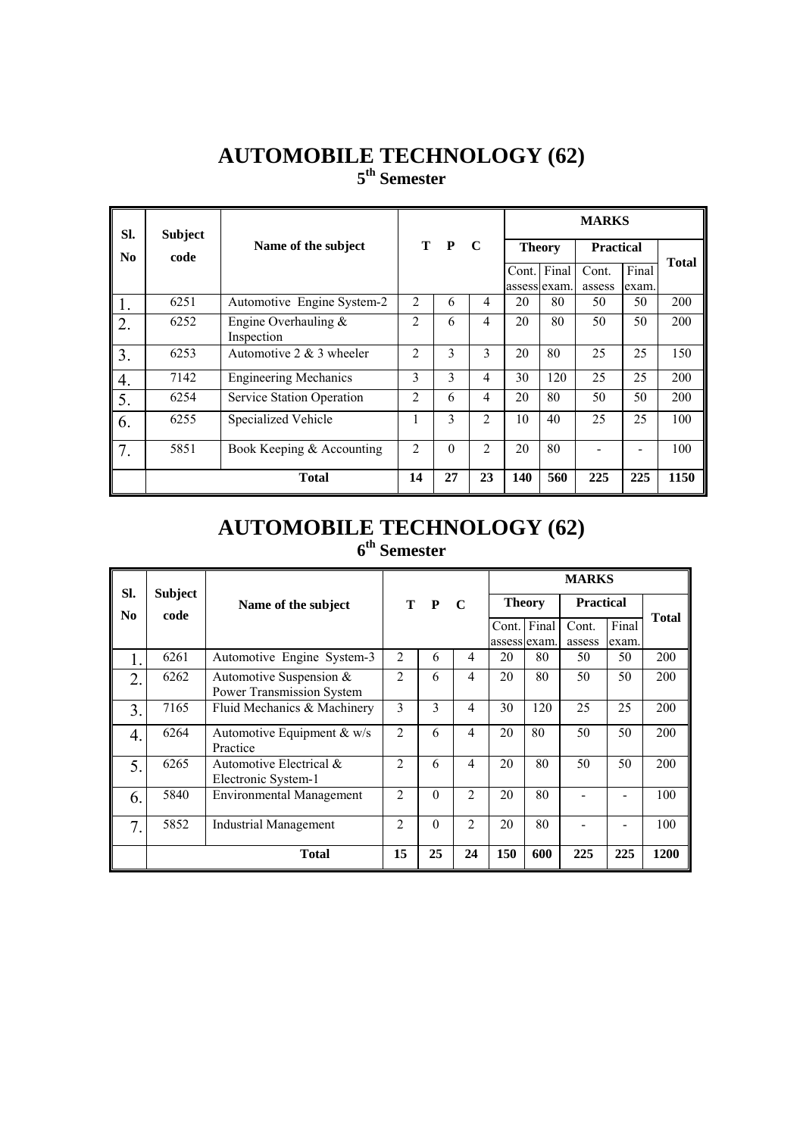#### **AUTOMOBILE TECHNOLOGY (62) 5th Semester**

| SI.              | <b>Subject</b> |                                      |                |          |                | <b>MARKS</b>          |               |                  |                |              |
|------------------|----------------|--------------------------------------|----------------|----------|----------------|-----------------------|---------------|------------------|----------------|--------------|
| N <sub>0</sub>   | code           | Name of the subject                  |                | T P      | - C            |                       | <b>Theory</b> | <b>Practical</b> |                | <b>Total</b> |
|                  |                |                                      |                |          |                | Cont.<br>assess exam. | Final         | Cont.<br>assess  | Final<br>exam. |              |
| 1.               | 6251           | Automotive Engine System-2           | $\overline{2}$ | 6        | 4              | 20                    | 80            | 50               | 50             | 200          |
| 2.               | 6252           | Engine Overhauling $&$<br>Inspection | $\overline{2}$ | 6        | 4              | 20                    | 80            | 50               | 50             | 200          |
| 3.               | 6253           | Automotive 2 $&$ 3 wheeler           | $\overline{2}$ | 3        | 3              | 20                    | 80            | 25               | 25             | 150          |
| $\overline{4}$ . | 7142           | <b>Engineering Mechanics</b>         | 3              | 3        | 4              | 30                    | 120           | 25               | 25             | 200          |
| 5.               | 6254           | Service Station Operation            | 2              | 6        | 4              | 20                    | 80            | 50               | 50             | 200          |
| 6.               | 6255           | Specialized Vehicle                  | л.             | 3        | $\mathfrak{D}$ | 10                    | 40            | 25               | 25             | 100          |
| 7.               | 5851           | Book Keeping & Accounting            | $\overline{2}$ | $\Omega$ | $\overline{2}$ | 20                    | 80            |                  |                | 100          |
|                  |                | <b>Total</b>                         | 14             | 27       | 23             | 140                   | 560           | 225              | 225            | 1150         |

#### **AUTOMOBILE TECHNOLOGY (62) 6th Semester**

| SI.            | <b>Subject</b> |                                                               |                |          | <b>MARKS</b>   |               |              |                  |       |              |
|----------------|----------------|---------------------------------------------------------------|----------------|----------|----------------|---------------|--------------|------------------|-------|--------------|
| No.            | code           | Name of the subject                                           |                | T P      | $\mathbf C$    | <b>Theory</b> |              | <b>Practical</b> |       | <b>Total</b> |
|                |                |                                                               |                |          |                | Cont. Final   |              | Cont.            | Final |              |
|                |                |                                                               |                |          |                |               | assess exam. | assess           | exam. |              |
|                | 6261           | Automotive Engine System-3                                    | 2              | 6        | 4              | 20            | 80           | 50               | 50    | 200          |
| 2.             | 6262           | Automotive Suspension $&$<br><b>Power Transmission System</b> | $\mathfrak{D}$ | 6        | $\overline{4}$ | 20            | 80           | 50               | 50    | 200          |
| $\overline{3}$ | 7165           | Fluid Mechanics & Machinery                                   | 3              | 3        | $\overline{4}$ | 30            | 120          | 25               | 25    | 200          |
| 4.             | 6264           | Automotive Equipment $& w/s$<br>Practice                      | $\overline{2}$ | 6        | $\overline{4}$ | 20            | 80           | 50               | 50    | 200          |
| 5.             | 6265           | Automotive Electrical &<br>Electronic System-1                | $\overline{2}$ | 6        | $\overline{4}$ | 20            | 80           | 50               | 50    | 200          |
| 6.             | 5840           | <b>Environmental Management</b>                               | $\overline{2}$ | $\theta$ | $\mathfrak{D}$ | 20            | 80           |                  |       | 100          |
| 7.             | 5852           | Industrial Management                                         | $\mathfrak{D}$ | $\Omega$ | $\mathfrak{D}$ | 20            | 80           |                  |       | 100          |
|                |                | <b>Total</b>                                                  | 15             | 25       | 24             | 150           | 600          | 225              | 225   | 1200         |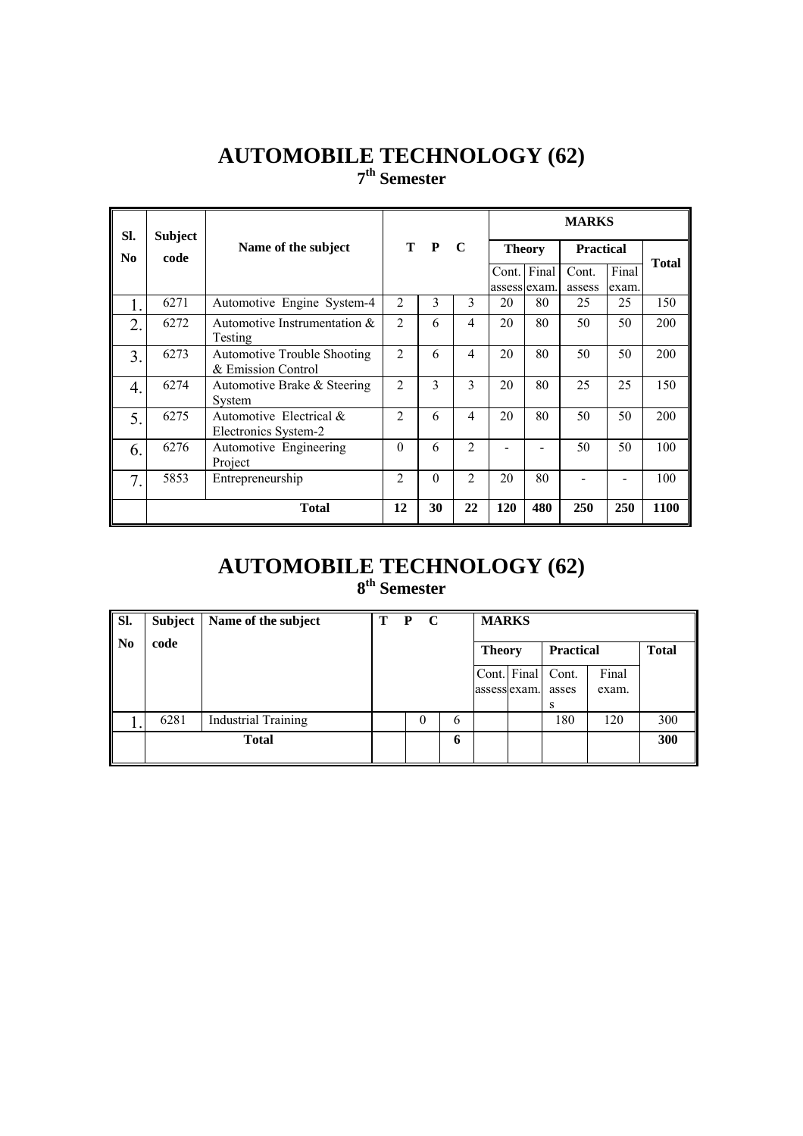#### **AUTOMOBILE TECHNOLOGY (62) 7th Semester**

| SI.              | <b>Subject</b> |                                                          |                |          |                | <b>MARKS</b>          |       |                  |                |              |
|------------------|----------------|----------------------------------------------------------|----------------|----------|----------------|-----------------------|-------|------------------|----------------|--------------|
| No.              | code           | Name of the subject                                      |                | T P      | $\mathbf C$    | <b>Theory</b>         |       | <b>Practical</b> |                |              |
|                  |                |                                                          |                |          |                | Cont.<br>assess exam. | Final | Cont.<br>assess  | Final<br>exam. | <b>Total</b> |
|                  | 6271           | Automotive Engine System-4                               | $\overline{2}$ | 3        | 3              | 20                    | 80    | 25               | 25             | 150          |
| $\overline{2}$ . | 6272           | Automotive Instrumentation $\&$<br>Testing               | $\overline{2}$ | 6        | $\overline{4}$ | 20                    | 80    | 50               | 50             | 200          |
| $\overline{3}$   | 6273           | <b>Automotive Trouble Shooting</b><br>& Emission Control | $\overline{2}$ | 6        | $\overline{4}$ | 20                    | 80    | 50               | 50             | 200          |
| 4.               | 6274           | Automotive Brake & Steering<br>System                    | 2              | 3        | 3              | 20                    | 80    | 25               | 25             | 150          |
| 5.               | 6275           | Automotive Electrical $&$<br>Electronics System-2        | 2              | 6        | $\overline{4}$ | 20                    | 80    | 50               | 50             | 200          |
| 6.               | 6276           | Automotive Engineering<br>Project                        | $\Omega$       | 6        | $\overline{2}$ |                       |       | 50               | 50             | 100          |
| 7.               | 5853           | Entrepreneurship                                         | $\mathfrak{D}$ | $\theta$ | $\mathfrak{D}$ | 20                    | 80    |                  |                | 100          |
|                  |                | <b>Total</b>                                             | 12             | 30       | 22             | 120                   | 480   | 250              | 250            | 1100         |

#### **AUTOMOBILE TECHNOLOGY (62) 8th Semester**

| SI. | Subject | Name of the subject        | Т | $\mathbf{P}$ | $\mathbf C$ |   | <b>MARKS</b>  |             |                |                |              |
|-----|---------|----------------------------|---|--------------|-------------|---|---------------|-------------|----------------|----------------|--------------|
| No  | code    |                            |   |              |             |   | <b>Theory</b> |             | Practical      |                | <b>Total</b> |
|     |         |                            |   |              |             |   | assesslexam.  | Cont. Final | Cont.<br>asses | Final<br>exam. |              |
|     |         |                            |   |              |             |   |               |             | S              |                |              |
|     | 6281    | <b>Industrial Training</b> |   |              | 0           | 6 |               |             | 180            | 120            | 300          |
|     |         | <b>Total</b>               |   |              |             | 6 |               |             |                |                | 300          |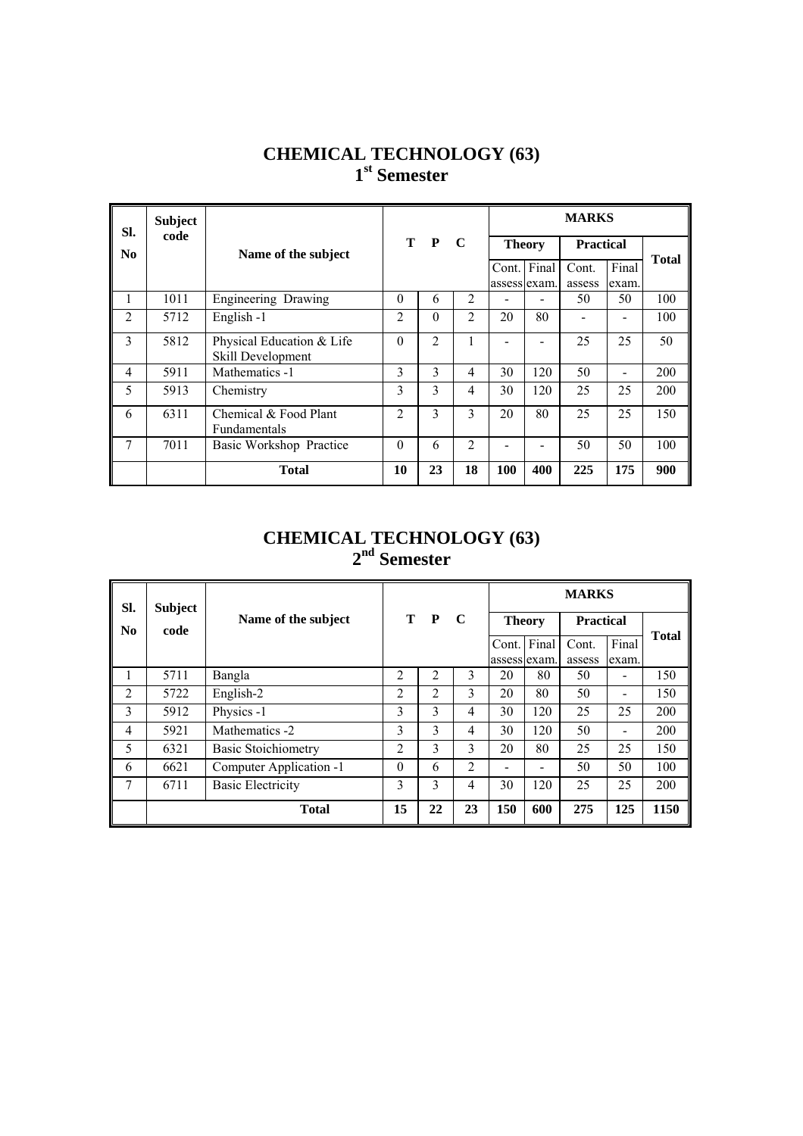#### **CHEMICAL TECHNOLOGY (63) 1st Semester**

| SI.                    | <b>Subject</b><br>code |                                                |                |          |                |               |              | <b>MARKS</b>     |                              |              |
|------------------------|------------------------|------------------------------------------------|----------------|----------|----------------|---------------|--------------|------------------|------------------------------|--------------|
| $\mathbf{N}\mathbf{0}$ |                        | Name of the subject                            |                | T P      | $\mathbf C$    | <b>Theory</b> |              | <b>Practical</b> |                              | <b>Total</b> |
|                        |                        |                                                |                |          |                | Cont. Final   |              | Cont.            | Final                        |              |
|                        |                        |                                                |                |          |                |               | assess exam. | assess           | exam.                        |              |
| L                      | 1011                   | Engineering Drawing                            | $\theta$       | 6        | $\overline{2}$ |               |              | 50               | 50                           | 100          |
| $\overline{2}$         | 5712                   | English -1                                     | $\overline{2}$ | $\Omega$ | $\overline{2}$ | 20            | 80           |                  |                              | 100          |
| 3                      | 5812                   | Physical Education & Life<br>Skill Development | $\Omega$       | 2        | 1              |               |              | 25               | 25                           | 50           |
| $\overline{4}$         | 5911                   | Mathematics -1                                 | 3              | 3        | 4              | 30            | 120          | 50               | $\qquad \qquad \blacksquare$ | 200          |
| 5                      | 5913                   | Chemistry                                      | 3              | 3        | 4              | 30            | 120          | 25               | 25                           | 200          |
| 6                      | 6311                   | Chemical & Food Plant<br>Fundamentals          | $\mathfrak{D}$ | 3        | 3              | 20            | 80           | 25               | 25                           | 150          |
| 7                      | 7011                   | Basic Workshop Practice                        | $\Omega$       | 6        | $\overline{2}$ |               |              | 50               | 50                           | 100          |
|                        |                        | <b>Total</b>                                   | 10             | 23       | 18             | 100           | 400          | 225              | 175                          | 900          |

#### **CHEMICAL TECHNOLOGY (63) 2nd Semester**

| SI.            | <b>Subject</b> |                            |                |     |    |               |                          | <b>MARKS</b>     |                              |              |
|----------------|----------------|----------------------------|----------------|-----|----|---------------|--------------------------|------------------|------------------------------|--------------|
| N <sub>0</sub> | code           | Name of the subject        |                | T P | C  | <b>Theory</b> |                          | <b>Practical</b> |                              | <b>Total</b> |
|                |                |                            |                |     |    | Cont.         | Final                    | Cont.            | Final                        |              |
|                |                |                            |                |     |    | assess lexam. |                          | assess           | exam.                        |              |
|                | 5711           | Bangla                     | 2              | 2   | 3  | 20            | 80                       | 50               |                              | 150          |
| $\overline{2}$ | 5722           | English-2                  | $\overline{2}$ | 2   | 3  | 20            | 80                       | 50               | $\overline{\phantom{0}}$     | 150          |
| 3              | 5912           | Physics -1                 | 3              | 3   | 4  | 30            | 120                      | 25               | 25                           | 200          |
| $\overline{4}$ | 5921           | Mathematics -2             | 3              | 3   | 4  | 30            | 120                      | 50               | $\qquad \qquad \blacksquare$ | 200          |
| 5              | 6321           | <b>Basic Stoichiometry</b> | $\overline{2}$ | 3   | 3  | 20            | 80                       | 25               | 25                           | 150          |
| 6              | 6621           | Computer Application -1    | $\Omega$       | 6   | 2  |               | $\overline{\phantom{a}}$ | 50               | 50                           | 100          |
| 7              | 6711           | <b>Basic Electricity</b>   | 3              | 3   | 4  | 30            | 120                      | 25               | 25                           | 200          |
|                |                | <b>Total</b>               | 15             | 22  | 23 | 150           | 600                      | 275              | 125                          | 1150         |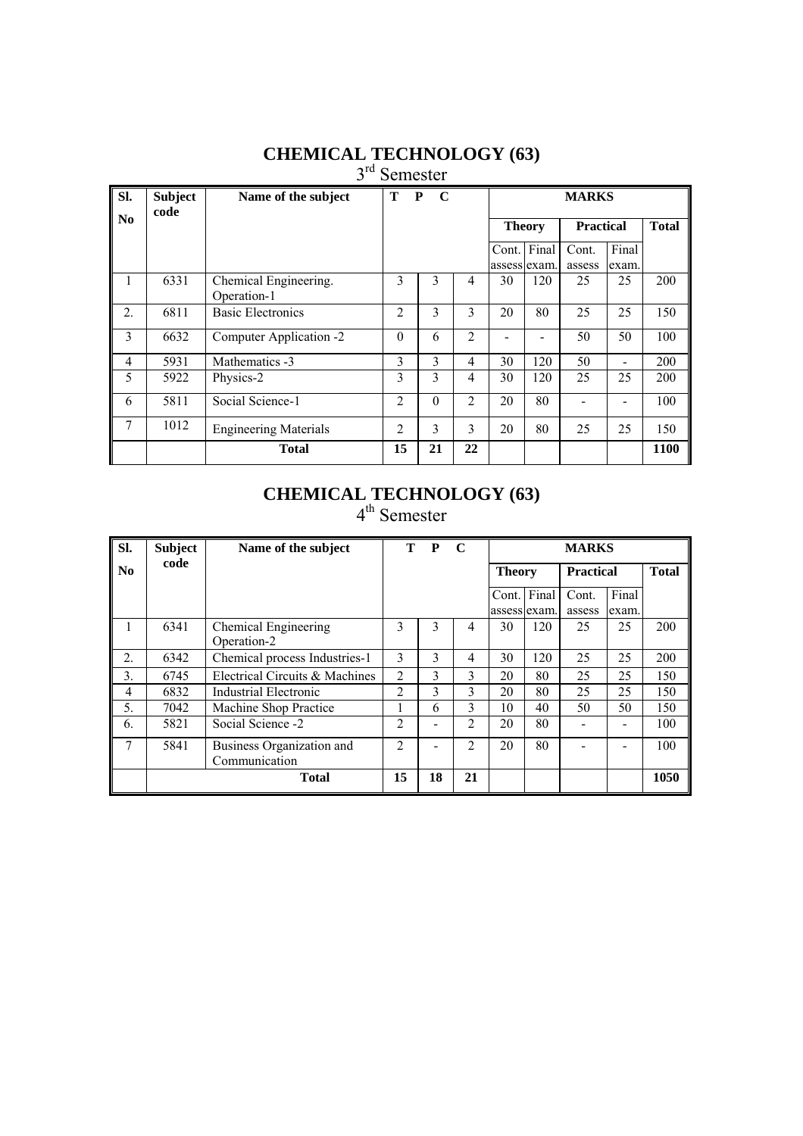#### **CHEMICAL TECHNOLOGY (63)**

3<sup>rd</sup> Semester

| SI.            | <b>Subject</b><br>code | Name of the subject                  | Т              | P<br>$\mathbf C$ |                |                        |               | <b>MARKS</b>     |                |              |
|----------------|------------------------|--------------------------------------|----------------|------------------|----------------|------------------------|---------------|------------------|----------------|--------------|
| N <sub>0</sub> |                        |                                      |                |                  |                |                        | <b>Theory</b> | <b>Practical</b> |                | <b>Total</b> |
|                |                        |                                      |                |                  |                | Cont.<br>assess lexam. | Final         | Cont.<br>assess  | Final<br>exam. |              |
| 1              | 6331                   | Chemical Engineering.<br>Operation-1 | 3              | 3                | 4              | 30                     | 120           | 25               | 25             | 200          |
| 2.             | 6811                   | <b>Basic Electronics</b>             | $\overline{2}$ | 3                | 3              | 20                     | 80            | 25               | 25             | 150          |
| 3              | 6632                   | Computer Application -2              | $\Omega$       | 6                | $\overline{2}$ |                        |               | 50               | 50             | 100          |
| 4              | 5931                   | Mathematics -3                       | 3              | 3                | 4              | 30                     | 120           | 50               | -              | 200          |
| 5              | 5922                   | Physics-2                            | 3              | 3                | 4              | 30                     | 120           | 25               | 25             | 200          |
| 6              | 5811                   | Social Science-1                     | $\overline{2}$ | $\theta$         | $\overline{2}$ | 20                     | 80            |                  |                | 100          |
| 7              | 1012                   | <b>Engineering Materials</b>         | $\overline{2}$ | 3                | 3              | 20                     | 80            | 25               | 25             | 150          |
|                |                        | <b>Total</b>                         | 15             | 21               | 22             |                        |               |                  |                | 1100         |

#### **CHEMICAL TECHNOLOGY (63)**

| SI.              | <b>Subject</b> | Name of the subject                        | T              | $\mathbf{P}$ | $\mathbf C$    |                             |     | <b>MARKS</b>     |                |              |
|------------------|----------------|--------------------------------------------|----------------|--------------|----------------|-----------------------------|-----|------------------|----------------|--------------|
| N <sub>0</sub>   | code           |                                            |                |              |                | <b>Theory</b>               |     | <b>Practical</b> |                | <b>Total</b> |
|                  |                |                                            |                |              |                | Cont. Final<br>assess exam. |     | Cont.<br>assess  | Final<br>exam. |              |
| 1                | 6341           | Chemical Engineering<br>Operation-2        | 3              | 3            | 4              | 30                          | 120 | 25               | 25             | 200          |
| $\overline{2}$ . | 6342           | Chemical process Industries-1              | 3              | 3            | 4              | 30                          | 120 | 25               | 25             | 200          |
| 3.               | 6745           | Electrical Circuits & Machines             | 2              | 3            | 3              | 20                          | 80  | 25               | 25             | 150          |
| 4                | 6832           | Industrial Electronic                      | 2              | 3            | 3              | 20                          | 80  | 25               | 25             | 150          |
| 5.               | 7042           | Machine Shop Practice                      |                | 6            | 3              | 10                          | 40  | 50               | 50             | 150          |
| 6.               | 5821           | Social Science -2                          | 2              |              | 2              | 20                          | 80  |                  |                | 100          |
| 7                | 5841           | Business Organization and<br>Communication | $\mathfrak{D}$ |              | $\mathfrak{D}$ | 20                          | 80  |                  |                | 100          |
|                  |                | <b>Total</b>                               | 15             | 18           | 21             |                             |     |                  |                | 1050         |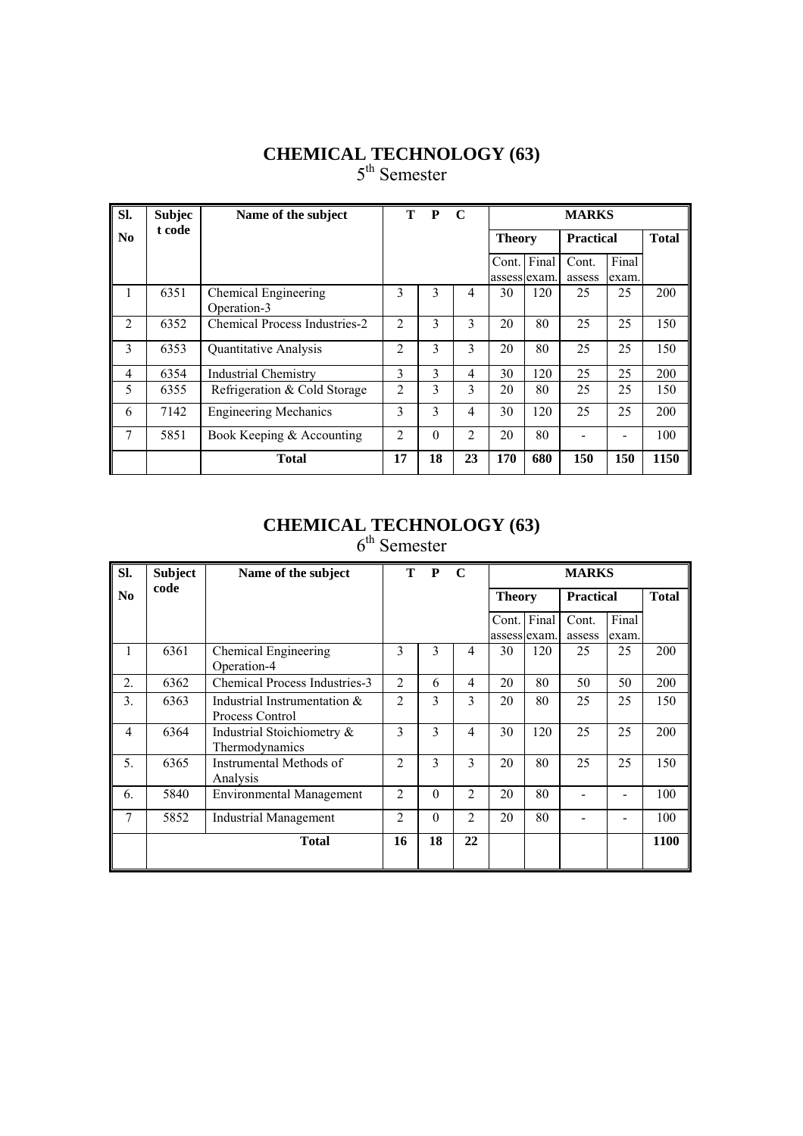#### **CHEMICAL TECHNOLOGY (63)** 5<sup>th</sup> Semester

| SI.            | <b>Subjec</b> | Name of the subject                  | т              | P        | $\mathbf C$    |                       |       | <b>MARKS</b>     |                |              |
|----------------|---------------|--------------------------------------|----------------|----------|----------------|-----------------------|-------|------------------|----------------|--------------|
| N <sub>0</sub> | t code        |                                      |                |          |                | <b>Theory</b>         |       | <b>Practical</b> |                | <b>Total</b> |
|                |               |                                      |                |          |                | Cont.<br>assess exam. | Final | Cont.<br>assess  | Final<br>exam. |              |
| 1              | 6351          | Chemical Engineering<br>Operation-3  | 3              | 3        | 4              | 30                    | 120   | 25               | 25             | 200          |
| $\mathfrak{D}$ | 6352          | <b>Chemical Process Industries-2</b> | $\overline{2}$ | 3        | 3              | 20                    | 80    | 25               | 25             | 150          |
| 3              | 6353          | <b>Ouantitative Analysis</b>         | $\overline{2}$ | 3        | 3              | 20                    | 80    | 25               | 25             | 150          |
| 4              | 6354          | <b>Industrial Chemistry</b>          | 3              | 3        | 4              | 30                    | 120   | 25               | 25             | 200          |
| 5              | 6355          | Refrigeration & Cold Storage         | $\overline{2}$ | 3        | 3              | 20                    | 80    | 25               | 25             | 150          |
| 6              | 7142          | <b>Engineering Mechanics</b>         | 3              | 3        | 4              | 30                    | 120   | 25               | 25             | 200          |
| 7              | 5851          | Book Keeping & Accounting            | $\overline{c}$ | $\theta$ | $\overline{2}$ | 20                    | 80    |                  |                | 100          |
|                |               | <b>Total</b>                         | 17             | 18       | 23             | 170                   | 680   | 150              | 150            | 1150         |

#### **CHEMICAL TECHNOLOGY (63)**  $6<sup>th</sup>$  Semester

| Sl.              | <b>Subject</b> | Name of the subject                             |                | T P      | $\mathbf C$    |               |     | <b>MARKS</b>     |       |              |
|------------------|----------------|-------------------------------------------------|----------------|----------|----------------|---------------|-----|------------------|-------|--------------|
| N <sub>0</sub>   | code           |                                                 |                |          |                | <b>Theory</b> |     | <b>Practical</b> |       | <b>Total</b> |
|                  |                |                                                 |                |          |                | Cont. Final   |     | Cont.            | Final |              |
|                  |                |                                                 |                |          |                | assess exam.  |     | assess           | exam. |              |
| 1                | 6361           | Chemical Engineering<br>Operation-4             | 3              | 3        | 4              | 30            | 120 | 25               | 25    | 200          |
| $\overline{2}$ . | 6362           | Chemical Process Industries-3                   | $\overline{c}$ | 6        | 4              | 20            | 80  | 50               | 50    | 200          |
| 3.               | 6363           | Industrial Instrumentation &<br>Process Control | $\mathfrak{D}$ | 3        | 3              | 20            | 80  | 25               | 25    | 150          |
| $\overline{4}$   | 6364           | Industrial Stoichiometry &<br>Thermodynamics    | 3              | 3        | 4              | 30            | 120 | 25               | 25    | 200          |
| 5.               | 6365           | Instrumental Methods of<br>Analysis             | $\mathfrak{D}$ | 3        | 3              | 20            | 80  | 25               | 25    | 150          |
| 6.               | 5840           | <b>Environmental Management</b>                 | $\overline{2}$ | $\Omega$ | $\mathfrak{D}$ | 20            | 80  |                  |       | 100          |
| 7                | 5852           | <b>Industrial Management</b>                    | $\overline{c}$ | $\Omega$ | $\overline{2}$ | 20            | 80  |                  |       | 100          |
|                  |                | <b>Total</b>                                    | 16             | 18       | 22             |               |     |                  |       | 1100         |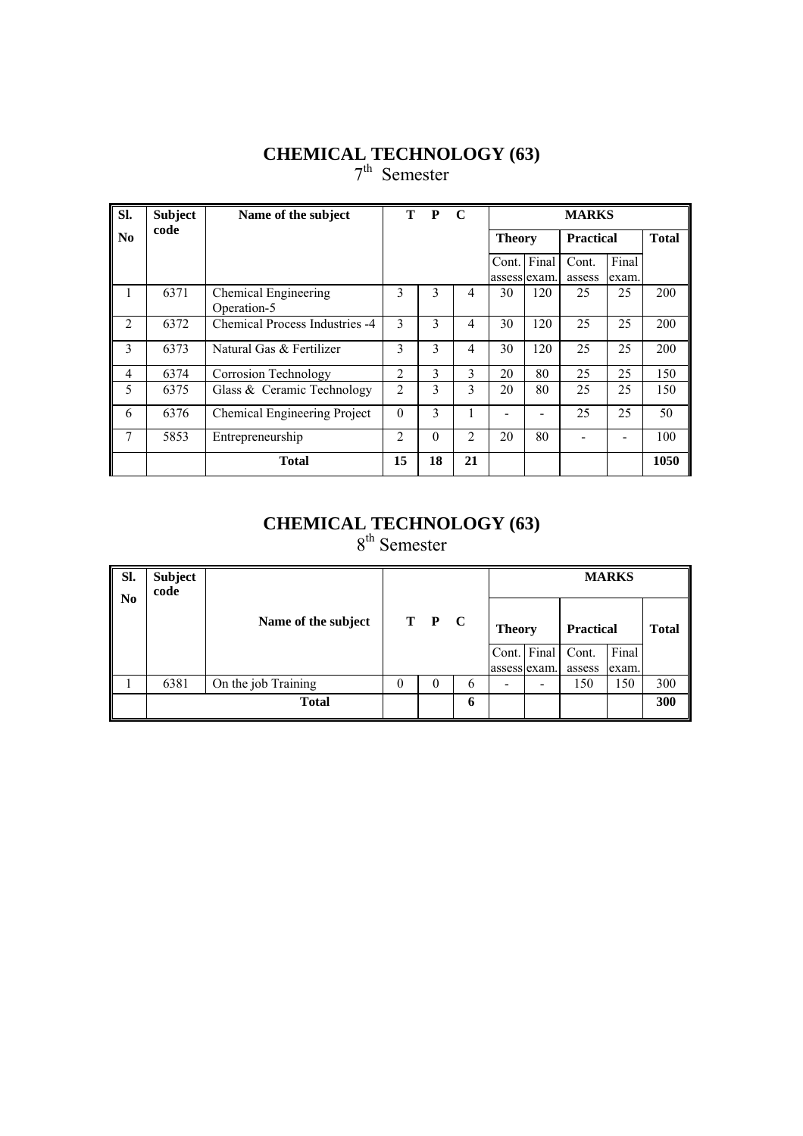#### **CHEMICAL TECHNOLOGY (63)** 7<sup>th</sup> Semester

| Sl.                    | <b>Subject</b> | Name of the subject                 | T.             | $\mathbf{P}$ | $\mathbf C$  |                       |       | <b>MARKS</b>     |                |              |
|------------------------|----------------|-------------------------------------|----------------|--------------|--------------|-----------------------|-------|------------------|----------------|--------------|
| $\mathbf{N}\mathbf{0}$ | code           |                                     |                |              |              | <b>Theory</b>         |       | <b>Practical</b> |                | <b>Total</b> |
|                        |                |                                     |                |              |              | Cont.<br>assess exam. | Final | Cont.<br>assess  | Final<br>exam. |              |
| 1                      | 6371           | Chemical Engineering<br>Operation-5 | 3              | 3            | 4            | 30                    | 120   | 25               | 25             | 200          |
| $\overline{2}$         | 6372           | Chemical Process Industries -4      | 3              | 3            | 4            | 30                    | 120   | 25               | 25             | 200          |
| 3                      | 6373           | Natural Gas & Fertilizer            | 3              | 3            | 4            | 30                    | 120   | 25               | 25             | 200          |
| $\overline{4}$         | 6374           | Corrosion Technology                | 2              | 3            | $\mathbf{3}$ | 20                    | 80    | 25               | 25             | 150          |
| 5                      | 6375           | Glass & Ceramic Technology          | $\overline{c}$ | 3            | 3            | 20                    | 80    | 25               | 25             | 150          |
| 6                      | 6376           | Chemical Engineering Project        | $\Omega$       | 3            |              |                       |       | 25               | 25             | 50           |
| 7                      | 5853           | Entrepreneurship                    | $\overline{c}$ | $\Omega$     | 2            | 20                    | 80    |                  |                | 100          |
|                        |                | <b>Total</b>                        | 15             | 18           | 21           |                       |       |                  |                | 1050         |

#### **CHEMICAL TECHNOLOGY (63)** 8<sup>th</sup> Semester

| SI.<br>N <sub>0</sub> | <b>Subject</b><br>code |                     |          |          |   |                          |                          |                  | <b>MARKS</b> |              |
|-----------------------|------------------------|---------------------|----------|----------|---|--------------------------|--------------------------|------------------|--------------|--------------|
|                       |                        | Name of the subject |          | T P C    |   | <b>Theory</b>            |                          | <b>Practical</b> |              | <b>Total</b> |
|                       |                        |                     |          |          |   |                          | Cont. Final              | Cont.            | Final        |              |
|                       | 6381                   | On the job Training | $\theta$ | $\theta$ | 6 |                          | assess exam.             | assess<br>150    | exam.<br>150 | 300          |
|                       |                        |                     |          |          |   | $\overline{\phantom{0}}$ | $\overline{\phantom{a}}$ |                  |              |              |
|                       |                        | <b>Total</b>        |          |          | 6 |                          |                          |                  |              | 300          |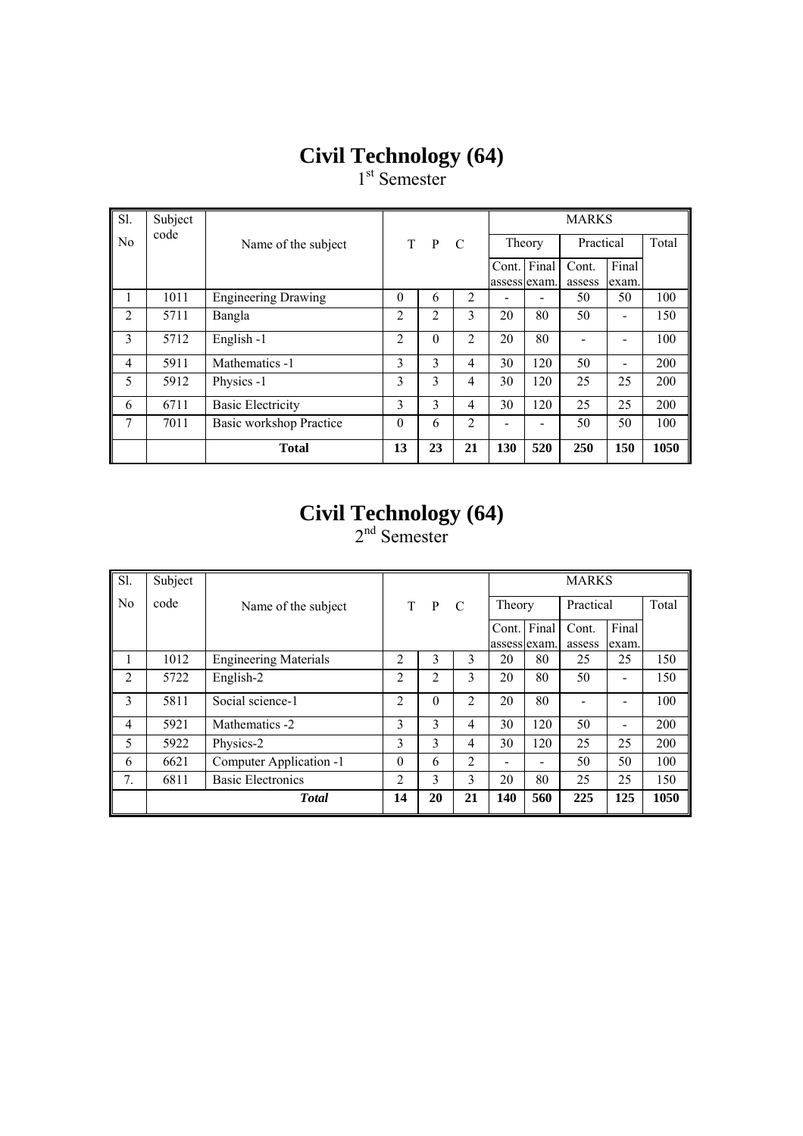1<sup>st</sup> Semester

| Sl.            | Subject |                            |                |              |                |              |       | <b>MARKS</b> |                          |       |
|----------------|---------|----------------------------|----------------|--------------|----------------|--------------|-------|--------------|--------------------------|-------|
| N <sub>0</sub> | code    | Name of the subject        | T.             | $\mathbf{P}$ | C              | Theory       |       | Practical    |                          | Total |
|                |         |                            |                |              |                | Cont.        | Final | Cont.        | Final                    |       |
|                | 1011    |                            | $\theta$       |              | 2              | assess exam. |       | assess       | exam.<br>50              | 100   |
|                |         | <b>Engineering Drawing</b> |                | 6            |                |              |       | 50           |                          |       |
| $\overline{2}$ | 5711    | Bangla                     | $\overline{c}$ | 2            | 3              | 20           | 80    | 50           |                          | 150   |
| 3              | 5712    | English-1                  | $\overline{2}$ | $\theta$     | $\overline{2}$ | 20           | 80    |              |                          | 100   |
| $\overline{4}$ | 5911    | Mathematics -1             | 3              | 3            | $\overline{4}$ | 30           | 120   | 50           | $\overline{\phantom{a}}$ | 200   |
| 5              | 5912    | Physics -1                 | 3              | 3            | $\overline{4}$ | 30           | 120   | 25           | 25                       | 200   |
| 6              | 6711    | <b>Basic Electricity</b>   | 3              | 3            | 4              | 30           | 120   | 25           | 25                       | 200   |
| 7              | 7011    | Basic workshop Practice    | $\theta$       | 6            | 2              |              |       | 50           | 50                       | 100   |
|                |         | <b>Total</b>               | 13             | 23           | 21             | 130          | 520   | 250          | 150                      | 1050  |

#### **Civil Technology (64)**

| Sl.            | Subject |                              |                |          |     |              |     | <b>MARKS</b> |       |       |
|----------------|---------|------------------------------|----------------|----------|-----|--------------|-----|--------------|-------|-------|
| N <sub>0</sub> | code    | Name of the subject          |                | $T$ $P$  | - C | Theory       |     | Practical    |       | Total |
|                |         |                              |                |          |     | Cont. Final  |     | Cont.        | Final |       |
|                |         |                              |                |          |     | assess exam. |     | assess       | exam. |       |
| л.             | 1012    | <b>Engineering Materials</b> | $\overline{c}$ | 3        | 3   | 20           | 80  | 25           | 25    | 150   |
| $\overline{2}$ | 5722    | English-2                    | $\overline{c}$ | 2        | 3   | 20           | 80  | 50           |       | 150   |
| 3              | 5811    | Social science-1             | $\overline{c}$ | $\Omega$ | 2   | 20           | 80  |              |       | 100   |
| 4              | 5921    | Mathematics -2               | 3              | 3        | 4   | 30           | 120 | 50           |       | 200   |
| 5              | 5922    | Physics-2                    | 3              | 3        | 4   | 30           | 120 | 25           | 25    | 200   |
| 6              | 6621    | Computer Application -1      | $\theta$       | 6        | 2   |              |     | 50           | 50    | 100   |
| 7.             | 6811    | <b>Basic Electronics</b>     | $\overline{c}$ | 3        | 3   | 20           | 80  | 25           | 25    | 150   |
|                |         | <b>T</b> otal                | 14             | 20       | 21  | 140          | 560 | 225          | 125   | 1050  |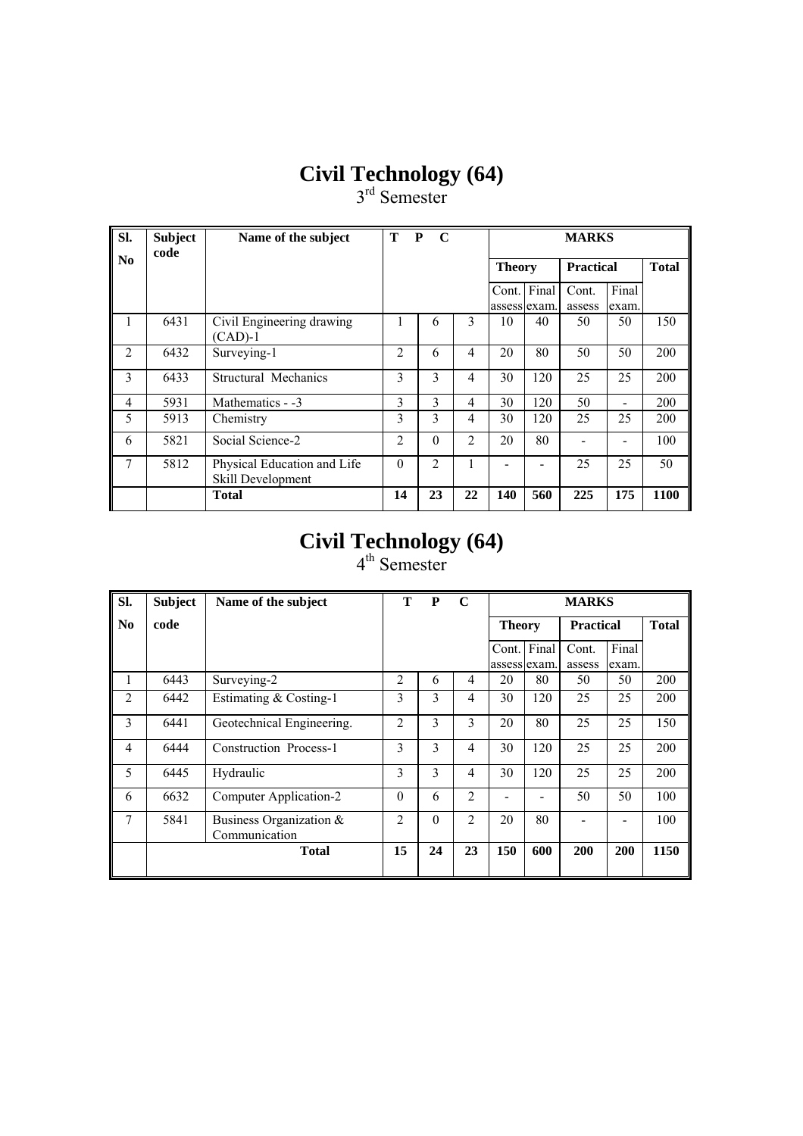$3<sup>rd</sup>$  Semester

| SI.                    | <b>Subject</b><br>code | Name of the subject                              | Т              | P<br>$\mathbf C$ |                |               |             | <b>MARKS</b>     |                          |              |
|------------------------|------------------------|--------------------------------------------------|----------------|------------------|----------------|---------------|-------------|------------------|--------------------------|--------------|
| $\mathbf{N}\mathbf{0}$ |                        |                                                  |                |                  |                | <b>Theory</b> |             | <b>Practical</b> |                          | <b>Total</b> |
|                        |                        |                                                  |                |                  |                | assess exam.  | Cont. Final | Cont.<br>assess  | Final<br>exam.           |              |
| 1                      | 6431                   | Civil Engineering drawing<br>$(CAD)-1$           | 1              | 6                | 3              | 10            | 40          | 50               | 50                       | 150          |
| $\mathfrak{D}$         | 6432                   | Surveying-1                                      | $\overline{c}$ | 6                | 4              | 20            | 80          | 50               | 50                       | 200          |
| 3                      | 6433                   | Structural Mechanics                             | 3              | 3                | 4              | 30            | 120         | 25               | 25                       | 200          |
| 4                      | 5931                   | Mathematics - -3                                 | 3              | 3                | $\overline{4}$ | 30            | 120         | 50               | $\overline{\phantom{a}}$ | 200          |
| 5                      | 5913                   | Chemistry                                        | 3              | 3                | 4              | 30            | 120         | 25               | 25                       | 200          |
| 6                      | 5821                   | Social Science-2                                 | $\overline{2}$ | $\Omega$         | $\overline{2}$ | 20            | 80          |                  |                          | 100          |
| $\tau$                 | 5812                   | Physical Education and Life<br>Skill Development | $\Omega$       | $\mathfrak{D}$   |                |               |             | 25               | 25                       | 50           |
|                        |                        | <b>Total</b>                                     | 14             | 23               | 22             | 140           | 560         | 225              | 175                      | 1100         |

## **Civil Technology (64)**

| Sl.            | <b>Subject</b> | Name of the subject                         | т              | P            | $\mathbf C$    | <b>MARKS</b><br><b>Practical</b> |              |                 |                |      |  |
|----------------|----------------|---------------------------------------------|----------------|--------------|----------------|----------------------------------|--------------|-----------------|----------------|------|--|
| N <sub>0</sub> | code           |                                             |                |              |                | <b>Theory</b>                    | <b>Total</b> |                 |                |      |  |
|                |                |                                             |                |              |                | assess exam.                     | Cont. Final  | Cont.<br>assess | Final<br>exam. |      |  |
| 1              | 6443           | Surveying-2                                 | $\overline{2}$ | 6            | 4              | 20                               | 80           | 50              | 50             | 200  |  |
| $\overline{2}$ | 6442           | Estimating & Costing-1                      | 3              | 3            | 4              | 30                               | 120          | 25              | 25             | 200  |  |
| 3              | 6441           | Geotechnical Engineering.                   | $\overline{2}$ | 3            | 3              | 20                               | 80           | 25              | 25             | 150  |  |
| $\overline{4}$ | 6444           | Construction Process-1                      | 3              | $\mathbf{3}$ | $\overline{4}$ | 30                               | 120          | 25              | 25             | 200  |  |
| 5              | 6445           | Hydraulic                                   | 3              | 3            | $\overline{4}$ | 30                               | 120          | 25              | 25             | 200  |  |
| 6              | 6632           | Computer Application-2                      | $\theta$       | 6            | $\overline{2}$ |                                  |              | 50              | 50             | 100  |  |
| 7              | 5841           | Business Organization $\&$<br>Communication | $\overline{2}$ | $\theta$     | 2              | 20                               | 80           |                 |                | 100  |  |
|                |                | <b>Total</b>                                | 15             | 24           | 23             | 150                              | 600          | 200             | 200            | 1150 |  |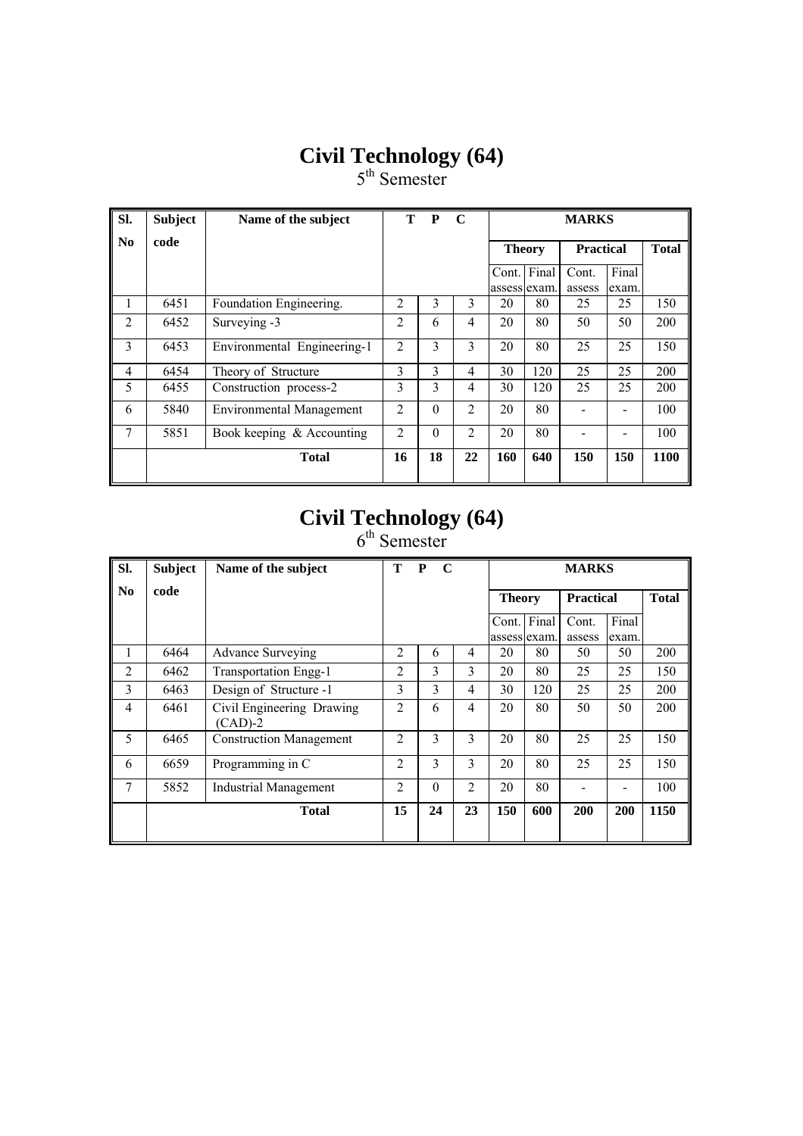5<sup>th</sup> Semester

| SI.            | <b>Subject</b> | Name of the subject             | T                                 | P                       | $\mathbf C$    | <b>MARKS</b> |                       |                 |                |             |
|----------------|----------------|---------------------------------|-----------------------------------|-------------------------|----------------|--------------|-----------------------|-----------------|----------------|-------------|
| No             | code           |                                 | <b>Practical</b><br><b>Theory</b> |                         |                |              |                       |                 | <b>Total</b>   |             |
|                |                |                                 |                                   |                         |                | Cont.        | Final<br>assess exam. | Cont.<br>assess | Final<br>exam. |             |
| 1              | 6451           | Foundation Engineering.         | $\overline{2}$                    | 3                       | 3              | 20           | 80                    | 25              | 25             | 150         |
| $\mathfrak{D}$ | 6452           | Surveying -3                    | 2                                 | 6                       | 4              | 20           | 80                    | 50              | 50             | 200         |
| 3              | 6453           | Environmental Engineering-1     | $\overline{2}$                    | 3                       | 3              | 20           | 80                    | 25              | 25             | 150         |
| $\overline{4}$ | 6454           | Theory of Structure             | 3                                 | $\overline{\mathbf{3}}$ | 4              | 30           | 120                   | 25              | 25             | 200         |
| 5              | 6455           | Construction process-2          | 3                                 | 3                       | 4              | 30           | 120                   | 25              | 25             | 200         |
| 6              | 5840           | <b>Environmental Management</b> | $\mathfrak{D}$                    | $\Omega$                | 2              | 20           | 80                    |                 |                | 100         |
| $\tau$         | 5851           | Book keeping & Accounting       | $\overline{2}$                    | $\theta$                | $\overline{2}$ | 20           | 80                    |                 |                | 100         |
|                |                | <b>Total</b>                    | 16                                | 18                      | 22             | 160          | 640                   | 150             | 150            | <b>1100</b> |

## **Civil Technology (64)**

| SI.            | <b>Subject</b> | Name of the subject                    | т              | P<br>$\mathbf C$ |                | <b>MARKS</b>  |                       |                  |                |              |
|----------------|----------------|----------------------------------------|----------------|------------------|----------------|---------------|-----------------------|------------------|----------------|--------------|
| N <sub>0</sub> | code           |                                        |                |                  |                | <b>Theory</b> |                       | <b>Practical</b> |                | <b>Total</b> |
|                |                |                                        |                |                  |                | Cont.         | Final<br>assess exam. | Cont.<br>assess  | Final<br>exam. |              |
| 1              | 6464           | <b>Advance Surveying</b>               | $\overline{c}$ | 6                | 4              | 20            | 80                    | 50               | 50             | 200          |
| $\overline{2}$ | 6462           | <b>Transportation Engg-1</b>           | $\overline{c}$ | 3                | 3              | 20            | 80                    | 25               | 25             | 150          |
| 3              | 6463           | Design of Structure -1                 | 3              | $\mathcal{E}$    | 4              | 30            | 120                   | 25               | 25             | 200          |
| 4              | 6461           | Civil Engineering Drawing<br>$(CAD)-2$ | 2              | 6                | 4              | 20            | 80                    | 50               | 50             | 200          |
| 5              | 6465           | <b>Construction Management</b>         | $\overline{c}$ | 3                | 3              | 20            | 80                    | 25               | 25             | 150          |
| 6              | 6659           | Programming in C                       | $\overline{c}$ | 3                | 3              | 20            | 80                    | 25               | 25             | 150          |
| 7              | 5852           | <b>Industrial Management</b>           | $\overline{c}$ | $\theta$         | $\overline{2}$ | 20            | 80                    |                  |                | 100          |
|                |                | <b>Total</b>                           | 15             | 24               | 23             | 150           | 600                   | 200              | 200            | 1150         |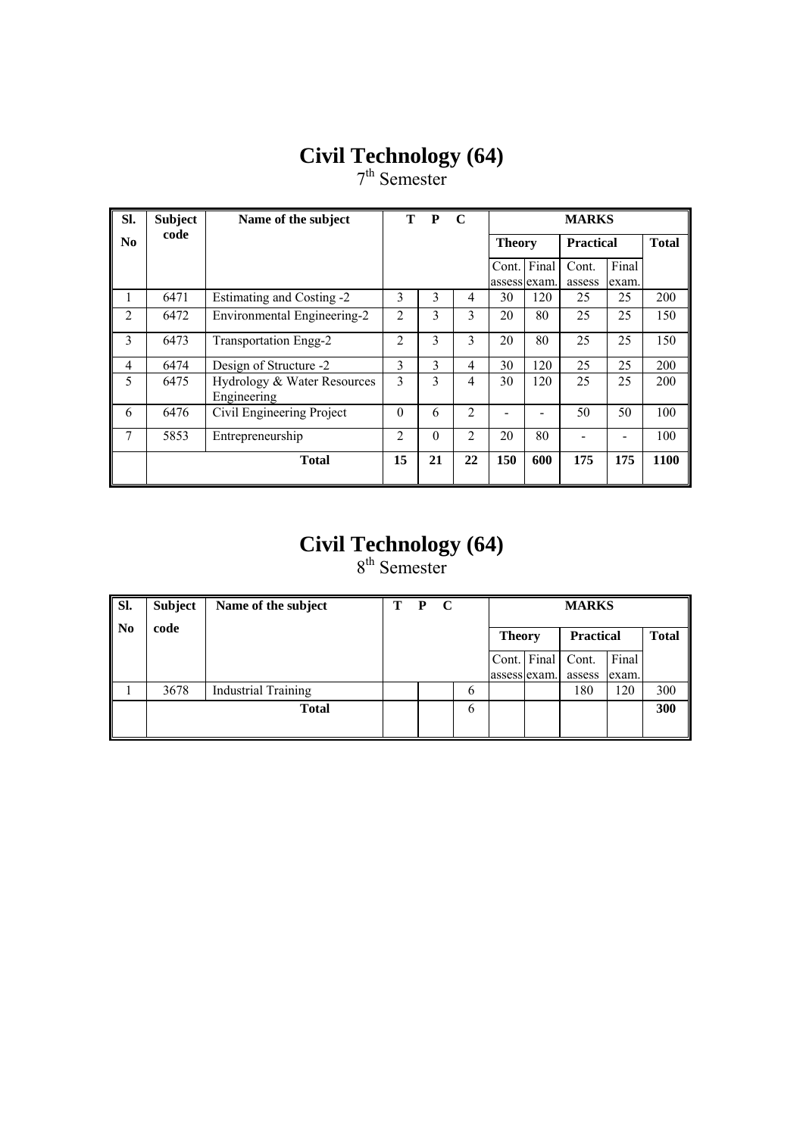7<sup>th</sup> Semester

| SI.            | <b>Subject</b> | Name of the subject                        | т              | P        | $\mathbf C$    |               |                             | <b>MARKS</b>     |                |              |
|----------------|----------------|--------------------------------------------|----------------|----------|----------------|---------------|-----------------------------|------------------|----------------|--------------|
| No             | code           |                                            |                |          |                | <b>Theory</b> |                             | <b>Practical</b> |                | <b>Total</b> |
|                |                |                                            |                |          |                |               | Cont. Final<br>assess exam. | Cont.<br>assess  | Final<br>exam. |              |
| 1              | 6471           | Estimating and Costing -2                  | 3              | 3        | 4              | 30            | 120                         | 25               | 25             | 200          |
| 2              | 6472           | Environmental Engineering-2                | $\overline{2}$ | 3        | 3              | 20            | 80                          | 25               | 25             | 150          |
| 3              | 6473           | Transportation Engg-2                      | $\overline{2}$ | 3        | 3              | 20            | 80                          | 25               | 25             | 150          |
| $\overline{4}$ | 6474           | Design of Structure -2                     | 3              | 3        | $\overline{4}$ | 30            | 120                         | 25               | 25             | 200          |
| 5              | 6475           | Hydrology & Water Resources<br>Engineering | 3              | 3        | $\overline{4}$ | 30            | 120                         | 25               | 25             | 200          |
| 6              | 6476           | Civil Engineering Project                  | $\theta$       | 6        | $\overline{2}$ |               |                             | 50               | 50             | 100          |
| 7              | 5853           | Entrepreneurship                           | 2              | $\theta$ | 2              | 20            | 80                          |                  |                | 100          |
|                |                | <b>Total</b>                               | 15             | 21       | 22             | 150           | 600                         | 175              | 175            | 1100         |

#### **Civil Technology (64)**  8<sup>th</sup> Semester

| SI.            | <b>Subject</b> | Name of the subject        | т | $\mathbf C$<br>P |               | <b>MARKS</b>  |                   |                  |       |              |  |
|----------------|----------------|----------------------------|---|------------------|---------------|---------------|-------------------|------------------|-------|--------------|--|
| $\mathbf{N_0}$ | code           |                            |   |                  |               | <b>Theory</b> |                   | <b>Practical</b> |       | <b>Total</b> |  |
|                |                |                            |   |                  |               |               | Cont. Final Cont. |                  | Final |              |  |
|                |                |                            |   |                  |               | assess exam.  |                   | assess           | exam. |              |  |
|                | 3678           | <b>Industrial Training</b> |   |                  | $\mathfrak b$ |               |                   | 180              | 120   | 300          |  |
|                |                | <b>Total</b>               |   |                  | 6             |               |                   |                  |       | 300          |  |
|                |                |                            |   |                  |               |               |                   |                  |       |              |  |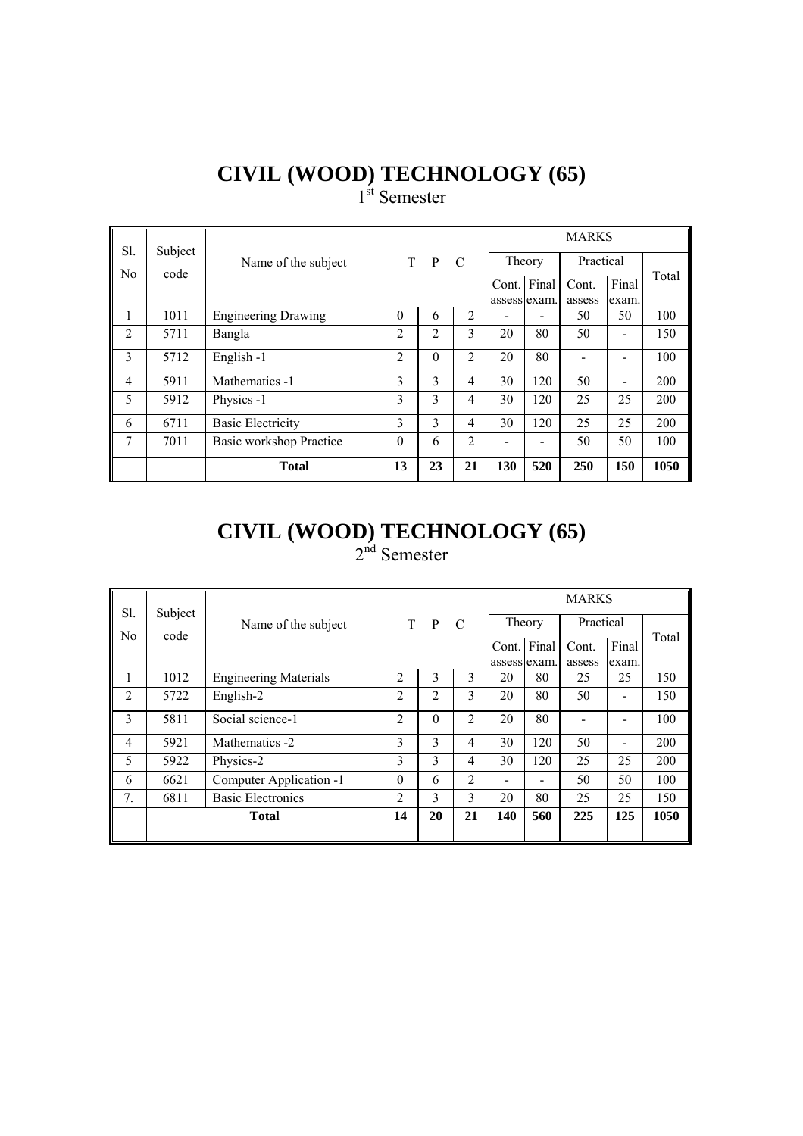1<sup>st</sup> Semester

| Sl.            | Subject |                            |                |              |                |        |              | <b>MARKS</b> |                              |       |
|----------------|---------|----------------------------|----------------|--------------|----------------|--------|--------------|--------------|------------------------------|-------|
|                |         | Name of the subject        | T.             | $\mathbf{P}$ | - C            | Theory |              | Practical    |                              |       |
| N <sub>0</sub> | code    |                            |                |              |                | Cont.  | Final        | Cont.        | Final                        | Total |
|                |         |                            |                |              |                |        | assess exam. | assess       | exam.                        |       |
| 1              | 1011    | <b>Engineering Drawing</b> | $\theta$       | 6            | 2              |        |              | 50           | 50                           | 100   |
| $\overline{2}$ | 5711    | Bangla                     | $\overline{c}$ | 2            | 3              | 20     | 80           | 50           |                              | 150   |
| 3              | 5712    | English-1                  | $\overline{2}$ | $\Omega$     | 2              | 20     | 80           |              |                              | 100   |
| 4              | 5911    | Mathematics -1             | 3              | 3            | 4              | 30     | 120          | 50           | $\qquad \qquad \blacksquare$ | 200   |
| 5              | 5912    | Physics -1                 | 3              | 3            | 4              | 30     | 120          | 25           | 25                           | 200   |
| 6              | 6711    | <b>Basic Electricity</b>   | 3              | 3            | 4              | 30     | 120          | 25           | 25                           | 200   |
| 7              | 7011    | Basic workshop Practice    | $\theta$       | 6            | $\overline{2}$ |        |              | 50           | 50                           | 100   |
|                |         | <b>Total</b>               | 13             | 23           | 21             | 130    | 520          | 250          | 150                          | 1050  |

#### **CIVIL (WOOD) TECHNOLOGY (65)** 2<sup>nd</sup> Semester

| Sl.            | Subject |                              |                |          |                |              |     | <b>MARKS</b> |       |       |
|----------------|---------|------------------------------|----------------|----------|----------------|--------------|-----|--------------|-------|-------|
| No             | code    | Name of the subject          |                | T P      | C              | Theory       |     | Practical    |       |       |
|                |         |                              |                |          |                | Cont. Final  |     | Cont.        | Final | Total |
|                |         |                              |                |          |                | assess exam. |     | assess       | exam. |       |
|                | 1012    | <b>Engineering Materials</b> | $\mathfrak{D}$ | 3        | 3              | 20           | 80  | 25           | 25    | 150   |
| $\overline{2}$ | 5722    | English-2                    | 2              | 2        | 3              | 20           | 80  | 50           |       | 150   |
| 3              | 5811    | Social science-1             | 2              | $\Omega$ | $\overline{2}$ | 20           | 80  |              |       | 100   |
| 4              | 5921    | Mathematics -2               | 3              | 3        | 4              | 30           | 120 | 50           |       | 200   |
| 5              | 5922    | Physics-2                    | 3              | 3        | 4              | 30           | 120 | 25           | 25    | 200   |
| 6              | 6621    | Computer Application -1      | $\Omega$       | 6        | 2              | -            | ۰   | 50           | 50    | 100   |
| 7.             | 6811    | <b>Basic Electronics</b>     | $\mathfrak{D}$ | 3        | 3              | 20           | 80  | 25           | 25    | 150   |
|                |         | <b>Total</b>                 | 14             | 20       | 21             | 140          | 560 | 225          | 125   | 1050  |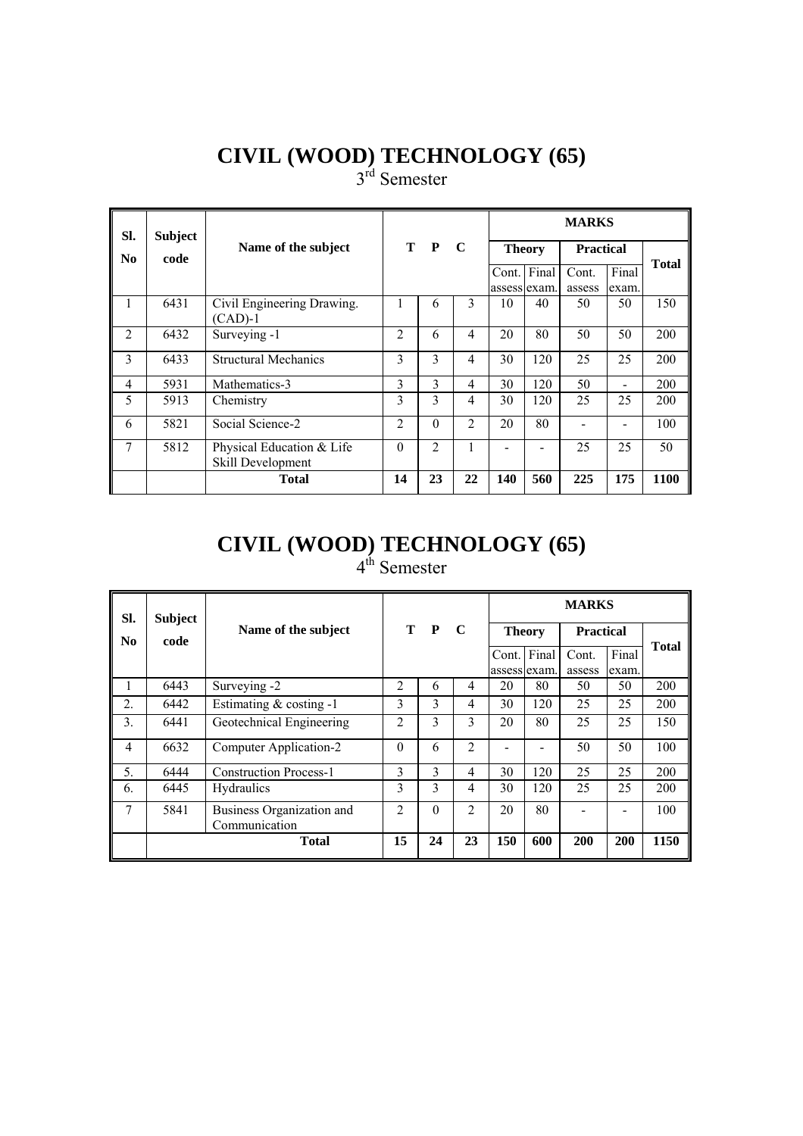3<sup>rd</sup> Semester

| SI.            | <b>Subject</b> |                                                |                |                |                |                       |       | <b>MARKS</b>     |                |              |
|----------------|----------------|------------------------------------------------|----------------|----------------|----------------|-----------------------|-------|------------------|----------------|--------------|
| No             | code           | Name of the subject                            |                | T P            | $\mathbf C$    | <b>Theory</b>         |       | <b>Practical</b> |                | <b>Total</b> |
|                |                |                                                |                |                |                | Cont.<br>assess exam. | Final | Cont.<br>assess  | Final<br>exam. |              |
|                | 6431           | Civil Engineering Drawing.<br>$(CAD)-1$        |                | 6              | $\mathbf{3}$   | 10                    | 40    | 50               | 50             | 150          |
| $\overline{2}$ | 6432           | Surveying -1                                   | $\mathfrak{D}$ | 6              | $\overline{4}$ | 20                    | 80    | 50               | 50             | 200          |
| 3              | 6433           | <b>Structural Mechanics</b>                    | 3              | 3              | $\overline{4}$ | 30                    | 120   | 25               | 25             | 200          |
| $\overline{4}$ | 5931           | Mathematics-3                                  | 3              | 3              | $\overline{4}$ | 30                    | 120   | 50               |                | 200          |
| 5              | 5913           | Chemistry                                      | 3              | 3              | $\overline{4}$ | 30                    | 120   | 25               | 25             | 200          |
| 6              | 5821           | Social Science-2                               | $\mathfrak{D}$ | $\Omega$       | $\mathfrak{D}$ | 20                    | 80    |                  |                | 100          |
| 7              | 5812           | Physical Education & Life<br>Skill Development | $\Omega$       | $\overline{2}$ | 1              |                       |       | 25               | 25             | 50           |
|                |                | <b>Total</b>                                   | 14             | 23             | 22             | 140                   | 560   | 225              | 175            | 1100         |

#### **CIVIL (WOOD) TECHNOLOGY (65)** 4<sup>th</sup> Semester

| SI.              | <b>Subject</b> |                                            |          |              |                |               |       | <b>MARKS</b>     |       |              |
|------------------|----------------|--------------------------------------------|----------|--------------|----------------|---------------|-------|------------------|-------|--------------|
| N <sub>0</sub>   | code           | Name of the subject                        | T.       | $\mathbf{P}$ | $\mathbf C$    | <b>Theory</b> |       | <b>Practical</b> |       | <b>Total</b> |
|                  |                |                                            |          |              |                | Cont.         | Final | Cont.            | Final |              |
|                  |                |                                            |          |              |                | assess exam.  |       | assess           | exam. |              |
|                  | 6443           | Surveying -2                               | 2        | 6            | 4              | 20            | 80    | 50               | 50    | 200          |
| $\overline{2}$ . | 6442           | Estimating $& \text{costing} -1$           | 3        | 3            | 4              | 30            | 120   | 25               | 25    | 200          |
| 3.               | 6441           | Geotechnical Engineering                   | 2        | 3            | 3              | 20            | 80    | 25               | 25    | 150          |
| 4                | 6632           | Computer Application-2                     | $\theta$ | 6            | $\mathfrak{D}$ |               |       | 50               | 50    | 100          |
| 5.               | 6444           | <b>Construction Process-1</b>              | 3        | 3            | 4              | 30            | 120   | 25               | 25    | 200          |
| 6.               | 6445           | <b>Hydraulics</b>                          | 3        | 3            | 4              | 30            | 120   | 25               | 25    | 200          |
| 7                | 5841           | Business Organization and<br>Communication | 2        | $\theta$     | $\mathfrak{D}$ | 20            | 80    |                  |       | 100          |
|                  |                | <b>Total</b>                               | 15       | 24           | 23             | 150           | 600   | 200              | 200   | 1150         |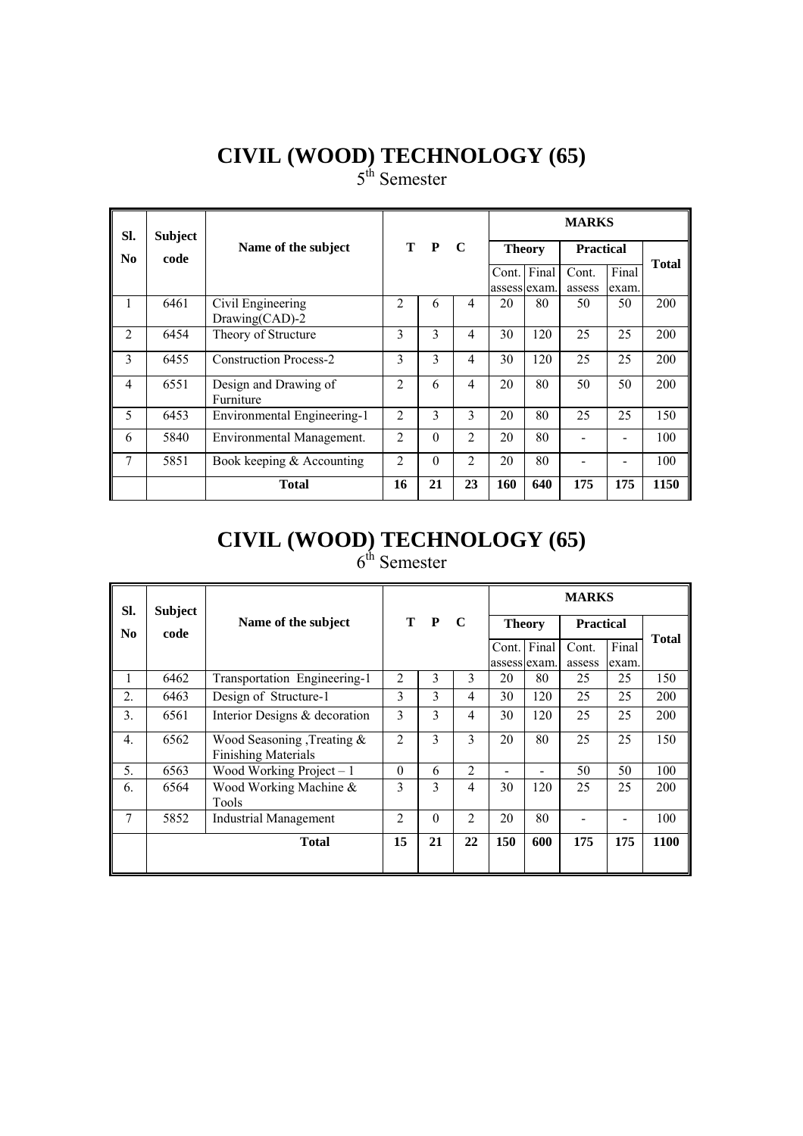5<sup>th</sup> Semester

| SI.            | <b>Subject</b> |                                     |                |              |                |                       |               | <b>MARKS</b>     |                |              |
|----------------|----------------|-------------------------------------|----------------|--------------|----------------|-----------------------|---------------|------------------|----------------|--------------|
| No.            | code           | Name of the subject                 | T.             | $\mathbf{P}$ | $\mathbf C$    |                       | <b>Theory</b> | <b>Practical</b> |                |              |
|                |                |                                     |                |              |                | Cont.<br>assess exam. | Final         | Cont.<br>assess  | Final<br>exam. | <b>Total</b> |
| л.             | 6461           | Civil Engineering<br>Drawing(CAD)-2 | $\mathfrak{D}$ | 6            | 4              | 20                    | 80            | 50               | 50             | 200          |
| $\overline{2}$ | 6454           | Theory of Structure                 | 3              | 3            | $\overline{4}$ | 30                    | 120           | 25               | 25             | 200          |
| 3              | 6455           | <b>Construction Process-2</b>       | 3              | 3            | $\overline{4}$ | 30                    | 120           | 25               | 25             | 200          |
| $\overline{4}$ | 6551           | Design and Drawing of<br>Furniture  | $\overline{2}$ | 6            | $\overline{4}$ | 20                    | 80            | 50               | 50             | 200          |
| 5              | 6453           | Environmental Engineering-1         | $\overline{2}$ | $\mathbf{3}$ | 3              | 20                    | 80            | 25               | 25             | 150          |
| 6              | 5840           | Environmental Management.           | $\mathfrak{D}$ | $\Omega$     | $\mathfrak{D}$ | 20                    | 80            |                  |                | 100          |
| $\overline{7}$ | 5851           | Book keeping $&$ Accounting         | $\mathfrak{D}$ | $\Omega$     | $\mathfrak{D}$ | 20                    | 80            |                  |                | 100          |
|                |                | <b>Total</b>                        | 16             | 21           | 23             | <b>160</b>            | 640           | 175              | 175            | 1150         |

## **CIVIL (WOOD) TECHNOLOGY (65)**

| SI.              | <b>Subject</b> |                                                              |                |          |                |                              |                             | <b>MARKS</b>     |                |              |
|------------------|----------------|--------------------------------------------------------------|----------------|----------|----------------|------------------------------|-----------------------------|------------------|----------------|--------------|
| N <sub>0</sub>   | code           | Name of the subject                                          |                | T P      | $\mathbf C$    | <b>Theory</b>                |                             | <b>Practical</b> |                | <b>Total</b> |
|                  |                |                                                              |                |          |                |                              | Cont. Final<br>assess exam. | Cont.<br>assess  | Final<br>exam. |              |
| 1                | 6462           | Transportation Engineering-1                                 | $\overline{2}$ | 3        | 3              | 20                           | 80                          | 25               | 25             | 150          |
| 2.               | 6463           | Design of Structure-1                                        | 3              | 3        | 4              | 30                           | 120                         | 25               | 25             | 200          |
| 3.               | 6561           | Interior Designs & decoration                                | 3              | 3        | 4              | 30                           | 120                         | 25               | 25             | 200          |
| $\overline{4}$ . | 6562           | Wood Seasoning , Treating $\&$<br><b>Finishing Materials</b> | $\overline{2}$ | 3        | $\mathbf{3}$   | 20                           | 80                          | 25               | 25             | 150          |
| 5.               | 6563           | Wood Working Project $-1$                                    | $\theta$       | 6        | 2              | $\qquad \qquad \blacksquare$ |                             | 50               | 50             | 100          |
| 6.               | 6564           | Wood Working Machine &<br>Tools                              | 3              | 3        | 4              | 30                           | 120                         | 25               | 25             | 200          |
| 7                | 5852           | <b>Industrial Management</b>                                 | $\mathfrak{D}$ | $\Omega$ | $\mathfrak{D}$ | 20                           | 80                          |                  |                | 100          |
|                  |                | <b>Total</b>                                                 | 15             | 21       | 22             | 150                          | 600                         | 175              | 175            | 1100         |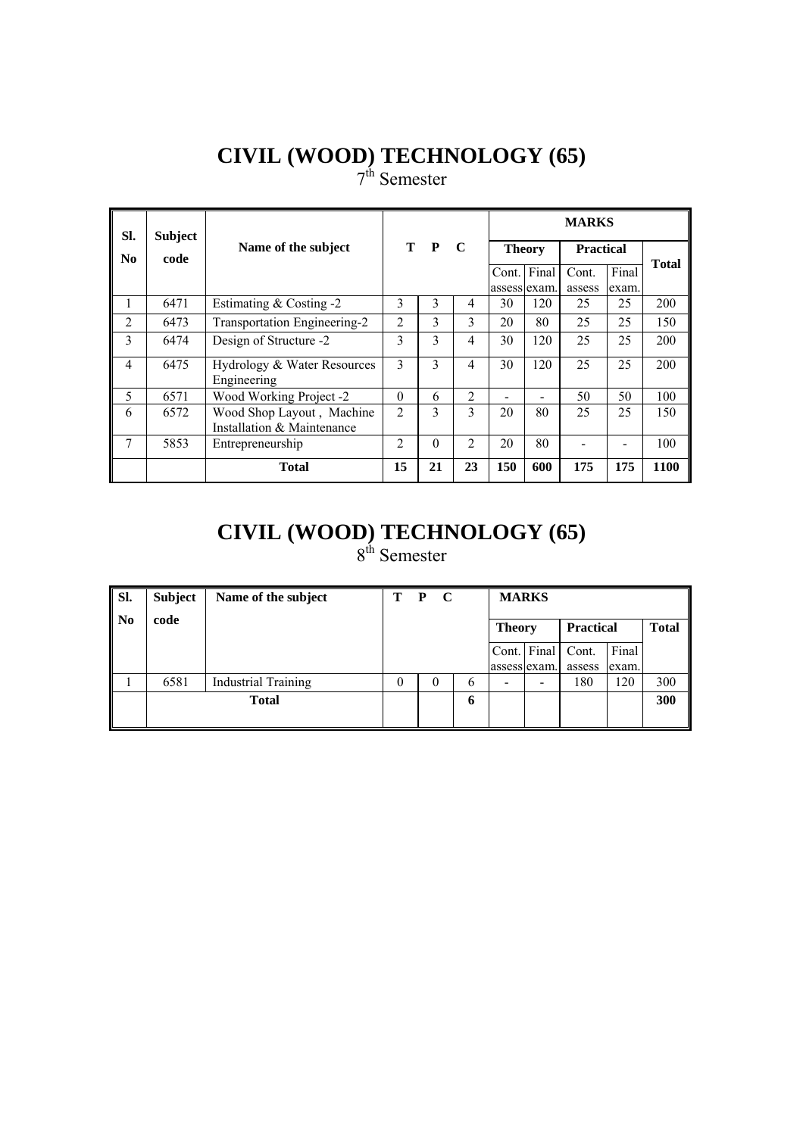7<sup>th</sup> Semester

| SI.            | <b>Subject</b> |                                                         |                |          |                |               |              | <b>MARKS</b>     |       |              |
|----------------|----------------|---------------------------------------------------------|----------------|----------|----------------|---------------|--------------|------------------|-------|--------------|
| N <sub>0</sub> | code           | Name of the subject                                     |                | T P      | $\mathbf C$    | <b>Theory</b> |              | <b>Practical</b> |       | <b>Total</b> |
|                |                |                                                         |                |          |                | Cont.         | Final        | Cont.            | Final |              |
|                |                |                                                         |                |          |                |               | assess exam. | assess           | exam. |              |
| 1              | 6471           | Estimating $& Costing -2$                               | 3              | 3        | 4              | 30            | 120          | 25               | 25    | 200          |
| $\overline{2}$ | 6473           | Transportation Engineering-2                            | $\overline{2}$ | 3        | 3              | 20            | 80           | 25               | 25    | 150          |
| 3              | 6474           | Design of Structure -2                                  | 3              | 3        | 4              | 30            | 120          | 25               | 25    | 200          |
| 4              | 6475           | Hydrology & Water Resources<br>Engineering              | 3              | 3        | 4              | 30            | 120          | 25               | 25    | 200          |
| 5              | 6571           | Wood Working Project -2                                 | $\Omega$       | 6        | 2              |               |              | 50               | 50    | 100          |
| 6              | 6572           | Wood Shop Layout, Machine<br>Installation & Maintenance | $\overline{2}$ | 3        | $\mathbf{3}$   | 20            | 80           | 25               | 25    | 150          |
| 7              | 5853           | Entrepreneurship                                        | $\mathfrak{D}$ | $\theta$ | $\mathfrak{D}$ | 20            | 80           |                  |       | 100          |
|                |                | <b>Total</b>                                            | 15             | 21       | 23             | 150           | 600          | 175              | 175   | 1100         |

#### **CIVIL (WOOD) TECHNOLOGY (65)** 8<sup>th</sup> Semester

| Sl.            | <b>Subject</b> | Name of the subject        | T | $\mathbf C$<br>P |   | <b>MARKS</b>  |             |                  |       |              |
|----------------|----------------|----------------------------|---|------------------|---|---------------|-------------|------------------|-------|--------------|
| N <sub>0</sub> | code           |                            |   |                  |   | <b>Theory</b> |             | <b>Practical</b> |       | <b>Total</b> |
|                |                |                            |   |                  |   |               | Cont. Final | Cont.            | Final |              |
|                |                |                            |   |                  |   | assess exam.  |             | assess           | exam. |              |
|                | 6581           | <b>Industrial Training</b> |   | $_{0}$           | 6 |               |             | 180              | 120   | 300          |
|                |                | <b>Total</b>               |   |                  | 6 |               |             |                  |       | 300          |
|                |                |                            |   |                  |   |               |             |                  |       |              |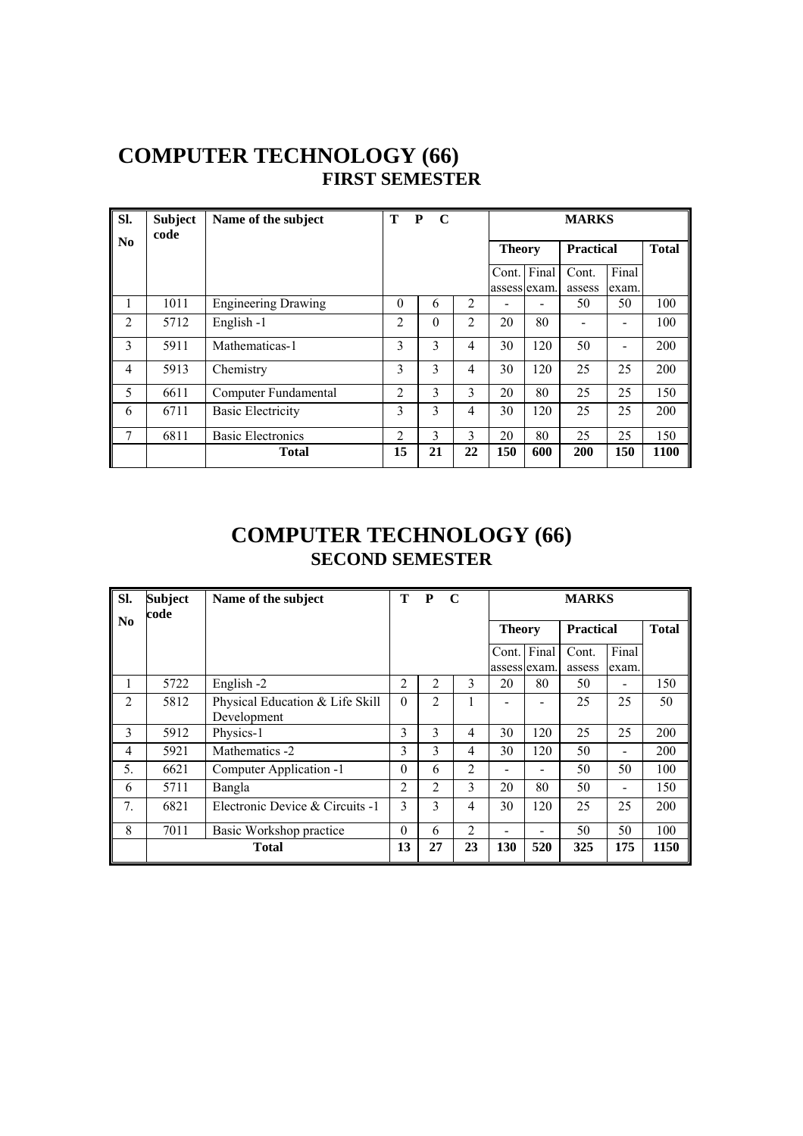#### **COMPUTER TECHNOLOGY (66) FIRST SEMESTER**

| SI.                    | <b>Subject</b><br>code | Name of the subject        | T              | $\mathbf C$<br>P |    |               |                             | <b>MARKS</b>     |                |              |
|------------------------|------------------------|----------------------------|----------------|------------------|----|---------------|-----------------------------|------------------|----------------|--------------|
| $\mathbf{N}\mathbf{0}$ |                        |                            |                |                  |    | <b>Theory</b> |                             | <b>Practical</b> |                | <b>Total</b> |
|                        |                        |                            |                |                  |    |               | Cont. Final<br>assess exam. | Cont.<br>assess  | Final<br>exam. |              |
|                        | 1011                   | <b>Engineering Drawing</b> | $\theta$       | 6                | 2  |               |                             | 50               | 50             | 100          |
| 2                      | 5712                   | English -1                 | $\overline{2}$ | $\theta$         | 2  | 20            | 80                          |                  |                | 100          |
| 3                      | 5911                   | Mathematicas-1             | 3              | 3                | 4  | 30            | 120                         | 50               |                | 200          |
| 4                      | 5913                   | Chemistry                  | 3              | 3                | 4  | 30            | 120                         | 25               | 25             | 200          |
| 5                      | 6611                   | Computer Fundamental       | $\overline{2}$ | 3                | 3  | 20            | 80                          | 25               | 25             | 150          |
| 6                      | 6711                   | <b>Basic Electricity</b>   | 3              | 3                | 4  | 30            | 120                         | 25               | 25             | 200          |
| 7                      | 6811                   | <b>Basic Electronics</b>   | $\overline{2}$ | 3                | 3  | 20            | 80                          | 25               | 25             | 150          |
|                        |                        | <b>Total</b>               | 15             | 21               | 22 | 150           | 600                         | 200              | 150            | 1100         |

#### **COMPUTER TECHNOLOGY (66) SECOND SEMESTER**

| Sl.                    | <b>Subject</b><br>code | Name of the subject                            | T              | P<br>$\mathbf C$ |                |     |                              | <b>MARKS</b>     |                |              |
|------------------------|------------------------|------------------------------------------------|----------------|------------------|----------------|-----|------------------------------|------------------|----------------|--------------|
| $\mathbf{N}\mathbf{0}$ |                        |                                                |                |                  |                |     | <b>Theory</b>                | <b>Practical</b> |                | <b>Total</b> |
|                        |                        |                                                |                |                  |                |     | Cont. Final<br>assess exam.  | Cont.<br>assess  | Final<br>exam. |              |
| I.                     | 5722                   | English -2                                     | 2              | 2                | 3              | 20  | 80                           | 50               |                | 150          |
| $\overline{2}$         | 5812                   | Physical Education & Life Skill<br>Development | $\theta$       | 2                |                |     |                              | 25               | 25             | 50           |
| 3                      | 5912                   | Physics-1                                      | 3              | 3                | 4              | 30  | 120                          | 25               | 25             | 200          |
| 4                      | 5921                   | Mathematics -2                                 | 3              | 3                | 4              | 30  | 120                          | 50               | -              | 200          |
| 5.                     | 6621                   | Computer Application -1                        | $\theta$       | 6                | 2              |     |                              | 50               | 50             | 100          |
| 6                      | 5711                   | Bangla                                         | $\overline{2}$ | 2                | 3              | 20  | 80                           | 50               |                | 150          |
| 7.                     | 6821                   | Electronic Device & Circuits -1                | 3              | 3                | 4              | 30  | 120                          | 25               | 25             | 200          |
| 8                      | 7011                   | Basic Workshop practice                        | $\theta$       | 6                | $\overline{2}$ |     | $\qquad \qquad \blacksquare$ | 50               | 50             | 100          |
|                        |                        | <b>Total</b>                                   | 13             | 27               | 23             | 130 | 520                          | 325              | 175            | 1150         |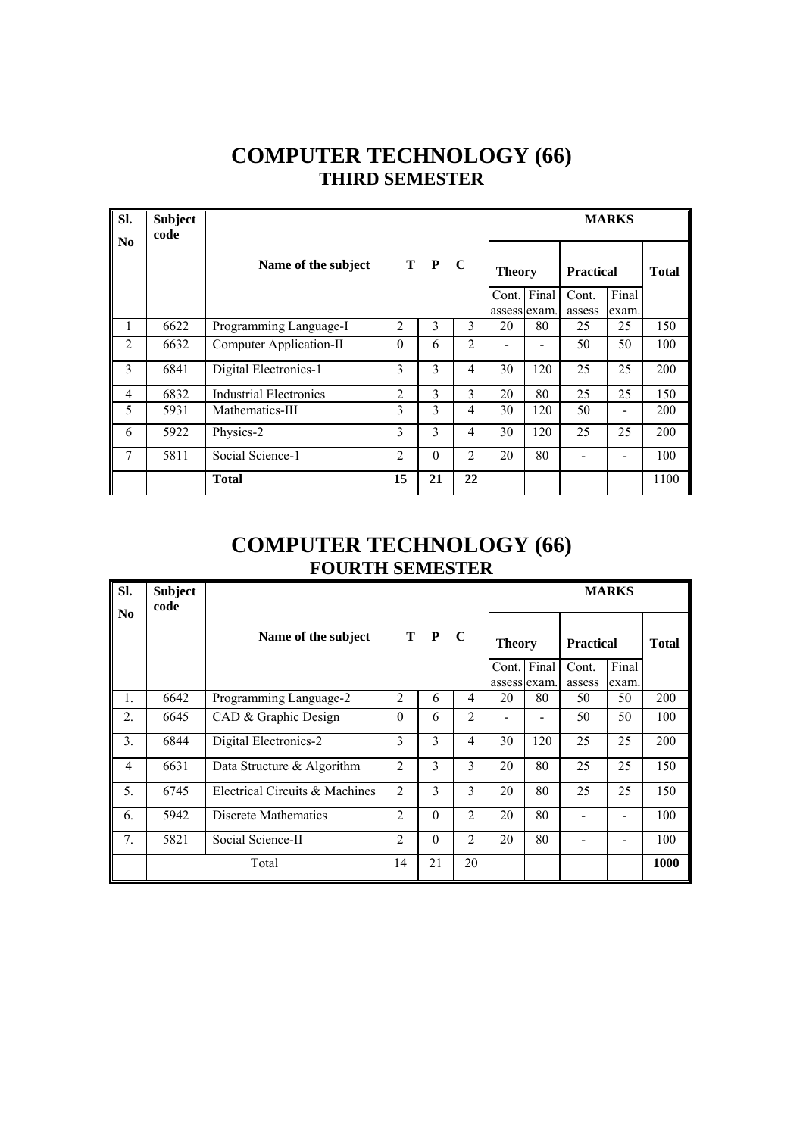#### **COMPUTER TECHNOLOGY (66) THIRD SEMESTER**

| Sl.<br>$\mathbf{N}\mathbf{0}$ | <b>Subject</b><br>code |                               |                |          |                |               |     |                  | <b>MARKS</b> |              |
|-------------------------------|------------------------|-------------------------------|----------------|----------|----------------|---------------|-----|------------------|--------------|--------------|
|                               |                        | Name of the subject           |                | T P C    |                | <b>Theory</b> |     | <b>Practical</b> |              | <b>Total</b> |
|                               |                        |                               |                |          |                | Cont. Final   |     | Cont.            | Final        |              |
|                               |                        |                               |                |          |                | assess exam.  |     | assess           | exam.        |              |
| 1                             | 6622                   | Programming Language-I        | $\overline{2}$ | 3        | 3              | 20            | 80  | 25               | 25           | 150          |
| 2                             | 6632                   | Computer Application-II       | $\theta$       | 6        | $\overline{2}$ |               |     | 50               | 50           | 100          |
| 3                             | 6841                   | Digital Electronics-1         | 3              | 3        | 4              | 30            | 120 | 25               | 25           | 200          |
| $\overline{4}$                | 6832                   | <b>Industrial Electronics</b> | $\overline{2}$ | 3        | 3              | 20            | 80  | 25               | 25           | 150          |
| 5                             | 5931                   | Mathematics-III               | 3              | 3        | 4              | 30            | 120 | 50               |              | 200          |
| 6                             | 5922                   | Physics-2                     | 3              | 3        | 4              | 30            | 120 | 25               | 25           | 200          |
| 7                             | 5811                   | Social Science-1              | $\overline{2}$ | $\Omega$ | $\overline{2}$ | 20            | 80  |                  |              | 100          |
|                               |                        | <b>Total</b>                  | 15             | 21       | 22             |               |     |                  |              | 1100         |

#### **COMPUTER TECHNOLOGY (66) FOURTH SEMESTER**

| Sl.<br>$\mathbf{N}\mathbf{0}$ | <b>Subject</b><br>code |                                |                |          |                |                             |     |                  | <b>MARKS</b>   |              |
|-------------------------------|------------------------|--------------------------------|----------------|----------|----------------|-----------------------------|-----|------------------|----------------|--------------|
|                               |                        | Name of the subject            |                | T P      | $\mathbf C$    | <b>Theory</b>               |     | <b>Practical</b> |                | <b>Total</b> |
|                               |                        |                                |                |          |                | Cont. Final<br>assess exam. |     | Cont.<br>assess  | Final<br>exam. |              |
| 1.                            | 6642                   | Programming Language-2         | $\overline{2}$ | 6        | 4              | 20                          | 80  | 50               | 50             | 200          |
| 2.                            | 6645                   | CAD & Graphic Design           | $\theta$       | 6        | 2              |                             |     | 50               | 50             | 100          |
| 3.                            | 6844                   | Digital Electronics-2          | 3              | 3        | $\overline{4}$ | 30                          | 120 | 25               | 25             | 200          |
| $\overline{4}$                | 6631                   | Data Structure & Algorithm     | $\overline{2}$ | 3        | 3              | 20                          | 80  | 25               | 25             | 150          |
| 5.                            | 6745                   | Electrical Circuits & Machines | $\overline{2}$ | 3        | 3              | 20                          | 80  | 25               | 25             | 150          |
| 6.                            | 5942                   | Discrete Mathematics           | $\overline{2}$ | $\theta$ | $\overline{2}$ | 20                          | 80  |                  |                | 100          |
| 7 <sub>1</sub>                | 5821                   | Social Science-II              | $\overline{2}$ | $\theta$ | $\overline{2}$ | 20                          | 80  |                  |                | 100          |
|                               |                        | Total                          | 14             | 21       | 20             |                             |     |                  |                | 1000         |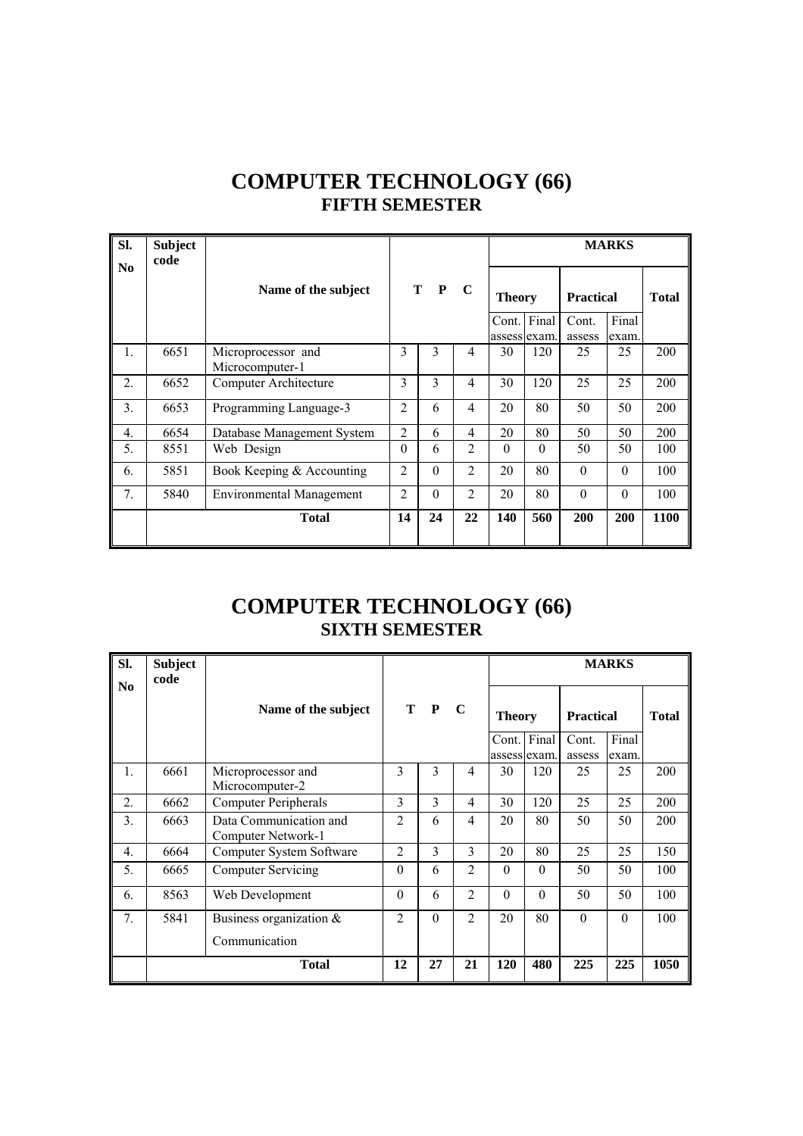| <b>COMPUTER TECHNOLOGY (66)</b> |
|---------------------------------|
| <b>FIFTH SEMESTER</b>           |

| Sl.              | <b>Subject</b><br>code |                                       |                |                   |                | <b>MARKS</b>          |          |                  |                |              |  |  |
|------------------|------------------------|---------------------------------------|----------------|-------------------|----------------|-----------------------|----------|------------------|----------------|--------------|--|--|
| No               |                        | Name of the subject                   |                | T<br>$\mathbf{P}$ | $\mathbf C$    | <b>Theory</b>         |          | <b>Practical</b> |                | <b>Total</b> |  |  |
|                  |                        |                                       |                |                   |                | Cont.<br>assess exam. | Final    | Cont.<br>assess  | Final<br>exam. |              |  |  |
| 1.               | 6651                   | Microprocessor and<br>Microcomputer-1 | 3              | 3                 | $\overline{4}$ | 30                    | 120      | 25               | 25             | 200          |  |  |
| 2.               | 6652                   | Computer Architecture                 | 3              | 3                 | $\overline{4}$ | 30                    | 120      | 25               | 25             | 200          |  |  |
| 3.               | 6653                   | Programming Language-3                | $\overline{2}$ | 6                 | $\overline{4}$ | 20                    | 80       | 50               | 50             | 200          |  |  |
| $\overline{4}$ . | 6654                   | Database Management System            | $\overline{2}$ | 6                 | $\overline{4}$ | 20                    | 80       | 50               | 50             | 200          |  |  |
| 5.               | 8551                   | Web Design                            | $\theta$       | 6                 | $\overline{2}$ | $\theta$              | $\Omega$ | 50               | 50             | 100          |  |  |
| 6.               | 5851                   | Book Keeping & Accounting             | $\overline{2}$ | $\theta$          | $\overline{2}$ | 20                    | 80       | $\theta$         | $\Omega$       | 100          |  |  |
| 7.               | 5840                   | <b>Environmental Management</b>       | $\overline{2}$ | $\theta$          | $\overline{2}$ | 20                    | 80       | $\theta$         | $\theta$       | 100          |  |  |
|                  |                        | <b>Total</b>                          | 14             | 24                | 22             | 140                   | 560      | 200              | 200            | 1100         |  |  |

#### **COMPUTER TECHNOLOGY (66) SIXTH SEMESTER**

| SI.<br>N <sub>0</sub> | <b>Subject</b><br>code |                                              |                |          |                |               |                     |                           | <b>MARKS</b> |              |
|-----------------------|------------------------|----------------------------------------------|----------------|----------|----------------|---------------|---------------------|---------------------------|--------------|--------------|
|                       |                        | Name of the subject                          |                | T P      | $\mathbf C$    | <b>Theory</b> | Cont. Final         | <b>Practical</b><br>Cont. | Final        | <b>Total</b> |
| $\mathbf{1}$ .        | 6661                   | Microprocessor and<br>Microcomputer-2        | 3              | 3        | $\overline{4}$ | 30            | assess exam.<br>120 | assess<br>25              | exam.<br>25  | 200          |
| 2.                    | 6662                   | <b>Computer Peripherals</b>                  | 3              | 3        | 4              | 30            | 120                 | 25                        | 25           | 200          |
| 3.                    | 6663                   | Data Communication and<br>Computer Network-1 | $\overline{c}$ | 6        | $\overline{4}$ | 20            | 80                  | 50                        | 50           | 200          |
| $\overline{4}$ .      | 6664                   | Computer System Software                     | $\overline{2}$ | 3        | $\mathcal{E}$  | 20            | 80                  | 25                        | 25           | 150          |
| 5.                    | 6665                   | <b>Computer Servicing</b>                    | $\theta$       | 6        | 2              | $\theta$      | $\theta$            | 50                        | 50           | 100          |
| 6.                    | 8563                   | Web Development                              | $\Omega$       | 6        | $\overline{2}$ | $\Omega$      | $\theta$            | 50                        | 50           | 100          |
| 7.                    | 5841                   | Business organization &                      | $\overline{2}$ | $\Omega$ | $\overline{2}$ | 20            | 80                  | $\Omega$                  | $\Omega$     | 100          |
|                       |                        | Communication                                |                |          |                |               |                     |                           |              |              |
|                       |                        | <b>Total</b>                                 | 12             | 27       | 21             | 120           | 480                 | 225                       | 225          | 1050         |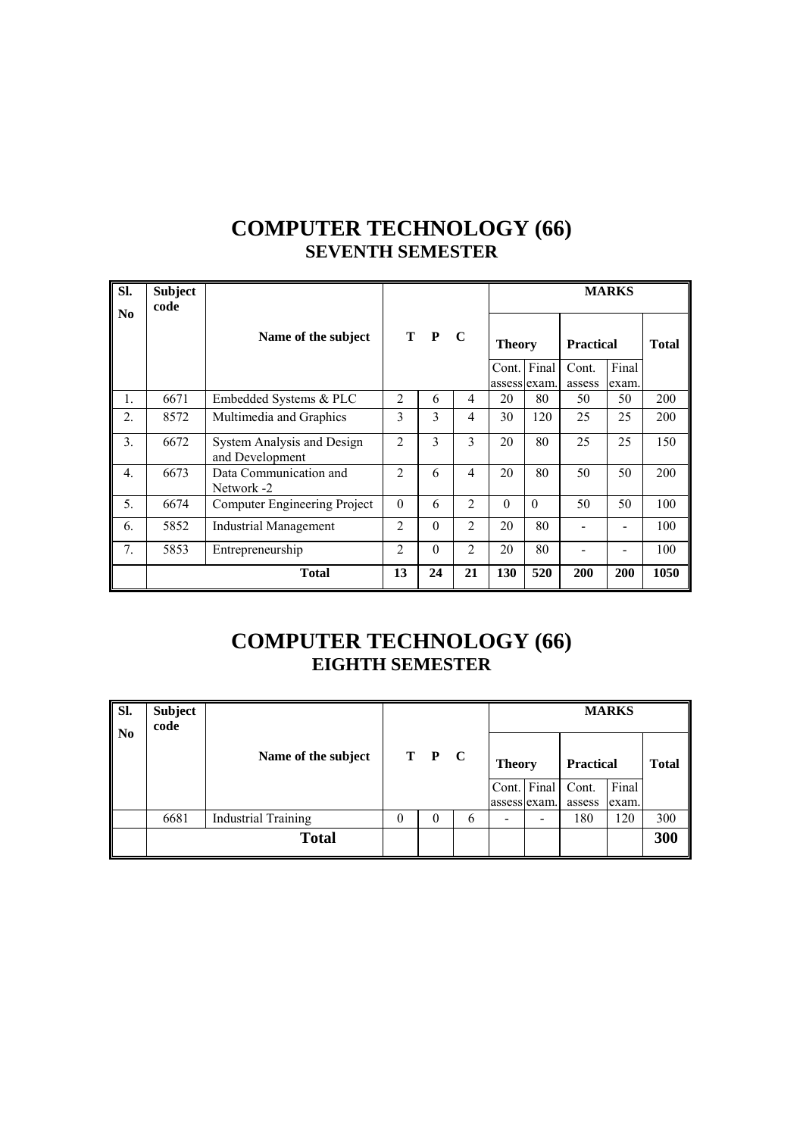#### **COMPUTER TECHNOLOGY (66) SEVENTH SEMESTER**

| Sl.              | <b>Subject</b><br>code |                                               |                |          |                |                        |          |                           | <b>MARKS</b> |              |
|------------------|------------------------|-----------------------------------------------|----------------|----------|----------------|------------------------|----------|---------------------------|--------------|--------------|
| No               |                        | Name of the subject                           |                | T P      | $\mathbf C$    | <b>Theory</b><br>Cont. | Final    | <b>Practical</b><br>Cont. | Final        | <b>Total</b> |
| $\mathbf{1}$ .   | 6671                   | Embedded Systems & PLC                        | $\mathfrak{D}$ | 6        | 4              | assess exam.<br>20     | 80       | assess<br>50              | exam.<br>50  | 200          |
| $\overline{2}$ . | 8572                   | Multimedia and Graphics                       | 3              | 3        | 4              | 30                     | 120      | 25                        | 25           | 200          |
| 3.               | 6672                   | System Analysis and Design<br>and Development | $\overline{2}$ | 3        | 3              | 20                     | 80       | 25                        | 25           | 150          |
| 4.               | 6673                   | Data Communication and<br>Network -2          | $\overline{2}$ | 6        | 4              | 20                     | 80       | 50                        | 50           | 200          |
| 5.               | 6674                   | Computer Engineering Project                  | $\Omega$       | 6        | $\overline{2}$ | $\Omega$               | $\Omega$ | 50                        | 50           | 100          |
| 6.               | 5852                   | <b>Industrial Management</b>                  | $\overline{c}$ | $\theta$ | $\overline{2}$ | 20                     | 80       |                           |              | 100          |
| 7.               | 5853                   | Entrepreneurship                              | $\mathfrak{D}$ | $\Omega$ | $\mathfrak{D}$ | 20                     | 80       |                           |              | 100          |
|                  |                        | <b>Total</b>                                  | 13             | 24       | 21             | 130                    | 520      | 200                       | 200          | 1050         |

#### **COMPUTER TECHNOLOGY (66) EIGHTH SEMESTER**

| Sl.<br>$\mathbf{N}$ | <b>Subject</b><br>code |                            |          |          |               | <b>MARKS</b>  |              |                  |       |              |  |  |
|---------------------|------------------------|----------------------------|----------|----------|---------------|---------------|--------------|------------------|-------|--------------|--|--|
|                     |                        | Name of the subject        |          | T P C    |               | <b>Theory</b> |              | <b>Practical</b> |       | <b>Total</b> |  |  |
|                     |                        |                            |          |          |               |               | Cont. Final  | Cont.            | Final |              |  |  |
|                     |                        |                            |          |          |               |               | assess exam. | assess           | exam. |              |  |  |
|                     | 6681                   | <b>Industrial Training</b> | $\theta$ | $\theta$ | $\mathfrak b$ |               | -            | 180              | 120   | 300          |  |  |
|                     |                        | <b>Total</b>               |          |          |               |               |              |                  |       | 300          |  |  |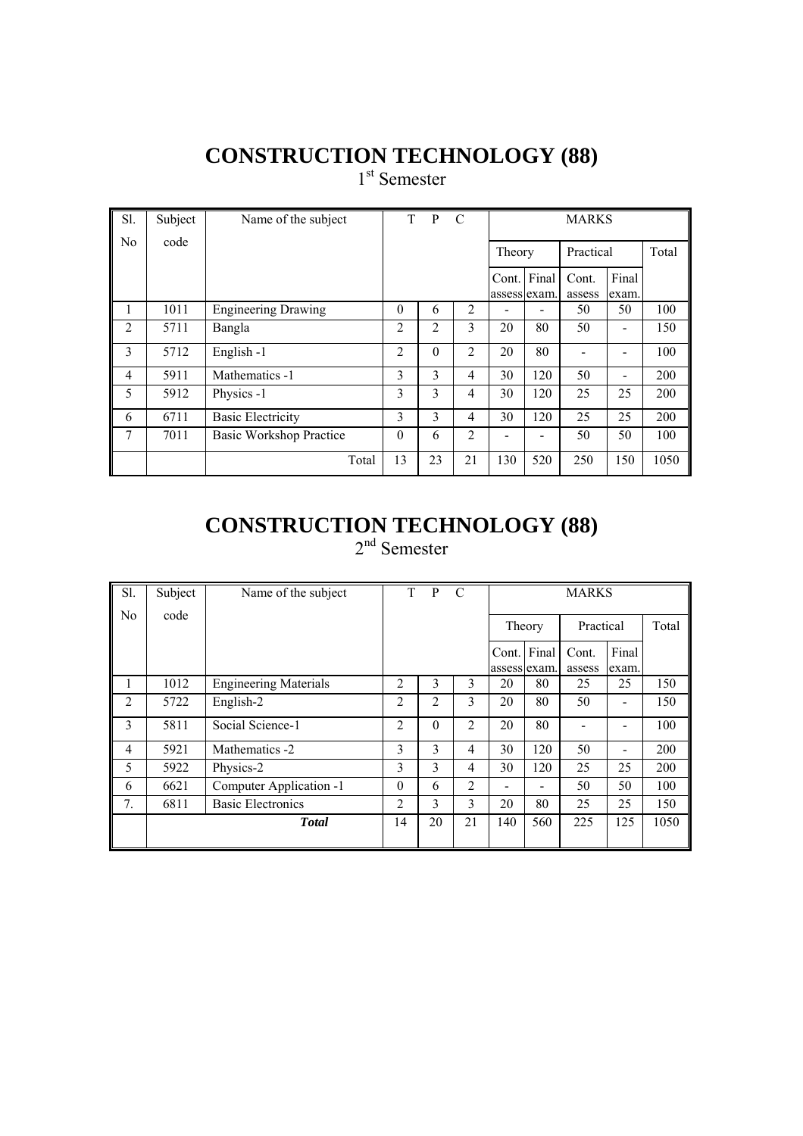1<sup>st</sup> Semester

| Sl.            | Subject | Name of the subject            | T.             | $\mathbf{P}$ | C              |                       | <b>MARKS</b> |                 |                              |       |  |
|----------------|---------|--------------------------------|----------------|--------------|----------------|-----------------------|--------------|-----------------|------------------------------|-------|--|
| N <sub>o</sub> | code    |                                |                |              |                | Theory                |              | Practical       |                              | Total |  |
|                |         |                                |                |              |                | Cont.<br>assess exam. | Final        | Cont.<br>assess | Final<br>exam.               |       |  |
| 1              | 1011    | <b>Engineering Drawing</b>     | $\Omega$       | 6            | $\overline{2}$ |                       |              | 50              | 50                           | 100   |  |
| 2              | 5711    | Bangla                         | 2              | 2            | 3              | 20                    | 80           | 50              |                              | 150   |  |
| 3              | 5712    | English-1                      | $\overline{2}$ | $\theta$     | $\overline{2}$ | 20                    | 80           |                 |                              | 100   |  |
| $\overline{4}$ | 5911    | Mathematics -1                 | 3              | 3            | 4              | 30                    | 120          | 50              | $\qquad \qquad \blacksquare$ | 200   |  |
| 5              | 5912    | Physics -1                     | 3              | 3            | 4              | 30                    | 120          | 25              | 25                           | 200   |  |
| 6              | 6711    | <b>Basic Electricity</b>       | 3              | 3            | 4              | 30                    | 120          | 25              | 25                           | 200   |  |
| 7              | 7011    | <b>Basic Workshop Practice</b> | $\theta$       | 6            | $\overline{2}$ |                       |              | 50              | 50                           | 100   |  |
|                |         | Total                          | 13             | 23           | 21             | 130                   | 520          | 250             | 150                          | 1050  |  |

#### **CONSTRUCTION TECHNOLOGY (88)** 2<sup>nd</sup> Semester

| Sl.            | Subject | Name of the subject          | T              | P        | C  |                       | <b>MARKS</b>                 |                 |                |       |  |
|----------------|---------|------------------------------|----------------|----------|----|-----------------------|------------------------------|-----------------|----------------|-------|--|
| No.            | code    |                              |                |          |    | Theory                |                              | Practical       |                | Total |  |
|                |         |                              |                |          |    | Cont.<br>assess exam. | Final                        | Cont.<br>assess | Final<br>exam. |       |  |
| 1              | 1012    | <b>Engineering Materials</b> | $\overline{2}$ | 3        | 3  | 20                    | 80                           | 25              | 25             | 150   |  |
| $\overline{2}$ | 5722    | English-2                    | $\overline{2}$ | 2        | 3  | 20                    | 80                           | 50              |                | 150   |  |
| 3              | 5811    | Social Science-1             | 2              | $\Omega$ | 2  | 20                    | 80                           |                 |                | 100   |  |
| $\overline{4}$ | 5921    | Mathematics -2               | 3              | 3        | 4  | 30                    | 120                          | 50              |                | 200   |  |
| 5              | 5922    | Physics-2                    | 3              | 3        | 4  | 30                    | 120                          | 25              | 25             | 200   |  |
| 6              | 6621    | Computer Application -1      | $\theta$       | 6        | 2  |                       | $\qquad \qquad \blacksquare$ | 50              | 50             | 100   |  |
| 7 <sub>1</sub> | 6811    | <b>Basic Electronics</b>     | $\overline{2}$ | 3        | 3  | 20                    | 80                           | 25              | 25             | 150   |  |
|                |         | <b>Total</b>                 | 14             | 20       | 21 | 140                   | 560                          | 225             | 125            | 1050  |  |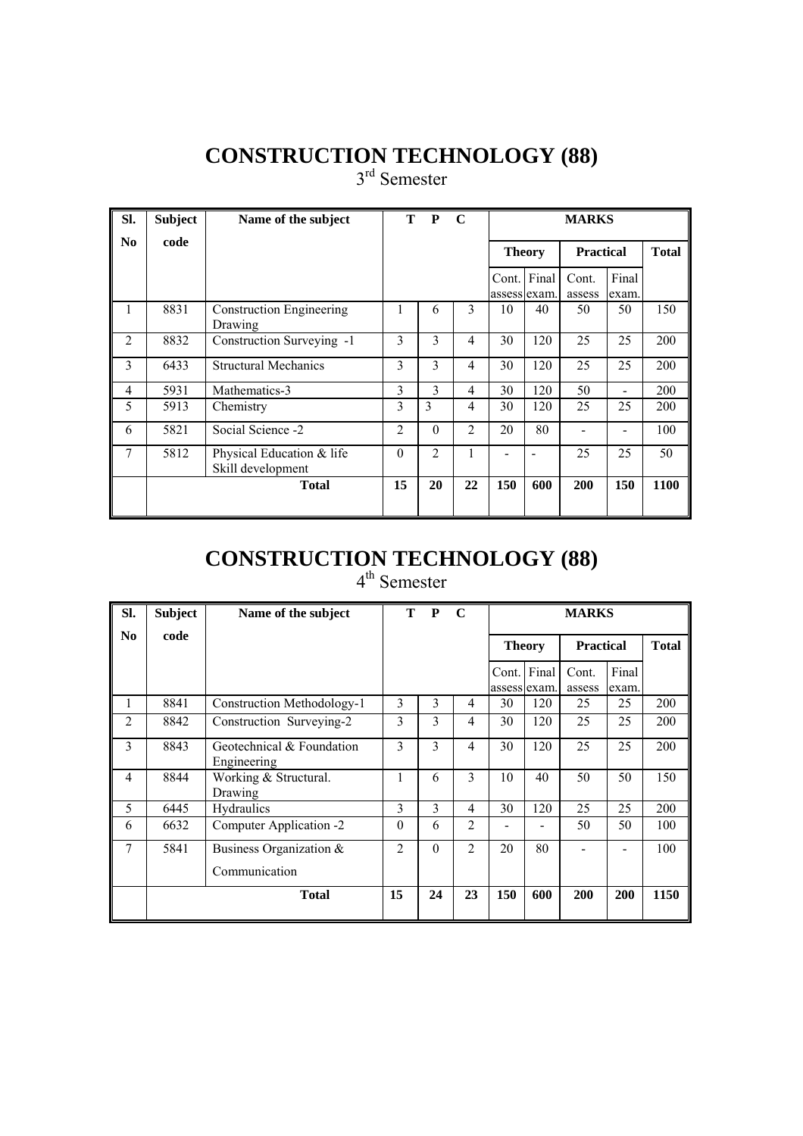3<sup>rd</sup> Semester

| SI.            | <b>Subject</b> | Name of the subject                            | T              | P              | $\mathbf C$    |                             |     | <b>MARKS</b>     |                |      |
|----------------|----------------|------------------------------------------------|----------------|----------------|----------------|-----------------------------|-----|------------------|----------------|------|
| No             | code           |                                                |                |                |                | <b>Theory</b>               |     | <b>Practical</b> | <b>Total</b>   |      |
|                |                |                                                |                |                |                | Cont. Final<br>assess exam. |     | Cont.<br>assess  | Final<br>exam. |      |
| 1              | 8831           | <b>Construction Engineering</b><br>Drawing     |                | 6              | 3              | 10                          | 40  | 50               | 50             | 150  |
| $\overline{2}$ | 8832           | Construction Surveying -1                      | 3              | 3              | 4              | 30                          | 120 | 25               | 25             | 200  |
| 3              | 6433           | <b>Structural Mechanics</b>                    | 3              | 3              | $\overline{4}$ | 30                          | 120 | 25               | 25             | 200  |
| $\overline{4}$ | 5931           | Mathematics-3                                  | 3              | 3              | 4              | 30                          | 120 | 50               |                | 200  |
| 5              | 5913           | Chemistry                                      | 3              | 3              | 4              | 30                          | 120 | 25               | 25             | 200  |
| 6              | 5821           | Social Science -2                              | $\overline{2}$ | $\theta$       | $\overline{2}$ | 20                          | 80  |                  |                | 100  |
| 7              | 5812           | Physical Education & life<br>Skill development | $\Omega$       | $\mathfrak{D}$ | 1              |                             |     | 25               | 25             | 50   |
|                |                | <b>Total</b>                                   | 15             | 20             | 22             | 150                         | 600 | 200              | 150            | 1100 |

## **CONSTRUCTION TECHNOLOGY (88)**

| SI.            | <b>Subject</b> | Name of the subject                      | т              | P        | $\mathbf C$    |                             |                  | <b>MARKS</b>    |                |      |
|----------------|----------------|------------------------------------------|----------------|----------|----------------|-----------------------------|------------------|-----------------|----------------|------|
| N <sub>0</sub> | code           |                                          | <b>Theory</b>  |          |                |                             | <b>Practical</b> | <b>Total</b>    |                |      |
|                |                |                                          |                |          |                | Cont. Final<br>assess exam. |                  | Cont.<br>assess | Final<br>exam. |      |
| 1              | 8841           | Construction Methodology-1               | 3              | 3        | 4              | 30                          | 120              | 25              | 25             | 200  |
| $\overline{2}$ | 8842           | Construction Surveying-2                 | 3              | 3        | 4              | 30                          | 120              | 25              | 25             | 200  |
| 3              | 8843           | Geotechnical & Foundation<br>Engineering | 3              | 3        | 4              | 30                          | 120              | 25              | 25             | 200  |
| $\overline{4}$ | 8844           | Working & Structural.<br>Drawing         | 1              | 6        | 3              | 10                          | 40               | 50              | 50             | 150  |
| 5              | 6445           | Hydraulics                               | 3              | 3        | 4              | 30                          | 120              | 25              | 25             | 200  |
| 6              | 6632           | Computer Application -2                  | $\theta$       | 6        | $\overline{2}$ |                             |                  | 50              | 50             | 100  |
| 7              | 5841           | Business Organization $\&$               | $\mathfrak{D}$ | $\theta$ | $\overline{2}$ | 20                          | 80               |                 |                | 100  |
|                |                | Communication                            |                |          |                |                             |                  |                 |                |      |
|                |                | <b>Total</b>                             | 15             | 24       | 23             | 150                         | 600              | 200             | 200            | 1150 |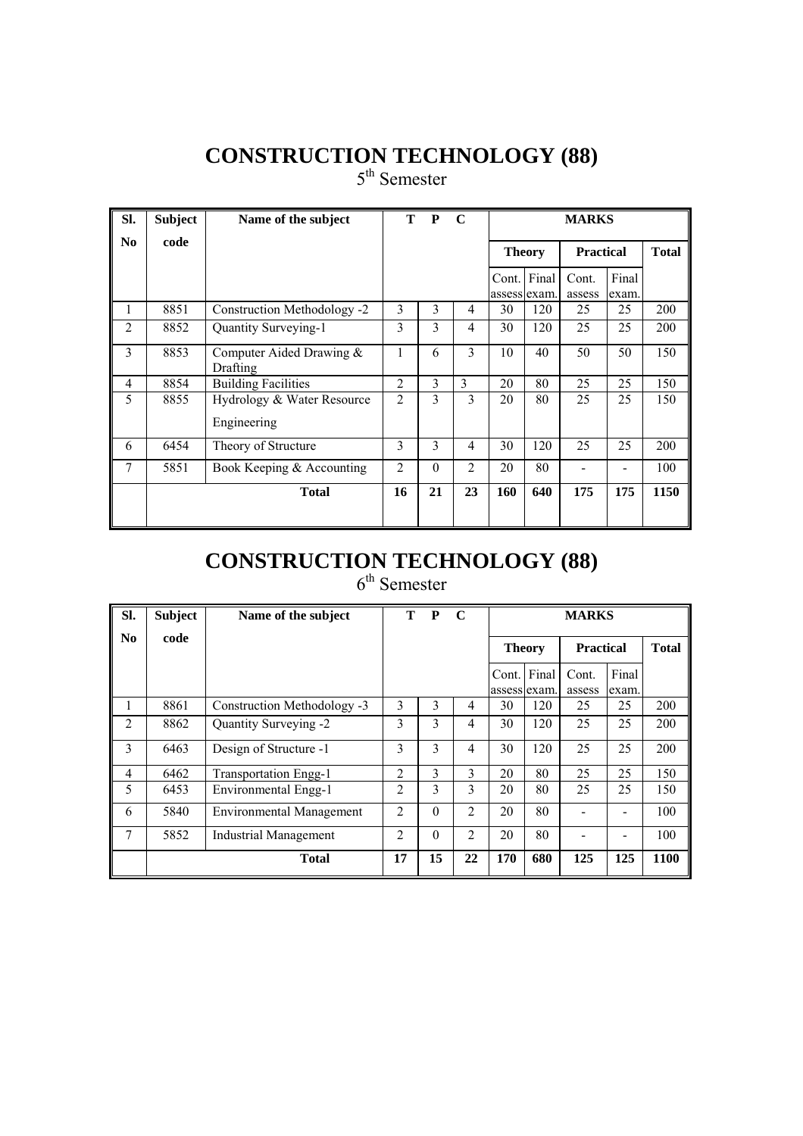5<sup>th</sup> Semester

| SI. | <b>Subject</b> | Name of the subject                       | T.             | $\mathbf{P}$ | $\mathbf C$    |                             |               | <b>MARKS</b>     |                |      |
|-----|----------------|-------------------------------------------|----------------|--------------|----------------|-----------------------------|---------------|------------------|----------------|------|
| No. | code           |                                           |                |              |                |                             | <b>Theory</b> | <b>Practical</b> | <b>Total</b>   |      |
|     |                |                                           |                |              |                | Cont. Final<br>assess exam. |               | Cont.<br>assess  | Final<br>exam. |      |
| 1   | 8851           | Construction Methodology -2               | 3              | 3            | 4              | 30                          | 120           | 25               | 25             | 200  |
| 2   | 8852           | Quantity Surveying-1                      | 3              | 3            | 4              | 30                          | 120           | 25               | 25             | 200  |
| 3   | 8853           | Computer Aided Drawing $&$<br>Drafting    | 1              | 6            | 3              | 10                          | 40            | 50               | 50             | 150  |
| 4   | 8854           | <b>Building Facilities</b>                | $\overline{2}$ | 3            | 3              | 20                          | 80            | 25               | 25             | 150  |
| 5   | 8855           | Hydrology & Water Resource<br>Engineering | $\overline{2}$ | 3            | 3              | 20                          | 80            | 25               | 25             | 150  |
| 6   | 6454           | Theory of Structure                       | 3              | 3            | 4              | 30                          | 120           | 25               | 25             | 200  |
| 7   | 5851           | Book Keeping & Accounting                 | $\overline{2}$ | $\Omega$     | $\overline{2}$ | 20                          | 80            |                  |                | 100  |
|     |                | <b>Total</b>                              | 16             | 21           | 23             | 160                         | 640           | 175              | 175            | 1150 |

## **CONSTRUCTION TECHNOLOGY (88)**

| SI.            | <b>Subject</b> | Name of the subject             | <sup>T</sup>   | $\mathbf{P}$ | $\mathbf C$    |               | <b>MARKS</b>          |                  |                |              |  |  |
|----------------|----------------|---------------------------------|----------------|--------------|----------------|---------------|-----------------------|------------------|----------------|--------------|--|--|
| N <sub>0</sub> | code           |                                 |                |              |                | <b>Theory</b> |                       | <b>Practical</b> |                | <b>Total</b> |  |  |
|                |                |                                 |                |              |                | Cont.         | Final<br>assess exam. | Cont.<br>assess  | Final<br>exam. |              |  |  |
| л.             | 8861           | Construction Methodology -3     | 3              | 3            | 4              | 30            | 120                   | 25               | 25             | 200          |  |  |
| $\overline{2}$ | 8862           | Quantity Surveying -2           | 3              | 3            | 4              | 30            | 120                   | 25               | 25             | 200          |  |  |
| 3              | 6463           | Design of Structure -1          | 3              | 3            | 4              | 30            | 120                   | 25               | 25             | 200          |  |  |
| 4              | 6462           | <b>Transportation Engg-1</b>    | $\overline{2}$ | 3            | 3              | 20            | 80                    | 25               | 25             | 150          |  |  |
| 5              | 6453           | Environmental Engg-1            | $\overline{2}$ | 3            | 3              | 20            | 80                    | 25               | 25             | 150          |  |  |
| 6              | 5840           | <b>Environmental Management</b> | $\mathfrak{D}$ | $\Omega$     | $\overline{2}$ | 20            | 80                    |                  |                | 100          |  |  |
| 7              | 5852           | <b>Industrial Management</b>    | $\overline{2}$ | $\theta$     | $\overline{c}$ | 20            | 80                    |                  |                | 100          |  |  |
|                |                | <b>Total</b>                    | 17             | 15           | 22             | 170           | 680                   | 125              | 125            | 1100         |  |  |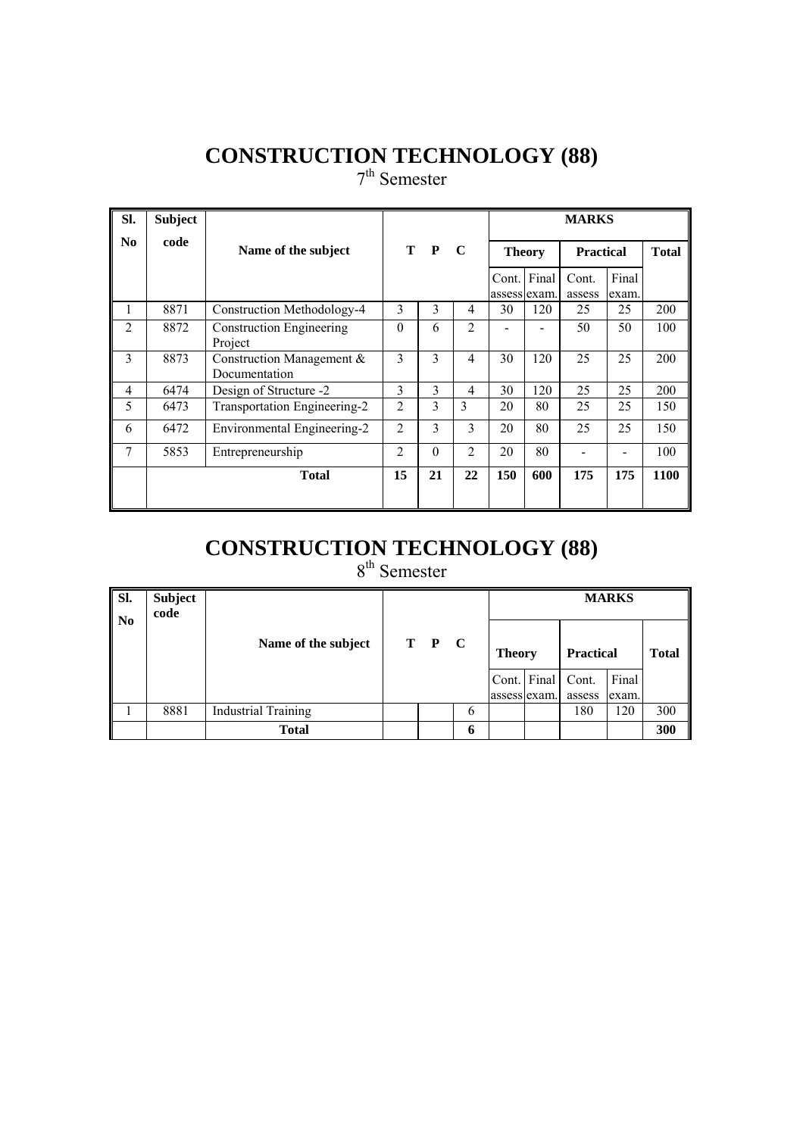7<sup>th</sup> Semester

| SI.            | <b>Subject</b> |                                            |                |                    |    |     |                     | <b>MARKS</b>     |             |              |  |  |  |  |
|----------------|----------------|--------------------------------------------|----------------|--------------------|----|-----|---------------------|------------------|-------------|--------------|--|--|--|--|
| No.            | code           | Name of the subject                        |                | T P<br>$\mathbf C$ |    |     | <b>Theory</b>       | <b>Practical</b> |             | <b>Total</b> |  |  |  |  |
|                |                |                                            |                |                    |    |     | Cont. Final         | Cont.            | Final       |              |  |  |  |  |
| 1              | 8871           | Construction Methodology-4                 | 3              | 3                  | 4  | 30  | assess exam.<br>120 | assess<br>25     | exam.<br>25 | <b>200</b>   |  |  |  |  |
| 2              | 8872           | <b>Construction Engineering</b><br>Project | $\Omega$       | 6                  | 2  |     |                     | 50               | 50          | 100          |  |  |  |  |
| 3              | 8873           | Construction Management &<br>Documentation | 3              | 3                  | 4  | 30  | 120                 | 25               | 25          | 200          |  |  |  |  |
| $\overline{4}$ | 6474           | Design of Structure -2                     | 3              | 3                  | 4  | 30  | 120                 | 25               | 25          | 200          |  |  |  |  |
| 5              | 6473           | Transportation Engineering-2               | $\overline{2}$ | 3                  | 3  | 20  | 80                  | 25               | 25          | 150          |  |  |  |  |
| 6              | 6472           | Environmental Engineering-2                | $\overline{2}$ | $\mathcal{E}$      | 3  | 20  | 80                  | 25               | 25          | 150          |  |  |  |  |
| 7              | 5853           | Entrepreneurship                           | $\overline{c}$ | $\Omega$           | 2  | 20  | 80                  |                  |             | 100          |  |  |  |  |
|                |                | <b>Total</b>                               | 15             | 21                 | 22 | 150 | 600                 | 175              | 175         | 1100         |  |  |  |  |
|                |                |                                            |                |                    |    |     |                     |                  |             |              |  |  |  |  |

# **CONSTRUCTION TECHNOLOGY (88)**

| SI.<br>$\mathbf{N}$ | <b>Subject</b><br>code |                            |       |   |               |             |                  |                |              |
|---------------------|------------------------|----------------------------|-------|---|---------------|-------------|------------------|----------------|--------------|
|                     |                        | Name of the subject        | T P C |   | <b>Theory</b> |             | <b>Practical</b> |                | <b>Total</b> |
|                     |                        |                            |       |   | assess exam.  | Cont. Final | Cont.<br>assess  | Final<br>exam. |              |
|                     | 8881                   | <b>Industrial Training</b> |       | 6 |               |             | 180              | 120            | 300          |
|                     |                        | <b>Total</b>               |       | 6 |               |             |                  |                | 300          |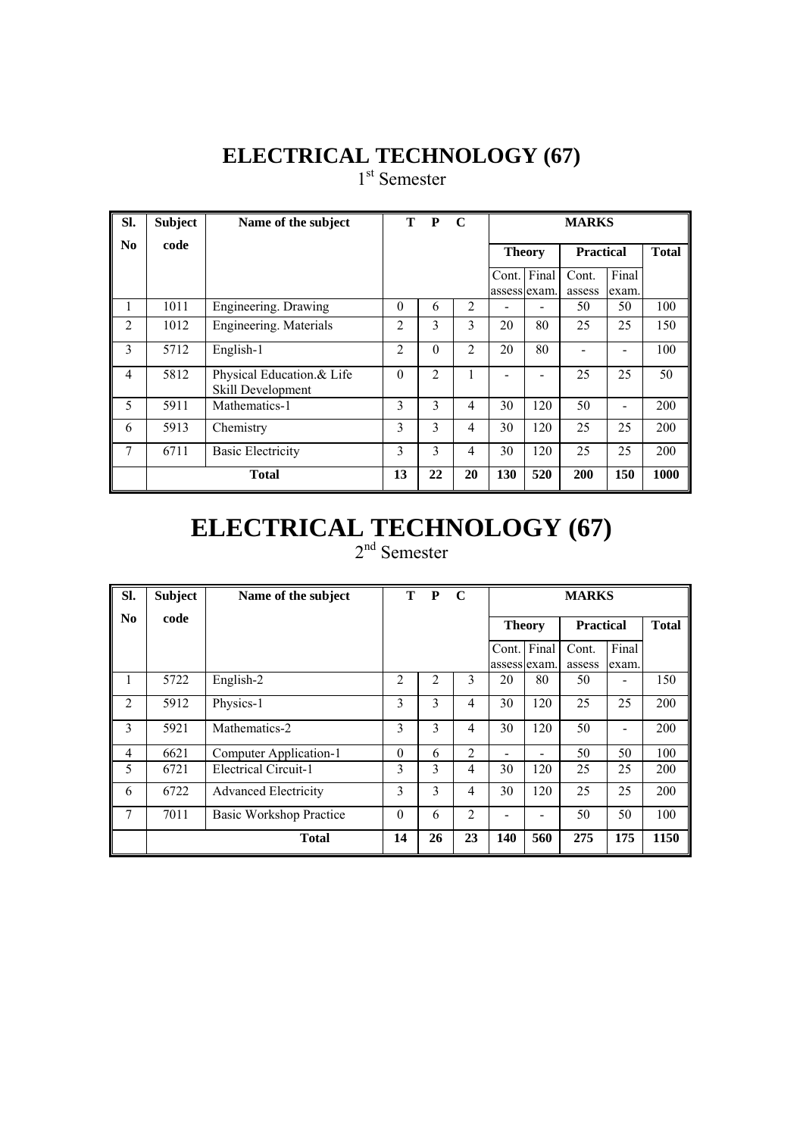## **ELECTRICAL TECHNOLOGY (67)**

1<sup>st</sup> Semester

| SI.                    | <b>Subject</b> | Name of the subject                            |                | T P      | $\mathbf C$    |                             | <b>MARKS</b> |                  |                |      |  |  |  |
|------------------------|----------------|------------------------------------------------|----------------|----------|----------------|-----------------------------|--------------|------------------|----------------|------|--|--|--|
| $\mathbf{N}\mathbf{0}$ | code           |                                                |                |          |                | <b>Theory</b>               |              | <b>Practical</b> | <b>Total</b>   |      |  |  |  |
|                        |                |                                                |                |          |                | Cont. Final<br>assess exam. |              | Cont.<br>assess  | Final<br>exam. |      |  |  |  |
| 1                      | 1011           | Engineering. Drawing                           | $\theta$       | 6        | $\overline{2}$ |                             | -            | 50               | 50             | 100  |  |  |  |
| 2                      | 1012           | Engineering. Materials                         | $\overline{2}$ | 3        | 3              | 20                          | 80           | 25               | 25             | 150  |  |  |  |
| 3                      | 5712           | English-1                                      | $\overline{2}$ | $\theta$ | $\overline{c}$ | 20                          | 80           |                  |                | 100  |  |  |  |
| $\overline{4}$         | 5812           | Physical Education.& Life<br>Skill Development | $\Omega$       | 2        |                |                             |              | 25               | 25             | 50   |  |  |  |
| 5                      | 5911           | Mathematics-1                                  | 3              | 3        | 4              | 30                          | 120          | 50               |                | 200  |  |  |  |
| 6                      | 5913           | Chemistry                                      | 3              | 3        | 4              | 30                          | 120          | 25               | 25             | 200  |  |  |  |
| 7                      | 6711           | <b>Basic Electricity</b>                       | 3              | 3        | 4              | 30                          | 120          | 25               | 25             | 200  |  |  |  |
|                        | <b>Total</b>   |                                                | 13             | 22       | 20             | <b>130</b>                  | 520          | 200              | 150            | 1000 |  |  |  |

# **ELECTRICAL TECHNOLOGY (67)**

| SI.                    | <b>Subject</b> | Name of the subject         | т        | P  | $\mathbf C$    |                       | <b>MARKS</b> |                  |                |              |  |  |
|------------------------|----------------|-----------------------------|----------|----|----------------|-----------------------|--------------|------------------|----------------|--------------|--|--|
| $\mathbf{N}\mathbf{0}$ | code           |                             |          |    |                | <b>Theory</b>         |              | <b>Practical</b> |                | <b>Total</b> |  |  |
|                        |                |                             |          |    |                | Cont.<br>assess exam. | Final        | Cont.<br>assess  | Final<br>exam. |              |  |  |
| 1                      | 5722           | English-2                   | 2        | 2  | $\mathbf{3}$   | 20                    | 80           | 50               |                | 150          |  |  |
| 2                      | 5912           | Physics-1                   | 3        | 3  | $\overline{4}$ | 30                    | 120          | 25               | 25             | 200          |  |  |
| 3                      | 5921           | Mathematics-2               | 3        | 3  | 4              | 30                    | 120          | 50               |                | 200          |  |  |
| $\overline{4}$         | 6621           | Computer Application-1      | $\theta$ | 6  | $\overline{2}$ |                       |              | 50               | 50             | 100          |  |  |
| 5                      | 6721           | <b>Electrical Circuit-1</b> | 3        | 3  | 4              | 30                    | 120          | 25               | 25             | 200          |  |  |
| 6                      | 6722           | <b>Advanced Electricity</b> | 3        | 3  | 4              | 30                    | 120          | 25               | 25             | 200          |  |  |
| 7                      | 7011           | Basic Workshop Practice     | $\theta$ | 6  | $\overline{2}$ |                       |              | 50               | 50             | 100          |  |  |
|                        |                | <b>Total</b>                | 14       | 26 | 23             | <b>140</b>            | 560          | 275              | 175            | 1150         |  |  |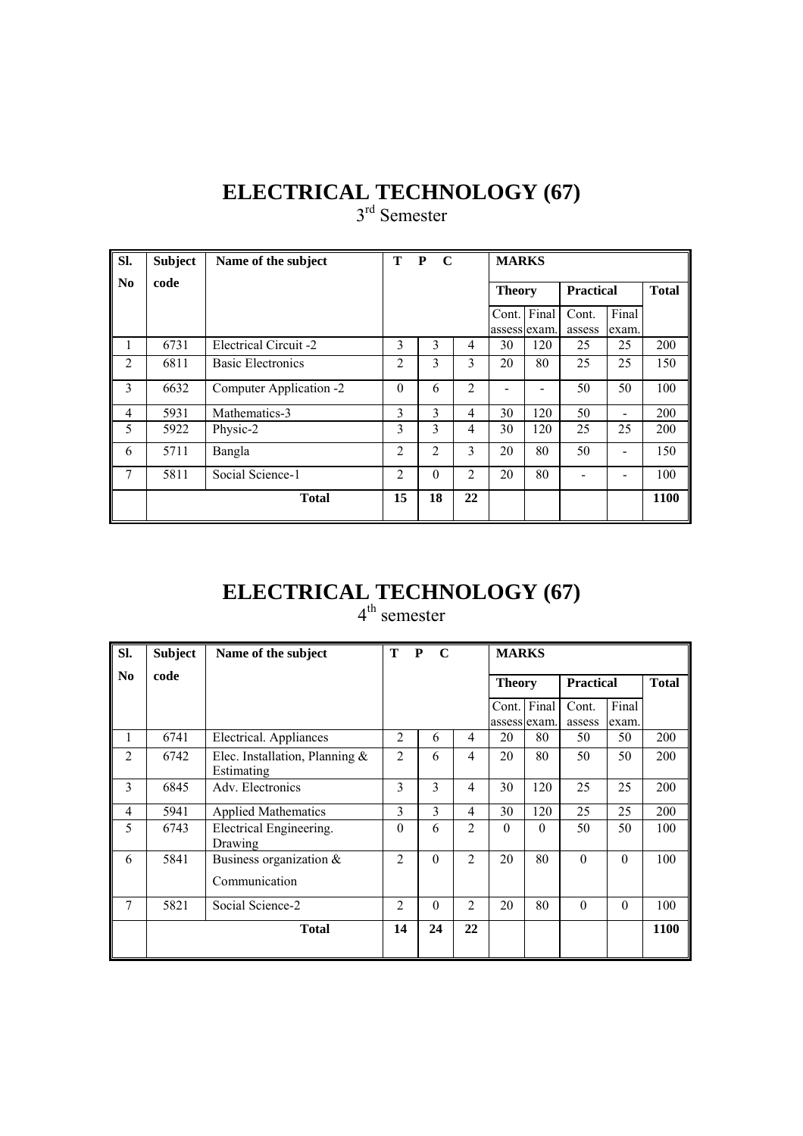#### **ELECTRICAL TECHNOLOGY (67)**  3<sup>rd</sup> Semester

| SI.            | <b>Subject</b> | Name of the subject      | т              | ${\bf P}$<br>$\mathbf C$ |                | <b>MARKS</b> |               |                  |                |      |
|----------------|----------------|--------------------------|----------------|--------------------------|----------------|--------------|---------------|------------------|----------------|------|
| No             | code           |                          |                |                          |                |              | <b>Theory</b> | <b>Practical</b> | <b>Total</b>   |      |
|                |                |                          |                |                          |                | assess exam. | Cont. Final   | Cont.<br>assess  | Final<br>exam. |      |
| 1              | 6731           | Electrical Circuit -2    | 3              | 3                        | 4              | 30           | 120           | 25               | 25             | 200  |
| $\overline{2}$ | 6811           | <b>Basic Electronics</b> | $\overline{2}$ | 3                        | 3              | 20           | 80            | 25               | 25             | 150  |
| 3              | 6632           | Computer Application -2  | $\theta$       | 6                        | $\overline{2}$ |              |               | 50               | 50             | 100  |
| 4              | 5931           | Mathematics-3            | 3              | 3                        | 4              | 30           | 120           | 50               | -              | 200  |
| 5              | 5922           | Physic-2                 | 3              | 3                        | 4              | 30           | 120           | 25               | 25             | 200  |
| 6              | 5711           | Bangla                   | 2              | 2                        | 3              | 20           | 80            | 50               |                | 150  |
| $\overline{7}$ | 5811           | Social Science-1         | $\overline{2}$ | $\theta$                 | $\overline{2}$ | 20           | 80            |                  |                | 100  |
|                |                | <b>Total</b>             | 15             | 18                       | 22             |              |               |                  |                | 1100 |

# **ELECTRICAL TECHNOLOGY (67)**

| SI.                    | <b>Subject</b> | Name of the subject                             | T              | P<br>$\mathbf C$ |                |                             |          | <b>MARKS</b>     |                |              |  |  |  |
|------------------------|----------------|-------------------------------------------------|----------------|------------------|----------------|-----------------------------|----------|------------------|----------------|--------------|--|--|--|
| $\mathbf{N}\mathbf{0}$ | code           |                                                 |                |                  |                | <b>Theory</b>               |          | <b>Practical</b> |                | <b>Total</b> |  |  |  |
|                        |                |                                                 |                |                  |                | Cont. Final<br>assess exam. |          | Cont.<br>assess  | Final<br>exam. |              |  |  |  |
| 1                      | 6741           | Electrical. Appliances                          | $\overline{2}$ | 6                | 4              | 20                          | 80       | 50               | 50             | 200          |  |  |  |
| $\overline{2}$         | 6742           | Elec. Installation, Planning $\&$<br>Estimating | $\overline{2}$ | 6                | 4              | 20                          | 80       | 50               | 50             | 200          |  |  |  |
| 3                      | 6845           | Adv. Electronics                                | 3              | 3                | 4              | 30                          | 120      | 25               | 25             | 200          |  |  |  |
| $\overline{4}$         | 5941           | <b>Applied Mathematics</b>                      | 3              | 3                | 4              | 30                          | 120      | 25               | 25             | 200          |  |  |  |
| 5                      | 6743           | Electrical Engineering.<br>Drawing              | $\Omega$       | 6                | 2              | 0                           | $\Omega$ | 50               | 50             | 100          |  |  |  |
| 6                      | 5841           | Business organization &<br>Communication        | $\overline{2}$ | $\theta$         | $\overline{2}$ | 20                          | 80       | $\Omega$         | $\theta$       | 100          |  |  |  |
| 7                      | 5821           | Social Science-2                                | $\overline{2}$ | $\Omega$         | $\overline{2}$ | 20                          | 80       | $\Omega$         | $\theta$       | 100          |  |  |  |
|                        |                | <b>Total</b>                                    | 14             | 24               | 22             |                             |          |                  |                | 1100         |  |  |  |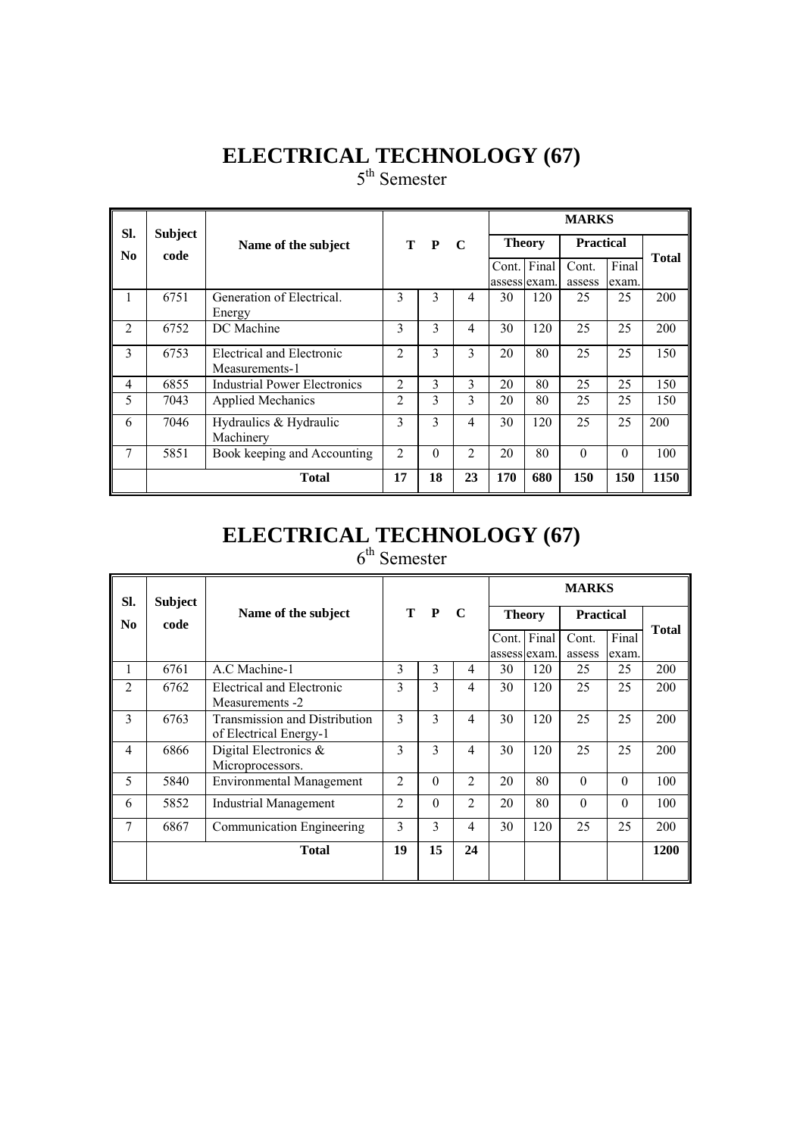# **ELECTRICAL TECHNOLOGY (67)**

5<sup>th</sup> Semester

| SI.            | <b>Subject</b> |                              |                |          |                |     |               | <b>MARKS</b>     |          |              |
|----------------|----------------|------------------------------|----------------|----------|----------------|-----|---------------|------------------|----------|--------------|
| No.            | code           | Name of the subject          |                | T P      | $\mathbf C$    |     | <b>Theory</b> | <b>Practical</b> |          |              |
|                |                |                              |                |          |                |     | Cont. Final   | Cont.            | Final    | <b>Total</b> |
|                |                |                              |                |          |                |     | assess exam.  | assess           | exam.    |              |
| I.             | 6751           | Generation of Electrical.    | 3              | 3        | 4              | 30  | 120           | 25               | 25       | 200          |
|                |                | Energy                       |                |          |                |     |               |                  |          |              |
| $\overline{2}$ | 6752           | DC Machine                   | 3              | 3        | 4              | 30  | 120           | 25               | 25       | 200          |
| 3              | 6753           | Electrical and Electronic    | $\mathfrak{D}$ | 3        | 3              | 20  | 80            | 25               | 25       | 150          |
|                |                | Measurements-1               |                |          |                |     |               |                  |          |              |
| 4              | 6855           | Industrial Power Electronics | $\overline{c}$ | 3        | 3              | 20  | 80            | 25               | 25       | 150          |
| 5              | 7043           | <b>Applied Mechanics</b>     | $\overline{c}$ | 3        | 3              | 20  | 80            | 25               | 25       | 150          |
| 6              | 7046           | Hydraulics & Hydraulic       | 3              | 3        | 4              | 30  | 120           | 25               | 25       | 200          |
|                |                | Machinery                    |                |          |                |     |               |                  |          |              |
| 7              | 5851           | Book keeping and Accounting  | $\overline{2}$ | $\Omega$ | $\overline{2}$ | 20  | 80            | $\theta$         | $\theta$ | 100          |
|                |                | <b>Total</b>                 | 17             | 18       | 23             | 170 | 680           | 150              | 150      | 1150         |

# **ELECTRICAL TECHNOLOGY (67)**

6<sup>th</sup> Semester

| SI.            | <b>Subject</b> |                                                         |                |                |                |              |               | <b>MARKS</b>     |                |              |
|----------------|----------------|---------------------------------------------------------|----------------|----------------|----------------|--------------|---------------|------------------|----------------|--------------|
| N <sub>0</sub> | code           | Name of the subject                                     | т              | P              | $\mathbf C$    |              | <b>Theory</b> | <b>Practical</b> |                | <b>Total</b> |
|                |                |                                                         |                |                |                | assess exam. | Cont. Final   | Cont.<br>assess  | Final<br>exam. |              |
| 1              | 6761           | A.C Machine-1                                           | 3              | 3              | 4              | 30           | 120           | 25               | 25             | 200          |
| $\overline{2}$ | 6762           | Electrical and Electronic<br>Measurements -2            | 3              | 3              | $\overline{4}$ | 30           | 120           | 25               | 25             | 200          |
| 3              | 6763           | Transmission and Distribution<br>of Electrical Energy-1 | 3              | 3              | $\overline{4}$ | 30           | 120           | 25               | 25             | 200          |
| $\overline{4}$ | 6866           | Digital Electronics &<br>Microprocessors.               | 3              | $\overline{3}$ | $\overline{4}$ | 30           | 120           | 25               | 25             | 200          |
| 5              | 5840           | <b>Environmental Management</b>                         | 2              | $\theta$       | 2              | 20           | 80            | $\theta$         | $\Omega$       | 100          |
| 6              | 5852           | Industrial Management                                   | $\overline{c}$ | $\Omega$       | 2              | 20           | 80            | $\Omega$         | $\Omega$       | 100          |
| 7              | 6867           | Communication Engineering                               | 3              | 3              | $\overline{4}$ | 30           | 120           | 25               | 25             | 200          |
|                |                | <b>Total</b>                                            | 19             | 15             | 24             |              |               |                  |                | 1200         |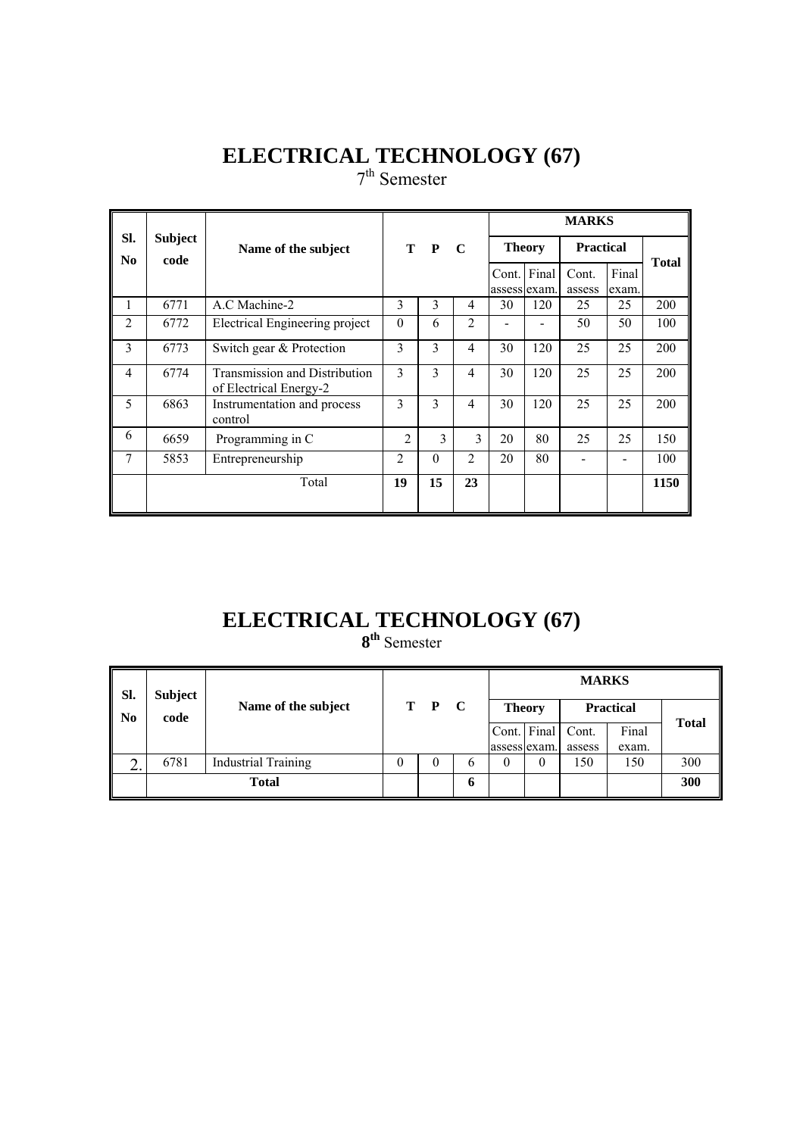# **ELECTRICAL TECHNOLOGY (67)**

7<sup>th</sup> Semester

|                |                        |                                                                |                |              |                |    |                             | <b>MARKS</b>     |                |              |
|----------------|------------------------|----------------------------------------------------------------|----------------|--------------|----------------|----|-----------------------------|------------------|----------------|--------------|
| SI.<br>No.     | <b>Subject</b><br>code | Name of the subject                                            |                | T P          | $\mathbf C$    |    | <b>Theory</b>               | <b>Practical</b> |                | <b>Total</b> |
|                |                        |                                                                |                |              |                |    | Cont. Final<br>assess exam. | Cont.<br>assess  | Final<br>exam. |              |
| 1              | 6771                   | A.C Machine-2                                                  | 3              | 3            | 4              | 30 | 120                         | 25               | 25             | 200          |
| $\overline{2}$ | 6772                   | Electrical Engineering project                                 | $\theta$       | 6            | $\overline{2}$ |    |                             | 50               | 50             | 100          |
| 3              | 6773                   | Switch gear & Protection                                       | 3              | 3            | $\overline{4}$ | 30 | 120                         | 25               | 25             | 200          |
| 4              | 6774                   | <b>Transmission and Distribution</b><br>of Electrical Energy-2 | 3              | 3            | $\overline{4}$ | 30 | 120                         | 25               | 25             | 200          |
| 5              | 6863                   | Instrumentation and process<br>control                         | 3              | 3            | $\overline{4}$ | 30 | 120                         | 25               | 25             | 200          |
| 6              | 6659                   | Programming in C                                               | $\overline{2}$ | $\mathbf{3}$ | 3              | 20 | 80                          | 25               | 25             | 150          |
| 7              | 5853                   | Entrepreneurship                                               | $\overline{2}$ | 0            | $\mathfrak{D}$ | 20 | 80                          |                  |                | 100          |
|                |                        | Total                                                          | 19             | 15           | 23             |    |                             |                  |                | 1150         |

# **ELECTRICAL TECHNOLOGY (67)**

**8th** Semester

| Sl. | <b>Subject</b> |                            |          |   |              |               | <b>MARKS</b> |                  |              |
|-----|----------------|----------------------------|----------|---|--------------|---------------|--------------|------------------|--------------|
| No  | code           | Name of the subject        | T P C    |   |              | <b>Theory</b> |              | <b>Practical</b> |              |
|     |                |                            |          |   | Cont. Final  |               | Cont.        | Final            | <b>Total</b> |
|     |                |                            |          |   | assess exam. |               | assess       | exam.            |              |
| ∠.  | 6781           | <b>Industrial Training</b> | $^{(1)}$ | b | $\theta$     | 0             | 150          | 150              | 300          |
|     |                | <b>Total</b>               |          | O |              |               |              |                  | 300          |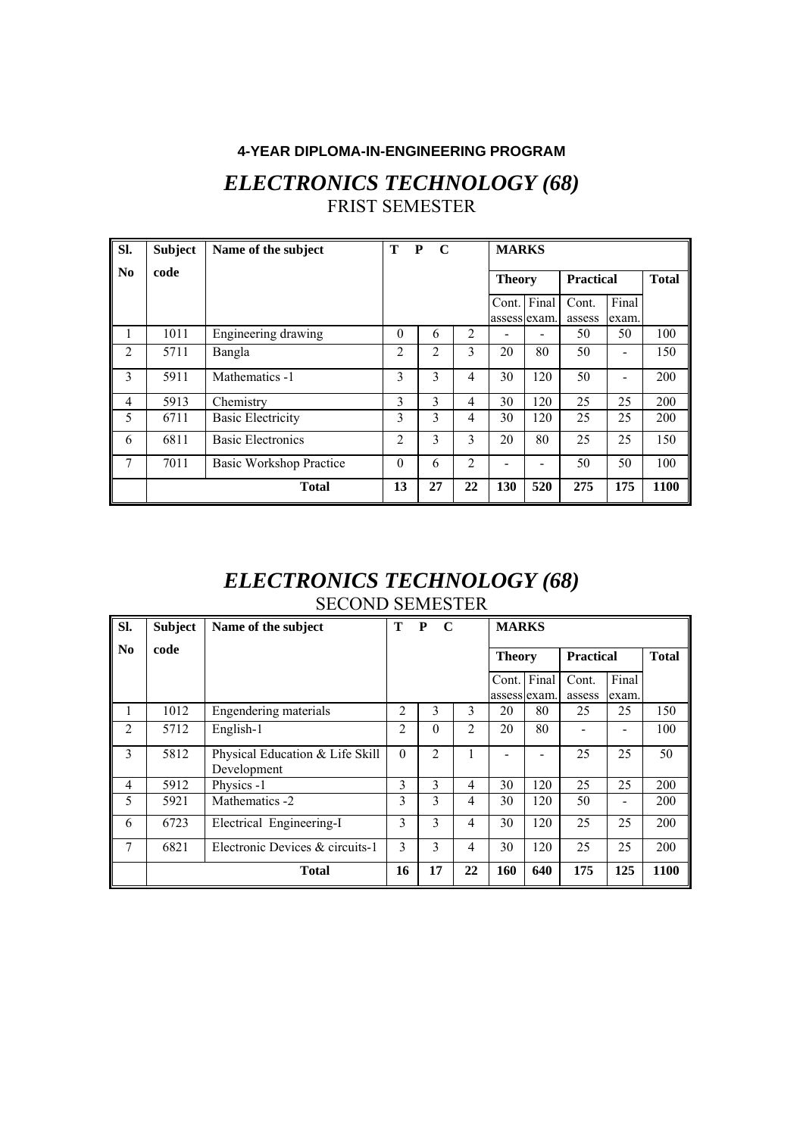#### **4-YEAR DIPLOMA-IN-ENGINEERING PROGRAM**

### *ELECTRONICS TECHNOLOGY (68)*  FRIST SEMESTER

| Sl.                    | <b>Subject</b> | Name of the subject      | Т              | P<br>$\mathbf C$ |                | <b>MARKS</b>                |                          |                  |                          |              |
|------------------------|----------------|--------------------------|----------------|------------------|----------------|-----------------------------|--------------------------|------------------|--------------------------|--------------|
| $\mathbf{N}\mathbf{0}$ | code           |                          |                |                  |                | <b>Theory</b>               |                          | <b>Practical</b> |                          | <b>Total</b> |
|                        |                |                          |                |                  |                | Cont. Final<br>assess exam. |                          | Cont.<br>assess  | Final<br>exam.           |              |
| 1                      | 1011           | Engineering drawing      | $\Omega$       | 6                | 2              |                             |                          | 50               | 50                       | 100          |
| 2                      | 5711           | Bangla                   | $\overline{c}$ | 2                | 3              | 20                          | 80                       | 50               |                          | 150          |
| 3                      | 5911           | Mathematics -1           | 3              | 3                | 4              | 30                          | 120                      | 50               | $\overline{\phantom{0}}$ | 200          |
| $\overline{4}$         | 5913           | Chemistry                | 3              | 3                | 4              | 30                          | 120                      | 25               | 25                       | 200          |
| 5                      | 6711           | <b>Basic Electricity</b> | 3              | 3                | 4              | 30                          | 120                      | 25               | 25                       | 200          |
| 6                      | 6811           | <b>Basic Electronics</b> | $\overline{2}$ | 3                | 3              | 20                          | 80                       | 25               | 25                       | 150          |
| 7                      | 7011           | Basic Workshop Practice  | $\Omega$       | 6                | $\overline{c}$ |                             | $\overline{\phantom{0}}$ | 50               | 50                       | 100          |
|                        |                | <b>Total</b>             | 13             | 27               | 22             | <b>130</b>                  | 520                      | 275              | 175                      | 1100         |

#### *ELECTRONICS TECHNOLOGY (68)*  SECOND SEMESTER

| SI.            | <b>Subject</b> | Name of the subject                            | Т              | P<br>$\mathbf C$ |                | <b>MARKS</b>  |              |                  |                |              |
|----------------|----------------|------------------------------------------------|----------------|------------------|----------------|---------------|--------------|------------------|----------------|--------------|
| No             | code           |                                                |                |                  |                | <b>Theory</b> |              | <b>Practical</b> |                | <b>Total</b> |
|                |                |                                                |                |                  |                | Cont. Final   | assess exam. | Cont.<br>assess  | Final<br>exam. |              |
| 1              | 1012           | Engendering materials                          | $\overline{2}$ | 3                | 3              | 20            | 80           | 25               | 25             | 150          |
| 2              | 5712           | English-1                                      | $\overline{2}$ | $\theta$         | $\overline{2}$ | 20            | 80           |                  |                | 100          |
| 3              | 5812           | Physical Education & Life Skill<br>Development | $\Omega$       | $\mathfrak{D}$   |                |               |              | 25               | 25             | 50           |
| $\overline{4}$ | 5912           | Physics -1                                     | 3              | 3                | $\overline{4}$ | 30            | 120          | 25               | 25             | 200          |
| 5              | 5921           | Mathematics -2                                 | 3              | 3                | 4              | 30            | 120          | 50               |                | 200          |
| 6              | 6723           | Electrical Engineering-I                       | 3              | 3                | 4              | 30            | 120          | 25               | 25             | 200          |
| 7              | 6821           | Electronic Devices & circuits-1                | 3              | 3                | 4              | 30            | 120          | 25               | 25             | 200          |
|                |                | <b>Total</b>                                   | 16             | 17               | 22             | 160           | 640          | 175              | 125            | 1100         |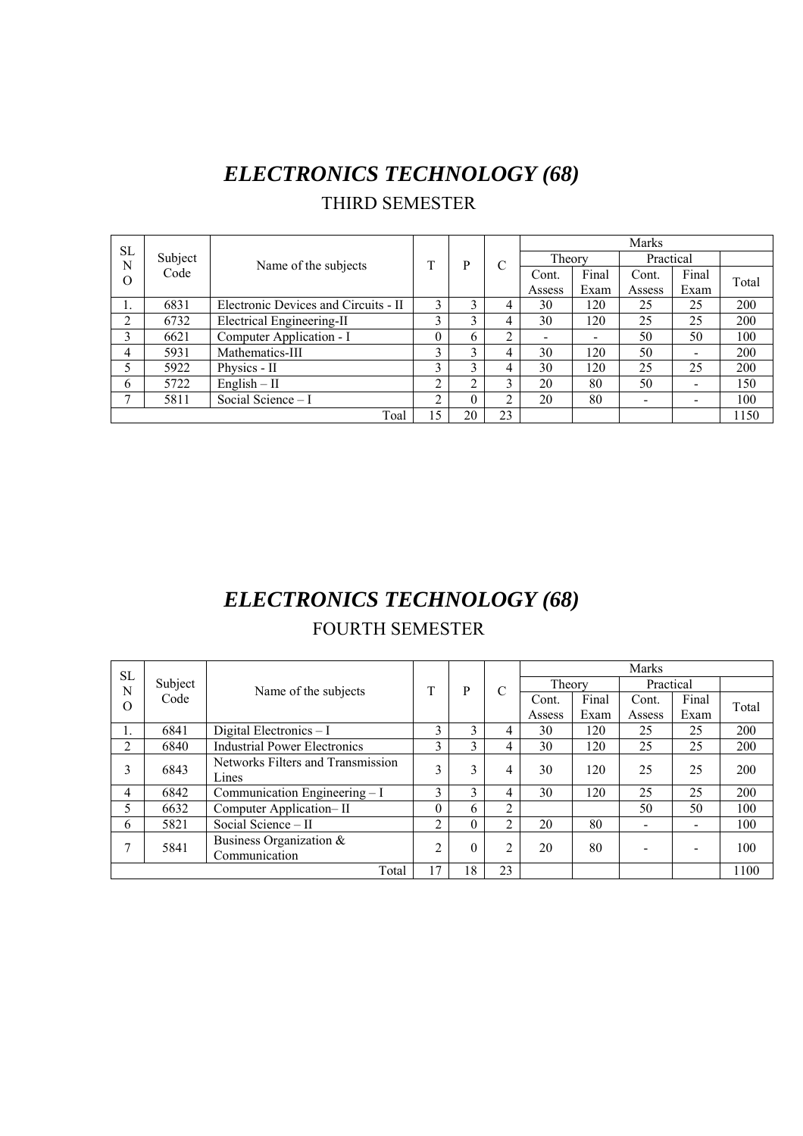# *ELECTRONICS TECHNOLOGY (68)*  THIRD SEMESTER

| <b>SL</b> |         |                                      |              |              |               |        |       | <b>Marks</b>             |       |       |
|-----------|---------|--------------------------------------|--------------|--------------|---------------|--------|-------|--------------------------|-------|-------|
| N         | Subject | Name of the subjects                 | m            | P            | $\mathcal{C}$ | Theory |       | Practical                |       |       |
| O         | Code    |                                      |              |              |               | Cont.  | Final | Cont.                    | Final | Total |
|           |         |                                      |              |              |               | Assess | Exam  | Assess                   | Exam  |       |
|           | 6831    | Electronic Devices and Circuits - II | ↑            |              |               | 30     | 120   | 25                       | 25    | 200   |
| ↑         | 6732    | Electrical Engineering-II            | <sup>1</sup> | <sup>1</sup> | 4             | 30     | 120   | 25                       | 25    | 200   |
| 3         | 6621    | Computer Application - I             | $\theta$     | 6            | ◠             |        |       | 50                       | 50    | 100   |
| 4         | 5931    | Mathematics-III                      | 3            | 3            | 4             | 30     | 120   | 50                       | $\,$  | 200   |
|           | 5922    | Physics - II                         | ↑            | ◠            |               | 30     | 120   | 25                       | 25    | 200   |
| 6         | 5722    | $English - II$                       | ↑            | ◠            | ◠             | 20     | 80    | 50                       |       | 150   |
|           | 5811    | Social Science - I                   | ◠            | 0            | ◠             | 20     | 80    | $\overline{\phantom{0}}$ |       | 100   |
|           |         | Toal                                 | 15           | 20           | 23            |        |       |                          |       | 1150  |

# *ELECTRONICS TECHNOLOGY (68)*  FOURTH SEMESTER

|                |         |                                     |               |             |    |        |       | <b>Marks</b> |       |       |
|----------------|---------|-------------------------------------|---------------|-------------|----|--------|-------|--------------|-------|-------|
| <b>SL</b><br>N | Subject | Name of the subjects                | T             | P           | С  | Theory |       | Practical    |       |       |
| $\Omega$       | Code    |                                     |               |             |    | Cont.  | Final | Cont.        | Final | Total |
|                |         |                                     |               |             |    | Assess | Exam  | Assess       | Exam  |       |
| 1.             | 6841    | Digital Electronics $-I$            | $\mathbf 3$   | $\mathbf 3$ | 4  | 30     | 120   | 25           | 25    | 200   |
| 2              | 6840    | <b>Industrial Power Electronics</b> | $\mathcal{L}$ | 3           |    | 30     | 120   | 25           | 25    | 200   |
| 3              | 6843    | Networks Filters and Transmission   | 3             | 3           |    | 30     | 120   | 25           | 25    | 200   |
|                |         | Lines                               |               |             |    |        |       |              |       |       |
| 4              | 6842    | Communication Engineering $-I$      | $\mathbf{R}$  | 3           |    | 30     | 120   | 25           | 25    | 200   |
|                | 6632    | Computer Application-II             | 0             | 6           | ↑  |        |       | 50           | 50    | 100   |
| 6              | 5821    | Social Science - II                 | ↑             |             | ◠  | 20     | 80    |              |       | 100   |
|                | 5841    | Business Organization &             | C             | $\theta$    | ◠  | 20     | 80    |              |       | 100   |
|                |         | Communication                       |               |             |    |        |       |              |       |       |
|                |         | Total                               | 17            | 18          | 23 |        |       |              |       | 1100  |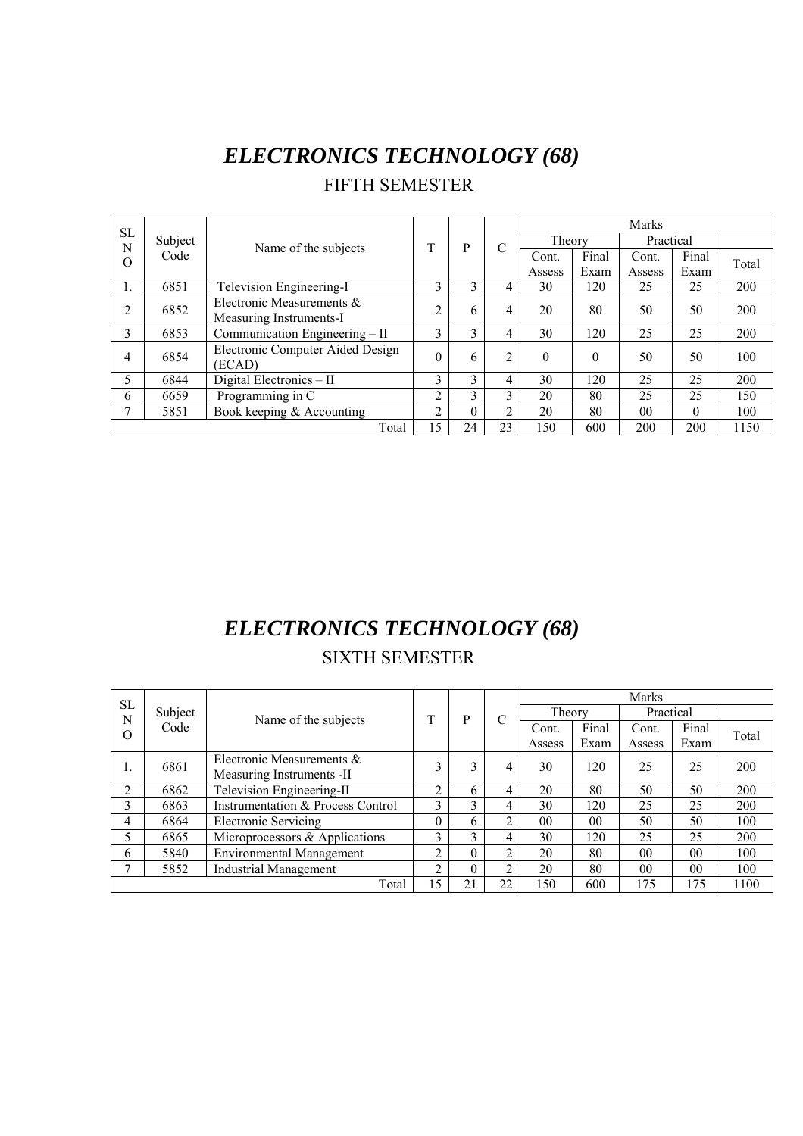# *ELECTRONICS TECHNOLOGY (68)*

FIFTH SEMESTER

| <b>SL</b>      |         |                                                      |                |               |                |          |          | <b>Marks</b>   |          |       |
|----------------|---------|------------------------------------------------------|----------------|---------------|----------------|----------|----------|----------------|----------|-------|
| N              | Subject |                                                      | T              | P             | $\mathcal{C}$  | Theory   |          | Practical      |          |       |
| $\Omega$       | Code    | Name of the subjects                                 |                |               |                | Cont.    | Final    | Cont.          | Final    | Total |
|                |         |                                                      |                |               |                | Assess   | Exam     | Assess         | Exam     |       |
|                | 6851    | Television Engineering-I                             | 3              | 3             | 4              | 30       | 120      | 25             | 25       | 200   |
| $\overline{2}$ | 6852    | Electronic Measurements &<br>Measuring Instruments-I | C              | 6             | 4              | 20       | 80       | 50             | 50       | 200   |
| 3              | 6853    | Communication Engineering - II                       | 3              | 3             | 4              | 30       | 120      | 25             | 25       | 200   |
| 4              | 6854    | Electronic Computer Aided Design<br>(ECAD)           | $\Omega$       | 6             | C              | $\theta$ | $\Omega$ | 50             | 50       | 100   |
| 5              | 6844    | Digital Electronics - II                             | 3              | 3             | 4              | 30       | 120      | 25             | 25       | 200   |
| 6              | 6659    | Programming in C                                     | 2              | $\mathcal{E}$ | 3              | 20       | 80       | 25             | 25       | 150   |
| $\mathcal{I}$  | 5851    | Book keeping $&$ Accounting                          | $\mathfrak{D}$ | $\Omega$      | $\mathfrak{D}$ | 20       | 80       | 0 <sup>0</sup> | $\Omega$ | 100   |
|                |         | Total                                                | 15             | 24            | 23             | 150      | 600      | 200            | 200      | 1150  |

# *ELECTRONICS TECHNOLOGY (68)*

### SIXTH SEMESTER

| <b>SL</b> |         |                                   |    |    |    |           |                | <b>Marks</b>   |                |       |
|-----------|---------|-----------------------------------|----|----|----|-----------|----------------|----------------|----------------|-------|
| N         | Subject | Name of the subjects              | T  | P  | C  | Theory    |                | Practical      |                |       |
| O         | Code    |                                   |    |    |    | Cont.     | Final          | Cont.          | Final          | Total |
|           |         |                                   |    |    |    | Assess    | Exam           | Assess         | Exam           |       |
|           | 6861    | Electronic Measurements &         | 3  | 3  | 4  | 30        | 120            | 25             | 25             | 200   |
| ı.        |         | Measuring Instruments -II         |    |    |    |           |                |                |                |       |
| ↑         | 6862    | Television Engineering-II         | ↑  | 6  | 4  | 20        | 80             | 50             | 50             | 200   |
| 3         | 6863    | Instrumentation & Process Control | 3  | 3  | 4  | 30        | 120            | 25             | 25             | 200   |
| 4         | 6864    | <b>Electronic Servicing</b>       | 0  | 6  | ↑  | $00\,$    | 0 <sub>0</sub> | 50             | 50             | 100   |
|           | 6865    | Microprocessors & Applications    | 3  | 3  | 4  | 30        | 120            | 25             | 25             | 200   |
| 6         | 5840    | <b>Environmental Management</b>   | ↑  | 0  | ◠  | 20        | 80             | 0 <sup>0</sup> | 0 <sub>0</sub> | 100   |
|           | 5852    | <b>Industrial Management</b>      | າ  | 0  | ◠  | 20        | 80             | 00             | 0 <sub>0</sub> | 100   |
|           |         | Total                             | 15 | 21 | 22 | <b>50</b> | 600            | 175            | 175            | 1100  |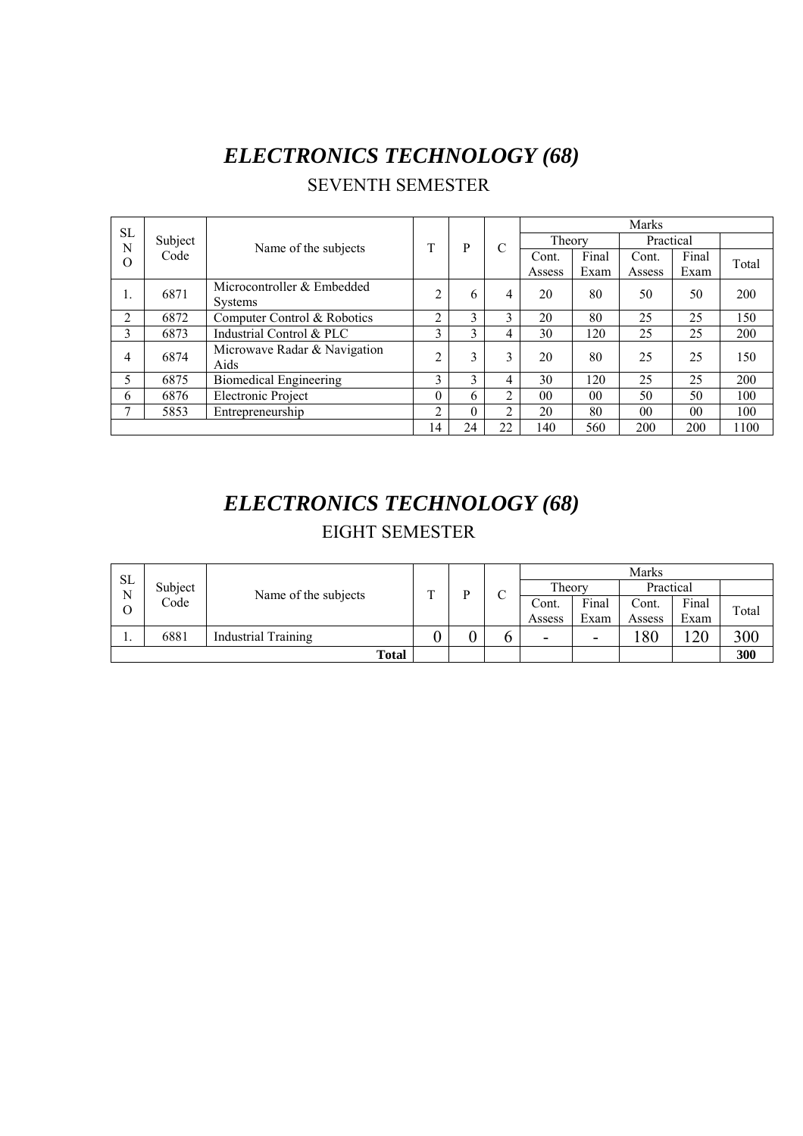# *ELECTRONICS TECHNOLOGY (68)*

|          |         |                                              |                |    |    |                 |                | <b>Marks</b> |       |       |
|----------|---------|----------------------------------------------|----------------|----|----|-----------------|----------------|--------------|-------|-------|
| SL<br>N  | Subject |                                              | T              | P  | C  | Theory          |                | Practical    |       |       |
| $\rm{O}$ | Code    | Name of the subjects                         |                |    |    | Cont.           | Final          | Cont.        | Final | Total |
|          |         |                                              |                |    |    | Assess          | Exam           | Assess       | Exam  |       |
|          | 6871    | Microcontroller & Embedded<br><b>Systems</b> | $\overline{2}$ | 6  | 4  | 20              | 80             | 50           | 50    | 200   |
|          |         |                                              |                |    |    |                 |                |              |       |       |
| 2        | 6872    | Computer Control & Robotics                  | $\overline{c}$ | 3  | 3  | 20              | 80             | 25           | 25    | 150   |
| 3        | 6873    | Industrial Control & PLC                     | 3              | 3  | 4  | 30              | 120            | 25           | 25    | 200   |
| 4        | 6874    | Microwave Radar & Navigation<br>Aids         | C              | 3  | 3  | 20              | 80             | 25           | 25    | 150   |
| 5        | 6875    | <b>Biomedical Engineering</b>                | 3              | 3  | 4  | 30              | 120            | 25           | 25    | 200   |
| 6        | 6876    | Electronic Project                           | 0              | 6. | 2  | 00 <sup>°</sup> | 0 <sub>0</sub> | 50           | 50    | 100   |
| 7        | 5853    | Entrepreneurship                             | $\overline{c}$ | 0  | 2  | 20              | 80             | $00\,$       | 00    | 100   |
|          |         |                                              | 14             | 24 | 22 | 140             | 560            | 200          | 200   | 1100  |

#### SEVENTH SEMESTER

# *ELECTRONICS TECHNOLOGY (68)*  EIGHT SEMESTER

| <b>SL</b> |         |                            |   |   |        |        |                          | Marks     |       |       |
|-----------|---------|----------------------------|---|---|--------|--------|--------------------------|-----------|-------|-------|
| N         | Subject | Name of the subjects       | m | D | $\sim$ | Theory |                          | Practical |       |       |
| Ο         | Code    |                            |   |   | ◡      | Cont.  | Final                    | Cont.     | Final | Total |
|           |         |                            |   |   |        | Assess | Exam                     | Assess    | Exam  |       |
| . .       | 6881    | <b>Industrial Training</b> |   |   |        | -      | $\overline{\phantom{0}}$ | 180       | 120   | 300   |
|           |         | <b>Total</b>               |   |   |        |        |                          |           |       | 300   |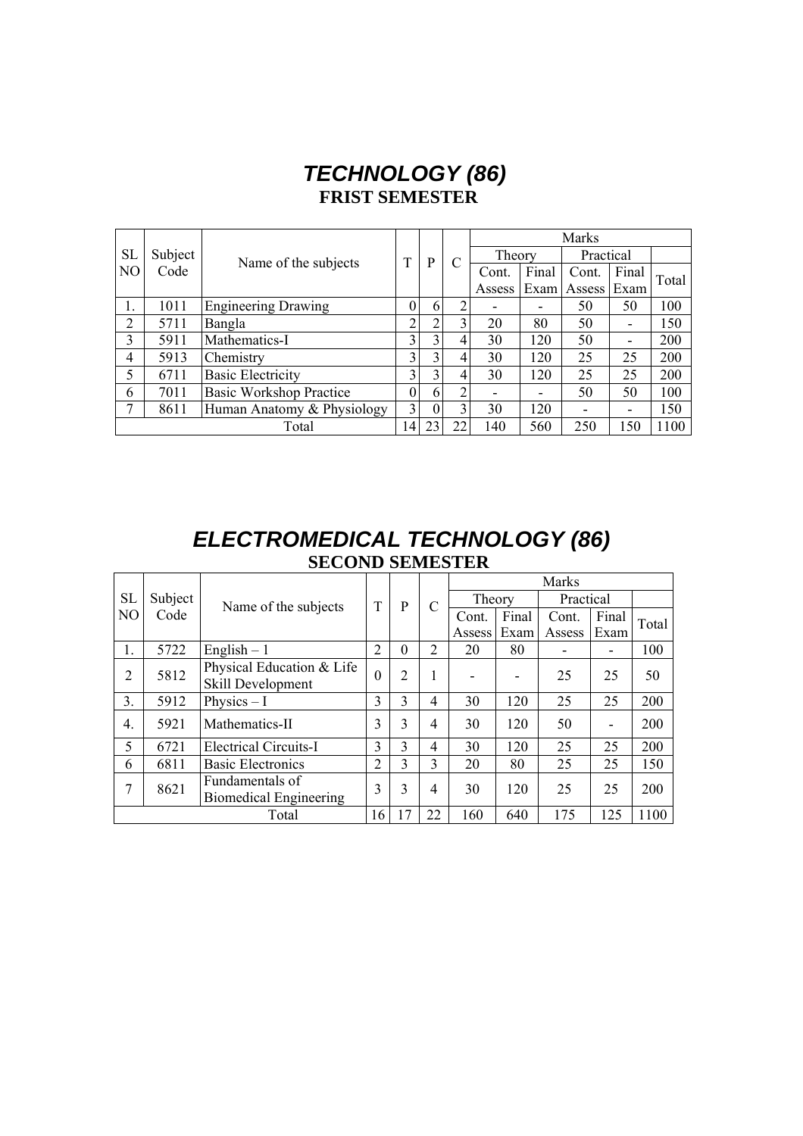## *TECHNOLOGY (86)*  **FRIST SEMESTER**

|                |         |                                |                |          |                |                          | <b>Marks</b> |        |           |       |  |
|----------------|---------|--------------------------------|----------------|----------|----------------|--------------------------|--------------|--------|-----------|-------|--|
| <b>SL</b>      | Subject | Name of the subjects           | T              | P        | C              |                          | Theory       |        | Practical |       |  |
| N <sub>O</sub> | Code    |                                |                |          |                | Cont.                    | Final        | Cont.  | Final     | Total |  |
|                |         |                                |                |          |                | Assess                   | Exam         | Assess | Exam      |       |  |
|                | 1011    | <b>Engineering Drawing</b>     | $\theta$       | 6        | 2              |                          |              | 50     | 50        | 100   |  |
| 2              | 5711    | Bangla                         | $\overline{2}$ | ↑        | 3              | 20                       | 80           | 50     |           | 150   |  |
| 3              | 5911    | Mathematics-I                  | 3              | 3        | 4              | 30                       | 120          | 50     | -         | 200   |  |
| 4              | 5913    | Chemistry                      | 3              | 3        | 4              | 30                       | 120          | 25     | 25        | 200   |  |
| 5              | 6711    | <b>Basic Electricity</b>       | 3              | 3        | 4              | 30                       | 120          | 25     | 25        | 200   |  |
| 6              | 7011    | <b>Basic Workshop Practice</b> | $\theta$       | 6        | $\overline{2}$ | $\overline{\phantom{0}}$ | -            | 50     | 50        | 100   |  |
| 7              | 8611    | Human Anatomy & Physiology     | 3              | $\theta$ | 3              | 30                       | 120          |        |           | 150   |  |
|                |         | Total                          | 14             | 23       | 22             | 140                      | 560          | 250    | 150       | 1100  |  |

### *ELECTROMEDICAL TECHNOLOGY (86)*  **SECOND SEMESTER**

|           |         |                               |                |                |                | Marks  |       |           |       |       |  |
|-----------|---------|-------------------------------|----------------|----------------|----------------|--------|-------|-----------|-------|-------|--|
| <b>SL</b> | Subject | Name of the subjects          | T              | P              | C              | Theory |       | Practical |       |       |  |
| NO        | Code    |                               |                |                |                | Cont.  | Final | Cont.     | Final | Total |  |
|           |         |                               |                |                |                | Assess | Exam  | Assess    | Exam  |       |  |
|           | 5722    | English $-1$                  | $\overline{2}$ | $\theta$       | $\overline{2}$ | 20     | 80    |           | ٠     | 100   |  |
| 2         | 5812    | Physical Education & Life     | $\theta$       | $\overline{2}$ | 1              |        |       | 25        | 25    | 50    |  |
|           |         | Skill Development             |                |                |                |        |       |           |       |       |  |
| 3.        | 5912    | Physics $-I$                  | 3              | 3              | 4              | 30     | 120   | 25        | 25    | 200   |  |
| 4.        | 5921    | Mathematics-II                | 3              | 3              | 4              | 30     | 120   | 50        | ٠     | 200   |  |
| 5         | 6721    | <b>Electrical Circuits-I</b>  | 3              | 3              | 4              | 30     | 120   | 25        | 25    | 200   |  |
| 6         | 6811    | <b>Basic Electronics</b>      | $\overline{2}$ | 3              | 3              | 20     | 80    | 25        | 25    | 150   |  |
| 7         | 8621    | Fundamentals of               | 3              | 3              | 4              | 30     | 120   | 25        | 25    | 200   |  |
|           |         | <b>Biomedical Engineering</b> |                |                |                |        |       |           |       |       |  |
|           |         | Total                         | 16             | 17             | 22             | 160    | 640   | 175       | 125   | 1100  |  |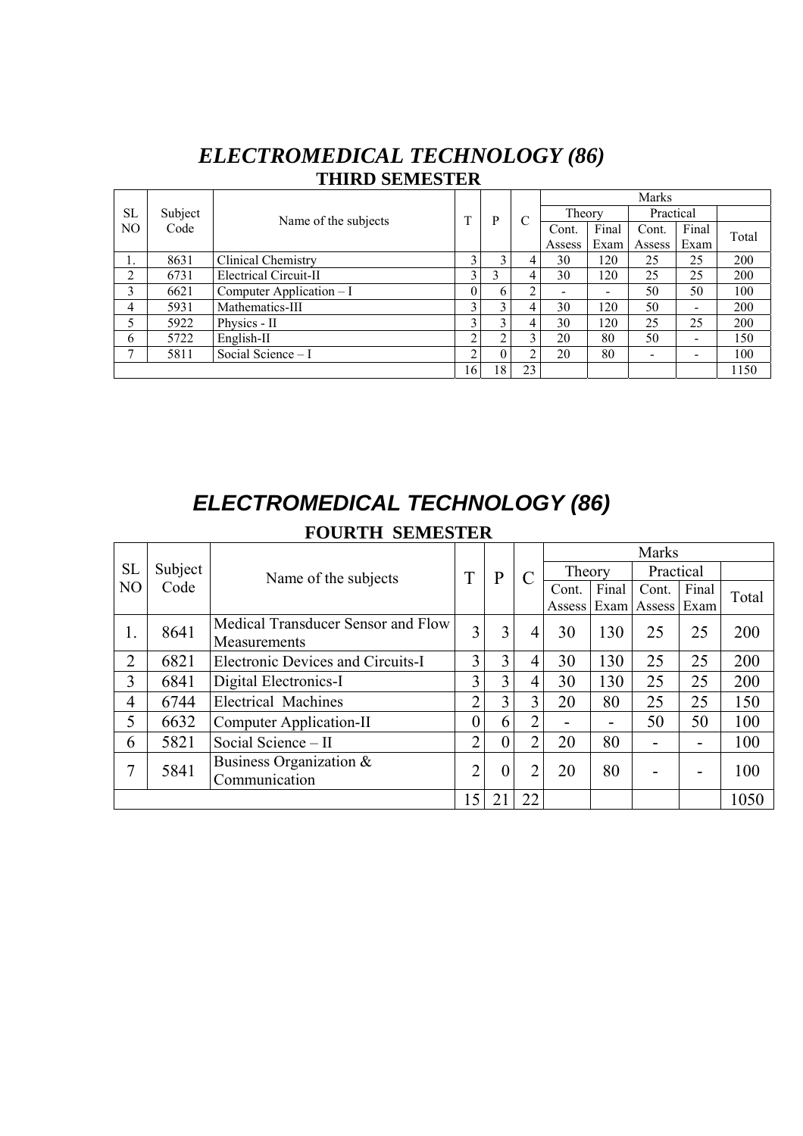### *ELECTROMEDICAL TECHNOLOGY (86)* **THIRD SEMESTER**

|           |                                 |                           |    |          |    | <b>Marks</b> |       |                              |                          |       |  |  |
|-----------|---------------------------------|---------------------------|----|----------|----|--------------|-------|------------------------------|--------------------------|-------|--|--|
| <b>SL</b> | Subject<br>Name of the subjects |                           | T  | P        |    | Theory       |       | Practical                    |                          |       |  |  |
| NO        | Code                            |                           |    |          |    | Cont.        | Final | Cont.                        | Final                    | Total |  |  |
|           |                                 |                           |    |          |    | Assess       | Exam  | Assess                       | Exam                     |       |  |  |
| 1.        | 8631                            | Clinical Chemistry        |    | 3        | 4  | 30           | 120   | 25                           | 25                       | 200   |  |  |
| 2         | 6731                            | Electrical Circuit-II     | 3  | 3        | 4  | 30           | 120   | 25                           | 25                       | 200   |  |  |
| 3         | 6621                            | Computer Application $-I$ |    | 6        | ↑  |              |       | 50                           | 50                       | 100   |  |  |
| 4         | 5931                            | Mathematics-III           | 3  | 3        | 4  | 30           | 120   | 50                           | $\overline{\phantom{0}}$ | 200   |  |  |
| 5         | 5922                            | Physics - II              |    |          | 4  | 30           | 120   | 25                           | 25                       | 200   |  |  |
| 6         | 5722                            | English-II                | ↑  | 2        | 3  | 20           | 80    | 50                           | $\overline{\phantom{0}}$ | 150   |  |  |
|           | 5811                            | Social Science - I        | ◠  | $\theta$ | ◠  | 20           | 80    | $\qquad \qquad \blacksquare$ | $\,$                     | 100   |  |  |
|           |                                 |                           | 16 | 18       | 23 |              |       |                              |                          | 1150  |  |  |

# *ELECTROMEDICAL TECHNOLOGY (86)*  **FOURTH SEMESTER**

|                |         |                                                    |                |                |                | <b>Marks</b> |       |             |       |       |  |  |
|----------------|---------|----------------------------------------------------|----------------|----------------|----------------|--------------|-------|-------------|-------|-------|--|--|
| <b>SL</b>      | Subject | Name of the subjects                               | T              | P              |                | Theory       |       | Practical   |       |       |  |  |
| N <sub>O</sub> | Code    |                                                    |                |                |                | Cont.        | Final | Cont.       | Final | Total |  |  |
|                |         |                                                    |                |                |                | Assess Exam  |       | Assess Exam |       |       |  |  |
| 1.             | 8641    | Medical Transducer Sensor and Flow<br>Measurements | 3              | 3              | $\overline{4}$ | 30           | 130   | 25          | 25    | 200   |  |  |
| $\overline{2}$ | 6821    | Electronic Devices and Circuits-I                  | 3              | 3              | 4              | 30           | 130   | 25          | 25    | 200   |  |  |
| 3              | 6841    | Digital Electronics-I                              | 3              | 3              | $\overline{4}$ | 30           | 130   | 25          | 25    | 200   |  |  |
| $\overline{4}$ | 6744    | <b>Electrical Machines</b>                         | ∍              | 3              | 3              | 20           | 80    | 25          | 25    | 150   |  |  |
| 5              | 6632    | Computer Application-II                            |                | 6              | $\overline{2}$ | -            |       | 50          | 50    | 100   |  |  |
| 6              | 5821    | Social Science - II                                | $\overline{2}$ | $\overline{0}$ | $\overline{2}$ | 20           | 80    |             |       | 100   |  |  |
| 7              | 5841    | Business Organization $\&$                         | ി              | $\theta$       | $\overline{2}$ | 20           | 80    |             |       | 100   |  |  |
|                |         | Communication                                      |                |                |                |              |       |             |       |       |  |  |
|                |         |                                                    | 15             |                | 22             |              |       |             |       | 1050  |  |  |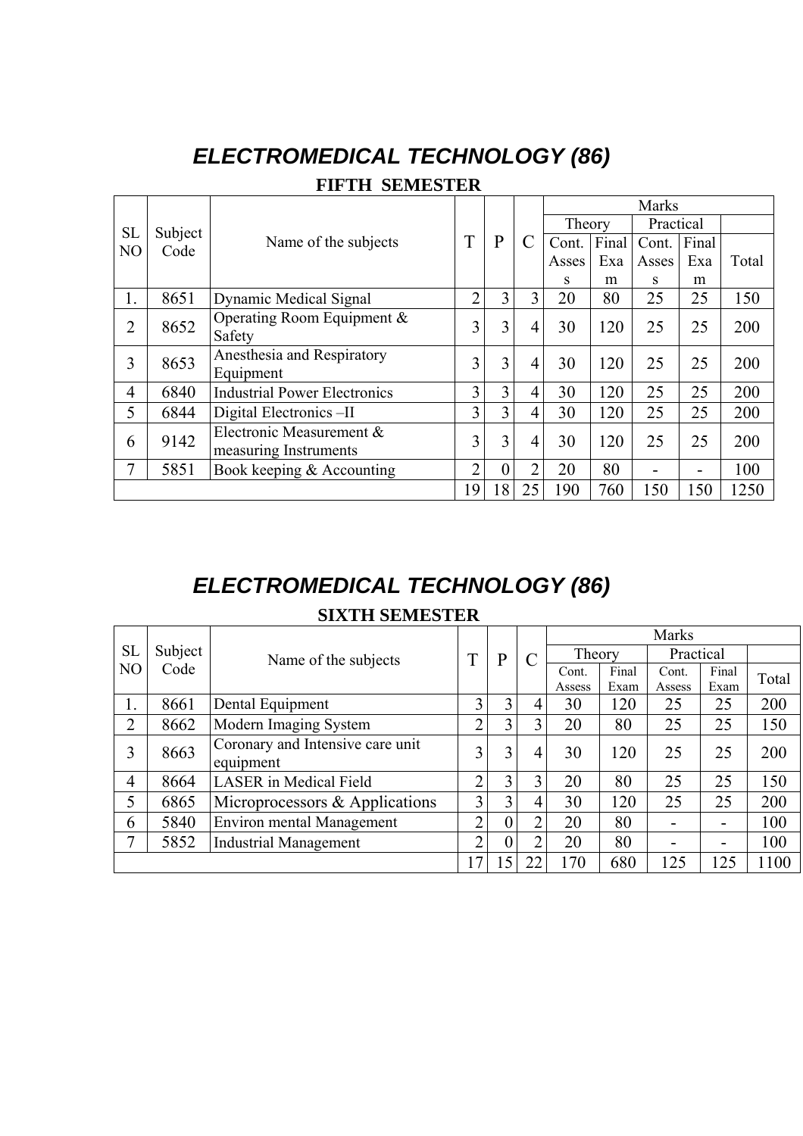# *ELECTROMEDICAL TECHNOLOGY (86)*

|                |                 |                                     |                |                  |                | Marks  |       |           |       |       |
|----------------|-----------------|-------------------------------------|----------------|------------------|----------------|--------|-------|-----------|-------|-------|
| <b>SL</b>      |                 |                                     |                |                  |                | Theory |       | Practical |       |       |
| N <sub>O</sub> | Subject<br>Code | Name of the subjects                | T              | P                |                | Cont.  | Final | Cont.     | Final |       |
|                |                 |                                     |                |                  |                | Asses  | Exa   | Asses     | Exa   | Total |
|                |                 |                                     |                |                  |                | S      | m     | S         | m     |       |
| 1.             | 8651            | Dynamic Medical Signal              | $\overline{2}$ | 3                | 3              | 20     | 80    | 25        | 25    | 150   |
| $\overline{2}$ | 8652            | Operating Room Equipment $\&$       | 3              | 3                | $\overline{4}$ | 30     | 120   | 25        | 25    | 200   |
|                |                 | Safety                              |                |                  |                |        |       |           |       |       |
| 3              | 8653            | Anesthesia and Respiratory          | $\overline{3}$ | 3                | $\overline{4}$ | 30     | 120   | 25        | 25    | 200   |
|                |                 | Equipment                           |                |                  |                |        |       |           |       |       |
| 4              | 6840            | <b>Industrial Power Electronics</b> | 3              | 3                | $\overline{4}$ | 30     | 120   | 25        | 25    | 200   |
| 5              | 6844            | Digital Electronics -II             | $\overline{3}$ | 3                | 4              | 30     | 120   | 25        | 25    | 200   |
| 6              | 9142            | Electronic Measurement &            | $\overline{3}$ | 3                | 4              | 30     | 120   | 25        | 25    | 200   |
|                |                 | measuring Instruments               |                |                  |                |        |       |           |       |       |
| 7              | 5851            | Book keeping & Accounting           | $\overline{2}$ | $\boldsymbol{0}$ | $\overline{2}$ | 20     | 80    | -         | -     | 100   |
|                |                 |                                     | 19             | 18               | 25             | 190    | 760   | 150       | 150   | 1250  |

# *ELECTROMEDICAL TECHNOLOGY (86)*

### **SIXTH SEMESTER**

|                |         |                                  |                |                |                |        |       | Marks                    |       |       |
|----------------|---------|----------------------------------|----------------|----------------|----------------|--------|-------|--------------------------|-------|-------|
| <b>SL</b>      | Subject | Name of the subjects             | T              | P              | $\mathcal{C}$  | Theory |       | Practical                |       |       |
| N <sub>O</sub> | Code    |                                  |                |                |                | Cont.  | Final | Cont.                    | Final | Total |
|                |         |                                  |                |                |                | Assess | Exam  | Assess                   | Exam  |       |
| 1.             | 8661    | Dental Equipment                 | 3              | 3              | 4              | 30     | 120   | 25                       | 25    | 200   |
| $\overline{2}$ | 8662    | Modern Imaging System            | $\overline{2}$ | 3              | 3              | 20     | 80    | 25                       | 25    | 150   |
| 3              | 8663    | Coronary and Intensive care unit | $\overline{3}$ | 3              | $\overline{4}$ | 30     | 120   | 25                       | 25    | 200   |
|                |         | equipment                        |                |                |                |        |       |                          |       |       |
| $\overline{4}$ | 8664    | <b>LASER</b> in Medical Field    | ↑              | 3              | 3              | 20     | 80    | 25                       | 25    | 150   |
| 5              | 6865    | Microprocessors & Applications   | 3 <sub>1</sub> | 3              | 4              | 30     | 120   | 25                       | 25    | 200   |
| 6              | 5840    | <b>Environ mental Management</b> | $\overline{2}$ | $\overline{0}$ | $\overline{2}$ | 20     | 80    | $\overline{\phantom{0}}$ |       | 100   |
| 7              | 5852    | <b>Industrial Management</b>     | $\overline{2}$ | $\theta$       | $\overline{2}$ | 20     | 80    | -                        |       | 100   |
|                |         |                                  | 17             | 15             | 22             | 170    | 680   | 125                      | 125   | 1100  |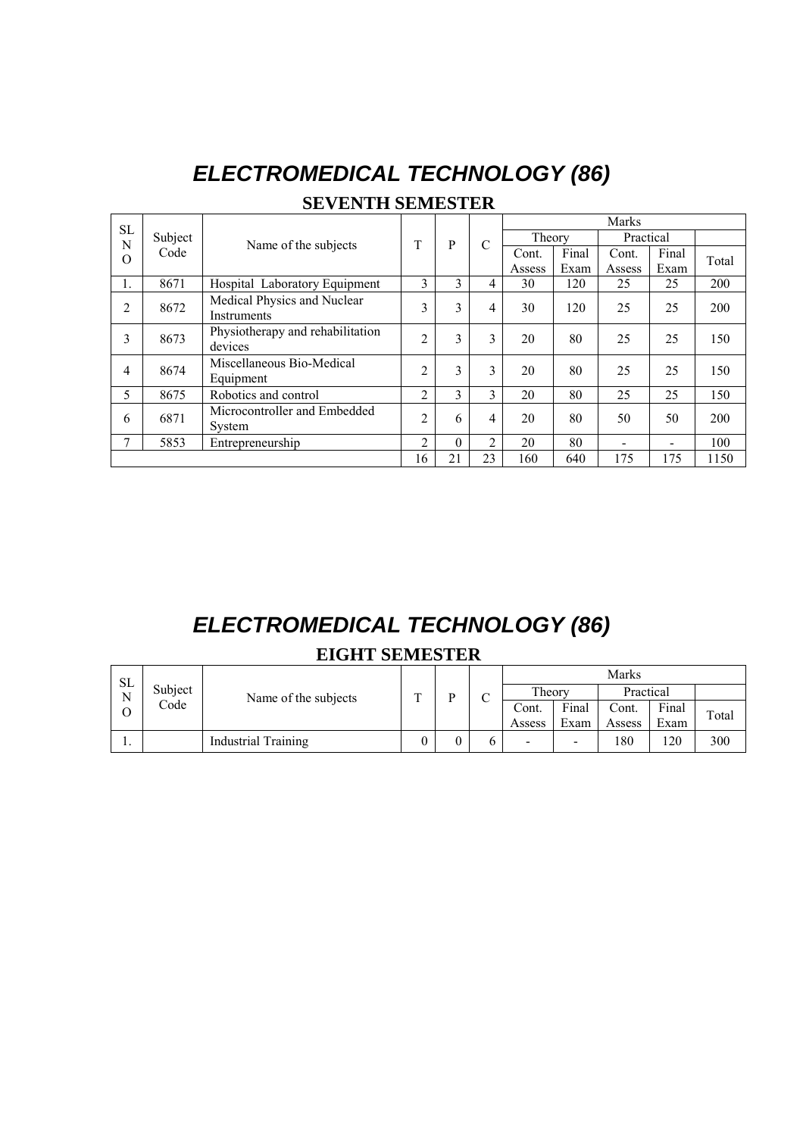| <b>SL</b>      |         |                                             |                |          |                | <b>Marks</b> |       |           |       |       |  |  |
|----------------|---------|---------------------------------------------|----------------|----------|----------------|--------------|-------|-----------|-------|-------|--|--|
| N              | Subject | Name of the subjects                        | T              | P        | $\mathcal{C}$  | Theory       |       | Practical |       |       |  |  |
| O              | Code    |                                             |                |          |                | Cont.        | Final | Cont.     | Final | Total |  |  |
|                |         |                                             |                |          |                | Assess       | Exam  | Assess    | Exam  |       |  |  |
|                | 8671    | Hospital Laboratory Equipment               | 3              | 3        | 4              | 30           | 120   | 25        | 25    | 200   |  |  |
| $\overline{c}$ | 8672    | Medical Physics and Nuclear<br>Instruments  | 3              | 3        | 4              | 30           | 120   | 25        | 25    | 200   |  |  |
| 3              | 8673    | Physiotherapy and rehabilitation<br>devices | $\overline{2}$ | 3        | 3              | 20           | 80    | 25        | 25    | 150   |  |  |
| 4              | 8674    | Miscellaneous Bio-Medical<br>Equipment      | $\overline{2}$ | 3        | 3              | 20           | 80    | 25        | 25    | 150   |  |  |
| 5              | 8675    | Robotics and control                        | 2              | 3        | 3              | 20           | 80    | 25        | 25    | 150   |  |  |
| 6              | 6871    | Microcontroller and Embedded<br>System      | $\overline{2}$ | 6        | 4              | 20           | 80    | 50        | 50    | 200   |  |  |
| 7              | 5853    | Entrepreneurship                            | 2              | $\Omega$ | $\mathfrak{D}$ | 20           | 80    |           |       | 100   |  |  |
|                |         |                                             | 16             | 21       | 23             | 160          | 640   | 175       | 175   | 1150  |  |  |

# *ELECTROMEDICAL TECHNOLOGY (86)*  **SEVENTH SEMESTER**

# *ELECTROMEDICAL TECHNOLOGY (86)*

#### **EIGHT SEMESTER**

| SL |         | Name of the subjects       |   |   | $\sim$<br>◡ | Marks  |        |        |           |       |  |
|----|---------|----------------------------|---|---|-------------|--------|--------|--------|-----------|-------|--|
| N  | Subject |                            | m | n |             |        | Theory |        | Practical |       |  |
|    | Code    |                            |   |   |             | Cont.  | Final  | Cont.  | Final     | Total |  |
|    |         |                            |   |   |             | Assess | Exam   | Assess | Exam      |       |  |
|    |         | <b>Industrial Training</b> |   |   |             | -      | -      | 180    | 120       | 300   |  |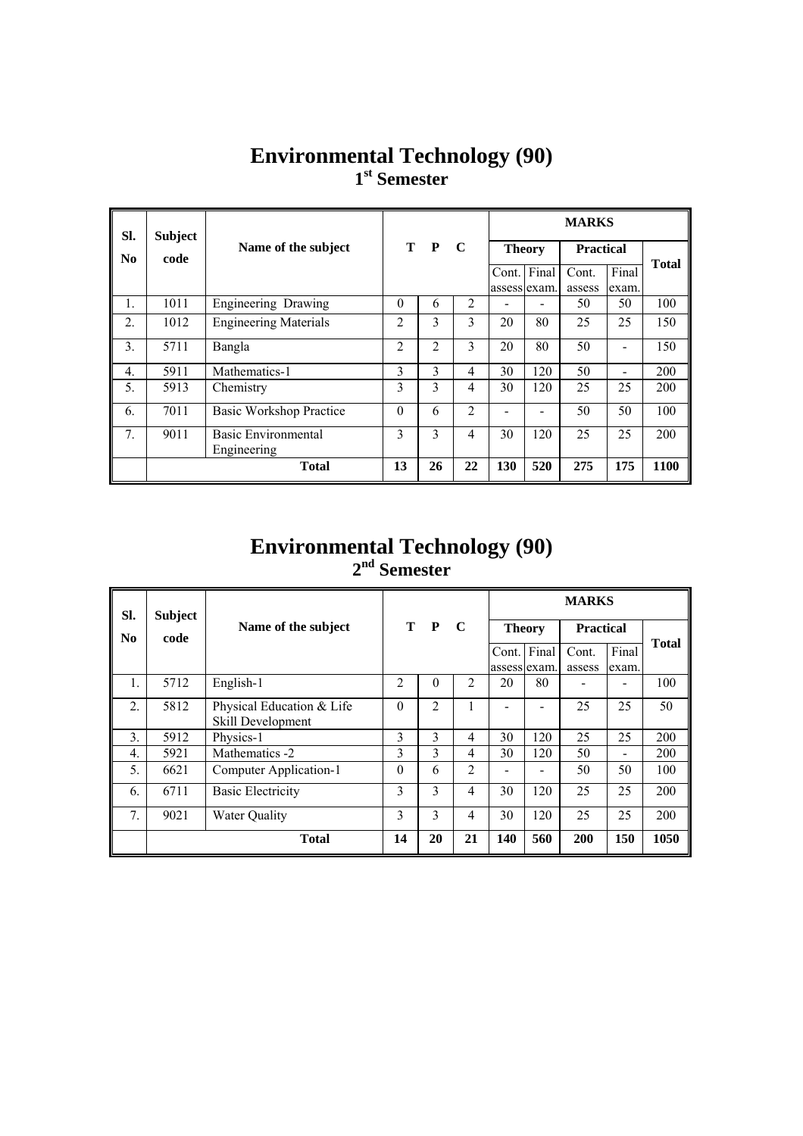### **Environmental Technology (90) 1st Semester**

| SI.              | <b>Subject</b> |                              | т<br>$\mathbf{P}$<br>C |    |                | <b>MARKS</b>  |       |                  |                          |              |  |
|------------------|----------------|------------------------------|------------------------|----|----------------|---------------|-------|------------------|--------------------------|--------------|--|
| N <sub>0</sub>   | code           | Name of the subject          |                        |    |                | <b>Theory</b> |       | <b>Practical</b> |                          | <b>Total</b> |  |
|                  |                |                              |                        |    |                | Cont.         | Final | Cont.            | Final                    |              |  |
|                  |                |                              |                        |    |                | assess exam.  |       | assess           | exam.                    |              |  |
| $\mathbf{1}$ .   | 1011           | Engineering Drawing          | $\theta$               | 6  | 2              |               |       | 50               | 50                       | 100          |  |
| 2.               | 1012           | <b>Engineering Materials</b> | 2                      | 3  | $\mathbf{3}$   | 20            | 80    | 25               | 25                       | 150          |  |
| $\mathfrak{Z}$ . | 5711           | Bangla                       | 2                      | 2  | 3              | 20            | 80    | 50               | -                        | 150          |  |
| $\overline{4}$ . | 5911           | Mathematics-1                | 3                      | 3  | 4              | 30            | 120   | 50               | $\overline{\phantom{0}}$ | 200          |  |
| 5.               | 5913           | Chemistry                    | 3                      | 3  | 4              | 30            | 120   | 25               | 25                       | 200          |  |
| 6.               | 7011           | Basic Workshop Practice      | $\theta$               | 6  | 2              |               |       | 50               | 50                       | 100          |  |
| 7.               | 9011           | Basic Environmental          | 3                      | 3  | $\overline{4}$ | 30            | 120   | 25               | 25                       | 200          |  |
|                  |                | Engineering                  |                        |    |                |               |       |                  |                          |              |  |
|                  |                | <b>Total</b>                 | 13                     | 26 | 22             | 130           | 520   | 275              | 175                      | 1100         |  |

#### **Environmental Technology (90) 2nd Semester**

| SI.                    | <b>Subject</b> |                                                | T P<br>C       |                |    | <b>MARKS</b>           |       |                  |                              |              |  |
|------------------------|----------------|------------------------------------------------|----------------|----------------|----|------------------------|-------|------------------|------------------------------|--------------|--|
| $\mathbf{N}\mathbf{0}$ | code           | Name of the subject                            |                |                |    | <b>Theory</b>          |       | <b>Practical</b> |                              |              |  |
|                        |                |                                                |                |                |    | Cont.<br>assess lexam. | Final | Cont.<br>assess  | Final<br>exam.               | <b>Total</b> |  |
| 1.                     | 5712           | English-1                                      | $\overline{2}$ | $\Omega$       | 2  | 20                     | 80    |                  |                              | 100          |  |
| $\overline{2}$ .       | 5812           | Physical Education & Life<br>Skill Development | $\Omega$       | $\mathfrak{D}$ |    |                        |       | 25               | 25                           | 50           |  |
| 3.                     | 5912           | Physics-1                                      | 3              | 3              | 4  | 30                     | 120   | 25               | 25                           | 200          |  |
| $\overline{4}$ .       | 5921           | Mathematics -2                                 | 3              | 3              | 4  | 30                     | 120   | 50               | $\qquad \qquad \blacksquare$ | 200          |  |
| 5.                     | 6621           | Computer Application-1                         | $\Omega$       | 6              | 2  |                        |       | 50               | 50                           | 100          |  |
| 6.                     | 6711           | <b>Basic Electricity</b>                       | 3              | 3              | 4  | 30                     | 120   | 25               | 25                           | 200          |  |
| 7 <sub>1</sub>         | 9021           | <b>Water Quality</b>                           | 3              | 3              | 4  | 30                     | 120   | 25               | 25                           | 200          |  |
|                        |                | <b>Total</b>                                   | 14             | 20             | 21 | 140                    | 560   | <b>200</b>       | 150                          | 1050         |  |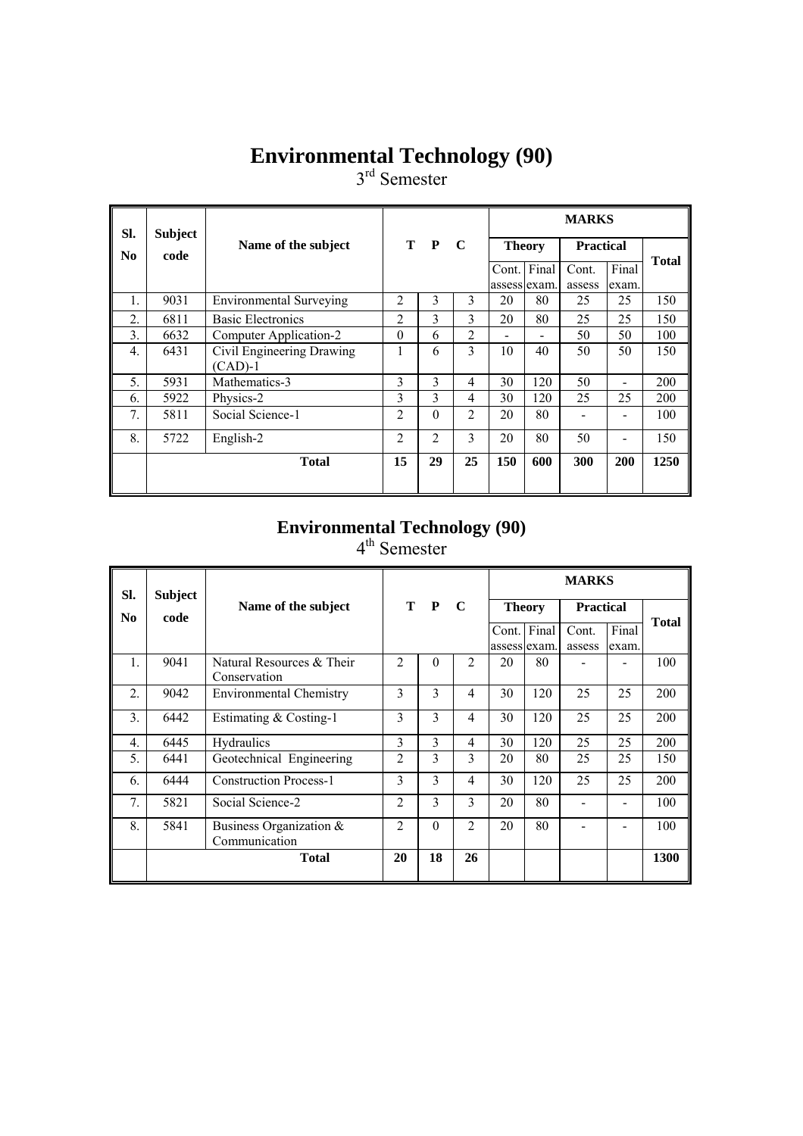### **Environmental Technology (90)**

3<sup>rd</sup> Semester

| SI. | <b>Subject</b> |                                | T P<br>$\mathbf C$ |          |                | <b>MARKS</b>  |     |                  |       |              |  |
|-----|----------------|--------------------------------|--------------------|----------|----------------|---------------|-----|------------------|-------|--------------|--|
| No  | code           | Name of the subject            |                    |          |                | <b>Theory</b> |     | <b>Practical</b> |       | <b>Total</b> |  |
|     |                |                                |                    |          |                | Cont. Final   |     | Cont.            | Final |              |  |
|     |                |                                |                    |          |                | assess exam.  |     | assess           | exam. |              |  |
| 1.  | 9031           | <b>Environmental Surveying</b> | $\mathfrak{D}$     | 3        | 3              | 20            | 80  | 25               | 25    | 150          |  |
| 2.  | 6811           | <b>Basic Electronics</b>       | $\overline{c}$     | 3        | 3              | 20            | 80  | 25               | 25    | 150          |  |
| 3.  | 6632           | Computer Application-2         | $\theta$           | 6        | $\overline{2}$ |               |     | 50               | 50    | 100          |  |
| 4.  | 6431           | Civil Engineering Drawing      |                    | 6        | 3              | 10            | 40  | 50               | 50    | 150          |  |
|     |                | $(CAD)-1$                      |                    |          |                |               |     |                  |       |              |  |
| 5.  | 5931           | Mathematics-3                  | 3                  | 3        | 4              | 30            | 120 | 50               |       | 200          |  |
| 6.  | 5922           | Physics-2                      | 3                  | 3        | 4              | 30            | 120 | 25               | 25    | 200          |  |
| 7.  | 5811           | Social Science-1               | $\overline{2}$     | $\theta$ | 2              | 20            | 80  |                  |       | 100          |  |
| 8.  | 5722           | English-2                      | $\overline{2}$     | 2        | 3              | 20            | 80  | 50               |       | 150          |  |
|     |                | <b>Total</b>                   | 15                 | 29       | 25             | 150           | 600 | 300              | 200   | 1250         |  |
|     |                |                                |                    |          |                |               |     |                  |       |              |  |

## **Environmental Technology (90)**

4<sup>th</sup> Semester

| SI.              | <b>Subject</b> |                                           |                |              |                        |              |               | <b>MARKS</b>     |       |              |
|------------------|----------------|-------------------------------------------|----------------|--------------|------------------------|--------------|---------------|------------------|-------|--------------|
| No               | code           | Name of the subject                       | т              | $\mathbf{P}$ | $\mathbf C$            |              | <b>Theory</b> | <b>Practical</b> |       |              |
|                  |                |                                           |                |              |                        |              | Cont. Final   | Cont.            | Final | <b>Total</b> |
|                  |                |                                           |                |              |                        | assess exam. |               | assess           | exam. |              |
| 1.               | 9041           | Natural Resources & Their<br>Conservation | $\mathfrak{D}$ | $\theta$     | $\mathfrak{D}$         | 20           | 80            |                  |       | 100          |
| 2.               | 9042           | <b>Environmental Chemistry</b>            | 3              | 3            | $\overline{4}$         | 30           | 120           | 25               | 25    | 200          |
| 3.               | 6442           | Estimating & Costing-1                    | 3              | 3            | $\overline{4}$         | 30           | 120           | 25               | 25    | 200          |
| $\overline{4}$ . | 6445           | Hydraulics                                | 3              | 3            | $\overline{4}$         | 30           | 120           | 25               | 25    | 200          |
| 5.               | 6441           | Geotechnical Engineering                  | $\overline{c}$ | 3            | $\mathbf{3}$           | 20           | 80            | 25               | 25    | 150          |
| 6.               | 6444           | <b>Construction Process-1</b>             | 3              | 3            | $\overline{4}$         | 30           | 120           | 25               | 25    | 200          |
| 7.               | 5821           | Social Science-2                          | 2              | 3            | 3                      | 20           | 80            |                  |       | 100          |
| 8.               | 5841           | Business Organization &<br>Communication  | $\overline{2}$ | $\theta$     | $\mathcal{D}_{\alpha}$ | 20           | 80            |                  |       | 100          |
|                  |                | <b>Total</b>                              | 20             | 18           | 26                     |              |               |                  |       | 1300         |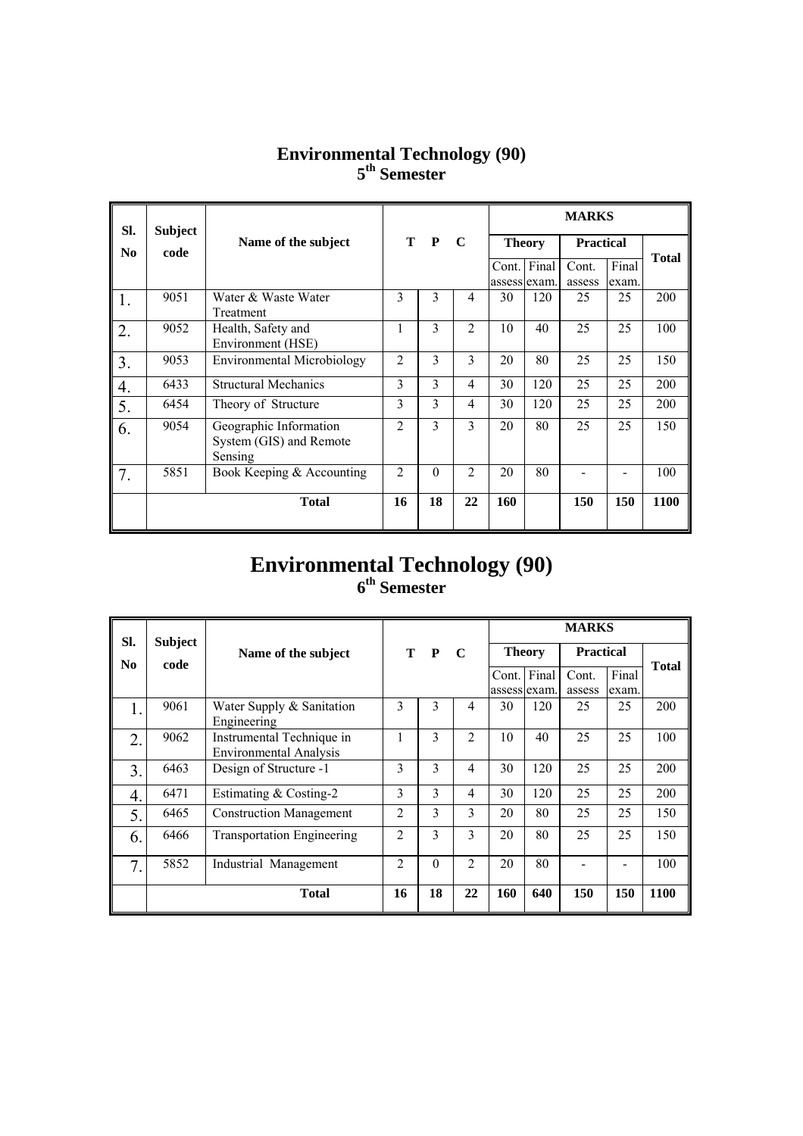#### **Environmental Technology (90) 5th Semester**

| SI.              | <b>Subject</b> |                                                   |                |                |                |              |               | <b>MARKS</b>     |       |              |
|------------------|----------------|---------------------------------------------------|----------------|----------------|----------------|--------------|---------------|------------------|-------|--------------|
| N <sub>0</sub>   | code           | Name of the subject                               |                | T P            | $\mathbf C$    |              | <b>Theory</b> | <b>Practical</b> |       |              |
|                  |                |                                                   |                |                |                |              | Cont. Final   | Cont.            | Final | <b>Total</b> |
|                  |                |                                                   |                |                |                | assess exam. |               | assess           | exam. |              |
| 1.               | 9051           | Water & Waste Water                               | 3              | 3              | $\overline{4}$ | 30           | 120           | 25               | 25    | 200          |
|                  |                | Treatment                                         |                |                |                |              |               |                  |       |              |
| 2.               | 9052           | Health, Safety and                                |                | $\mathcal{E}$  | $\mathfrak{D}$ | 10           | 40            | 25               | 25    | 100          |
|                  |                | Environment (HSE)                                 |                |                |                |              |               |                  |       |              |
| 3.               | 9053           | <b>Environmental Microbiology</b>                 | 2              | $\overline{3}$ | 3              | 20           | 80            | 25               | 25    | 150          |
| $\overline{4}$ . | 6433           | <b>Structural Mechanics</b>                       | 3              | 3              | $\overline{4}$ | 30           | 120           | 25               | 25    | 200          |
| 5.               | 6454           | Theory of Structure                               | 3              | 3              | $\overline{4}$ | 30           | 120           | 25               | 25    | 200          |
| 6.               | 9054           | Geographic Information<br>System (GIS) and Remote | $\mathfrak{D}$ | 3              | 3              | 20           | 80            | 25               | 25    | 150          |
|                  |                | Sensing                                           |                |                |                |              |               |                  |       |              |
| 7.               | 5851           | Book Keeping & Accounting                         | $\overline{2}$ | $\theta$       | $\mathfrak{D}$ | 20           | 80            |                  |       | 100          |
|                  |                | <b>Total</b>                                      | 16             | 18             | 22             | 160          |               | 150              | 150   | 1100         |
|                  |                |                                                   |                |                |                |              |               |                  |       |              |

#### **Environmental Technology (90) 6th Semester**

| SI.            | <b>Subject</b> |                                                            |                |              |                |               |       | <b>MARKS</b>     |       |              |
|----------------|----------------|------------------------------------------------------------|----------------|--------------|----------------|---------------|-------|------------------|-------|--------------|
| N <sub>0</sub> | code           | Name of the subject                                        | т              | $\mathbf{P}$ | - C            | <b>Theory</b> |       | <b>Practical</b> |       |              |
|                |                |                                                            |                |              |                | Cont.         | Final | Cont.            | Final | <b>Total</b> |
|                |                |                                                            |                |              |                | assess exam.  |       | assess           | exam. |              |
| 1.             | 9061           | Water Supply & Sanitation<br>Engineering                   | 3              | 3            | 4              | 30            | 120   | 25               | 25    | 200          |
| 2.             | 9062           | Instrumental Technique in<br><b>Environmental Analysis</b> |                | 3            | $\overline{2}$ | 10            | 40    | 25               | 25    | 100          |
| 3.             | 6463           | Design of Structure -1                                     | 3              | 3            | 4              | 30            | 120   | 25               | 25    | 200          |
| 4.             | 6471           | Estimating & Costing-2                                     | 3              | 3            | 4              | 30            | 120   | 25               | 25    | 200          |
| 5.             | 6465           | <b>Construction Management</b>                             | $\overline{2}$ | 3            | 3              | 20            | 80    | 25               | 25    | 150          |
| 6.             | 6466           | <b>Transportation Engineering</b>                          | $\mathfrak{D}$ | 3            | $\mathcal{E}$  | 20            | 80    | 25               | 25    | 150          |
| 7.             | 5852           | Industrial Management                                      | $\overline{2}$ | $\Omega$     | $\overline{2}$ | 20            | 80    |                  |       | 100          |
|                |                | <b>Total</b>                                               | 16             | 18           | 22             | 160           | 640   | 150              | 150   | 1100         |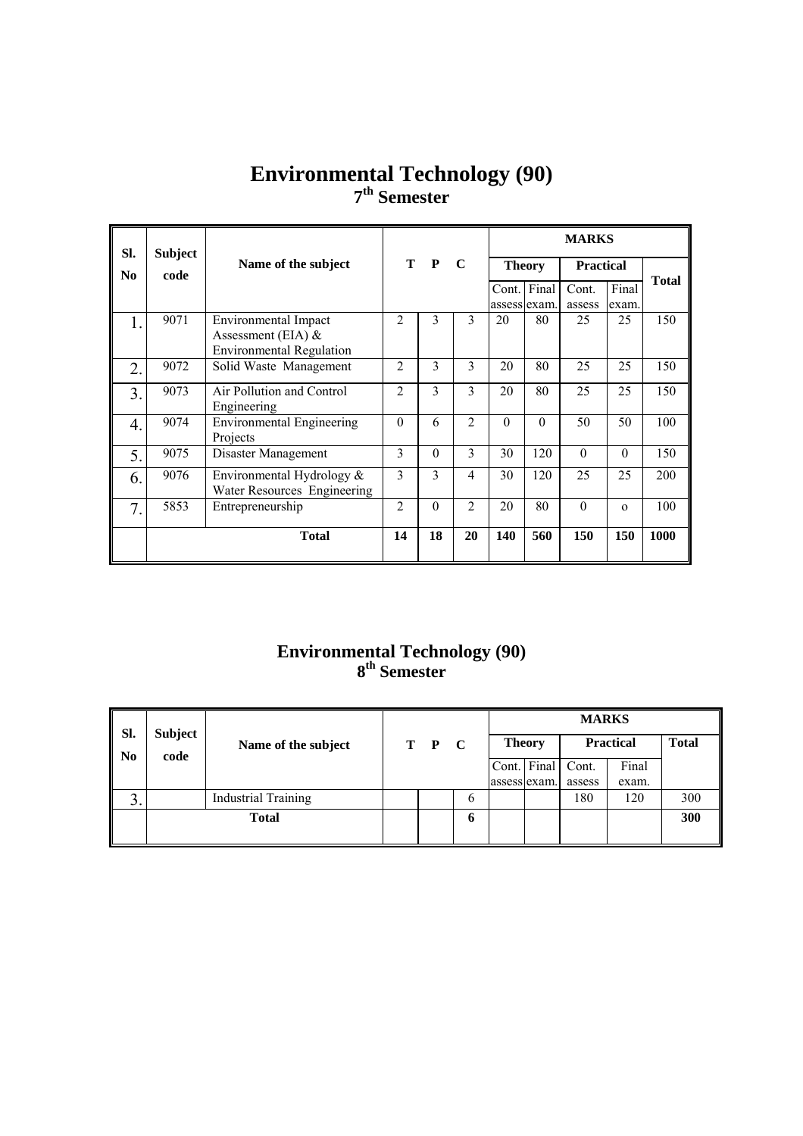### **Environmental Technology (90) 7th Semester**

| Sl. | <b>Subject</b> |                                                          |                |              |                |              |               | <b>MARKS</b>     |          |              |
|-----|----------------|----------------------------------------------------------|----------------|--------------|----------------|--------------|---------------|------------------|----------|--------------|
| No  | code           | Name of the subject                                      | т              | $\mathbf{P}$ | $\mathbf C$    |              | <b>Theory</b> | <b>Practical</b> |          |              |
|     |                |                                                          |                |              |                | Cont.        | Final         | Cont.            | Final    | <b>Total</b> |
|     |                |                                                          |                |              |                | assess exam. |               | assess           | exam.    |              |
|     | 9071           | Environmental Impact                                     | $\overline{2}$ | 3            | 3              | 20           | 80            | 25               | 25       | 150          |
|     |                | Assessment (EIA) $&$                                     |                |              |                |              |               |                  |          |              |
|     |                | <b>Environmental Regulation</b>                          |                |              |                |              |               |                  |          |              |
| 2.  | 9072           | Solid Waste Management                                   | 2              | 3            | $\overline{3}$ | 20           | 80            | 25               | 25       | 150          |
| 3.  | 9073           | Air Pollution and Control<br>Engineering                 | 2              | 3            | $\mathcal{E}$  | 20           | 80            | 25               | 25       | 150          |
| 4.  | 9074           | <b>Environmental Engineering</b><br>Projects             | $\theta$       | 6            | $\overline{2}$ | $\Omega$     | $\Omega$      | 50               | 50       | 100          |
| 5.  | 9075           | Disaster Management                                      | 3              | $\Omega$     | 3              | 30           | 120           | $\Omega$         | $\Omega$ | 150          |
| 6.  | 9076           | Environmental Hydrology &<br>Water Resources Engineering | 3              | 3            | 4              | 30           | 120           | 25               | 25       | 200          |
| 7.  | 5853           | Entrepreneurship                                         | 2              | $\theta$     | $\mathfrak{D}$ | 20           | 80            | $\theta$         | $\Omega$ | 100          |
|     |                | <b>Total</b>                                             | 14             | 18           | 20             | 140          | 560           | 150              | 150      | 1000         |

#### **Environmental Technology (90) 8th Semester**

| SI.     | <b>Subject</b> |                            |       |   |              |               | <b>MARKS</b> |                  |              |
|---------|----------------|----------------------------|-------|---|--------------|---------------|--------------|------------------|--------------|
| No      | code           | Name of the subject        | T P C |   |              | <b>Theory</b> |              | <b>Practical</b> | <b>Total</b> |
|         |                |                            |       |   |              | Cont. Final   | Cont.        | Final            |              |
|         |                |                            |       |   | assess exam. |               | assess       | exam.            |              |
| ◠<br>J. |                | <b>Industrial Training</b> |       | 6 |              |               | 180          | 120              | 300          |
|         |                | <b>Total</b>               |       | o |              |               |              |                  | 300          |
|         |                |                            |       |   |              |               |              |                  |              |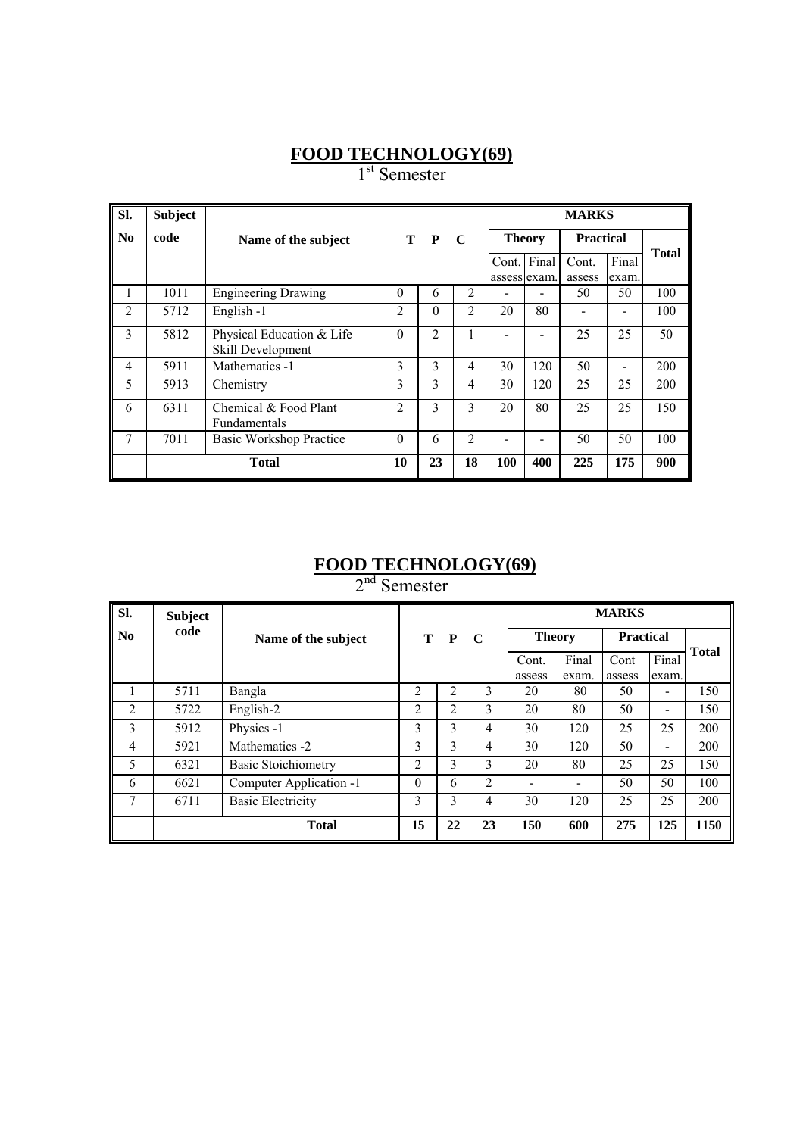#### **FOOD TECHNOLOGY(69)**

1<sup>st</sup> Semester

| Sl.            | <b>Subject</b> |                                                |                |                |                |                       |       | <b>MARKS</b>     |                |              |
|----------------|----------------|------------------------------------------------|----------------|----------------|----------------|-----------------------|-------|------------------|----------------|--------------|
| No             | code           | Name of the subject                            |                | T P            | C              | <b>Theory</b>         |       | <b>Practical</b> |                |              |
|                |                |                                                |                |                |                | Cont.<br>assess exam. | Final | Cont.<br>assess  | Final<br>exam. | <b>Total</b> |
| I.             | 1011           | <b>Engineering Drawing</b>                     | $\theta$       | 6              | $\overline{2}$ |                       |       | 50               | 50             | 100          |
| $\overline{2}$ | 5712           | English -1                                     | $\overline{2}$ | 0              | 2              | 20                    | 80    |                  |                | 100          |
| 3              | 5812           | Physical Education & Life<br>Skill Development | $\theta$       | $\overline{2}$ |                |                       |       | 25               | 25             | 50           |
| 4              | 5911           | Mathematics -1                                 | 3              | 3              | $\overline{4}$ | 30                    | 120   | 50               |                | 200          |
| 5              | 5913           | Chemistry                                      | 3              | $\mathcal{E}$  | 4              | 30                    | 120   | 25               | 25             | 200          |
| 6              | 6311           | Chemical & Food Plant<br>Fundamentals          | $\mathfrak{D}$ | 3              | 3              | 20                    | 80    | 25               | 25             | 150          |
| 7              | 7011           | Basic Workshop Practice                        | $\Omega$       | 6              | 2              |                       |       | 50               | 50             | 100          |
|                |                | <b>Total</b>                                   | 10             | 23             | 18             | 100                   | 400   | 225              | 175            | 900          |

#### **FOOD TECHNOLOGY(69)**

2<sup>nd</sup> Semester

| SI.            | <b>Subject</b> |                            |                       |    |                |        |                  | <b>MARKS</b> |                              |              |
|----------------|----------------|----------------------------|-----------------------|----|----------------|--------|------------------|--------------|------------------------------|--------------|
| N <sub>0</sub> | code           | Name of the subject        | T<br>$\mathbf C$<br>P |    | <b>Theory</b>  |        | <b>Practical</b> |              |                              |              |
|                |                |                            |                       |    |                | Cont.  | Final            | Cont         | Final                        | <b>Total</b> |
|                |                |                            |                       |    |                | assess | exam.            | assess       | exam.                        |              |
|                | 5711           | Bangla                     | 2                     | 2  | 3              | 20     | 80               | 50           | $\qquad \qquad \blacksquare$ | 150          |
| $\overline{2}$ | 5722           | English-2                  | 2                     | 2  | 3              | 20     | 80               | 50           |                              | 150          |
| 3              | 5912           | Physics -1                 | 3                     | 3  | 4              | 30     | 120              | 25           | 25                           | 200          |
| 4              | 5921           | Mathematics -2             | 3                     | 3  | 4              | 30     | 120              | 50           | $\qquad \qquad \blacksquare$ | 200          |
| 5              | 6321           | <b>Basic Stoichiometry</b> | $\overline{2}$        | 3  | 3              | 20     | 80               | 25           | 25                           | 150          |
| 6              | 6621           | Computer Application -1    | $\Omega$              | 6  | $\overline{2}$ |        |                  | 50           | 50                           | 100          |
| 7              | 6711           | <b>Basic Electricity</b>   | 3                     | 3  | 4              | 30     | 120              | 25           | 25                           | 200          |
|                |                | <b>Total</b>               | 15                    | 22 | 23             | 150    | 600              | 275          | 125                          | 1150         |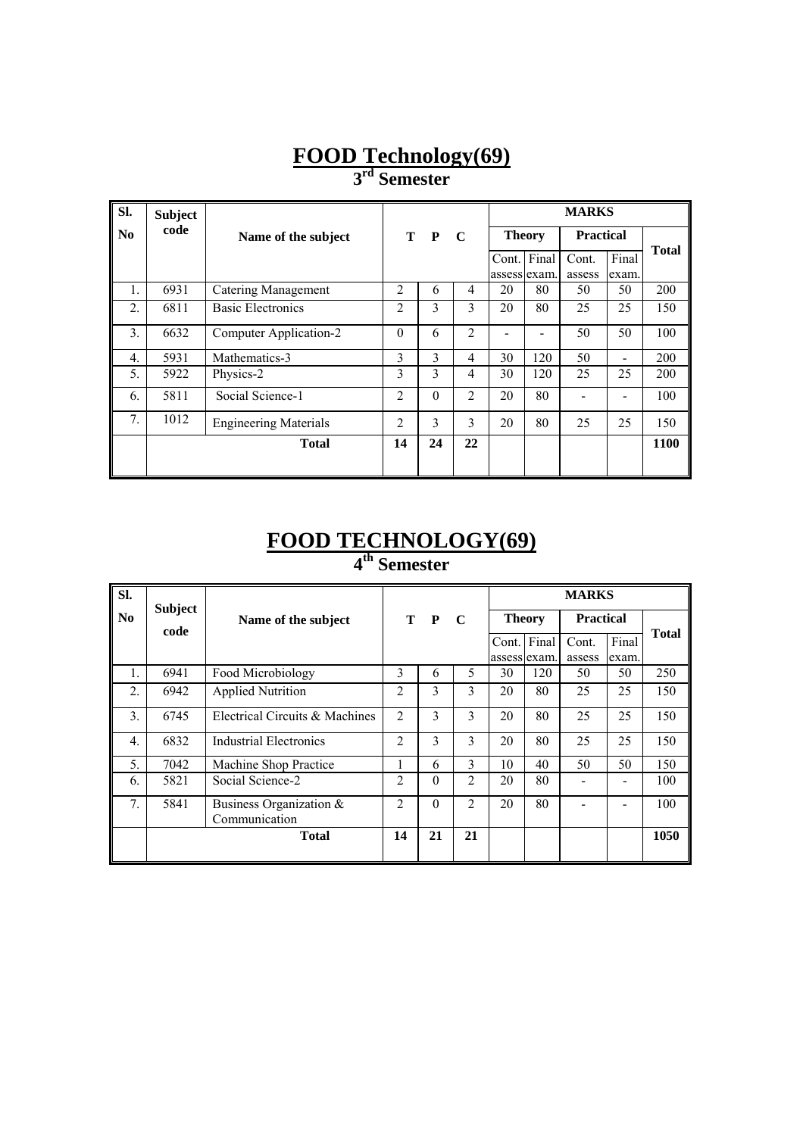## **FOOD Technology(69)**

**3rd Semester** 

| SI.            | <b>Subject</b> |                              |                |              |                |               |       | <b>MARKS</b>     |       |              |
|----------------|----------------|------------------------------|----------------|--------------|----------------|---------------|-------|------------------|-------|--------------|
| N <sub>0</sub> | code           | Name of the subject          |                | T P          | $\mathbf C$    | <b>Theory</b> |       | <b>Practical</b> |       |              |
|                |                |                              |                |              |                | Cont.         | Final | Cont.            | Final | <b>Total</b> |
|                |                |                              |                |              |                | assess exam.  |       | assess           | exam. |              |
| 1.             | 6931           | <b>Catering Management</b>   | $\overline{2}$ | 6            | 4              | 20            | 80    | 50               | 50    | 200          |
| 2.             | 6811           | <b>Basic Electronics</b>     | $\overline{2}$ | 3            | 3              | 20            | 80    | 25               | 25    | 150          |
| 3.             | 6632           | Computer Application-2       | $\theta$       | 6            | $\overline{2}$ |               |       | 50               | 50    | 100          |
| 4.             | 5931           | Mathematics-3                | 3              | $\mathbf{3}$ | 4              | 30            | 120   | 50               |       | 200          |
| 5.             | 5922           | Physics-2                    | 3              | 3            | $\overline{4}$ | 30            | 120   | 25               | 25    | 200          |
| 6.             | 5811           | Social Science-1             | $\overline{2}$ | $\theta$     | $\overline{2}$ | 20            | 80    |                  |       | 100          |
| 7.             | 1012           | <b>Engineering Materials</b> | $\overline{2}$ | 3            | 3              | 20            | 80    | 25               | 25    | 150          |
|                |                | <b>Total</b>                 | 14             | 24           | 22             |               |       |                  |       | 1100         |
|                |                |                              |                |              |                |               |       |                  |       |              |

### **FOOD TECHNOLOGY(69) 4th Semester**

| SI.              | <b>Subject</b> |                                             |                |          |                |    |               | <b>MARKS</b>     |       |              |
|------------------|----------------|---------------------------------------------|----------------|----------|----------------|----|---------------|------------------|-------|--------------|
| N <sub>0</sub>   | code           | Name of the subject                         |                | T P      | $\mathbf C$    |    | <b>Theory</b> | <b>Practical</b> |       |              |
|                  |                |                                             |                |          |                |    | Cont. Final   | Cont.            | Final | <b>Total</b> |
|                  |                |                                             |                |          |                |    | assess exam.  | assess           | exam. |              |
| 1.               | 6941           | Food Microbiology                           | 3              | 6        | 5              | 30 | 120           | 50               | 50    | 250          |
| $\overline{2}$ . | 6942           | <b>Applied Nutrition</b>                    | $\overline{2}$ | 3        | 3              | 20 | 80            | 25               | 25    | 150          |
| 3.               | 6745           | Electrical Circuits & Machines              | $\overline{2}$ | 3        | 3              | 20 | 80            | 25               | 25    | 150          |
| $\overline{4}$ . | 6832           | Industrial Electronics                      | $\overline{2}$ | 3        | 3              | 20 | 80            | 25               | 25    | 150          |
| 5.               | 7042           | Machine Shop Practice                       |                | 6        | 3              | 10 | 40            | 50               | 50    | 150          |
| 6.               | 5821           | Social Science-2                            | $\mathfrak{D}$ | $\theta$ | 2              | 20 | 80            |                  |       | 100          |
| 7.               | 5841           | Business Organization $\&$<br>Communication | 2              | $\theta$ | $\overline{2}$ | 20 | 80            |                  |       | 100          |
|                  |                | <b>Total</b>                                | 14             | 21       | 21             |    |               |                  |       | 1050         |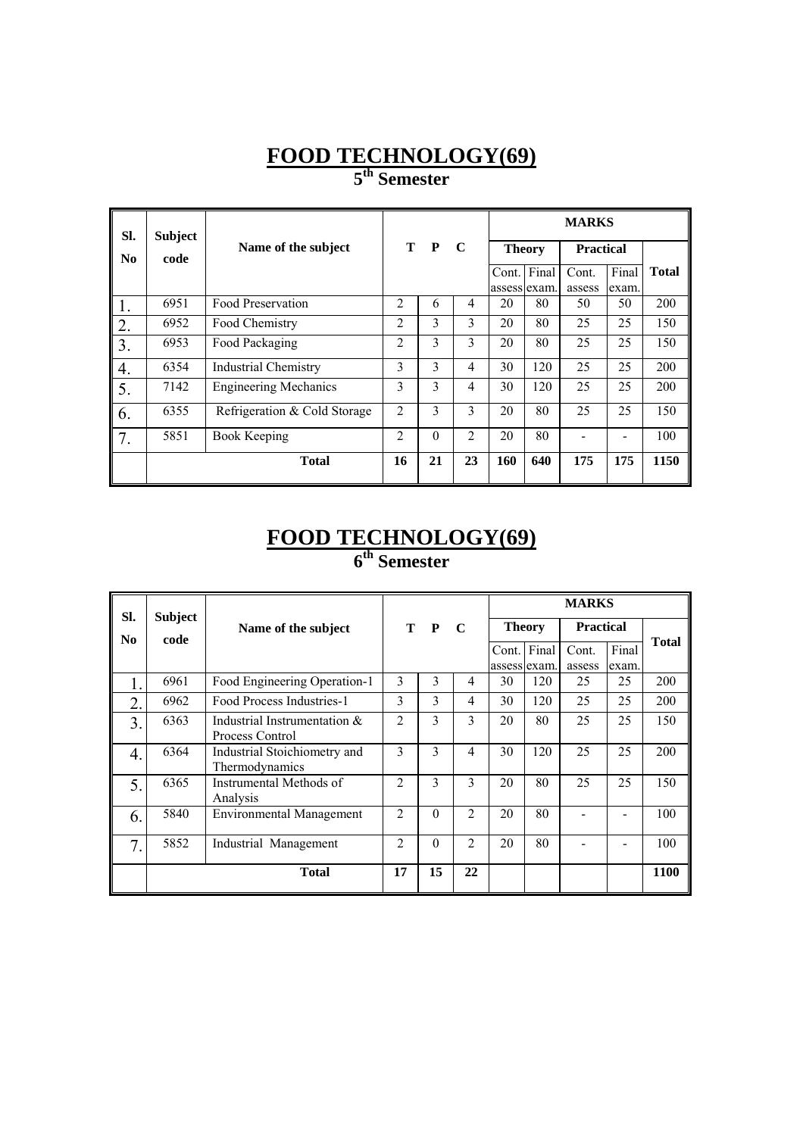## **FOOD TECHNOLOGY(69) 5th Semester**

| SI.              | <b>Subject</b> |                              |                |              |                |               |       | <b>MARKS</b>     |       |       |
|------------------|----------------|------------------------------|----------------|--------------|----------------|---------------|-------|------------------|-------|-------|
| No               | code           | Name of the subject          | т              | $\mathbf{P}$ | C              | <b>Theory</b> |       | <b>Practical</b> |       |       |
|                  |                |                              |                |              |                | Cont.         | Final | Cont.            | Final | Total |
|                  |                |                              |                |              |                | assess exam.  |       | assess           | exam. |       |
| 1.               | 6951           | Food Preservation            | $\overline{2}$ | 6            | $\overline{4}$ | 20            | 80    | 50               | 50    | 200   |
| 2.               | 6952           | Food Chemistry               | 2              | 3            | 3              | 20            | 80    | 25               | 25    | 150   |
| 3.               | 6953           | Food Packaging               | $\overline{2}$ | 3            | 3              | 20            | 80    | 25               | 25    | 150   |
| $\sqrt{4}$ .     | 6354           | <b>Industrial Chemistry</b>  | 3              | 3            | $\overline{4}$ | 30            | 120   | 25               | 25    | 200   |
| 5.               | 7142           | <b>Engineering Mechanics</b> | 3              | 3            | 4              | 30            | 120   | 25               | 25    | 200   |
| $\vert 6.$       | 6355           | Refrigeration & Cold Storage | 2              | 3            | 3              | 20            | 80    | 25               | 25    | 150   |
| $\overline{7}$ . | 5851           | <b>Book Keeping</b>          | $\overline{2}$ | $\theta$     | $\mathfrak{D}$ | 20            | 80    |                  |       | 100   |
|                  |                | <b>Total</b>                 | 16             | 21           | 23             | 160           | 640   | 175              | 175   | 1150  |

### **FOOD TECHNOLOGY(69) 6th Semester**

| SI.              | <b>Subject</b> |                                                 |                |                |                |              |               | <b>MARKS</b>     |       |              |
|------------------|----------------|-------------------------------------------------|----------------|----------------|----------------|--------------|---------------|------------------|-------|--------------|
| No.              | code           | Name of the subject                             |                | T P            | $\mathbf C$    |              | <b>Theory</b> | <b>Practical</b> |       |              |
|                  |                |                                                 |                |                |                |              | Cont. Final   | Cont.            | Final | <b>Total</b> |
|                  |                |                                                 |                |                |                | assess exam. |               | assess           | exam. |              |
|                  | 6961           | Food Engineering Operation-1                    | 3              | 3              | 4              | 30           | 120           | 25               | 25    | 200          |
| $\overline{2}$ . | 6962           | Food Process Industries-1                       | 3              | 3              | 4              | 30           | 120           | 25               | 25    | 200          |
| 3.               | 6363           | Industrial Instrumentation &<br>Process Control | 2              | 3              | 3              | 20           | 80            | 25               | 25    | 150          |
| 4.               | 6364           | Industrial Stoichiometry and<br>Thermodynamics  | 3              | $\overline{3}$ | $\overline{4}$ | 30           | 120           | 25               | 25    | 200          |
| 5.               | 6365           | Instrumental Methods of<br>Analysis             | $\overline{2}$ | 3              | $\mathcal{E}$  | 20           | 80            | 25               | 25    | 150          |
| 6.               | 5840           | Environmental Management                        | $\overline{2}$ | $\theta$       | $\mathfrak{D}$ | 20           | 80            |                  |       | 100          |
| 7.               | 5852           | Industrial Management                           | 2              | $\theta$       | $\mathfrak{D}$ | 20           | 80            |                  |       | 100          |
|                  |                | <b>Total</b>                                    | 17             | 15             | 22             |              |               |                  |       | 1100         |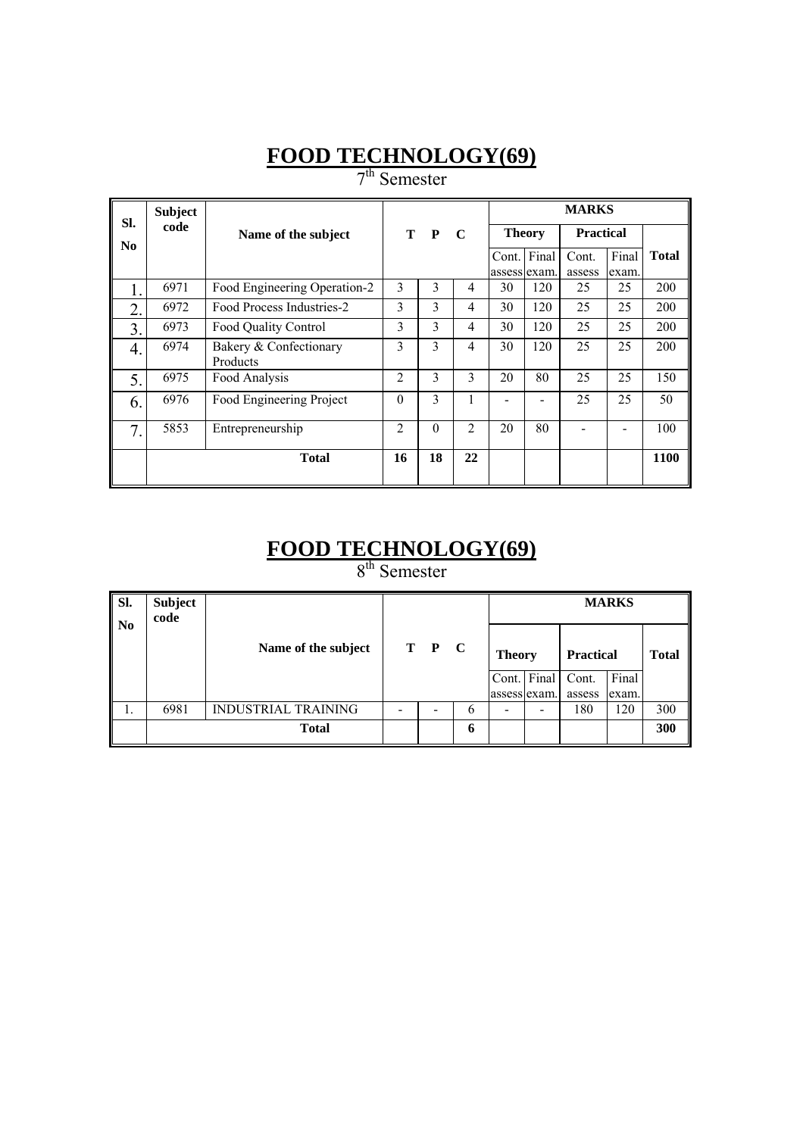# **FOOD TECHNOLOGY(69)**

7<sup>th</sup> Semester

| SI.              | <b>Subject</b> |                                    |                |              |                |               |             | <b>MARKS</b>     |                |              |
|------------------|----------------|------------------------------------|----------------|--------------|----------------|---------------|-------------|------------------|----------------|--------------|
| No               | code           | Name of the subject                |                | T P          | $\mathbf C$    | <b>Theory</b> |             | <b>Practical</b> |                |              |
|                  |                |                                    |                |              |                | assess exam.  | Cont. Final | Cont.<br>assess  | Final<br>exam. | <b>Total</b> |
| ı.               | 6971           | Food Engineering Operation-2       | 3              | 3            | 4              | 30            | 120         | 25               | 25             | 200          |
| $\overline{2}$ . | 6972           | Food Process Industries-2          | 3              | 3            | $\overline{4}$ | 30            | 120         | 25               | 25             | 200          |
| $\overline{3}$ . | 6973           | Food Quality Control               | 3              | 3            | $\overline{4}$ | 30            | 120         | 25               | 25             | 200          |
| 4.               | 6974           | Bakery & Confectionary<br>Products | 3              | 3            | $\overline{4}$ | 30            | 120         | 25               | 25             | 200          |
| 5.               | 6975           | Food Analysis                      | $\overline{c}$ | $\mathbf{3}$ | $\mathbf{3}$   | 20            | 80          | 25               | 25             | 150          |
| 6.               | 6976           | Food Engineering Project           | $\Omega$       | 3            | 1              |               |             | 25               | 25             | 50           |
| 7.               | 5853           | Entrepreneurship                   | $\mathfrak{D}$ | $\theta$     | $\overline{2}$ | 20            | 80          |                  |                | 100          |
|                  |                | <b>Total</b>                       | 16             | 18           | 22             |               |             |                  |                | <b>1100</b>  |

#### **FOOD TECHNOLOGY(69)** 8<sup>th</sup> Semester

| SI.<br>$\parallel$ No | <b>Subject</b><br>code |                            |       |          |               |                  | <b>MARKS</b> |              |
|-----------------------|------------------------|----------------------------|-------|----------|---------------|------------------|--------------|--------------|
|                       |                        | Name of the subject        | T P C |          | <b>Theory</b> | <b>Practical</b> |              | <b>Total</b> |
|                       |                        |                            |       |          | Cont. Final   | Cont.            | Final        |              |
|                       |                        |                            |       |          | assess exam.  | assess           | exam.        |              |
|                       | 6981                   | <b>INDUSTRIAL TRAINING</b> |       | $\sigma$ |               | 180              | 120          | 300          |
|                       |                        | <b>Total</b>               |       | 6        |               |                  |              | 300          |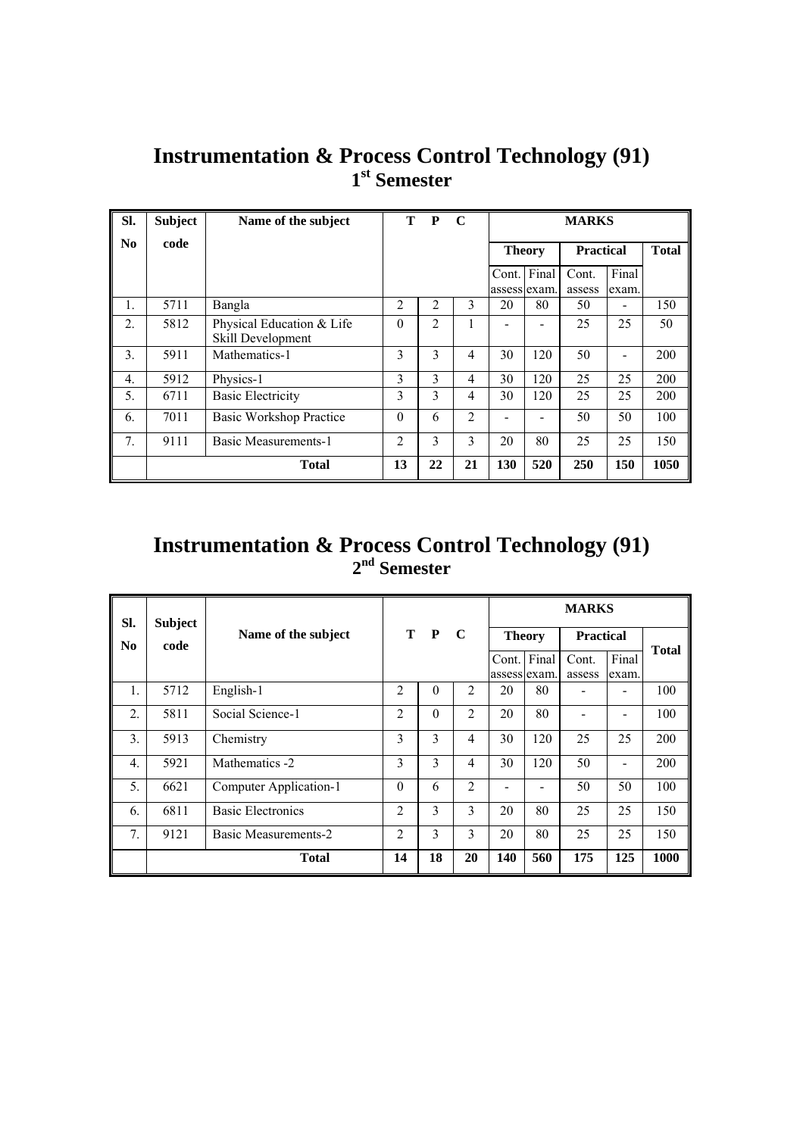| Sl.                    | <b>Subject</b> | Name of the subject                            |                | T P           | $\mathbf C$    |                       | <b>MARKS</b> |                 |                |      |  |
|------------------------|----------------|------------------------------------------------|----------------|---------------|----------------|-----------------------|--------------|-----------------|----------------|------|--|
| $\mathbf{N}\mathbf{0}$ | code           |                                                |                |               |                | <b>Theory</b>         | <b>Total</b> |                 |                |      |  |
|                        |                |                                                |                |               |                | Cont.<br>assess exam. | Final        | Cont.<br>assess | Final<br>exam. |      |  |
| $\mathbf{1}$ .         | 5711           | Bangla                                         | $\overline{c}$ | 2             | 3              | 20                    | 80           | 50              | -              | 150  |  |
| $\overline{2}$ .       | 5812           | Physical Education & Life<br>Skill Development | $\Omega$       | 2             | 1              |                       |              | 25              | 25             | 50   |  |
| 3.                     | 5911           | Mathematics-1                                  | 3              | 3             | $\overline{4}$ | 30                    | 120          | 50              |                | 200  |  |
| $\overline{4}$ .       | 5912           | Physics-1                                      | 3              | $\mathcal{E}$ | $\overline{4}$ | 30                    | 120          | 25              | 25             | 200  |  |
| 5.                     | 6711           | <b>Basic Electricity</b>                       | 3              | 3             | $\overline{4}$ | 30                    | 120          | 25              | 25             | 200  |  |
| 6.                     | 7011           | <b>Basic Workshop Practice</b>                 | $\theta$       | 6             | 2              |                       |              | 50              | 50             | 100  |  |
| $7_{\cdot}$            | 9111           | <b>Basic Measurements-1</b>                    | 2              | 3             | 3              | 20                    | 80           | 25              | 25             | 150  |  |
|                        |                | <b>Total</b>                                   | 13             | 22            | 21             | 130                   | 520          | 250             | 150            | 1050 |  |

# **Instrumentation & Process Control Technology (91) 1st Semester**

## **Instrumentation & Process Control Technology (91) 2nd Semester**

| SI.              | <b>Subject</b> |                             |                |          |                |               |              | <b>MARKS</b>     |                              |              |
|------------------|----------------|-----------------------------|----------------|----------|----------------|---------------|--------------|------------------|------------------------------|--------------|
| N <sub>0</sub>   | code           | Name of the subject         |                | T P      | $\mathbf C$    | <b>Theory</b> |              | <b>Practical</b> |                              |              |
|                  |                |                             |                |          |                | Cont.         | Final        | Cont.            | Final                        | <b>Total</b> |
|                  |                |                             |                |          |                |               | assess exam. | assess           | exam.                        |              |
| $\mathbf{1}$ .   | 5712           | English-1                   | $\overline{2}$ | $\theta$ | $\overline{2}$ | 20            | 80           |                  |                              | 100          |
| $\overline{2}$ . | 5811           | Social Science-1            | $\overline{2}$ | $\theta$ | 2              | 20            | 80           |                  |                              | 100          |
| 3.               | 5913           | Chemistry                   | 3              | 3        | 4              | 30            | 120          | 25               | 25                           | 200          |
| $\overline{4}$ . | 5921           | Mathematics -2              | 3              | 3        | 4              | 30            | 120          | 50               | $\qquad \qquad \blacksquare$ | 200          |
| 5.               | 6621           | Computer Application-1      | $\theta$       | 6        | $\overline{2}$ |               |              | 50               | 50                           | 100          |
| 6.               | 6811           | <b>Basic Electronics</b>    | $\overline{2}$ | 3        | 3              | 20            | 80           | 25               | 25                           | 150          |
| 7 <sub>1</sub>   | 9121           | <b>Basic Measurements-2</b> | 2              | 3        | 3              | 20            | 80           | 25               | 25                           | 150          |
|                  |                | <b>Total</b>                | 14             | 18       | 20             | 140           | 560          | 175              | 125                          | 1000         |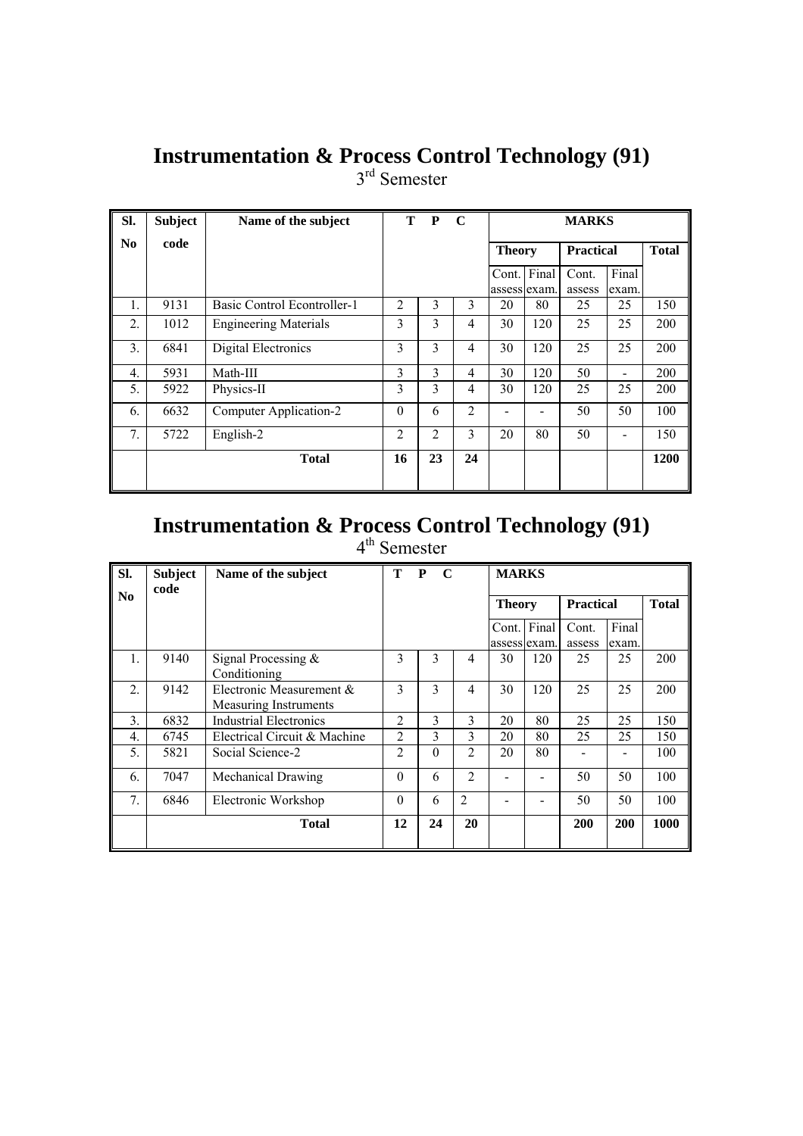# **Instrumentation & Process Control Technology (91)**

3<sup>rd</sup> Semester

| SI.            | <b>Subject</b> | Name of the subject          |                | T P | $\mathbf C$    |               |     | <b>MARKS</b>     |       |              |
|----------------|----------------|------------------------------|----------------|-----|----------------|---------------|-----|------------------|-------|--------------|
| N <sub>0</sub> | code           |                              |                |     |                | <b>Theory</b> |     | <b>Practical</b> |       | <b>Total</b> |
|                |                |                              |                |     |                | Cont. Final   |     | Cont.            | Final |              |
|                |                |                              |                |     |                | assess exam.  |     | assess           | exam. |              |
| 1.             | 9131           | Basic Control Econtroller-1  | $\overline{2}$ | 3   | 3              | 20            | 80  | 25               | 25    | 150          |
| 2.             | 1012           | <b>Engineering Materials</b> | 3              | 3   | 4              | 30            | 120 | 25               | 25    | 200          |
| 3.             | 6841           | Digital Electronics          | 3              | 3   | 4              | 30            | 120 | 25               | 25    | 200          |
| 4.             | 5931           | Math-III                     | 3              | 3   | 4              | 30            | 120 | 50               | -     | 200          |
| 5.             | 5922           | Physics-II                   | 3              | 3   | 4              | 30            | 120 | 25               | 25    | 200          |
| 6.             | 6632           | Computer Application-2       | $\theta$       | 6   | $\overline{2}$ |               |     | 50               | 50    | 100          |
| 7.             | 5722           | English-2                    | $\overline{c}$ | 2   | 3              | 20            | 80  | 50               |       | 150          |
|                |                | <b>Total</b>                 | 16             | 23  | 24             |               |     |                  |       | 1200         |
|                |                |                              |                |     |                |               |     |                  |       |              |

### **Instrumentation & Process Control Technology (91)**  4<sup>th</sup> Semester

| SI.                    | <b>Subject</b><br>code | Name of the subject                                      | Т              | P<br>$\mathbf C$ |                | <b>MARKS</b>  |                             |                  |                |              |
|------------------------|------------------------|----------------------------------------------------------|----------------|------------------|----------------|---------------|-----------------------------|------------------|----------------|--------------|
| $\mathbf{N}\mathbf{0}$ |                        |                                                          |                |                  |                | <b>Theory</b> |                             | <b>Practical</b> |                | <b>Total</b> |
|                        |                        |                                                          |                |                  |                |               | Cont. Final<br>assess exam. | Cont.<br>assess  | Final<br>exam. |              |
| 1.                     | 9140                   | Signal Processing $&$<br>Conditioning                    | 3              | 3                | 4              | 30            | 120                         | 25               | 25             | 200          |
| $\overline{2}$ .       | 9142                   | Electronic Measurement &<br><b>Measuring Instruments</b> | 3              | 3                | 4              | 30            | 120                         | 25               | 25             | 200          |
| 3.                     | 6832                   | <b>Industrial Electronics</b>                            | $\overline{2}$ | 3                | 3              | 20            | 80                          | 25               | 25             | 150          |
| $\overline{4}$ .       | 6745                   | Electrical Circuit & Machine                             | $\overline{2}$ | 3                | 3              | 20            | 80                          | 25               | 25             | 150          |
| 5.                     | 5821                   | Social Science-2                                         | $\mathfrak{D}$ | $\Omega$         | 2              | 20            | 80                          |                  |                | 100          |
| 6.                     | 7047                   | <b>Mechanical Drawing</b>                                | $\Omega$       | 6                | $\overline{2}$ |               |                             | 50               | 50             | 100          |
| 7 <sub>1</sub>         | 6846                   | Electronic Workshop                                      | $\Omega$       | 6                | $\overline{2}$ |               |                             | 50               | 50             | 100          |
|                        |                        | <b>Total</b>                                             | 12             | 24               | 20             |               |                             | <b>200</b>       | 200            | 1000         |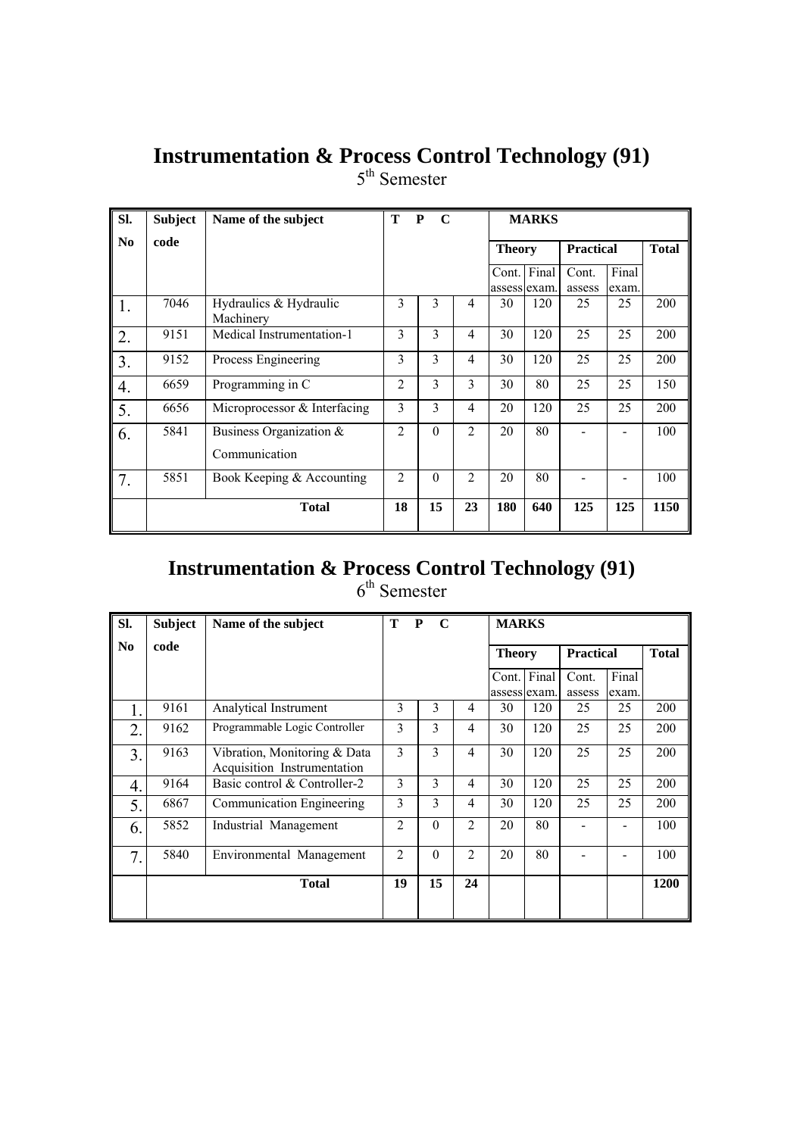# **Instrumentation & Process Control Technology (91)**

5<sup>th</sup> Semester

| SI. | <b>Subject</b> | Name of the subject                         | T<br>P<br>$\mathbf C$ |          |                |                       | <b>MARKS</b> |                  |                |              |
|-----|----------------|---------------------------------------------|-----------------------|----------|----------------|-----------------------|--------------|------------------|----------------|--------------|
| No. | code           |                                             |                       |          |                | <b>Theory</b>         |              | <b>Practical</b> |                | <b>Total</b> |
|     |                |                                             |                       |          |                | Cont.<br>assess exam. | Final        | Cont.<br>assess  | Final<br>exam. |              |
| 1.  | 7046           | Hydraulics & Hydraulic<br>Machinery         | 3                     | 3        | $\overline{4}$ | 30                    | 120          | 25               | 25             | 200          |
| 2.  | 9151           | Medical Instrumentation-1                   | 3                     | 3        | $\overline{4}$ | 30                    | 120          | 25               | 25             | 200          |
| 3.  | 9152           | Process Engineering                         | 3                     | 3        | $\overline{4}$ | 30                    | 120          | 25               | 25             | 200          |
| 4.  | 6659           | Programming in C                            | $\overline{2}$        | 3        | 3              | 30                    | 80           | 25               | 25             | 150          |
| 5.  | 6656           | Microprocessor & Interfacing                | 3                     | 3        | $\overline{4}$ | 20                    | 120          | 25               | 25             | 200          |
| 6.  | 5841           | Business Organization $\&$<br>Communication | $\overline{2}$        | $\theta$ | $\overline{2}$ | 20                    | 80           |                  |                | 100          |
| 7.  | 5851           | Book Keeping & Accounting                   | $\overline{2}$        | $\theta$ | $\overline{2}$ | 20                    | 80           |                  |                | 100          |
|     |                | <b>Total</b>                                | 18                    | 15       | 23             | 180                   | 640          | 125              | 125            | 1150         |

### **Instrumentation & Process Control Technology (91)**   $6<sup>th</sup>$  Semester

| Sl.            | <b>Subject</b> | Name of the subject                                         | T              | P<br>$\mathbf C$ |                | <b>MARKS</b>          |       |                  |                |              |
|----------------|----------------|-------------------------------------------------------------|----------------|------------------|----------------|-----------------------|-------|------------------|----------------|--------------|
| N <sub>0</sub> | code           |                                                             |                |                  |                | <b>Theory</b>         |       | <b>Practical</b> |                | <b>Total</b> |
|                |                |                                                             |                |                  |                | Cont.<br>assess exam. | Final | Cont.<br>assess  | Final<br>exam. |              |
|                | 9161           | Analytical Instrument                                       | 3              | 3                | 4              | 30                    | 120   | 25               | 25             | 200          |
| 2.             | 9162           | Programmable Logic Controller                               | 3              | $\mathcal{E}$    | 4              | 30                    | 120   | 25               | 25             | 200          |
| 3.             | 9163           | Vibration, Monitoring & Data<br>Acquisition Instrumentation | 3              | 3                | 4              | 30                    | 120   | 25               | 25             | 200          |
| 4.             | 9164           | Basic control & Controller-2                                | 3              | 3                | 4              | 30                    | 120   | 25               | 25             | 200          |
| 5.             | 6867           | Communication Engineering                                   | 3              | 3                | 4              | 30                    | 120   | 25               | 25             | 200          |
| 6.             | 5852           | Industrial Management                                       | 2              | $\theta$         | $\overline{2}$ | 20                    | 80    |                  |                | 100          |
| 7.             | 5840           | Environmental Management                                    | $\overline{c}$ | $\theta$         | $\overline{2}$ | 20                    | 80    |                  |                | 100          |
|                |                | <b>Total</b>                                                | 19             | 15               | 24             |                       |       |                  |                | 1200         |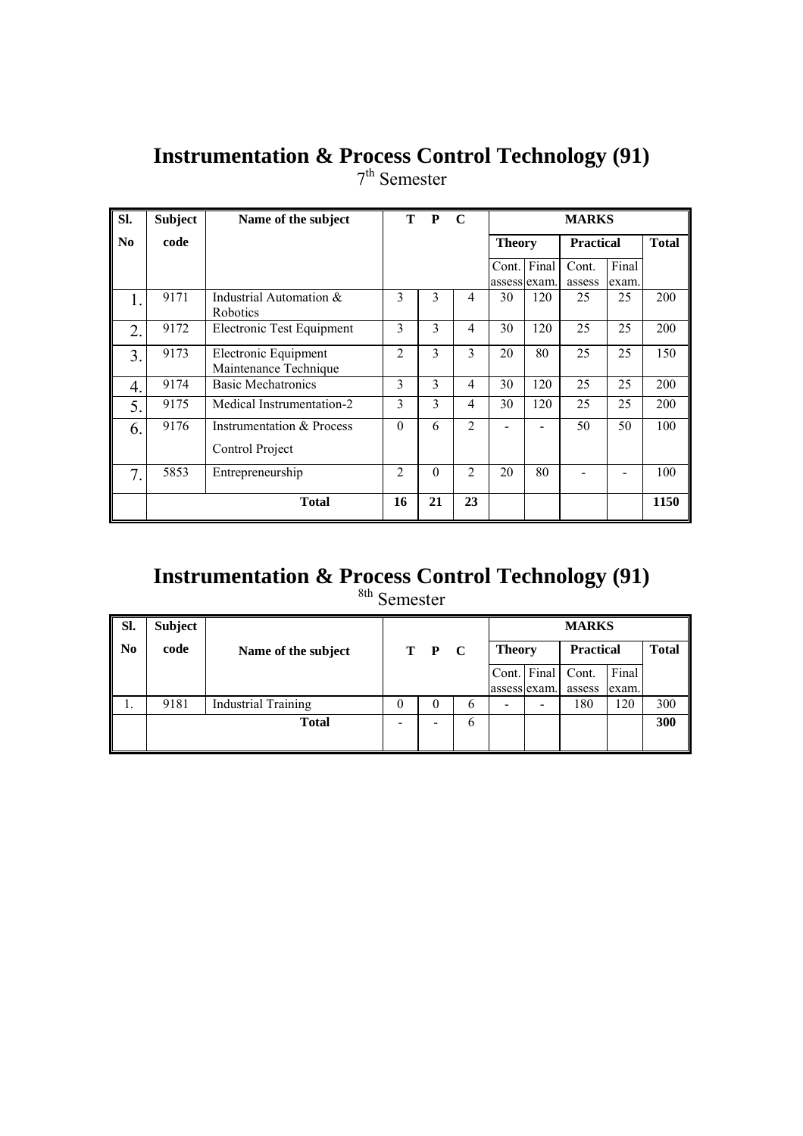# **Instrumentation & Process Control Technology (91)**

7<sup>th</sup> Semester

| SI.              | <b>Subject</b> | Name of the subject                           | т              | P        | $\mathbf C$    |                       | <b>MARKS</b> |                  |                |              |  |  |
|------------------|----------------|-----------------------------------------------|----------------|----------|----------------|-----------------------|--------------|------------------|----------------|--------------|--|--|
| No               | code           |                                               |                |          |                | <b>Theory</b>         |              | <b>Practical</b> |                | <b>Total</b> |  |  |
|                  |                |                                               |                |          |                | Cont.<br>assess exam. | Final        | Cont.<br>assess  | Final<br>exam. |              |  |  |
| Ι.               | 9171           | Industrial Automation &<br>Robotics           | 3              | 3        | $\overline{4}$ | 30                    | 120          | 25               | 25             | 200          |  |  |
| 2.               | 9172           | Electronic Test Equipment                     | $\overline{3}$ | 3        | 4              | 30                    | 120          | 25               | 25             | 200          |  |  |
| $\overline{3}$ . | 9173           | Electronic Equipment<br>Maintenance Technique | $\overline{2}$ | 3        | 3              | 20                    | 80           | 25               | 25             | 150          |  |  |
| 4.               | 9174           | <b>Basic Mechatronics</b>                     | 3              | 3        | $\overline{4}$ | 30                    | 120          | 25               | 25             | 200          |  |  |
| 5.               | 9175           | Medical Instrumentation-2                     | 3              | 3        | 4              | 30                    | 120          | 25               | 25             | 200          |  |  |
| 6.               | 9176           | Instrumentation & Process<br>Control Project  | $\theta$       | 6        | $\overline{2}$ |                       |              | 50               | 50             | 100          |  |  |
| 7.               | 5853           | Entrepreneurship                              | $\overline{2}$ | $\theta$ | $\overline{2}$ | 20                    | 80           |                  |                | 100          |  |  |
|                  |                | <b>Total</b>                                  | 16             | 21       | 23             |                       |              |                  |                | 1150         |  |  |

# **Instrumentation & Process Control Technology (91)**

<sup>8th</sup> Semester

| Sl.            | Subject |                            |          |       |   |               |   | <b>MARKS</b>     |       |              |
|----------------|---------|----------------------------|----------|-------|---|---------------|---|------------------|-------|--------------|
| N <sub>0</sub> | code    | Name of the subject        |          | T P C |   | <b>Theory</b> |   | <b>Practical</b> |       | <b>Total</b> |
|                |         |                            |          |       |   | Cont. Final   |   | Cont.            | Final |              |
|                |         |                            |          |       |   | assess exam.  |   | assess           | exam. |              |
| .,             | 9181    | <b>Industrial Training</b> | $\theta$ | 0     | 6 | -             | - | 180              | 120   | 300          |
|                |         | <b>Total</b>               | -        | -     | b |               |   |                  |       | 300          |
|                |         |                            |          |       |   |               |   |                  |       |              |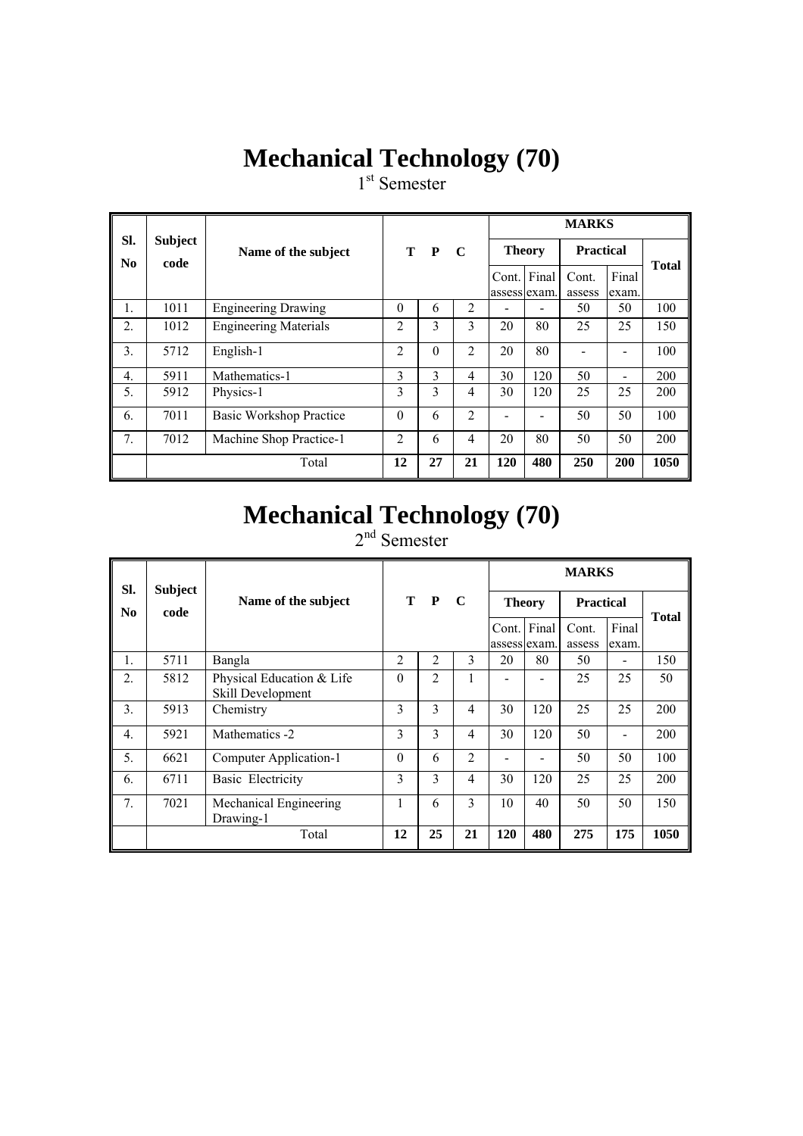# **Mechanical Technology (70)**

1<sup>st</sup> Semester

|                               |                        |                              |                |          |                |                       |                          | <b>MARKS</b>     |                |              |
|-------------------------------|------------------------|------------------------------|----------------|----------|----------------|-----------------------|--------------------------|------------------|----------------|--------------|
| SI.<br>$\mathbf{N}\mathbf{0}$ | <b>Subject</b><br>code | Name of the subject          |                | T P      | $\mathbf C$    | <b>Theory</b>         |                          | <b>Practical</b> |                | <b>Total</b> |
|                               |                        |                              |                |          |                | Cont.<br>assess exam. | Final                    | Cont.<br>assess  | Final<br>exam. |              |
| 1.                            | 1011                   | <b>Engineering Drawing</b>   | $\Omega$       | 6        | 2              |                       |                          | 50               | 50             | 100          |
| 2.                            | 1012                   | <b>Engineering Materials</b> | 2              | 3        | 3              | 20                    | 80                       | 25               | 25             | 150          |
| $\overline{3}$ .              | 5712                   | English-1                    | $\overline{2}$ | $\Omega$ | $\overline{2}$ | 20                    | 80                       |                  |                | 100          |
| $\overline{4}$ .              | 5911                   | Mathematics-1                | 3              | 3        | 4              | 30                    | 120                      | 50               |                | 200          |
| 5.                            | 5912                   | Physics-1                    | 3              | 3        | 4              | 30                    | 120                      | 25               | 25             | 200          |
| 6.                            | 7011                   | Basic Workshop Practice      | $\Omega$       | 6        | $\overline{2}$ |                       | $\overline{\phantom{0}}$ | 50               | 50             | 100          |
| $7_{\cdot}$                   | 7012                   | Machine Shop Practice-1      | $\overline{2}$ | 6        | $\overline{4}$ | 20                    | 80                       | 50               | 50             | 200          |
|                               |                        | Total                        | 12             | 27       | 21             | 120                   | 480                      | 250              | 200            | 1050         |

# **Mechanical Technology (70)**

2<sup>nd</sup> Semester

| SI.              | <b>Subject</b> |                                                |                |                |                |     |                             | <b>MARKS</b>     |                |              |
|------------------|----------------|------------------------------------------------|----------------|----------------|----------------|-----|-----------------------------|------------------|----------------|--------------|
| $\bf No$         | code           | Name of the subject                            |                | T P            | $\mathbf C$    |     | <b>Theory</b>               | <b>Practical</b> |                | <b>Total</b> |
|                  |                |                                                |                |                |                |     | Cont. Final<br>assess exam. | Cont.<br>assess  | Final<br>exam. |              |
| 1.               | 5711           | Bangla                                         | $\overline{2}$ | $\overline{2}$ | 3              | 20  | 80                          | 50               |                | 150          |
| $\overline{2}$ . | 5812           | Physical Education & Life<br>Skill Development | $\Omega$       | 2              |                |     |                             | 25               | 25             | 50           |
| 3.               | 5913           | Chemistry                                      | 3              | $\mathcal{E}$  | 4              | 30  | 120                         | 25               | 25             | 200          |
| 4.               | 5921           | Mathematics -2                                 | 3              | 3              | 4              | 30  | 120                         | 50               |                | 200          |
| 5.               | 6621           | Computer Application-1                         | $\theta$       | 6              | $\overline{2}$ |     | ۰                           | 50               | 50             | 100          |
| 6.               | 6711           | Basic Electricity                              | 3              | 3              | 4              | 30  | 120                         | 25               | 25             | 200          |
| 7 <sub>1</sub>   | 7021           | Mechanical Engineering<br>Drawing-1            | 1              | 6              | 3              | 10  | 40                          | 50               | 50             | 150          |
|                  |                | Total                                          | 12             | 25             | 21             | 120 | 480                         | 275              | 175            | 1050         |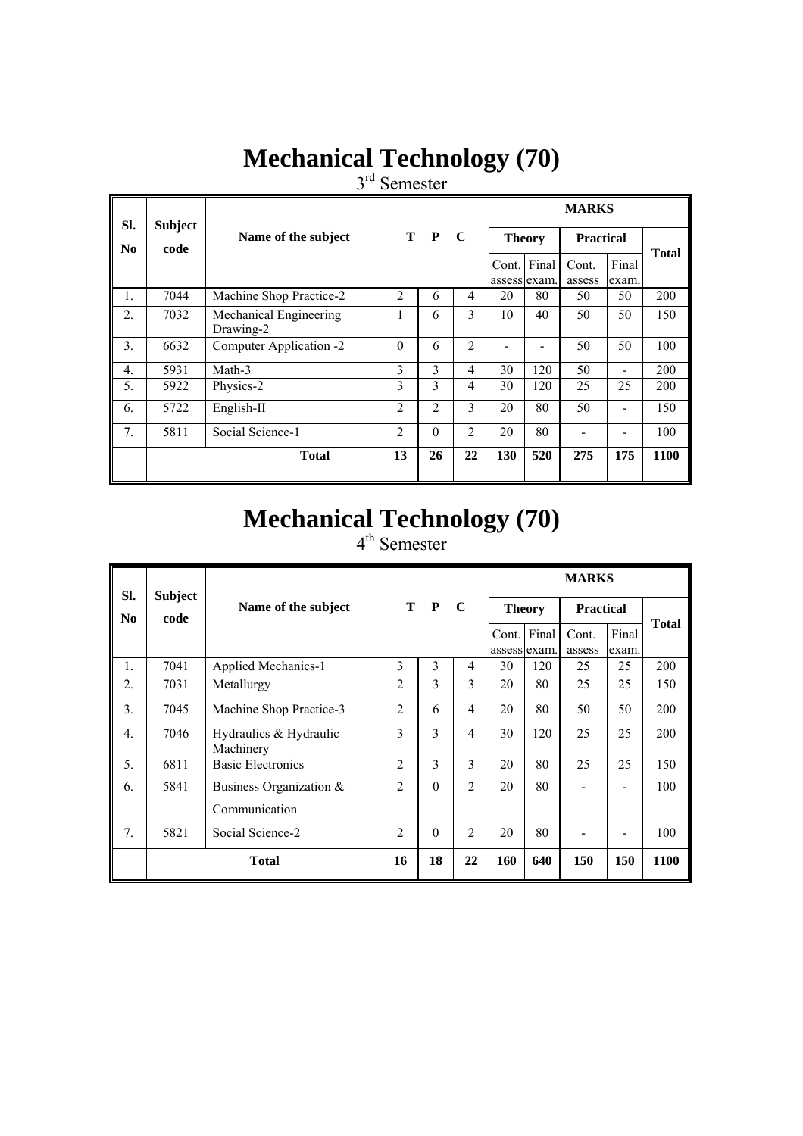# **Mechanical Technology (70)**

3<sup>rd</sup> Semester

| SI.            | <b>Subject</b> |                                     |                    |          |                |     |                             | <b>MARKS</b>     |                |      |
|----------------|----------------|-------------------------------------|--------------------|----------|----------------|-----|-----------------------------|------------------|----------------|------|
| N <sub>0</sub> | code           | Name of the subject                 | T P<br>$\mathbf C$ |          |                |     | <b>Theory</b>               | <b>Practical</b> | <b>Total</b>   |      |
|                |                |                                     |                    |          |                |     | Cont. Final<br>assess exam. | Cont.<br>assess  | Final<br>exam. |      |
| 1.             | 7044           | Machine Shop Practice-2             | $\overline{2}$     | 6        | 4              | 20  | 80                          | 50               | 50             | 200  |
| 2.             | 7032           | Mechanical Engineering<br>Drawing-2 | 1                  | 6        | 3              | 10  | 40                          | 50               | 50             | 150  |
| 3.             | 6632           | Computer Application -2             | $\Omega$           | 6        | $\overline{2}$ |     |                             | 50               | 50             | 100  |
| 4.             | 5931           | Math-3                              | 3                  | 3        | 4              | 30  | 120                         | 50               |                | 200  |
| 5.             | 5922           | Physics-2                           | 3                  | 3        | 4              | 30  | 120                         | 25               | 25             | 200  |
| 6.             | 5722           | English-II                          | 2                  | 2        | 3              | 20  | 80                          | 50               |                | 150  |
| 7.             | 5811           | Social Science-1                    | $\overline{2}$     | $\theta$ | 2              | 20  | 80                          |                  |                | 100  |
|                |                | <b>Total</b>                        | 13                 | 26       | 22             | 130 | 520                         | 275              | 175            | 1100 |

# **Mechanical Technology (70)**

4<sup>th</sup> Semester

| SI.              | <b>Subject</b> |                                             |                |          |                |               |                       | <b>MARKS</b>     |                |              |
|------------------|----------------|---------------------------------------------|----------------|----------|----------------|---------------|-----------------------|------------------|----------------|--------------|
| No.              | code           | Name of the subject                         | T P            |          | $\mathbf C$    | <b>Theory</b> |                       | <b>Practical</b> |                | <b>Total</b> |
|                  |                |                                             |                |          |                | Cont.         | Final<br>assess exam. | Cont.<br>assess  | Final<br>exam. |              |
| $\mathbf{1}$ .   | 7041           | Applied Mechanics-1                         | 3              | 3        | 4              | 30            | 120                   | 25               | 25             | 200          |
| 2.               | 7031           | Metallurgy                                  | 2              | 3        | $\overline{3}$ | 20            | 80                    | 25               | 25             | 150          |
| 3.               | 7045           | Machine Shop Practice-3                     | $\overline{2}$ | 6        | 4              | 20            | 80                    | 50               | 50             | 200          |
| $\overline{4}$ . | 7046           | Hydraulics & Hydraulic<br>Machinery         | 3              | 3        | $\overline{4}$ | 30            | 120                   | 25               | 25             | 200          |
| 5.               | 6811           | <b>Basic Electronics</b>                    | $\overline{2}$ | 3        | 3              | 20            | 80                    | 25               | 25             | 150          |
| 6.               | 5841           | Business Organization $\&$<br>Communication | $\overline{2}$ | $\theta$ | 2              | 20            | 80                    |                  |                | 100          |
| 7.               | 5821           | Social Science-2                            | 2              | $\theta$ | $\overline{2}$ | 20            | 80                    |                  |                | 100          |
|                  |                | <b>Total</b>                                | 16             | 18       | 22             | 160           | 640                   | 150              | 150            | 1100         |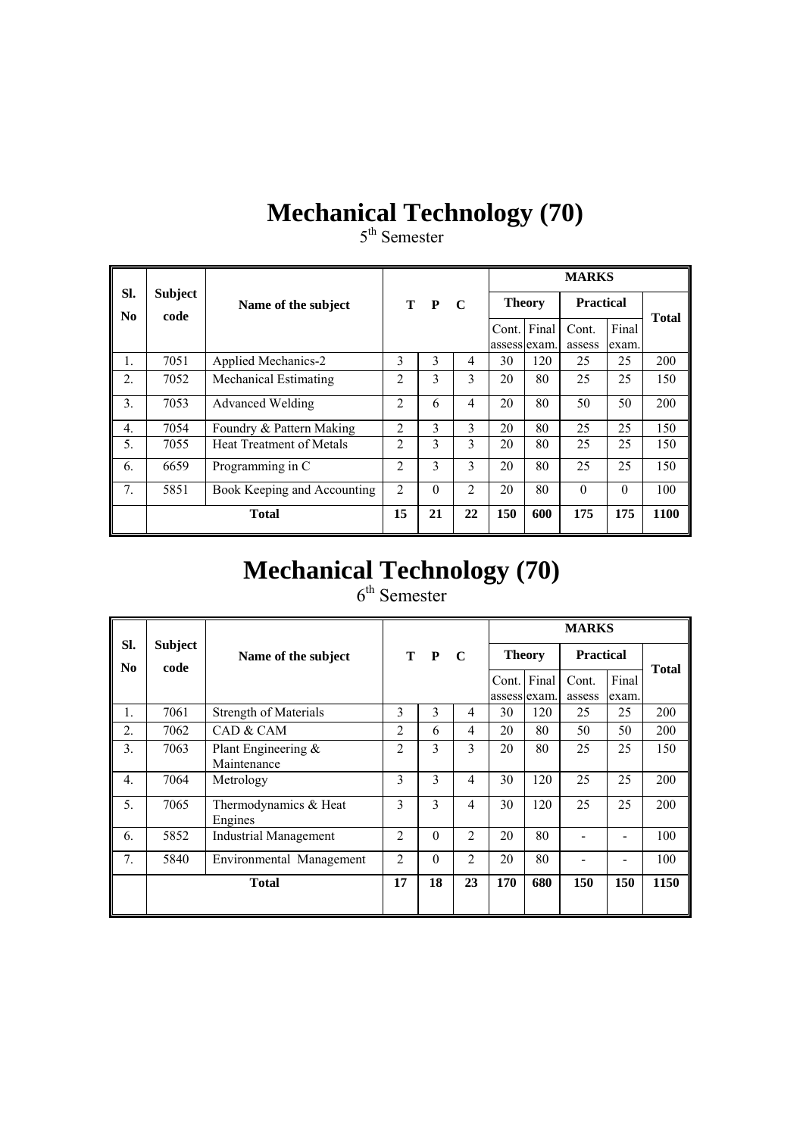# **Mechanical Technology (70)**

5<sup>th</sup> Semester

|                               |                        |                                 |                |              |                |               |       | <b>MARKS</b>     |          |              |  |
|-------------------------------|------------------------|---------------------------------|----------------|--------------|----------------|---------------|-------|------------------|----------|--------------|--|
| SI.<br>$\mathbf{N}\mathbf{0}$ | <b>Subject</b><br>code | Name of the subject             | т              | $\mathbf{P}$ | - C            | <b>Theory</b> |       | <b>Practical</b> |          | <b>Total</b> |  |
|                               |                        |                                 |                |              |                | Cont.         | Final | Cont.            | Final    |              |  |
|                               |                        |                                 |                |              |                | assess exam.  |       | assess           | exam.    |              |  |
| 1.                            | 7051                   | Applied Mechanics-2             | 3              | 3            | $\overline{4}$ | 30            | 120   | 25               | 25       | 200          |  |
| $\overline{2}$ .              | 7052                   | <b>Mechanical Estimating</b>    | $\overline{2}$ | 3            | 3              | 20            | 80    | 25               | 25       | 150          |  |
| 3.                            | 7053                   | Advanced Welding                | $\overline{2}$ | 6            | 4              | 20            | 80    | 50               | 50       | 200          |  |
| $\overline{4}$ .              | 7054                   | Foundry & Pattern Making        | $\overline{2}$ | 3            | 3              | 20            | 80    | 25               | 25       | 150          |  |
| 5.                            | 7055                   | <b>Heat Treatment of Metals</b> | $\overline{2}$ | 3            | 3              | 20            | 80    | 25               | 25       | 150          |  |
| 6.                            | 6659                   | Programming in C                | $\overline{2}$ | 3            | 3              | 20            | 80    | 25               | 25       | 150          |  |
| 7 <sub>1</sub>                | 5851                   | Book Keeping and Accounting     | $\overline{2}$ | $\Omega$     | $\overline{2}$ | 20            | 80    | $\Omega$         | $\Omega$ | 100          |  |
|                               |                        | <b>Total</b>                    | 15             | 21           | 22             | 150           | 600   | 175              | 175      | 1100         |  |

# **Mechanical Technology (70)**

 $6<sup>th</sup>$  Semester

|                       |                        |                                    |                |               |                |               |              | <b>MARKS</b>     |                |              |
|-----------------------|------------------------|------------------------------------|----------------|---------------|----------------|---------------|--------------|------------------|----------------|--------------|
| SI.<br>N <sub>0</sub> | <b>Subject</b><br>code | Name of the subject                | T P C          |               |                | <b>Theory</b> |              | <b>Practical</b> |                | <b>Total</b> |
|                       |                        |                                    |                |               |                | Cont. Final   | assess exam. | Cont.<br>assess  | Final<br>exam. |              |
| 1.                    | 7061                   | <b>Strength of Materials</b>       | 3              | 3             | 4              | 30            | 120          | 25               | 25             | 200          |
| $\overline{2}$ .      | 7062                   | CAD & CAM                          | $\overline{2}$ | 6             | 4              | 20            | 80           | 50               | 50             | 200          |
| 3.                    | 7063                   | Plant Engineering &<br>Maintenance | $\overline{2}$ | 3             | 3              | 20            | 80           | 25               | 25             | 150          |
| $\overline{4}$ .      | 7064                   | Metrology                          | $\mathcal{E}$  | $\mathcal{E}$ | $\overline{4}$ | 30            | 120          | 25               | 25             | 200          |
| 5 <sub>1</sub>        | 7065                   | Thermodynamics & Heat<br>Engines   | 3              | 3             | 4              | 30            | 120          | 25               | 25             | 200          |
| 6.                    | 5852                   | <b>Industrial Management</b>       | $\mathfrak{D}$ | $\Omega$      | $\mathfrak{D}$ | 20            | 80           |                  |                | 100          |
| 7 <sub>1</sub>        | 5840                   | Environmental Management           | $\overline{2}$ | $\Omega$      | $\mathfrak{D}$ | 20            | 80           |                  |                | 100          |
|                       |                        | <b>Total</b>                       | 17             | 18            | 23             | 170           | 680          | 150              | 150            | 1150         |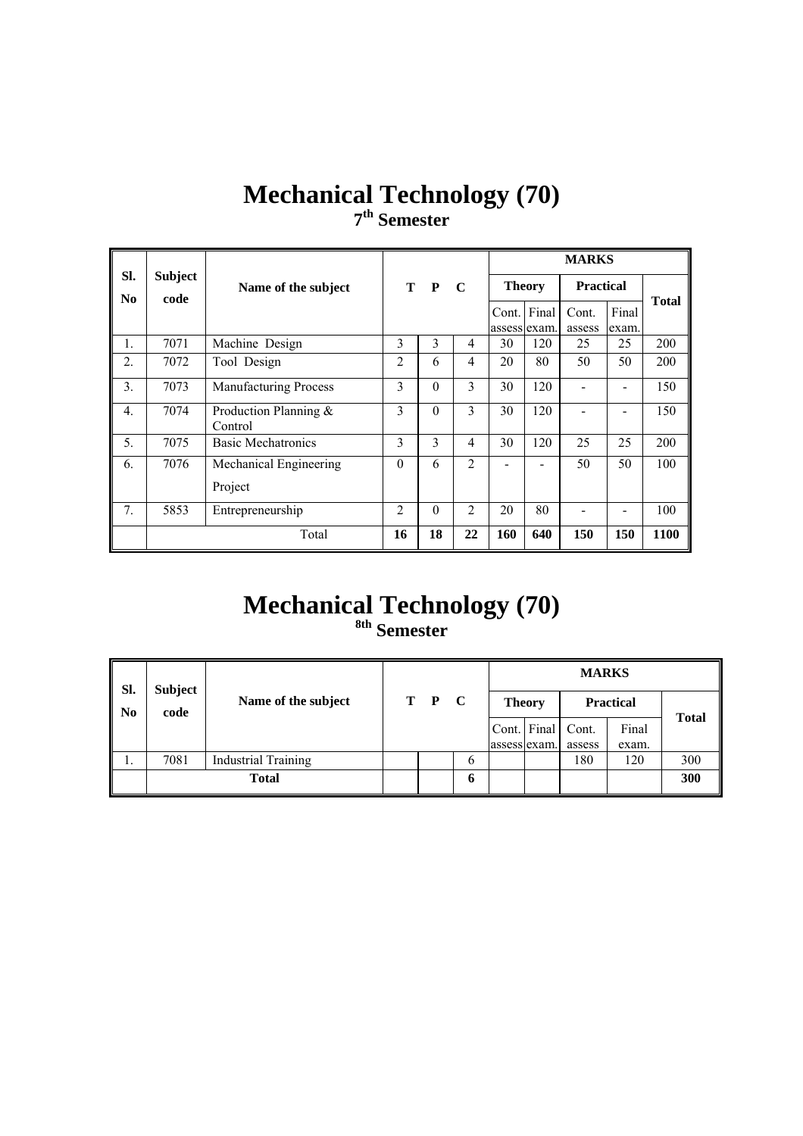# **Mechanical Technology (70) 7th Semester**

|                       |                        |                                  |                |          |                |                             |     | <b>MARKS</b>     |                |              |
|-----------------------|------------------------|----------------------------------|----------------|----------|----------------|-----------------------------|-----|------------------|----------------|--------------|
| SI.<br>N <sub>0</sub> | <b>Subject</b><br>code | Name of the subject              |                | T P      | $\mathbf C$    | <b>Theory</b>               |     | <b>Practical</b> |                |              |
|                       |                        |                                  |                |          |                | Cont. Final<br>assess exam. |     | Cont.<br>assess  | Final<br>exam. | <b>Total</b> |
| $\mathbf{1}$ .        | 7071                   | Machine Design                   | 3              | 3        | 4              | 30                          | 120 | 25               | 25             | 200          |
| $\overline{2}$ .      | 7072                   | Tool Design                      | $\overline{2}$ | 6        | 4              | 20                          | 80  | 50               | 50             | 200          |
| 3.                    | 7073                   | <b>Manufacturing Process</b>     | 3              | $\Omega$ | 3              | 30                          | 120 |                  |                | 150          |
| $\overline{4}$ .      | 7074                   | Production Planning &<br>Control | 3              | $\Omega$ | 3              | 30                          | 120 |                  |                | 150          |
| 5.                    | 7075                   | <b>Basic Mechatronics</b>        | 3              | 3        | 4              | 30                          | 120 | 25               | 25             | 200          |
| 6.                    | 7076                   | Mechanical Engineering           | $\Omega$       | 6        | $\overline{2}$ |                             |     | 50               | 50             | 100          |
|                       |                        | Project                          |                |          |                |                             |     |                  |                |              |
| 7.                    | 5853                   | Entrepreneurship                 | $\overline{2}$ | $\theta$ | $\overline{2}$ | 20                          | 80  |                  |                | 100          |
|                       |                        | Total                            | 16             | 18       | 22             | 160                         | 640 | 150              | 150            | 1100         |

# **Mechanical Technology (70)**

**8th Semester** 

| SI. | <b>Subject</b> |                            |       |   | <b>MARKS</b> |                   |        |                  |              |  |  |  |
|-----|----------------|----------------------------|-------|---|--------------|-------------------|--------|------------------|--------------|--|--|--|
| No  | code           | Name of the subject        | T P C |   |              | <b>Theory</b>     |        | <b>Practical</b> | <b>Total</b> |  |  |  |
|     |                |                            |       |   |              | Cont. Final Cont. |        | Final            |              |  |  |  |
|     |                |                            |       |   | assess exam. |                   | assess | exam.            |              |  |  |  |
| .,  | 7081           | <b>Industrial Training</b> |       | 6 |              |                   | 180    | 120              | 300          |  |  |  |
|     |                | <b>Total</b>               |       | 0 |              |                   |        |                  | 300          |  |  |  |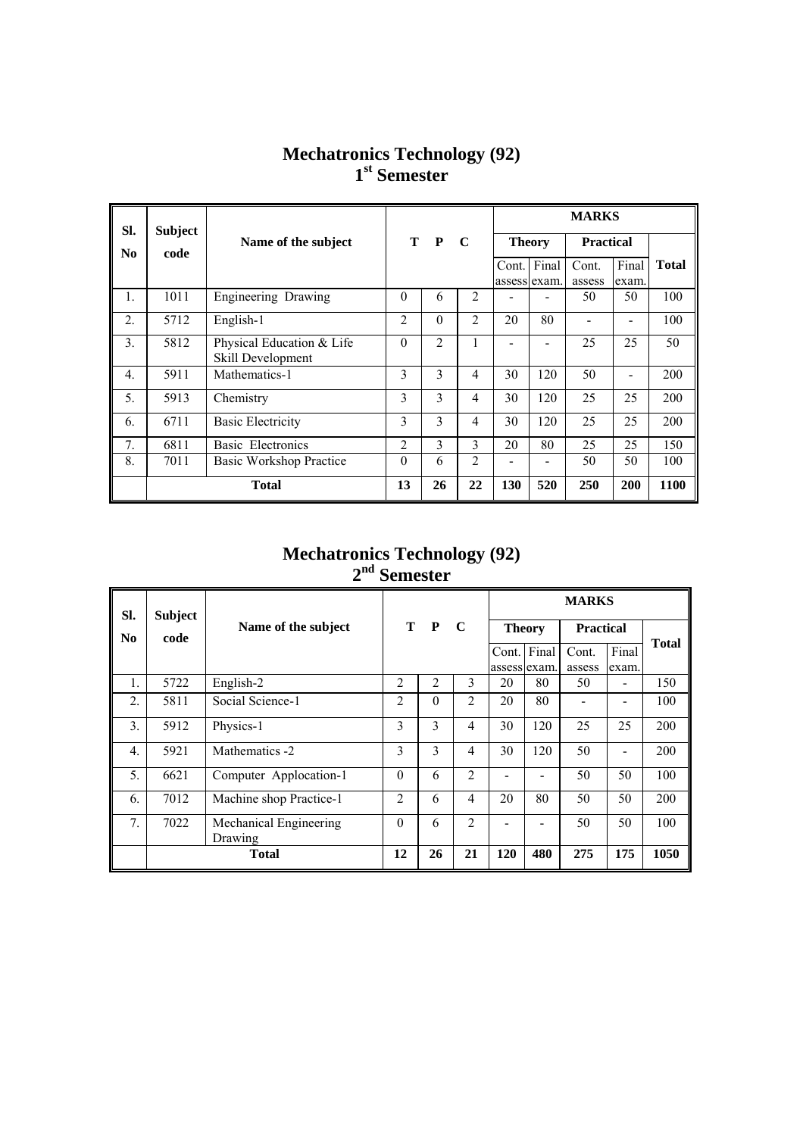#### **Mechatronics Technology (92) 1st Semester**

| SI.              |      | <b>Subject</b>                                 |                   |                | <b>MARKS</b>   |               |       |                  |       |              |
|------------------|------|------------------------------------------------|-------------------|----------------|----------------|---------------|-------|------------------|-------|--------------|
| N <sub>0</sub>   | code | Name of the subject                            | $\mathbf{P}$<br>т |                | $\mathbf C$    | <b>Theory</b> |       | <b>Practical</b> |       |              |
|                  |      |                                                |                   |                |                | Cont.         | Final | Cont.            | Final | <b>Total</b> |
|                  |      |                                                |                   |                |                | assess exam.  |       | assess           | exam. |              |
| 1.               | 1011 | Engineering Drawing                            | $\theta$          | 6              | $\overline{2}$ |               |       | 50               | 50    | 100          |
| $\overline{2}$ . | 5712 | English-1                                      | $\overline{2}$    | $\theta$       | $\overline{2}$ | 20            | 80    |                  |       | 100          |
| $\overline{3}$ . | 5812 | Physical Education & Life<br>Skill Development | $\Omega$          | $\overline{2}$ | $\mathbf{1}$   |               |       | 25               | 25    | 50           |
| $\overline{4}$ . | 5911 | Mathematics-1                                  | 3                 | 3              | 4              | 30            | 120   | 50               |       | 200          |
| 5.               | 5913 | Chemistry                                      | 3                 | $\mathfrak{Z}$ | $\overline{4}$ | 30            | 120   | 25               | 25    | 200          |
| 6.               | 6711 | <b>Basic Electricity</b>                       | 3                 | $\mathfrak{Z}$ | 4              | 30            | 120   | 25               | 25    | 200          |
| 7 <sub>1</sub>   | 6811 | Basic Electronics                              | $\overline{2}$    | $\mathfrak{Z}$ | 3              | 20            | 80    | 25               | 25    | 150          |
| 8.               | 7011 | <b>Basic Workshop Practice</b>                 | $\Omega$          | 6              | $\overline{2}$ |               |       | 50               | 50    | 100          |
|                  |      | <b>Total</b>                                   | 13                | 26             | 22             | 130           | 520   | 250              | 200   | 1100         |

#### **Mechatronics Technology (92) 2nd Semester**

| SI.                    | <b>Subject</b> |                                   |                |              |                | <b>MARKS</b>  |       |                  |       |              |  |
|------------------------|----------------|-----------------------------------|----------------|--------------|----------------|---------------|-------|------------------|-------|--------------|--|
| $\mathbf{N}\mathbf{0}$ | code           | Name of the subject               | т              | $\mathbf{P}$ | $\mathbf C$    | <b>Theory</b> |       | <b>Practical</b> |       |              |  |
|                        |                |                                   |                |              |                | Cont.         | Final | Cont.            | Final | <b>Total</b> |  |
|                        |                |                                   |                |              |                | assess exam.  |       | assess           | exam. |              |  |
| $\mathbf{1}$ .         | 5722           | English-2                         | $\overline{2}$ | 2            | 3              | 20            | 80    | 50               |       | 150          |  |
| $\overline{2}$ .       | 5811           | Social Science-1                  | $\overline{2}$ | $\theta$     | $\overline{2}$ | 20            | 80    |                  |       | 100          |  |
| $\overline{3}$ .       | 5912           | Physics-1                         | 3              | 3            | $\overline{4}$ | 30            | 120   | 25               | 25    | 200          |  |
| $\overline{4}$ .       | 5921           | Mathematics -2                    | 3              | 3            | 4              | 30            | 120   | 50               |       | 200          |  |
| 5.                     | 6621           | Computer Applocation-1            | $\theta$       | 6            | $\overline{2}$ |               | -     | 50               | 50    | 100          |  |
| 6.                     | 7012           | Machine shop Practice-1           | 2              | 6            | $\overline{4}$ | 20            | 80    | 50               | 50    | 200          |  |
| 7.                     | 7022           | Mechanical Engineering<br>Drawing | $\theta$       | 6            | $\overline{2}$ |               |       | 50               | 50    | 100          |  |
|                        |                | <b>Total</b>                      | 12             | 26           | 21             | 120           | 480   | 275              | 175   | 1050         |  |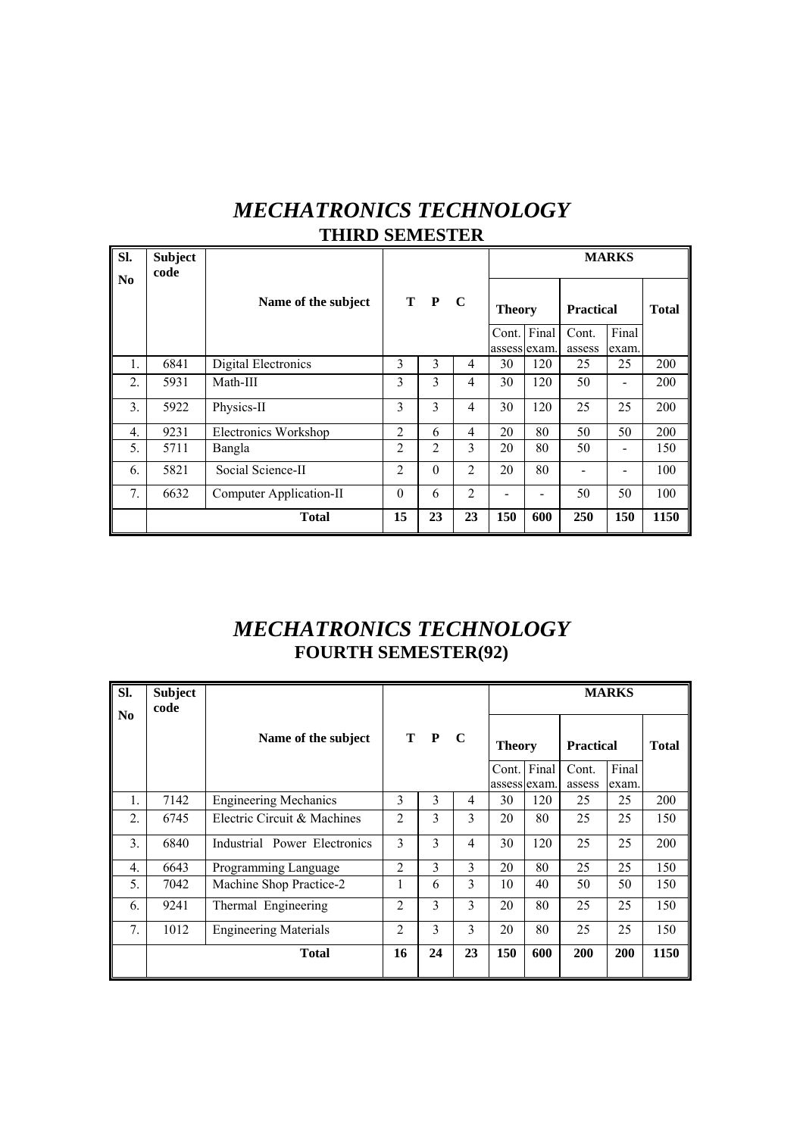| <b>MECHATRONICS TECHNOLOGY</b> |
|--------------------------------|
| <b>THIRD SEMESTER</b>          |

| SI.              | <b>Subject</b><br>code |                         |                |          |                |               |             |                  | <b>MARKS</b> |              |
|------------------|------------------------|-------------------------|----------------|----------|----------------|---------------|-------------|------------------|--------------|--------------|
| N <sub>0</sub>   |                        | Name of the subject     |                | T P      | $\mathbf C$    | <b>Theory</b> |             | <b>Practical</b> |              | <b>Total</b> |
|                  |                        |                         |                |          |                |               | Cont. Final | Cont.            | Final        |              |
|                  |                        |                         |                |          |                | assess exam.  |             | assess           | exam.        |              |
| 1.               | 6841                   | Digital Electronics     | 3              | 3        | 4              | 30            | 120         | 25               | 25           | 200          |
| 2.               | 5931                   | Math-III                | 3              | 3        | $\overline{4}$ | 30            | 120         | 50               |              | 200          |
| 3.               | 5922                   | Physics-II              | 3              | 3        | $\overline{4}$ | 30            | 120         | 25               | 25           | 200          |
| $\overline{4}$ . | 9231                   | Electronics Workshop    | 2              | 6        | $\overline{4}$ | 20            | 80          | 50               | 50           | 200          |
| 5.               | 5711                   | Bangla                  | $\overline{2}$ | 2        | 3              | 20            | 80          | 50               |              | 150          |
| 6.               | 5821                   | Social Science-II       | $\overline{2}$ | $\theta$ | $\overline{2}$ | 20            | 80          |                  |              | 100          |
| 7.               | 6632                   | Computer Application-II | $\theta$       | 6        | $\overline{c}$ |               |             | 50               | 50           | 100          |
|                  |                        | <b>Total</b>            | 15             | 23       | 23             | 150           | 600         | 250              | 150          | 1150         |

## *MECHATRONICS TECHNOLOGY*  **FOURTH SEMESTER(92)**

| SI.            | <b>Subject</b><br>code |                              |                |       |    |               |             |                  | <b>MARKS</b> |              |
|----------------|------------------------|------------------------------|----------------|-------|----|---------------|-------------|------------------|--------------|--------------|
| N <sub>0</sub> |                        | Name of the subject          |                | T P C |    | <b>Theory</b> |             | <b>Practical</b> |              | <b>Total</b> |
|                |                        |                              |                |       |    |               | Cont. Final | Cont.            | Final        |              |
|                |                        |                              |                |       |    | assess exam.  |             | assess           | exam.        |              |
| Ι.             | 7142                   | <b>Engineering Mechanics</b> | 3              | 3     | 4  | 30            | 120         | 25               | 25           | 200          |
| 2.             | 6745                   | Electric Circuit & Machines  | $\overline{2}$ | 3     | 3  | 20            | 80          | 25               | 25           | 150          |
| 3.             | 6840                   | Industrial Power Electronics | 3              | 3     | 4  | 30            | 120         | 25               | 25           | 200          |
| 4.             | 6643                   | Programming Language         | $\overline{2}$ | 3     | 3  | 20            | 80          | 25               | 25           | 150          |
| 5.             | 7042                   | Machine Shop Practice-2      | 1              | 6     | 3  | 10            | 40          | 50               | 50           | 150          |
| 6.             | 9241                   | Thermal Engineering          | $\overline{2}$ | 3     | 3  | 20            | 80          | 25               | 25           | 150          |
| 7.             | 1012                   | <b>Engineering Materials</b> | $\overline{2}$ | 3     | 3  | 20            | 80          | 25               | 25           | 150          |
|                |                        | <b>Total</b>                 | 16             | 24    | 23 | 150           | 600         | 200              | 200          | 1150         |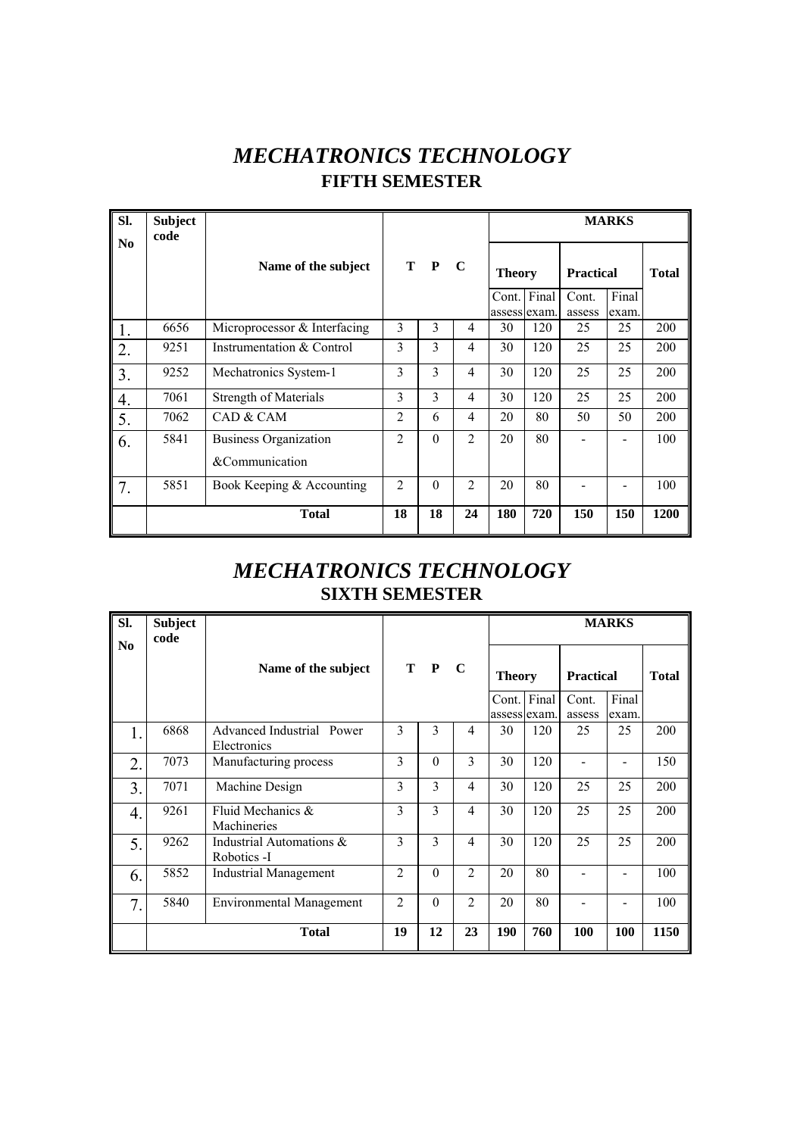# *MECHATRONICS TECHNOLOGY*  **FIFTH SEMESTER**

| Sl.                    | <b>Subject</b><br>code |                                                |                |                          |                |               |              |                           | <b>MARKS</b> |              |
|------------------------|------------------------|------------------------------------------------|----------------|--------------------------|----------------|---------------|--------------|---------------------------|--------------|--------------|
| $\mathbf{N}\mathbf{0}$ |                        | Name of the subject                            |                | T P C                    |                | <b>Theory</b> | Cont. Final  | <b>Practical</b><br>Cont. | Final        | <b>Total</b> |
|                        |                        |                                                |                |                          |                |               | assess exam. | assess                    | exam.        |              |
| 1.                     | 6656                   | Microprocessor & Interfacing                   | 3              | 3                        | 4              | 30            | 120          | 25                        | 25           | 200          |
| 2.                     | 9251                   | Instrumentation & Control                      | 3              | 3                        | 4              | 30            | 120          | 25                        | 25           | 200          |
| 3.                     | 9252                   | Mechatronics System-1                          | 3              | $\overline{\mathcal{E}}$ | $\overline{4}$ | 30            | 120          | 25                        | 25           | 200          |
| 4.                     | 7061                   | <b>Strength of Materials</b>                   | 3              | $\overline{\mathcal{E}}$ | 4              | 30            | 120          | 25                        | 25           | 200          |
| 5.                     | 7062                   | CAD & CAM                                      | $\overline{2}$ | 6                        | 4              | 20            | 80           | 50                        | 50           | 200          |
| 6.                     | 5841                   | <b>Business Organization</b><br>&Communication | $\overline{2}$ | $\Omega$                 | $\overline{2}$ | 20            | 80           |                           |              | 100          |
| 7.                     | 5851                   | Book Keeping & Accounting                      | $\overline{2}$ | $\theta$                 | $\overline{2}$ | 20            | 80           |                           |              | 100          |
|                        |                        | <b>Total</b>                                   | 18             | 18                       | 24             | 180           | 720          | 150                       | 150          | 1200         |

## *MECHATRONICS TECHNOLOGY*  **SIXTH SEMESTER**

| SI.<br>$\mathbf{N}\mathbf{0}$ | <b>Subject</b><br>code |                                          |                |          |                |               |              |                           | <b>MARKS</b> |              |
|-------------------------------|------------------------|------------------------------------------|----------------|----------|----------------|---------------|--------------|---------------------------|--------------|--------------|
|                               |                        | Name of the subject                      |                | T P      | $\mathbf C$    | <b>Theory</b> | Cont. Final  | <b>Practical</b><br>Cont. | Final        | <b>Total</b> |
|                               |                        |                                          |                |          |                |               | assess exam. | assess                    | exam.        |              |
| 1.                            | 6868                   | Advanced Industrial Power<br>Electronics | 3              | 3        | 4              | 30            | 120          | 25                        | 25           | 200          |
| 2.                            | 7073                   | Manufacturing process                    | 3              | $\theta$ | 3              | 30            | 120          |                           |              | 150          |
| $\overline{3}$ .              | 7071                   | Machine Design                           | 3              | 3        | 4              | 30            | 120          | 25                        | 25           | 200          |
| 4.                            | 9261                   | Fluid Mechanics &<br>Machineries         | 3              | 3        | $\overline{4}$ | 30            | 120          | 25                        | 25           | 200          |
| 5.                            | 9262                   | Industrial Automations &<br>Robotics -I  | 3              | 3        | $\overline{4}$ | 30            | 120          | 25                        | 25           | 200          |
| 6.                            | 5852                   | <b>Industrial Management</b>             | $\overline{2}$ | $\theta$ | $\overline{2}$ | 20            | 80           |                           |              | 100          |
| 7.                            | 5840                   | <b>Environmental Management</b>          | $\mathfrak{D}$ | $\theta$ | $\overline{2}$ | 20            | 80           |                           |              | 100          |
|                               |                        | <b>Total</b>                             | 19             | 12       | 23             | 190           | 760          | 100                       | 100          | 1150         |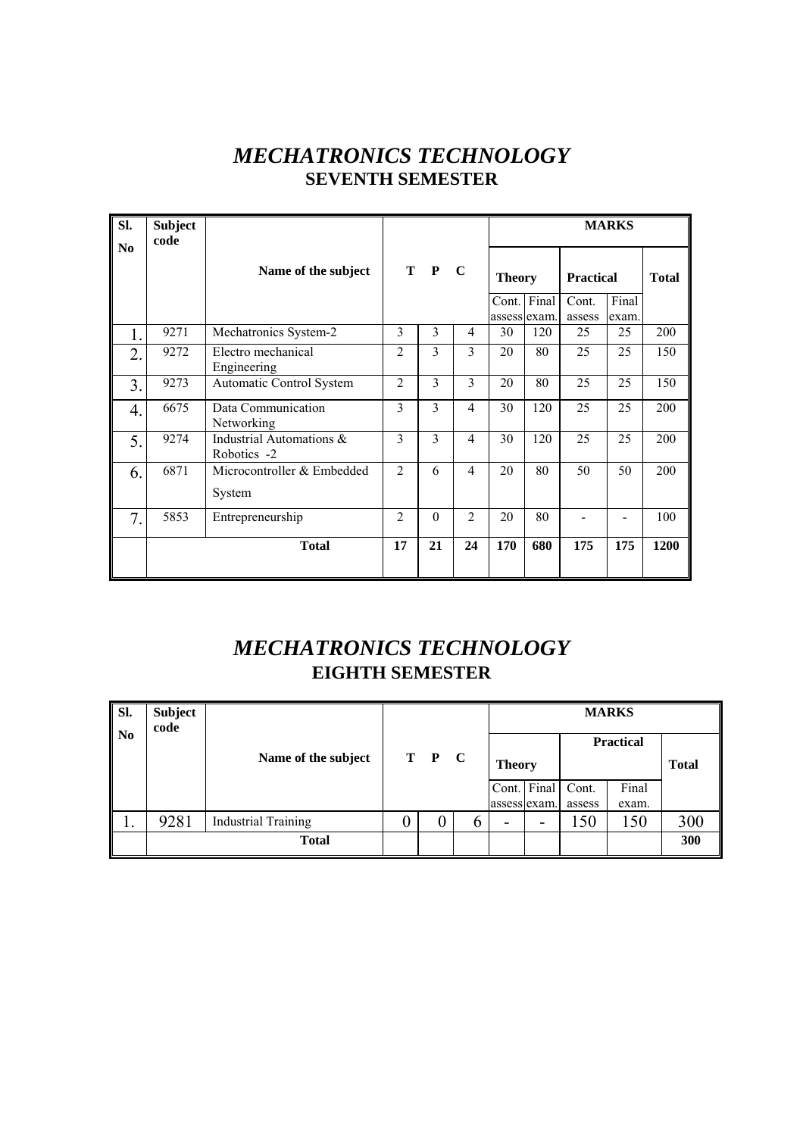## *MECHATRONICS TECHNOLOGY*  **SEVENTH SEMESTER**

| SI.<br>No        | <b>Subject</b><br>code |                                         |                |          |                |                             |     |                  | <b>MARKS</b>   |              |
|------------------|------------------------|-----------------------------------------|----------------|----------|----------------|-----------------------------|-----|------------------|----------------|--------------|
|                  |                        | Name of the subject                     |                | T P      | $\mathbf C$    | <b>Theory</b>               |     | <b>Practical</b> |                | <b>Total</b> |
|                  |                        |                                         |                |          |                | Cont. Final<br>assess exam. |     | Cont.<br>assess  | Final<br>exam. |              |
| $\mathbf{1}$ .   | 9271                   | Mechatronics System-2                   | 3              | 3        | 4              | 30                          | 120 | 25               | 25             | 200          |
| $\overline{2}$ . | 9272                   | Electro mechanical<br>Engineering       | $\overline{2}$ | 3        | 3              | 20                          | 80  | 25               | 25             | 150          |
| 3.               | 9273                   | Automatic Control System                | $\overline{2}$ | 3        | 3              | 20                          | 80  | 25               | 25             | 150          |
| $\overline{4}$ . | 6675                   | Data Communication<br>Networking        | 3              | 3        | $\overline{4}$ | 30                          | 120 | 25               | 25             | 200          |
| 5.               | 9274                   | Industrial Automations &<br>Robotics -2 | 3              | 3        | $\overline{4}$ | 30                          | 120 | 25               | 25             | 200          |
| 6.               | 6871                   | Microcontroller & Embedded<br>System    | $\overline{2}$ | 6        | $\overline{4}$ | 20                          | 80  | 50               | 50             | 200          |
| 7.               | 5853                   | Entrepreneurship                        | $\overline{2}$ | $\theta$ | $\overline{2}$ | 20                          | 80  |                  |                | 100          |
|                  |                        | <b>Total</b>                            | 17             | 21       | 24             | 170                         | 680 | 175              | 175            | 1200         |

# *MECHATRONICS TECHNOLOGY*  **EIGHTH SEMESTER**

| Sl.            | <b>Subject</b><br>code |                            |   |       |               |             |                 | <b>MARKS</b>     |              |
|----------------|------------------------|----------------------------|---|-------|---------------|-------------|-----------------|------------------|--------------|
| N <sub>0</sub> |                        | Name of the subject        |   | T P C | <b>Theory</b> |             |                 | <b>Practical</b> | <b>Total</b> |
|                |                        |                            |   |       | assess exam.  | Cont. Final | Cont.<br>assess | Final<br>exam.   |              |
| ı.             | 9281                   | <b>Industrial Training</b> | v | U     | -             |             | 150             | 150              | 300          |
|                |                        | <b>Total</b>               |   |       |               |             |                 |                  | 300          |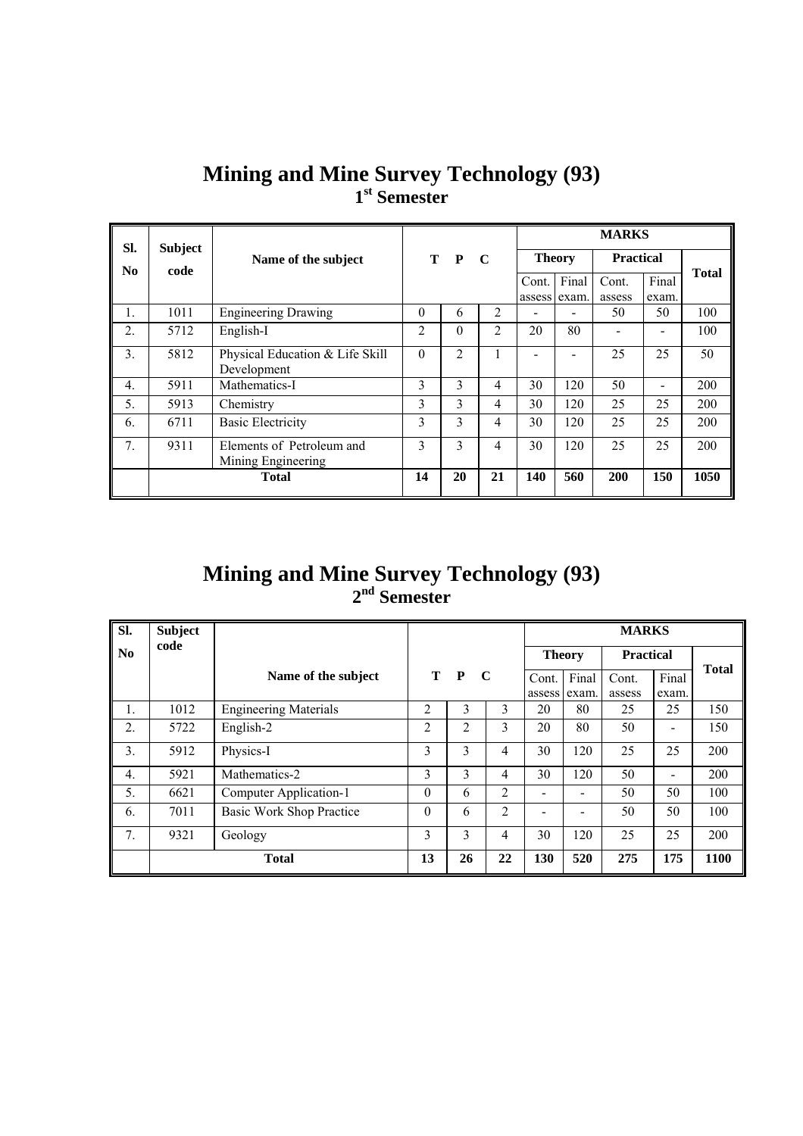|  |                          | <b>Mining and Mine Survey Technology (93)</b> |  |
|--|--------------------------|-----------------------------------------------|--|
|  | 1 <sup>st</sup> Semester |                                               |  |

| SI.            |      | <b>Subject</b>                                 |               |          |                | <b>MARKS</b>  |       |                  |       |              |  |
|----------------|------|------------------------------------------------|---------------|----------|----------------|---------------|-------|------------------|-------|--------------|--|
| No             | code | Name of the subject                            |               | T P C    |                | <b>Theory</b> |       | <b>Practical</b> |       |              |  |
|                |      |                                                |               |          |                | Cont.         | Final | Cont.            | Final | <b>Total</b> |  |
|                |      |                                                |               |          |                | assess exam.  |       | assess           | exam. |              |  |
| 1.             | 1011 | <b>Engineering Drawing</b>                     | $\Omega$      | 6        | 2              |               |       | 50               | 50    | 100          |  |
| 2.             | 5712 | English-I                                      | 2             | $\theta$ | $\overline{c}$ | 20            | 80    |                  |       | 100          |  |
| 3.             | 5812 | Physical Education & Life Skill<br>Development | $\theta$      | 2        |                |               |       | 25               | 25    | 50           |  |
| 4.             | 5911 | Mathematics-I                                  | 3             | 3        | 4              | 30            | 120   | 50               | ۰     | 200          |  |
| 5.             | 5913 | Chemistry                                      | 3             | 3        | 4              | 30            | 120   | 25               | 25    | 200          |  |
| 6.             | 6711 | <b>Basic Electricity</b>                       | 3             | 3        | 4              | 30            | 120   | 25               | 25    | 200          |  |
| 7 <sub>1</sub> | 9311 | Elements of Petroleum and                      | $\mathcal{E}$ | 3        | 4              | 30            | 120   | 25               | 25    | 200          |  |
|                |      | Mining Engineering                             |               |          |                |               |       |                  |       |              |  |
|                |      | <b>Total</b>                                   | 14            | 20       | 21             | 140           | 560   | 200              | 150   | 1050         |  |

### **Mining and Mine Survey Technology (93) 2nd Semester**

| SI.            | <b>Subject</b> |                                 |              |                |             | <b>MARKS</b>   |                                   |        |                              |              |
|----------------|----------------|---------------------------------|--------------|----------------|-------------|----------------|-----------------------------------|--------|------------------------------|--------------|
| N <sub>0</sub> | code           |                                 |              |                |             |                | <b>Theory</b><br><b>Practical</b> |        |                              |              |
|                |                | Name of the subject             | т            | $\mathbf{P}$   | $\mathbf C$ | Cont.          | Final                             | Cont.  | Final                        | <b>Total</b> |
|                |                |                                 |              |                |             | assess exam.   |                                   | assess | exam.                        |              |
| 1.             | 1012           | <b>Engineering Materials</b>    | 2            | 3              | 3           | 20             | 80                                | 25     | 25                           | 150          |
| 2.             | 5722           | English-2                       | 2            | $\overline{2}$ | 3           | 20             | 80                                | 50     |                              | 150          |
| 3.             | 5912           | Physics-I                       | 3            | 3              | 4           | 30             | 120                               | 25     | 25                           | 200          |
| 4.             | 5921           | Mathematics-2                   | 3            | 3              | 4           | 30             | 120                               | 50     | $\qquad \qquad \blacksquare$ | 200          |
| 5.             | 6621           | Computer Application-1          | $\mathbf{0}$ | 6              | 2           | -              | -                                 | 50     | 50                           | 100          |
| 6.             | 7011           | <b>Basic Work Shop Practice</b> | $\theta$     | 6              | 2           | $\blacksquare$ | -                                 | 50     | 50                           | 100          |
| 7.             | 9321           | Geology                         | 3            | 3              | 4           | 30             | 120                               | 25     | 25                           | 200          |
|                |                | <b>Total</b>                    | 13           | 26             | 22          | 130            | 520                               | 275    | 175                          | 1100         |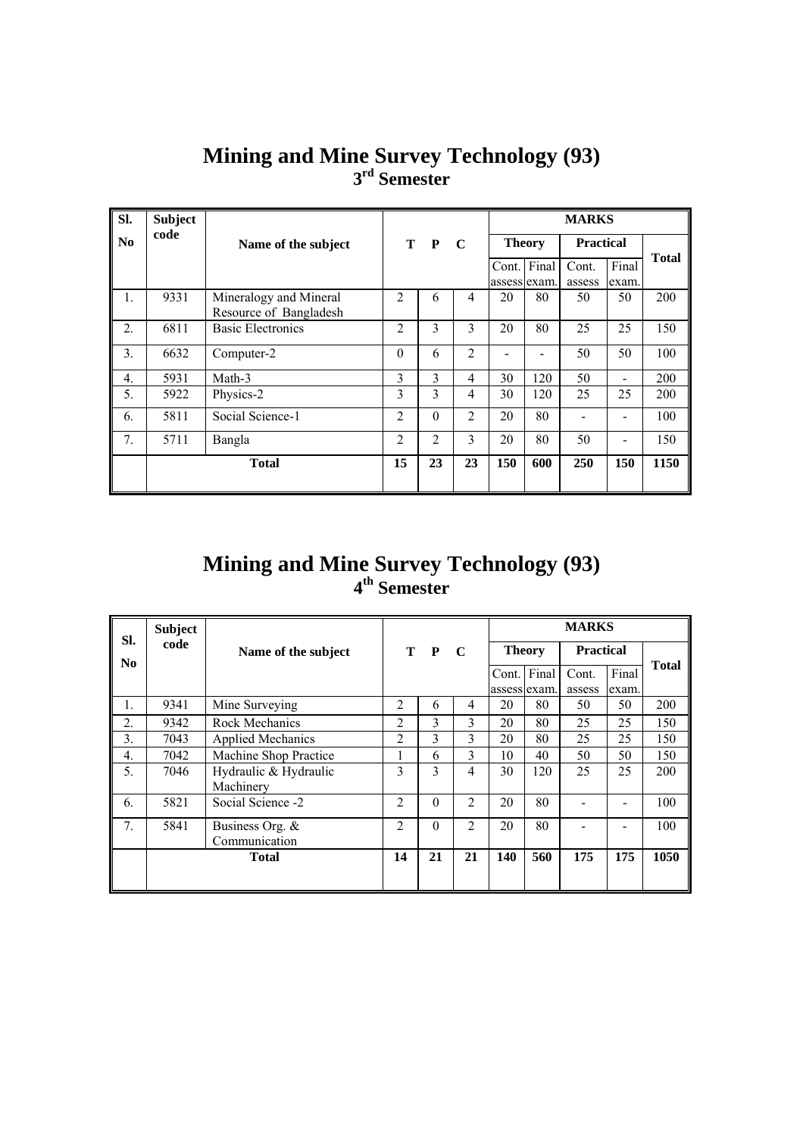| SI.              | <b>Subject</b> |                          |                |          |                |               |     | <b>MARKS</b>     |                              |              |
|------------------|----------------|--------------------------|----------------|----------|----------------|---------------|-----|------------------|------------------------------|--------------|
| N <sub>0</sub>   | code           | Name of the subject      |                | T P      | $\mathbf C$    | <b>Theory</b> |     | <b>Practical</b> |                              |              |
|                  |                |                          |                |          |                | Cont. Final   |     | Cont.            | Final                        | <b>Total</b> |
|                  |                |                          |                |          |                | assess exam.  |     | assess           | exam.                        |              |
| $\mathbf{1}$ .   | 9331           | Mineralogy and Mineral   | $\mathfrak{D}$ | 6        | $\overline{4}$ | 20            | 80  | 50               | 50                           | 200          |
|                  |                | Resource of Bangladesh   |                |          |                |               |     |                  |                              |              |
| 2.               | 6811           | <b>Basic Electronics</b> | 2              | 3        | 3              | 20            | 80  | 25               | 25                           | 150          |
| 3.               | 6632           | Computer-2               | $\theta$       | 6        | 2              |               |     | 50               | 50                           | 100          |
| $\overline{4}$ . | 5931           | Math-3                   | 3              | 3        | $\overline{4}$ | 30            | 120 | 50               | $\qquad \qquad \blacksquare$ | 200          |
| 5.               | 5922           | Physics-2                | 3              | 3        | $\overline{4}$ | 30            | 120 | 25               | 25                           | 200          |
| 6.               | 5811           | Social Science-1         | $\overline{2}$ | $\theta$ | $\overline{2}$ | 20            | 80  |                  |                              | 100          |
| 7.               | 5711           | Bangla                   | $\overline{2}$ | 2        | 3              | 20            | 80  | 50               |                              | 150          |
|                  |                | <b>Total</b>             | 15             | 23       | 23             | 150           | 600 | 250              | 150                          | 1150         |

### **Mining and Mine Survey Technology (93) 3rd Semester**

### **Mining and Mine Survey Technology (93) 4th Semester**

|                       | <b>Subject</b> |                          |                |          |                |                       |       | <b>MARKS</b>     |                |              |
|-----------------------|----------------|--------------------------|----------------|----------|----------------|-----------------------|-------|------------------|----------------|--------------|
| SI.<br>N <sub>0</sub> | code           | Name of the subject      |                | T P      | $\mathbf C$    | <b>Theory</b>         |       | <b>Practical</b> |                |              |
|                       |                |                          |                |          |                | Cont.<br>assess exam. | Final | Cont.<br>assess  | Final<br>exam. | <b>Total</b> |
| 1.                    | 9341           | Mine Surveying           | $\overline{2}$ | 6        | 4              | 20                    | 80    | 50               | 50             | 200          |
| 2.                    | 9342           | <b>Rock Mechanics</b>    | $\overline{c}$ | 3        | 3              | 20                    | 80    | 25               | 25             | 150          |
| 3.                    | 7043           | <b>Applied Mechanics</b> | $\overline{2}$ | 3        | 3              | 20                    | 80    | 25               | 25             | 150          |
| $\overline{4}$ .      | 7042           | Machine Shop Practice    |                | 6        | 3              | 10                    | 40    | 50               | 50             | 150          |
| 5.                    | 7046           | Hydraulic & Hydraulic    | 3              | 3        | 4              | 30                    | 120   | 25               | 25             | 200          |
|                       |                | Machinery                |                |          |                |                       |       |                  |                |              |
| 6.                    | 5821           | Social Science -2        | $\overline{2}$ | $\theta$ | $\overline{2}$ | 20                    | 80    |                  |                | 100          |
| 7.                    | 5841           | Business Org. &          | $\overline{2}$ | $\theta$ | $\overline{2}$ | 20                    | 80    |                  |                | 100          |
|                       |                | Communication            |                |          |                |                       |       |                  |                |              |
|                       |                | <b>Total</b>             | 14             | 21       | 21             | 140                   | 560   | 175              | 175            | 1050         |
|                       |                |                          |                |          |                |                       |       |                  |                |              |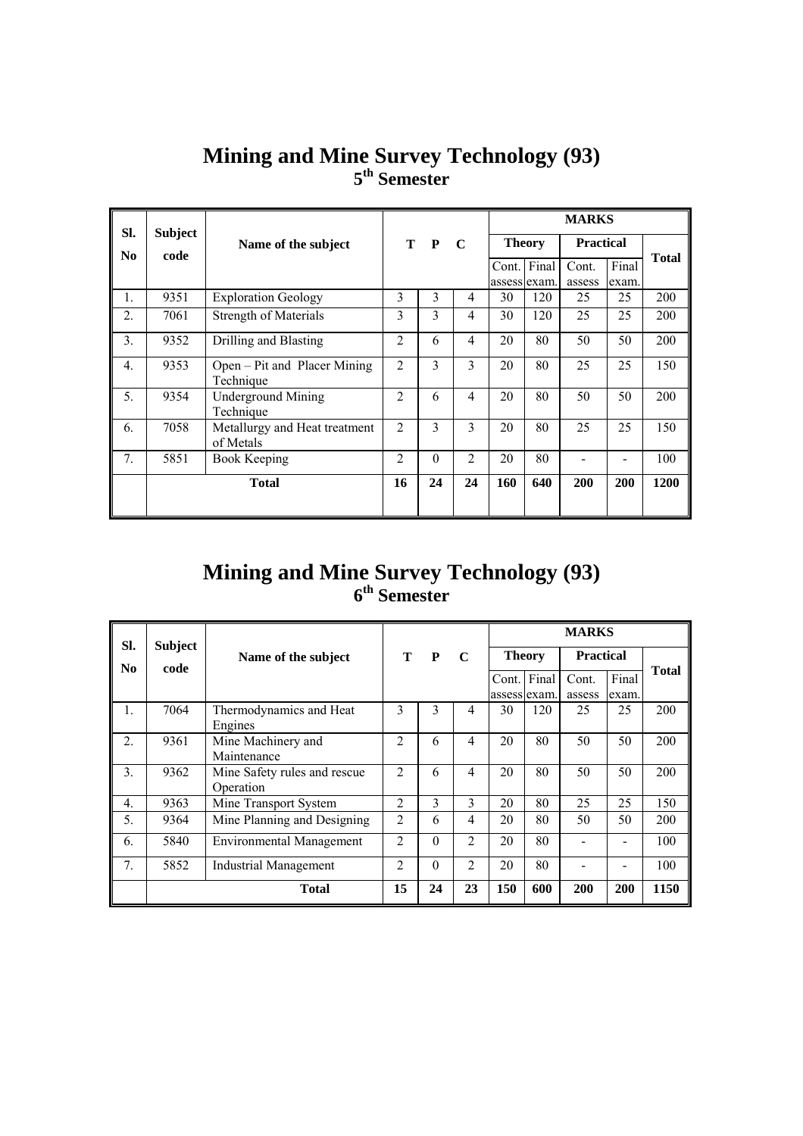| SI.              | <b>Subject</b> |                                            |                |          |                |              |               | <b>MARKS</b>     |       |              |
|------------------|----------------|--------------------------------------------|----------------|----------|----------------|--------------|---------------|------------------|-------|--------------|
| No.              | code           | Name of the subject                        |                | T P      | $\mathbf C$    |              | <b>Theory</b> | <b>Practical</b> |       |              |
|                  |                |                                            |                |          |                |              | Cont. Final   | Cont.            | Final | <b>Total</b> |
|                  |                |                                            |                |          |                | assess exam. |               | assess           | exam. |              |
| 1.               | 9351           | <b>Exploration Geology</b>                 | 3              | 3        | 4              | 30           | 120           | 25               | 25    | 200          |
| 2.               | 7061           | <b>Strength of Materials</b>               | 3              | 3        | $\overline{4}$ | 30           | 120           | 25               | 25    | 200          |
| 3.               | 9352           | Drilling and Blasting                      | $\overline{c}$ | 6        | $\overline{4}$ | 20           | 80            | 50               | 50    | 200          |
| $\overline{4}$ . | 9353           | Open – Pit and Placer Mining<br>Technique  | $\overline{2}$ | 3        | 3              | 20           | 80            | 25               | 25    | 150          |
| 5.               | 9354           | <b>Underground Mining</b><br>Technique     | $\overline{2}$ | 6        | $\overline{4}$ | 20           | 80            | 50               | 50    | 200          |
| 6.               | 7058           | Metallurgy and Heat treatment<br>of Metals | $\overline{2}$ | 3        | 3              | 20           | 80            | 25               | 25    | 150          |
| 7.               | 5851           | <b>Book Keeping</b>                        | 2              | $\theta$ | $\overline{2}$ | 20           | 80            |                  |       | 100          |
|                  |                | <b>Total</b>                               | 16             | 24       | 24             | <b>160</b>   | 640           | 200              | 200   | 1200         |
|                  |                |                                            |                |          |                |              |               |                  |       |              |

### **Mining and Mine Survey Technology (93) 5th Semester**

### **Mining and Mine Survey Technology (93) 6th Semester**

| SI.              | <b>Subject</b> |                                 |                |              |                | <b>MARKS</b> |               |                  |       |              |  |
|------------------|----------------|---------------------------------|----------------|--------------|----------------|--------------|---------------|------------------|-------|--------------|--|
| No.              | code           | Name of the subject             | т              | $\mathbf{P}$ | $\mathbf C$    |              | <b>Theory</b> | <b>Practical</b> |       |              |  |
|                  |                |                                 |                |              |                | Cont.        | Final         | Cont.            | Final | <b>Total</b> |  |
|                  |                |                                 |                |              |                |              | assess exam.  | assess           | exam. |              |  |
| $\mathbf{1}$ .   | 7064           | Thermodynamics and Heat         | 3              | 3            | 4              | 30           | 120           | 25               | 25    | 200          |  |
|                  |                | Engines                         |                |              |                |              |               |                  |       |              |  |
| $\overline{2}$ . | 9361           | Mine Machinery and              | $\overline{c}$ | 6            | $\overline{4}$ | 20           | 80            | 50               | 50    | 200          |  |
|                  |                | Maintenance                     |                |              |                |              |               |                  |       |              |  |
| 3.               | 9362           | Mine Safety rules and rescue    | $\mathfrak{D}$ | 6            | $\overline{4}$ | 20           | 80            | 50               | 50    | 200          |  |
|                  |                | Operation                       |                |              |                |              |               |                  |       |              |  |
| $\mathbf{4}$     | 9363           | Mine Transport System           | $\overline{c}$ | 3            | 3              | 20           | 80            | 25               | 25    | 150          |  |
| 5.               | 9364           | Mine Planning and Designing     | $\overline{2}$ | 6            | 4              | 20           | 80            | 50               | 50    | 200          |  |
| 6.               | 5840           | <b>Environmental Management</b> | $\overline{c}$ | $\theta$     | $\overline{2}$ | 20           | 80            |                  |       | 100          |  |
| 7 <sub>1</sub>   | 5852           | <b>Industrial Management</b>    | $\overline{2}$ | $\Omega$     | $\overline{2}$ | 20           | 80            |                  |       | 100          |  |
|                  |                | <b>Total</b>                    | 15             | 24           | 23             | 150          | 600           | 200              | 200   | 1150         |  |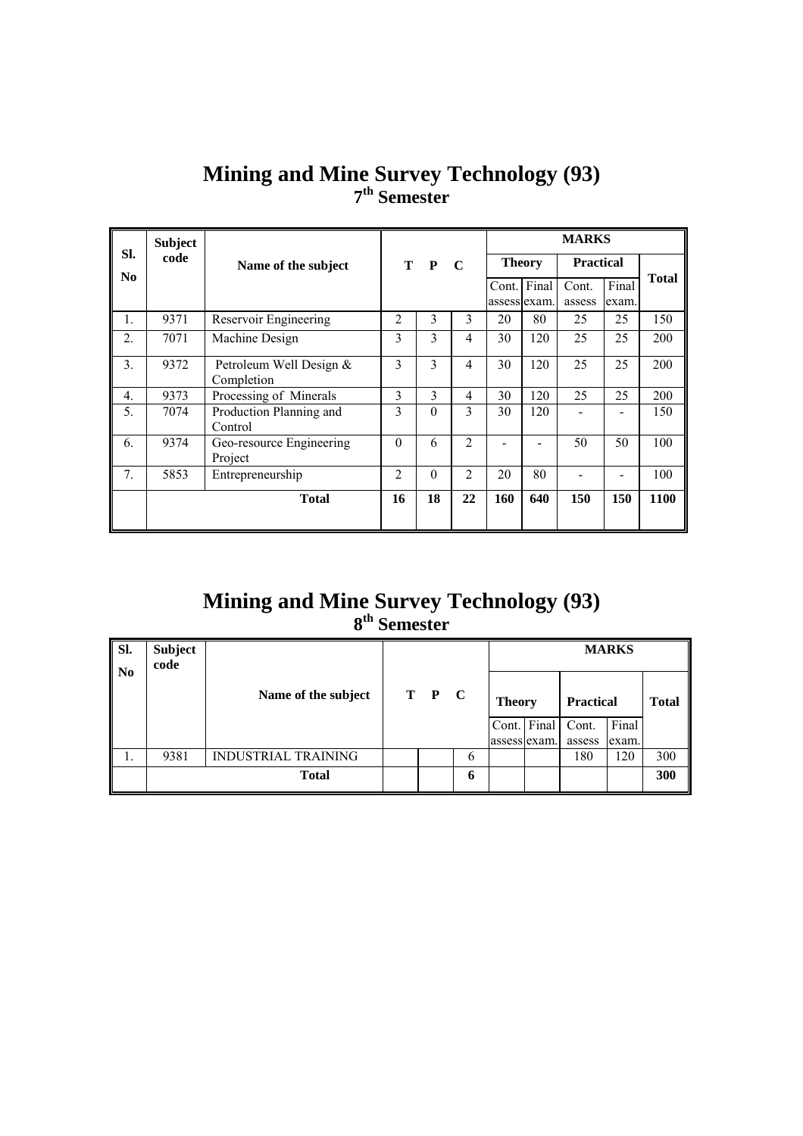|                       | <b>Subject</b> |                                       |                |          |                |               |     | <b>MARKS</b>     |       |              |
|-----------------------|----------------|---------------------------------------|----------------|----------|----------------|---------------|-----|------------------|-------|--------------|
| Sl.<br>N <sub>0</sub> | code           | Name of the subject                   | T P C          |          |                | <b>Theory</b> |     | <b>Practical</b> |       |              |
|                       |                |                                       |                |          |                | Cont. Final   |     | Cont.            | Final | <b>Total</b> |
|                       |                |                                       |                |          |                | assess lexam. |     | assess           | exam. |              |
| 1.                    | 9371           | Reservoir Engineering                 | $\mathfrak{D}$ | 3        | 3              | 20            | 80  | 25               | 25    | 150          |
| 2.                    | 7071           | Machine Design                        | 3              | 3        | $\overline{4}$ | 30            | 120 | 25               | 25    | 200          |
| 3.                    | 9372           | Petroleum Well Design &<br>Completion | 3              | 3        | $\overline{4}$ | 30            | 120 | 25               | 25    | 200          |
| $\overline{4}$ .      | 9373           | Processing of Minerals                | 3              | 3        | $\overline{4}$ | 30            | 120 | 25               | 25    | 200          |
| 5.                    | 7074           | Production Planning and               | 3              | $\theta$ | 3              | 30            | 120 |                  |       | 150          |
|                       |                | Control                               |                |          |                |               |     |                  |       |              |
| 6.                    | 9374           | Geo-resource Engineering              | $\theta$       | 6        | $\overline{2}$ |               |     | 50               | 50    | 100          |
|                       |                | Project                               |                |          |                |               |     |                  |       |              |
| 7.                    | 5853           | Entrepreneurship                      | $\mathfrak{D}$ | $\theta$ | $\mathfrak{D}$ | 20            | 80  |                  |       | 100          |
|                       |                | <b>Total</b>                          | 16             | 18       | 22             | 160           | 640 | 150              | 150   | 1100         |
|                       |                |                                       |                |          |                |               |     |                  |       |              |

### **Mining and Mine Survey Technology (93) 7th Semester**

### **Mining and Mine Survey Technology (93) 8th Semester**

| SI.<br>$\overline{\phantom{a}}$ No | Subject<br>code |                            |       |   |               |              |                  | <b>MARKS</b> |              |
|------------------------------------|-----------------|----------------------------|-------|---|---------------|--------------|------------------|--------------|--------------|
|                                    |                 | Name of the subject        | T P C |   | <b>Theory</b> |              | <b>Practical</b> |              | <b>Total</b> |
|                                    |                 |                            |       |   | Cont. Final   |              | Cont.            | Final        |              |
|                                    |                 |                            |       |   |               | assess exam. | assess           | exam.        |              |
|                                    | 9381            | <b>INDUSTRIAL TRAINING</b> |       | 6 |               |              | 180              | 120          | 300          |
|                                    |                 | <b>Total</b>               |       | 6 |               |              |                  |              | 300          |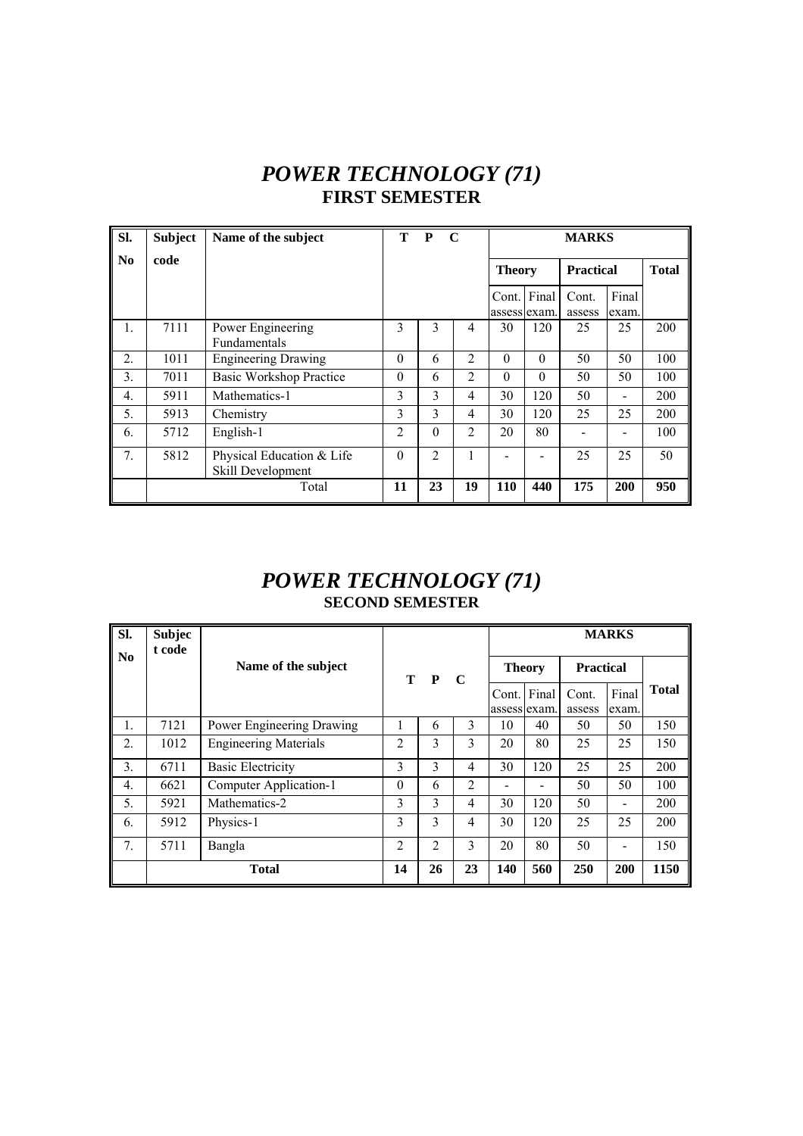## *POWER TECHNOLOGY (71)*  **FIRST SEMESTER**

| Sl.              | <b>Subject</b> | Name of the subject                            | Т        | P              | $\mathbf C$    |               | <b>MARKS</b> |                  |                |              |  |  |
|------------------|----------------|------------------------------------------------|----------|----------------|----------------|---------------|--------------|------------------|----------------|--------------|--|--|
| No               | code           |                                                |          |                |                | <b>Theory</b> |              | <b>Practical</b> |                | <b>Total</b> |  |  |
|                  |                |                                                |          |                |                | Cont. Final   | assess exam. | Cont.<br>assess  | Final<br>exam. |              |  |  |
| 1.               | 7111           | Power Engineering<br><b>Fundamentals</b>       | 3        | 3              | 4              | 30            | 120          | 25               | 25             | 200          |  |  |
| $\overline{2}$ . | 1011           | <b>Engineering Drawing</b>                     | $\theta$ | 6              | $\overline{c}$ | $\theta$      | $\theta$     | 50               | 50             | 100          |  |  |
| 3.               | 7011           | <b>Basic Workshop Practice</b>                 | $\theta$ | 6              | 2              | $\Omega$      | $\Omega$     | 50               | 50             | 100          |  |  |
| 4.               | 5911           | Mathematics-1                                  | 3        | 3              | 4              | 30            | 120          | 50               |                | 200          |  |  |
| 5.               | 5913           | Chemistry                                      | 3        | 3              | 4              | 30            | 120          | 25               | 25             | 200          |  |  |
| 6.               | 5712           | English-1                                      | 2        | $\theta$       | $\overline{2}$ | 20            | 80           |                  |                | 100          |  |  |
| 7 <sub>1</sub>   | 5812           | Physical Education & Life<br>Skill Development | $\Omega$ | $\overline{2}$ | 1              |               |              | 25               | 25             | 50           |  |  |
|                  |                | Total                                          | 11       | 23             | 19             | 110           | 440          | 175              | 200            | 950          |  |  |

### *POWER TECHNOLOGY (71)*  **SECOND SEMESTER**

| Sl.                    | <b>Subjec</b><br>t code |                              |                |               |                |                    |       |                  | <b>MARKS</b> |              |
|------------------------|-------------------------|------------------------------|----------------|---------------|----------------|--------------------|-------|------------------|--------------|--------------|
| $\mathbf{N}\mathbf{0}$ |                         | Name of the subject          |                | T P           | $\mathbf C$    | <b>Theory</b>      |       | <b>Practical</b> |              |              |
|                        |                         |                              |                |               |                | Cont.              | Final | Cont.            | Final        | <b>Total</b> |
| 1.                     | 7121                    | Power Engineering Drawing    |                | 6             | 3              | assess exam.<br>10 | 40    | assess<br>50     | exam.<br>50  | 150          |
| 2.                     | 1012                    | <b>Engineering Materials</b> | $\overline{c}$ | 3             | 3              | 20                 | 80    | 25               | 25           | 150          |
| 3.                     | 6711                    | <b>Basic Electricity</b>     | 3              | $\mathcal{E}$ | 4              | 30                 | 120   | 25               | 25           | 200          |
| $\overline{4}$ .       | 6621                    | Computer Application-1       | $\theta$       | 6             | $\overline{2}$ |                    |       | 50               | 50           | 100          |
| 5.                     | 5921                    | Mathematics-2                | 3              | 3             | 4              | 30                 | 120   | 50               |              | 200          |
| 6.                     | 5912                    | Physics-1                    | 3              | 3             | 4              | 30                 | 120   | 25               | 25           | 200          |
| $7_{\cdot}$            | 5711                    | Bangla                       | $\overline{2}$ | 2             | 3              | 20                 | 80    | 50               |              | 150          |
|                        | <b>Total</b>            |                              |                | 26            | 23             | 140                | 560   | 250              | 200          | 1150         |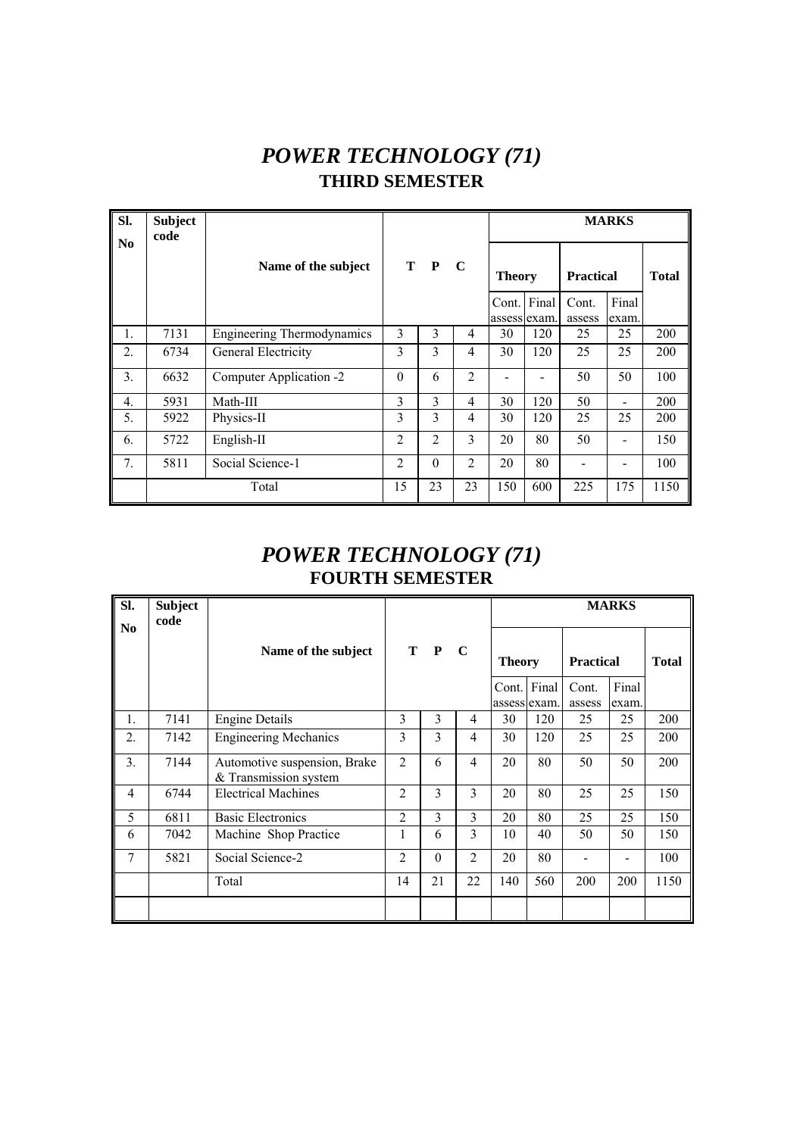# *POWER TECHNOLOGY (71)*  **THIRD SEMESTER**

| Sl.              | <b>Subject</b><br>code |                                   |                |                |                |               |             |                  | <b>MARKS</b>             |              |
|------------------|------------------------|-----------------------------------|----------------|----------------|----------------|---------------|-------------|------------------|--------------------------|--------------|
| N <sub>0</sub>   |                        | Name of the subject               |                | T P            | $\mathbf C$    | <b>Theory</b> |             | <b>Practical</b> |                          | <b>Total</b> |
|                  |                        |                                   |                |                |                | assess exam.  | Cont. Final | Cont.<br>assess  | Final<br>exam.           |              |
| 1.               | 7131                   | <b>Engineering Thermodynamics</b> | 3              | 3              | $\overline{4}$ | 30            | 120         | 25               | 25                       | 200          |
| 2.               | 6734                   | General Electricity               | 3              | 3              | $\overline{4}$ | 30            | 120         | 25               | 25                       | 200          |
| 3.               | 6632                   | Computer Application -2           | $\theta$       | 6              | 2              |               |             | 50               | 50                       | 100          |
| $\overline{4}$ . | 5931                   | Math-III                          | 3              | 3              | 4              | 30            | 120         | 50               | $\overline{\phantom{0}}$ | 200          |
| 5.               | 5922                   | Physics-II                        | 3              | 3              | 4              | 30            | 120         | 25               | 25                       | 200          |
| 6.               | 5722                   | English-II                        | $\overline{2}$ | $\overline{2}$ | 3              | 20            | 80          | 50               |                          | 150          |
| 7 <sub>1</sub>   | 5811                   | Social Science-1                  | $\overline{2}$ | $\Omega$       | $\overline{c}$ | 20            | 80          |                  |                          | 100          |
|                  |                        | Total                             | 15             | 23             | 23             | 150           | 600         | 225              | 175                      | 1150         |

#### *POWER TECHNOLOGY (71)*  **FOURTH SEMESTER**

| SI.            | <b>Subject</b><br>code |                                                       |                |          |                | <b>MARKS</b>  |                       |                  |                |              |  |  |
|----------------|------------------------|-------------------------------------------------------|----------------|----------|----------------|---------------|-----------------------|------------------|----------------|--------------|--|--|
| N <sub>0</sub> |                        | Name of the subject                                   |                | T P      | $\mathbf C$    | <b>Theory</b> |                       | <b>Practical</b> |                | <b>Total</b> |  |  |
|                |                        |                                                       |                |          |                | Cont.         | Final<br>assess exam. | Cont.<br>assess  | Final<br>exam. |              |  |  |
| 1.             | 7141                   | <b>Engine Details</b>                                 | 3              | 3        | 4              | 30            | 120                   | 25               | 25             | 200          |  |  |
| 2.             | 7142                   | <b>Engineering Mechanics</b>                          | 3              | 3        | 4              | 30            | 120                   | 25               | 25             | 200          |  |  |
| 3.             | 7144                   | Automotive suspension, Brake<br>& Transmission system | $\overline{2}$ | 6        | $\overline{4}$ | 20            | 80                    | 50               | 50             | 200          |  |  |
| $\overline{4}$ | 6744                   | <b>Electrical Machines</b>                            | $\overline{2}$ | 3        | 3              | 20            | 80                    | 25               | 25             | 150          |  |  |
| 5              | 6811                   | <b>Basic Electronics</b>                              | $\overline{2}$ | 3        | 3              | 20            | 80                    | 25               | 25             | 150          |  |  |
| 6              | 7042                   | Machine Shop Practice                                 |                | 6        | 3              | 10            | 40                    | 50               | 50             | 150          |  |  |
| 7              | 5821                   | Social Science-2                                      | $\overline{c}$ | $\theta$ | $\overline{2}$ | 20            | 80                    |                  |                | 100          |  |  |
|                |                        | Total                                                 | 14             | 21       | 22             | 140           | 560                   | 200              | 200            | 1150         |  |  |
|                |                        |                                                       |                |          |                |               |                       |                  |                |              |  |  |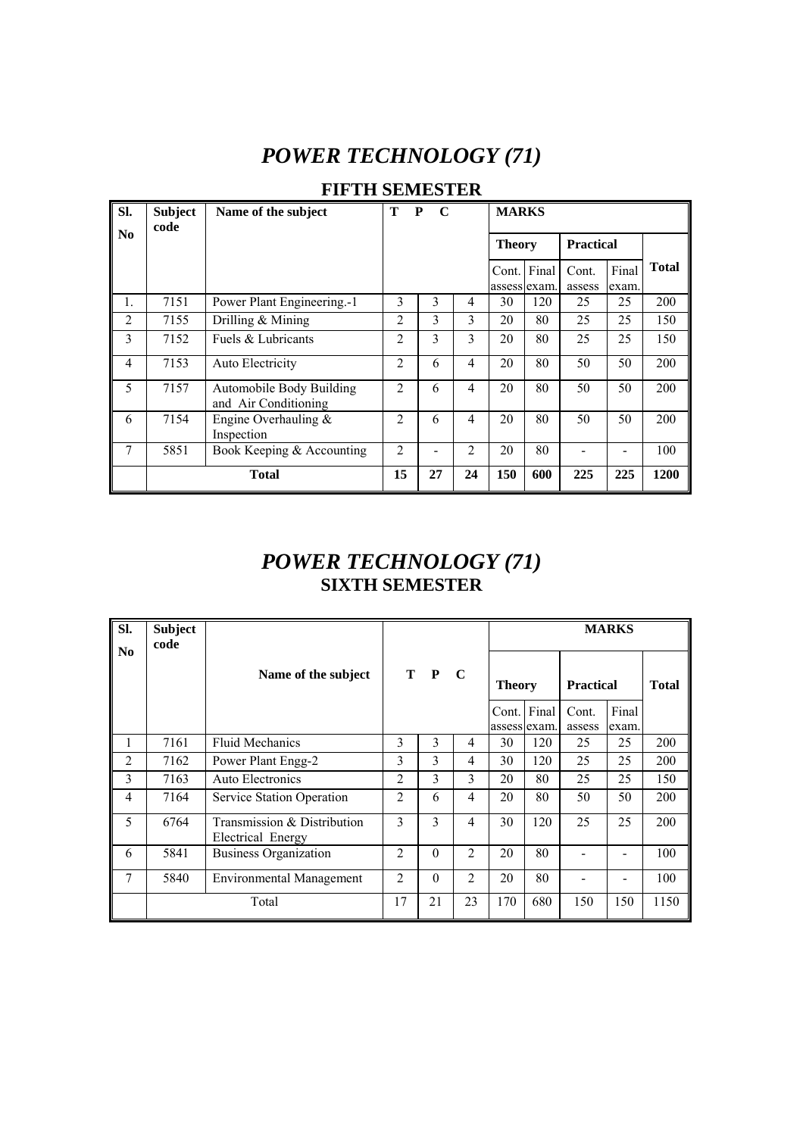# *POWER TECHNOLOGY (71)*

| Sl.            | <b>Subject</b><br>code | Name of the subject                              | Т              | P<br>$\mathbf C$ |                |                       | <b>MARKS</b> |                  |                |              |  |  |
|----------------|------------------------|--------------------------------------------------|----------------|------------------|----------------|-----------------------|--------------|------------------|----------------|--------------|--|--|
| N <sub>0</sub> |                        |                                                  |                |                  |                | <b>Theory</b>         |              | <b>Practical</b> |                |              |  |  |
|                |                        |                                                  |                |                  |                | Cont.<br>assess exam. | Final        | Cont.<br>assess  | Final<br>exam. | <b>Total</b> |  |  |
| $\mathbf{1}$ . | 7151                   | Power Plant Engineering.-1                       | 3              | 3                | 4              | 30                    | 120          | 25               | 25             | 200          |  |  |
| $\overline{2}$ | 7155                   | Drilling $&$ Mining                              | 2              | 3                | 3              | 20                    | 80           | 25               | 25             | 150          |  |  |
| 3              | 7152                   | Fuels & Lubricants                               | $\overline{c}$ | 3                | $\mathcal{E}$  | 20                    | 80           | 25               | 25             | 150          |  |  |
| $\overline{4}$ | 7153                   | Auto Electricity                                 | $\overline{c}$ | 6                | 4              | 20                    | 80           | 50               | 50             | 200          |  |  |
| 5              | 7157                   | Automobile Body Building<br>and Air Conditioning | $\overline{c}$ | 6                | 4              | 20                    | 80           | 50               | 50             | 200          |  |  |
| 6              | 7154                   | Engine Overhauling &<br>Inspection               | $\mathfrak{D}$ | 6                | 4              | 20                    | 80           | 50               | 50             | 200          |  |  |
| 7              | 5851                   | Book Keeping & Accounting                        | $\overline{c}$ | -                | $\overline{2}$ | 20                    | 80           |                  |                | 100          |  |  |
|                |                        | <b>Total</b>                                     | 15             | 27               | 24             | 150                   | 600          | 225              | 225            | 1200         |  |  |

#### *POWER TECHNOLOGY (71)*  **SIXTH SEMESTER**

| SI.                    | <b>Subject</b><br>code |                                                  |                |          |                |               |     |                  | <b>MARKS</b>                 |              |
|------------------------|------------------------|--------------------------------------------------|----------------|----------|----------------|---------------|-----|------------------|------------------------------|--------------|
| $\mathbf{N}\mathbf{0}$ |                        | Name of the subject                              |                | T P      | $\mathbf C$    | <b>Theory</b> |     | <b>Practical</b> |                              | <b>Total</b> |
|                        |                        |                                                  |                |          |                | Cont. Final   |     | Cont.            | Final                        |              |
|                        |                        |                                                  |                |          |                | assess exam.  |     | assess           | exam.                        |              |
| 1                      | 7161                   | <b>Fluid Mechanics</b>                           | 3              | 3        | 4              | 30            | 120 | 25               | 25                           | 200          |
| $\overline{c}$         | 7162                   | Power Plant Engg-2                               | 3              | 3        | 4              | 30            | 120 | 25               | 25                           | 200          |
| 3                      | 7163                   | Auto Electronics                                 | $\overline{2}$ | 3        | 3              | 20            | 80  | 25               | 25                           | 150          |
| $\overline{4}$         | 7164                   | Service Station Operation                        | $\mathfrak{D}$ | 6        | 4              | 20            | 80  | 50               | 50                           | 200          |
| 5                      | 6764                   | Transmission & Distribution<br>Electrical Energy | 3              | 3        | 4              | 30            | 120 | 25               | 25                           | 200          |
| 6                      | 5841                   | <b>Business Organization</b>                     | $\overline{2}$ | $\Omega$ | $\mathfrak{D}$ | 20            | 80  |                  |                              | 100          |
| 7                      | 5840                   | <b>Environmental Management</b>                  | $\mathfrak{D}$ | $\Omega$ | $\mathfrak{D}$ | 20            | 80  |                  | $\qquad \qquad \blacksquare$ | 100          |
|                        |                        | Total                                            | 17             | 21       | 23             | 170           | 680 | 150              | 150                          | 1150         |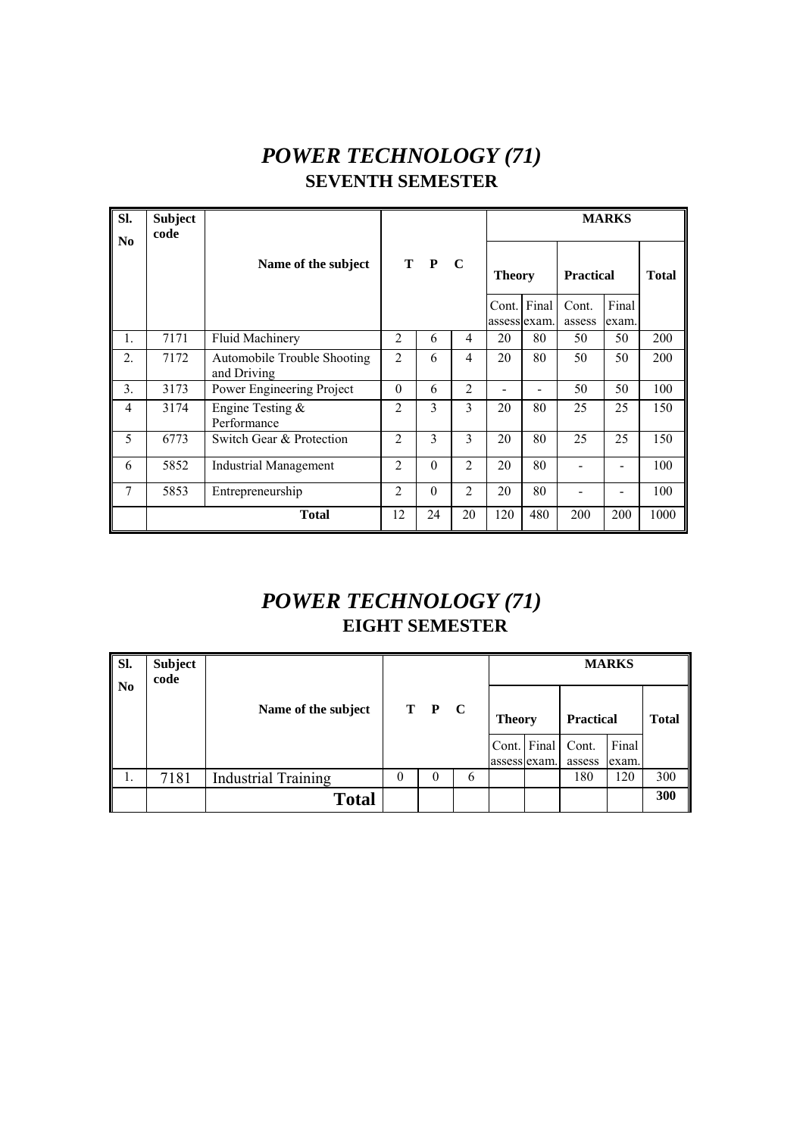# *POWER TECHNOLOGY (71)*  **SEVENTH SEMESTER**

| Sl.<br>N <sub>0</sub> | <b>Subject</b><br>code |                                            |                |          |                |                             |     |                  | <b>MARKS</b>   |              |
|-----------------------|------------------------|--------------------------------------------|----------------|----------|----------------|-----------------------------|-----|------------------|----------------|--------------|
|                       |                        | Name of the subject                        |                | T P      | $\mathbf C$    | <b>Theory</b>               |     | <b>Practical</b> |                | <b>Total</b> |
|                       |                        |                                            |                |          |                | Cont. Final<br>assess exam. |     | Cont.<br>assess  | Final<br>exam. |              |
| $\mathbf{1}$ .        | 7171                   | <b>Fluid Machinery</b>                     | $\overline{2}$ | 6        | 4              | 20                          | 80  | 50               | 50             | 200          |
| $\overline{2}$ .      | 7172                   | Automobile Trouble Shooting<br>and Driving | $\overline{2}$ | 6        | 4              | 20                          | 80  | 50               | 50             | 200          |
| 3.                    | 3173                   | Power Engineering Project                  | $\theta$       | 6        | 2              |                             |     | 50               | 50             | 100          |
| $\overline{4}$        | 3174                   | Engine Testing &<br>Performance            | $\overline{2}$ | 3        | 3              | 20                          | 80  | 25               | 25             | 150          |
| 5                     | 6773                   | Switch Gear & Protection                   | $\overline{2}$ | 3        | 3              | 20                          | 80  | 25               | 25             | 150          |
| 6                     | 5852                   | Industrial Management                      | $\overline{2}$ | $\theta$ | $\overline{2}$ | 20                          | 80  |                  |                | 100          |
| 7                     | 5853                   | Entrepreneurship                           | $\overline{2}$ | $\theta$ | $\overline{2}$ | 20                          | 80  |                  |                | 100          |
|                       |                        | <b>Total</b>                               | 12             | 24       | 20             | 120                         | 480 | 200              | 200            | 1000         |

# *POWER TECHNOLOGY (71)*  **EIGHT SEMESTER**

| Sl.<br>$\mathbf{N}$ | <b>Subject</b><br>code |                            |  |       |   | <b>MARKS</b>  |             |                  |                |              |  |  |  |
|---------------------|------------------------|----------------------------|--|-------|---|---------------|-------------|------------------|----------------|--------------|--|--|--|
|                     |                        | Name of the subject        |  | T P C |   | <b>Theory</b> |             | <b>Practical</b> |                | <b>Total</b> |  |  |  |
|                     |                        |                            |  |       |   | assess exam.  | Cont. Final | Cont.<br>assess  | Final<br>exam. |              |  |  |  |
| 1.                  | 7181                   | <b>Industrial Training</b> |  | 0     | 6 |               |             | 180              | 120            | 300          |  |  |  |
|                     |                        | <b>Total</b>               |  |       |   |               |             |                  |                | 300          |  |  |  |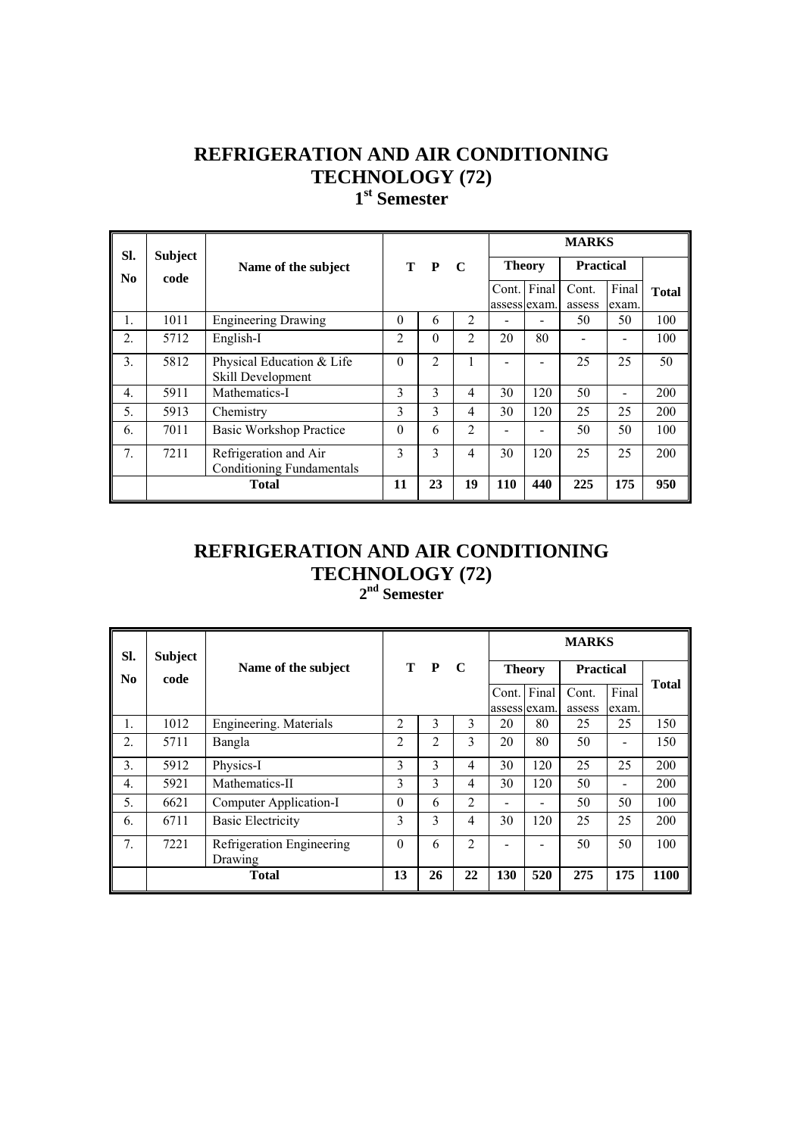**1st Semester** 

|                  |                        |                                  |                |               |                | <b>MARKS</b>  |       |                  |       |              |  |  |
|------------------|------------------------|----------------------------------|----------------|---------------|----------------|---------------|-------|------------------|-------|--------------|--|--|
| SI.<br>No        | <b>Subject</b><br>code | Name of the subject              | T.             | $\mathbf{P}$  | $\mathbf C$    | <b>Theory</b> |       | <b>Practical</b> |       |              |  |  |
|                  |                        |                                  |                |               |                | Cont.         | Final | Cont.            | Final | <b>Total</b> |  |  |
|                  |                        |                                  |                |               |                | assess lexam. |       | assess           | exam. |              |  |  |
| 1.               | 1011                   | <b>Engineering Drawing</b>       | $\Omega$       | 6             | $\overline{2}$ |               |       | 50               | 50    | 100          |  |  |
| 2.               | 5712                   | English-I                        | $\overline{c}$ | $\theta$      | 2              | 20            | 80    |                  |       | 100          |  |  |
| 3.               | 5812                   | Physical Education & Life        | $\Omega$       | 2             | 1              |               |       | 25               | 25    | 50           |  |  |
|                  |                        | Skill Development                |                |               |                |               |       |                  |       |              |  |  |
| $\overline{4}$ . | 5911                   | Mathematics-I                    | 3              | 3             | $\overline{4}$ | 30            | 120   | 50               |       | 200          |  |  |
| 5.               | 5913                   | Chemistry                        | 3              | 3             | $\overline{4}$ | 30            | 120   | 25               | 25    | 200          |  |  |
| 6.               | 7011                   | <b>Basic Workshop Practice</b>   | $\Omega$       | 6             | 2              |               |       | 50               | 50    | 100          |  |  |
| 7.               | 7211                   | Refrigeration and Air            | 3              | $\mathcal{E}$ | $\overline{4}$ | 30            | 120   | 25               | 25    | 200          |  |  |
|                  |                        | <b>Conditioning Fundamentals</b> |                |               |                |               |       |                  |       |              |  |  |
|                  |                        | <b>Total</b>                     | 11             | 23            | 19             | <b>110</b>    | 440   | 225              | 175   | 950          |  |  |

#### **REFRIGERATION AND AIR CONDITIONING TECHNOLOGY (72) 2nd Semester**

| SI.              | <b>Subject</b> |                           |                |    |                |     |               | <b>MARKS</b> |                              |              |
|------------------|----------------|---------------------------|----------------|----|----------------|-----|---------------|--------------|------------------------------|--------------|
| N <sub>0</sub>   | code           | Name of the subject       | T P            |    | $\mathbf C$    |     | <b>Theory</b> |              | <b>Practical</b>             |              |
|                  |                |                           |                |    |                |     | Cont. Final   | Cont.        | Final                        | <b>Total</b> |
|                  |                |                           |                |    |                |     | assess exam.  | assess       | exam.                        |              |
| 1.               | 1012           | Engineering. Materials    | $\overline{c}$ | 3  | 3              | 20  | 80            | 25           | 25                           | 150          |
| $\overline{2}$ . | 5711           | Bangla                    | $\overline{2}$ | 2  | 3              | 20  | 80            | 50           |                              | 150          |
| 3.               | 5912           | Physics-I                 | 3              | 3  | 4              | 30  | 120           | 25           | 25                           | 200          |
| $\overline{4}$ . | 5921           | Mathematics-II            | 3              | 3  | $\overline{4}$ | 30  | 120           | 50           | $\qquad \qquad \blacksquare$ | 200          |
| 5.               | 6621           | Computer Application-I    | $\theta$       | 6  | $\overline{2}$ |     |               | 50           | 50                           | 100          |
| 6.               | 6711           | <b>Basic Electricity</b>  | 3              | 3  | $\overline{4}$ | 30  | 120           | 25           | 25                           | 200          |
| $7_{\cdot}$      | 7221           | Refrigeration Engineering | $\Omega$       | 6  | $\mathfrak{D}$ |     |               | 50           | 50                           | 100          |
|                  |                | Drawing                   |                |    |                |     |               |              |                              |              |
|                  |                | <b>Total</b>              | 13             | 26 | 22             | 130 | 520           | 275          | 175                          | 1100         |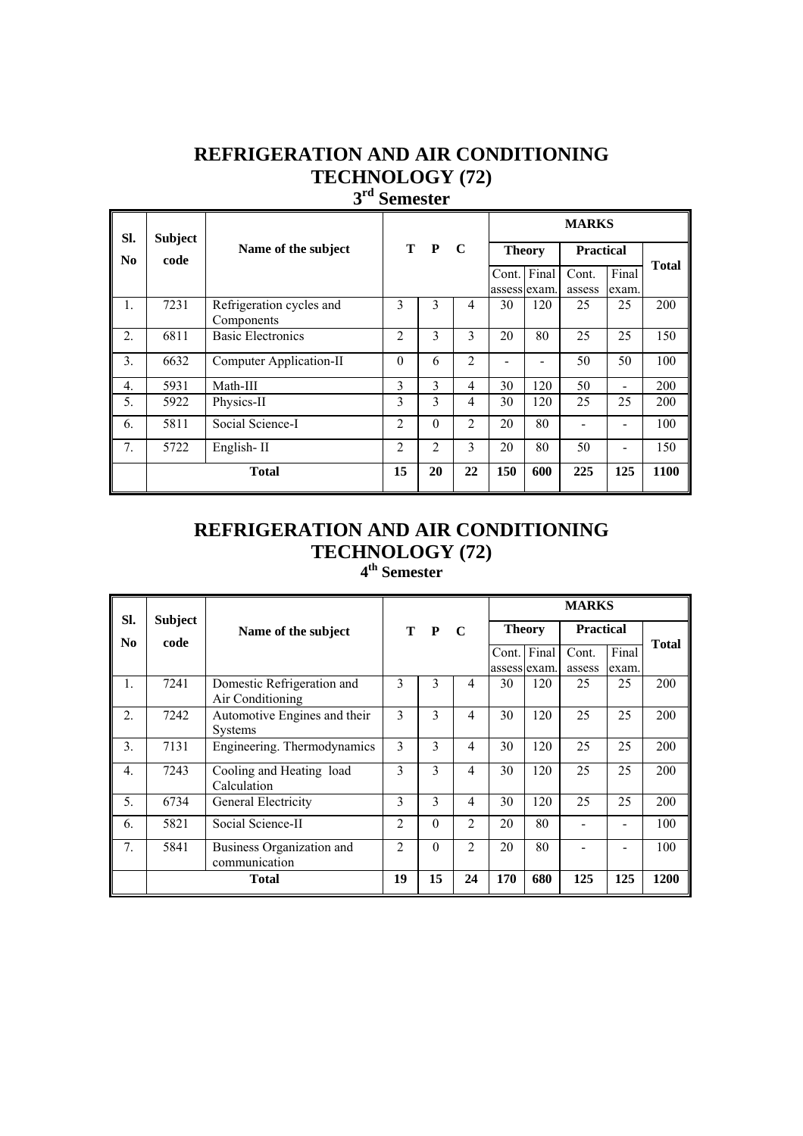#### **3rd Semester**

| SI.                    | <b>Subject</b> |                                        | $\mathbf C$    |          | <b>MARKS</b>   |                       |       |                  |                |              |
|------------------------|----------------|----------------------------------------|----------------|----------|----------------|-----------------------|-------|------------------|----------------|--------------|
| $\mathbf{N}\mathbf{0}$ | code           | Name of the subject                    | T P            |          |                | <b>Theory</b>         |       | <b>Practical</b> |                | <b>Total</b> |
|                        |                |                                        |                |          |                | Cont.<br>assess exam. | Final | Cont.<br>assess  | Final<br>exam. |              |
| 1.                     | 7231           | Refrigeration cycles and<br>Components | 3              | 3        | 4              | 30                    | 120   | 25               | 25             | 200          |
| $\overline{2}$ .       | 6811           | <b>Basic Electronics</b>               | $\overline{c}$ | 3        | 3              | 20                    | 80    | 25               | 25             | 150          |
| 3.                     | 6632           | Computer Application-II                | $\theta$       | 6        | $\mathfrak{D}$ |                       |       | 50               | 50             | 100          |
| $\overline{4}$ .       | 5931           | Math-III                               | 3              | 3        | 4              | 30                    | 120   | 50               |                | 200          |
| 5.                     | 5922           | Physics-II                             | 3              | 3        | 4              | 30                    | 120   | 25               | 25             | 200          |
| 6.                     | 5811           | Social Science-I                       | $\overline{c}$ | $\Omega$ | 2              | 20                    | 80    |                  |                | 100          |
| 7.                     | 5722           | English-II                             | $\overline{c}$ | 2        | 3              | 20                    | 80    | 50               |                | 150          |
|                        |                | <b>Total</b>                           | 15             | 20       | 22             | 150                   | 600   | 225              | 125            | 1100         |

# **REFRIGERATION AND AIR CONDITIONING TECHNOLOGY (72)**

#### **4th Semester**

| SI.              | <b>Subject</b> |                              |                |          |                |               |              | <b>MARKS</b>     |       |              |  |
|------------------|----------------|------------------------------|----------------|----------|----------------|---------------|--------------|------------------|-------|--------------|--|
| N <sub>0</sub>   | code           | Name of the subject          |                | T P      | $\mathbf C$    | <b>Theory</b> |              | <b>Practical</b> |       |              |  |
|                  |                |                              |                |          |                | Cont. Final   |              | Cont.            | Final | <b>Total</b> |  |
|                  |                |                              |                |          |                |               | assess exam. | assess           | exam. |              |  |
| $\mathbf{1}$ .   | 7241           | Domestic Refrigeration and   | 3              | 3        | 4              | 30            | 120          | 25               | 25    | 200          |  |
|                  |                | Air Conditioning             |                |          |                |               |              |                  |       |              |  |
| $\overline{2}$ . | 7242           | Automotive Engines and their | 3              | 3        | 4              | 30            | 120          | 25               | 25    | 200          |  |
|                  |                | <b>Systems</b>               |                |          |                |               |              |                  |       |              |  |
| 3.               | 7131           | Engineering. Thermodynamics  | 3              | 3        | 4              | 30            | 120          | 25               | 25    | 200          |  |
| $\overline{4}$ . | 7243           | Cooling and Heating load     | 3              | 3        | 4              | 30            | 120          | 25               | 25    | 200          |  |
|                  |                | Calculation                  |                |          |                |               |              |                  |       |              |  |
| 5.               | 6734           | General Electricity          | 3              | 3        | 4              | 30            | 120          | 25               | 25    | 200          |  |
| 6.               | 5821           | Social Science-II            | $\overline{c}$ | $\Omega$ | $\overline{2}$ | 20            | 80           |                  |       | 100          |  |
| 7 <sub>1</sub>   | 5841           | Business Organization and    | $\mathfrak{D}$ | $\Omega$ | $\mathfrak{D}$ | 20            | 80           |                  |       | 100          |  |
|                  |                | communication                |                |          |                |               |              |                  |       |              |  |
|                  |                | <b>Total</b>                 | 19             | 15       | 24             | 170           | 680          | 125              | 125   | 1200         |  |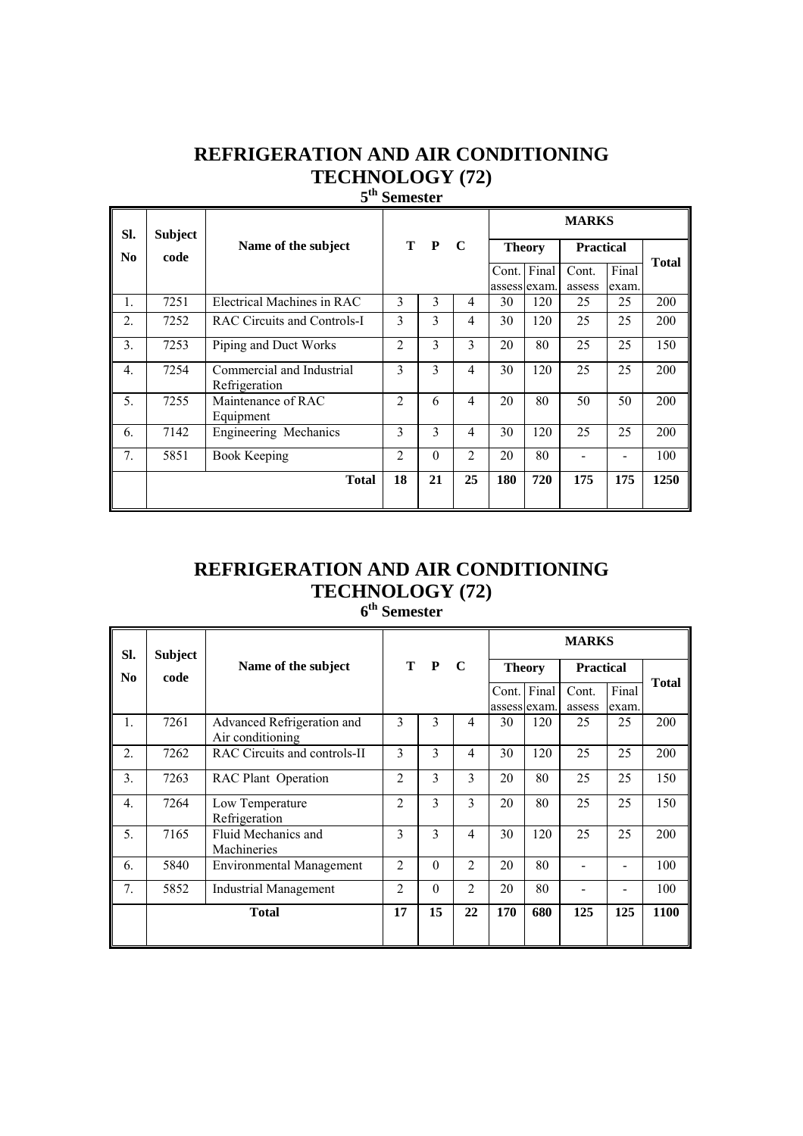**5th Semester** 

| SI.            | <b>Subject</b> |                                            |                |          |                |               | <b>MARKS</b> |                  |                |              |  |  |  |
|----------------|----------------|--------------------------------------------|----------------|----------|----------------|---------------|--------------|------------------|----------------|--------------|--|--|--|
| N <sub>0</sub> | code           | Name of the subject                        |                | T P      | $\mathbf C$    | <b>Theory</b> |              | <b>Practical</b> |                | <b>Total</b> |  |  |  |
|                |                |                                            |                |          |                | Cont. Final   | assess exam. | Cont.<br>assess  | Final<br>exam. |              |  |  |  |
| 1.             | 7251           | Electrical Machines in RAC                 | 3              | 3        | 4              | 30            | 120          | 25               | 25             | 200          |  |  |  |
| 2.             | 7252           | <b>RAC Circuits and Controls-I</b>         | 3              | 3        | $\overline{4}$ | 30            | 120          | 25               | 25             | 200          |  |  |  |
| 3.             | 7253           | Piping and Duct Works                      | 2              | 3        | 3              | 20            | 80           | 25               | 25             | 150          |  |  |  |
| 4.             | 7254           | Commercial and Industrial<br>Refrigeration | 3              | 3        | $\overline{4}$ | 30            | 120          | 25               | 25             | 200          |  |  |  |
| 5.             | 7255           | Maintenance of RAC<br>Equipment            | $\overline{c}$ | 6        | 4              | 20            | 80           | 50               | 50             | 200          |  |  |  |
| 6.             | 7142           | Engineering Mechanics                      | 3              | 3        | $\overline{4}$ | 30            | 120          | 25               | 25             | 200          |  |  |  |
| 7.             | 5851           | Book Keeping                               | 2              | $\theta$ | $\mathfrak{D}$ | 20            | 80           |                  |                | 100          |  |  |  |
|                |                | <b>Total</b>                               | 18             | 21       | 25             | 180           | 720          | 175              | 175            | 1250         |  |  |  |

# **REFRIGERATION AND AIR CONDITIONING TECHNOLOGY (72)**

**6th Semester** 

| SI.              | <b>Subject</b> |                                                |                |          |                |               |             | <b>MARKS</b>     |                |              |
|------------------|----------------|------------------------------------------------|----------------|----------|----------------|---------------|-------------|------------------|----------------|--------------|
| N <sub>0</sub>   | code           | Name of the subject                            |                | T P      | $\mathbf C$    | <b>Theory</b> |             | <b>Practical</b> |                |              |
|                  |                |                                                |                |          |                | assess exam.  | Cont. Final | Cont.<br>assess  | Final<br>exam. | <b>Total</b> |
| $\mathbf{1}$ .   | 7261           | Advanced Refrigeration and<br>Air conditioning | 3              | 3        | 4              | 30            | 120         | 25               | 25             | 200          |
| $\overline{2}$ . | 7262           | RAC Circuits and controls-II                   | 3              | 3        | $\overline{4}$ | 30            | 120         | 25               | 25             | 200          |
| 3.               | 7263           | <b>RAC Plant Operation</b>                     | $\overline{c}$ | 3        | $\overline{3}$ | 20            | 80          | 25               | 25             | 150          |
| $\overline{4}$ . | 7264           | Low Temperature<br>Refrigeration               | $\overline{2}$ | 3        | $\mathcal{E}$  | 20            | 80          | 25               | 25             | 150          |
| 5.               | 7165           | Fluid Mechanics and<br>Machineries             | 3              | 3        | 4              | 30            | 120         | 25               | 25             | 200          |
| 6.               | 5840           | <b>Environmental Management</b>                | $\overline{c}$ | $\theta$ | $\overline{2}$ | 20            | 80          |                  |                | 100          |
| 7.               | 5852           | Industrial Management                          | 2              | $\Omega$ | $\overline{2}$ | 20            | 80          |                  |                | 100          |
|                  |                | <b>Total</b>                                   | 17             | 15       | 22             | 170           | 680         | 125              | 125            | <b>1100</b>  |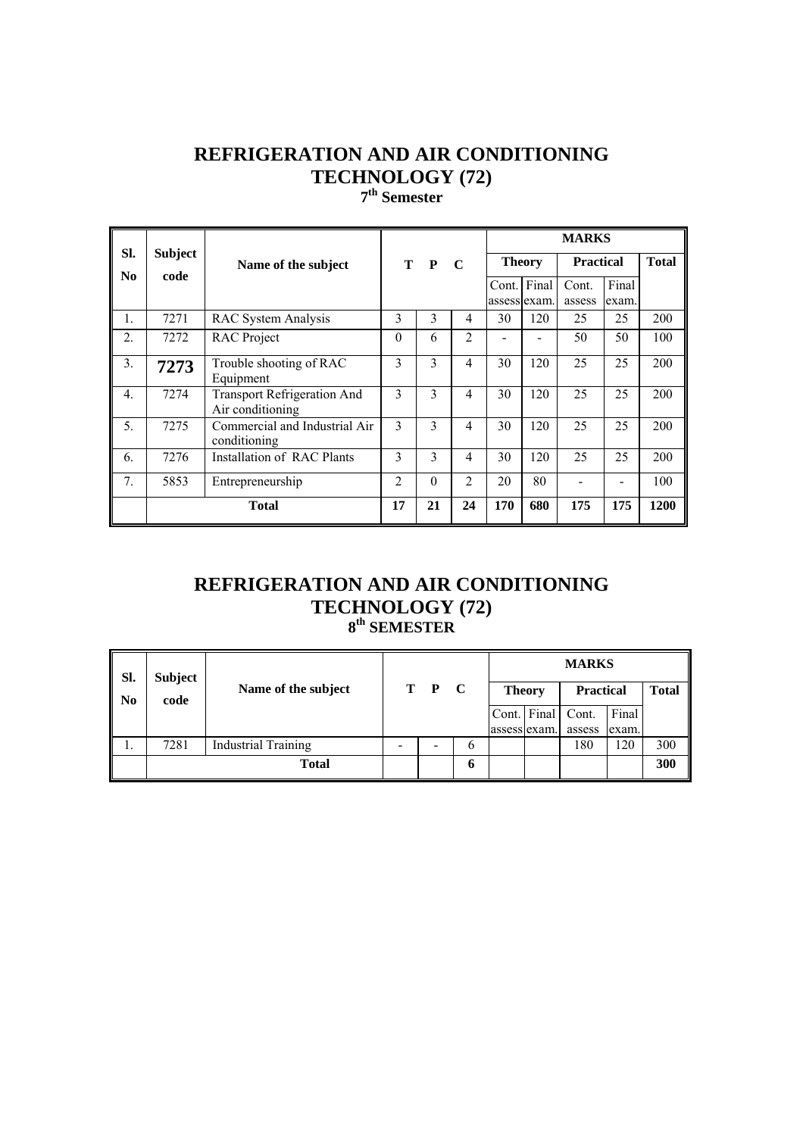**7th Semester** 

| SI.              |                |                                                        |                |          |                |                             |               | <b>MARKS</b>     |                |              |
|------------------|----------------|--------------------------------------------------------|----------------|----------|----------------|-----------------------------|---------------|------------------|----------------|--------------|
|                  | <b>Subject</b> | Name of the subject                                    |                | T P      | $\mathbf C$    |                             | <b>Theory</b> | <b>Practical</b> |                | <b>Total</b> |
| N <sub>0</sub>   | code           |                                                        |                |          |                | Cont. Final<br>assess exam. |               | Cont.<br>assess  | Final<br>exam. |              |
| 1.               | 7271           | <b>RAC System Analysis</b>                             | 3              | 3        | 4              | 30                          | 120           | 25               | 25             | 200          |
| $\overline{2}$ . | 7272           | <b>RAC</b> Project                                     | $\Omega$       | 6        | $\overline{2}$ |                             |               | 50               | 50             | 100          |
| 3.               | 7273           | Trouble shooting of RAC<br>Equipment                   | 3              | 3        | 4              | 30                          | 120           | 25               | 25             | 200          |
| $\overline{4}$ . | 7274           | <b>Transport Refrigeration And</b><br>Air conditioning | 3              | 3        | 4              | 30                          | 120           | 25               | 25             | 200          |
| 5.               | 7275           | Commercial and Industrial Air<br>conditioning          | 3              | 3        | 4              | 30                          | 120           | 25               | 25             | 200          |
| 6.               | 7276           | Installation of RAC Plants                             | 3              | 3        | 4              | 30                          | 120           | 25               | 25             | 200          |
| 7.               | 5853           | Entrepreneurship                                       | $\overline{c}$ | $\theta$ | $\overline{2}$ | 20                          | 80            |                  |                | 100          |
|                  |                | <b>Total</b>                                           | 17             | 21       | 24             | 170                         | 680           | 175              | 175            | 1200         |

#### **REFRIGERATION AND AIR CONDITIONING TECHNOLOGY (72) 8th SEMESTER**

| SI.            | <b>Subject</b> |                            |                          |              |               |              |               | <b>MARKS</b>     |       |              |
|----------------|----------------|----------------------------|--------------------------|--------------|---------------|--------------|---------------|------------------|-------|--------------|
| N <sub>0</sub> | code           | Name of the subject        | T.                       | $\mathbf{P}$ | $\mathbf C$   |              | <b>Theory</b> | <b>Practical</b> |       | <b>Total</b> |
|                |                |                            |                          |              |               |              | Cont. Final   | Cont.            | Final |              |
|                |                |                            |                          |              |               | assess exam. |               | assess           | exam. |              |
|                | 7281           | <b>Industrial Training</b> | $\overline{\phantom{0}}$ |              | $\mathfrak b$ |              |               | 180              | 120   | 300          |
|                |                | <b>Total</b>               |                          |              | O             |              |               |                  |       | 300          |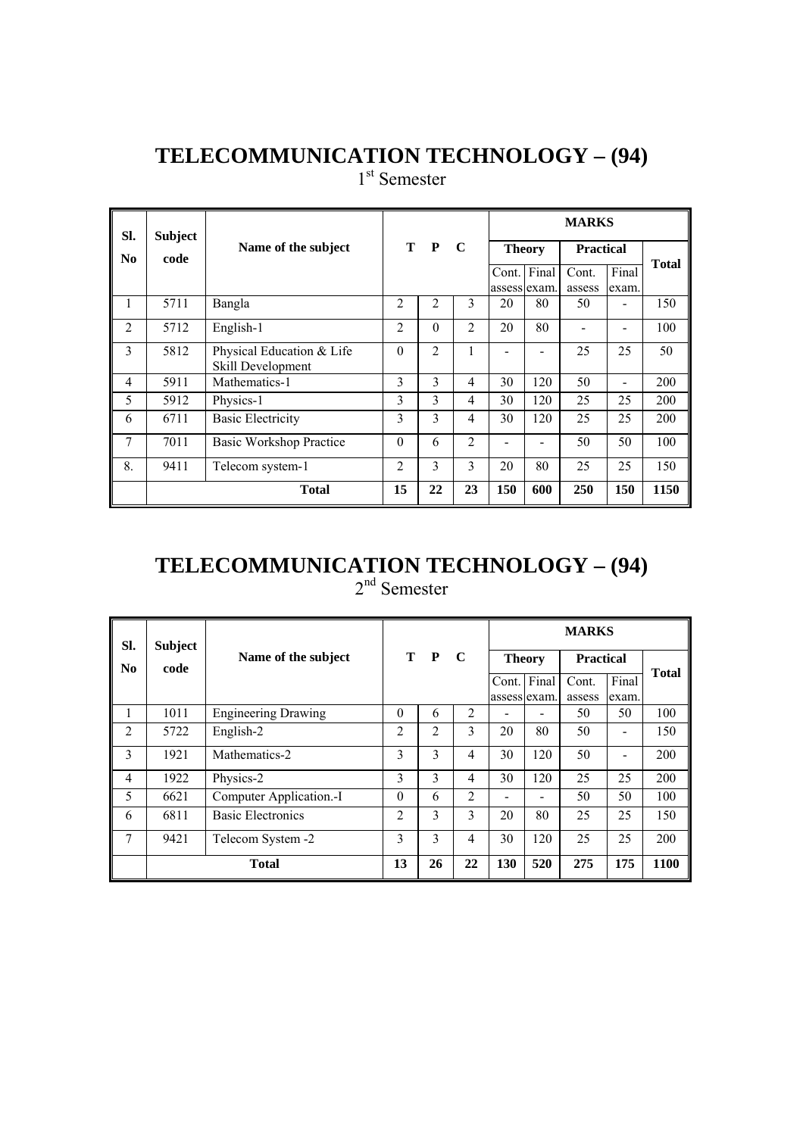1<sup>st</sup> Semester

| SI.            | <b>Subject</b> |                                                | т<br>$\mathbf{P}$<br>$\mathbf C$ |                |                |              |               | <b>MARKS</b>     |       |              |
|----------------|----------------|------------------------------------------------|----------------------------------|----------------|----------------|--------------|---------------|------------------|-------|--------------|
| No             | code           | Name of the subject                            |                                  |                |                |              | <b>Theory</b> | <b>Practical</b> |       |              |
|                |                |                                                |                                  |                |                | Cont.        | Final         | Cont.            | Final | <b>Total</b> |
|                |                |                                                |                                  |                |                | assess exam. |               | assess           | exam. |              |
| 1              | 5711           | Bangla                                         | 2                                | 2              | 3              | 20           | 80            | 50               |       | 150          |
| $\overline{2}$ | 5712           | English-1                                      | 2                                | $\theta$       | $\overline{2}$ | 20           | 80            |                  |       | 100          |
| 3              | 5812           | Physical Education & Life<br>Skill Development | $\theta$                         | $\overline{2}$ | 1              |              |               | 25               | 25    | 50           |
| 4              | 5911           | Mathematics-1                                  | 3                                | 3              | $\overline{4}$ | 30           | 120           | 50               |       | 200          |
| 5              | 5912           | Physics-1                                      | 3                                | 3              | $\overline{4}$ | 30           | 120           | 25               | 25    | 200          |
| 6              | 6711           | <b>Basic Electricity</b>                       | 3                                | 3              | $\overline{4}$ | 30           | 120           | 25               | 25    | 200          |
| 7              | 7011           | <b>Basic Workshop Practice</b>                 | $\Omega$                         | 6              | $\overline{2}$ |              |               | 50               | 50    | 100          |
| 8.             | 9411           | Telecom system-1                               | $\overline{c}$                   | 3              | 3              | 20           | 80            | 25               | 25    | 150          |
|                |                | <b>Total</b>                                   | 15                               | 22             | 23             | 150          | 600           | 250              | 150   | 1150         |

#### **TELECOMMUNICATION TECHNOLOGY – (94)**  2<sup>nd</sup> Semester

| SI.                    | <b>Subject</b> |                            |                |                |                |                       |       | <b>MARKS</b>     |                          |              |
|------------------------|----------------|----------------------------|----------------|----------------|----------------|-----------------------|-------|------------------|--------------------------|--------------|
| $\mathbf{N}\mathbf{0}$ | code           | Name of the subject        |                | T P            | - C            | <b>Theory</b>         |       | <b>Practical</b> |                          |              |
|                        |                |                            |                |                |                | Cont.<br>assess exam. | Final | Cont.<br>assess  | Final<br>exam.           | <b>Total</b> |
| 1                      | 1011           | <b>Engineering Drawing</b> | $\theta$       | 6              | 2              |                       |       | 50               | 50                       | 100          |
| $\mathfrak{D}$         | 5722           | English-2                  | $\overline{c}$ | $\mathfrak{D}$ | 3              | 20                    | 80    | 50               |                          | 150          |
| 3                      | 1921           | Mathematics-2              | 3              | 3              | 4              | 30                    | 120   | 50               | $\overline{\phantom{0}}$ | 200          |
| 4                      | 1922           | Physics-2                  | 3              | 3              | $\overline{4}$ | 30                    | 120   | 25               | 25                       | 200          |
| 5                      | 6621           | Computer Application.-I    | $\theta$       | 6              | 2              |                       |       | 50               | 50                       | 100          |
| 6                      | 6811           | <b>Basic Electronics</b>   | $\overline{c}$ | 3              | 3              | 20                    | 80    | 25               | 25                       | 150          |
| 7                      | 9421           | Telecom System -2          | $\mathcal{E}$  | $\mathbf{3}$   | 4              | 30                    | 120   | 25               | 25                       | 200          |
|                        |                | <b>Total</b>               | 13             | 26             | 22             | 130                   | 520   | 275              | 175                      | 1100         |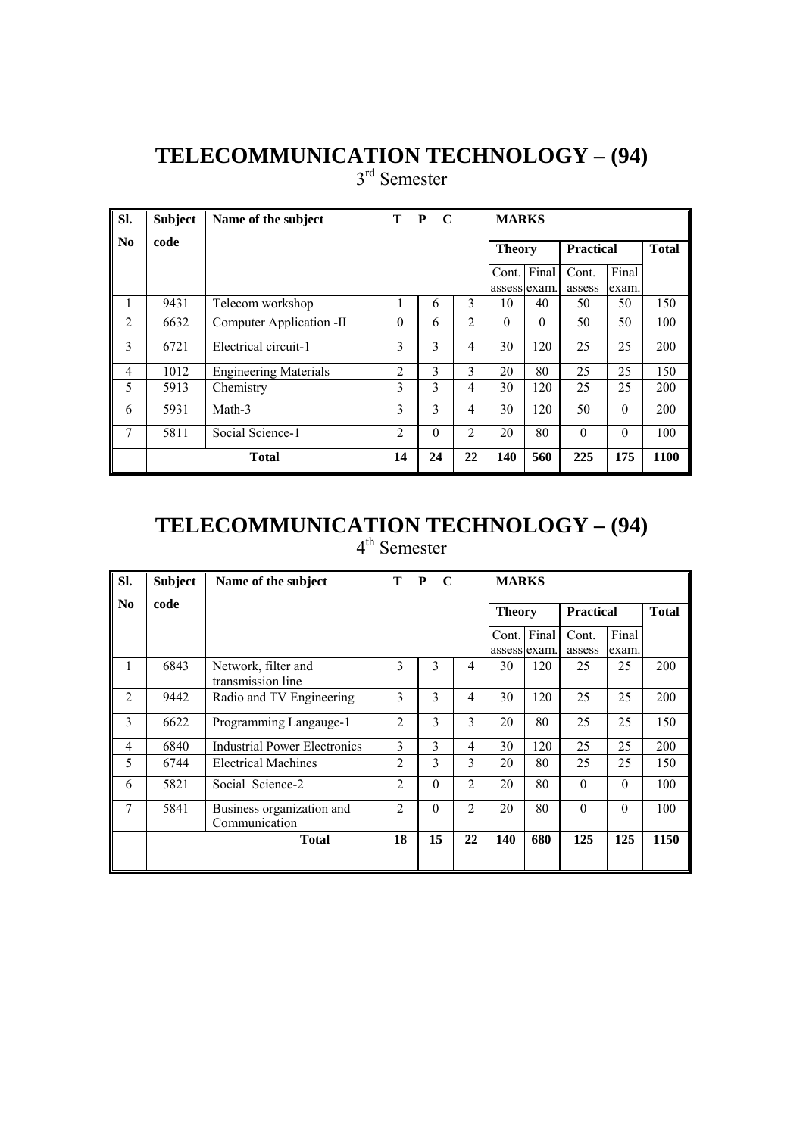3<sup>rd</sup> Semester

| SI.            | <b>Subject</b> | Name of the subject          | т              | $\mathbf C$<br>P |                | <b>MARKS</b>          |          |                  |                |              |
|----------------|----------------|------------------------------|----------------|------------------|----------------|-----------------------|----------|------------------|----------------|--------------|
| No             | code           |                              |                |                  |                | <b>Theory</b>         |          | <b>Practical</b> |                | <b>Total</b> |
|                |                |                              |                |                  |                | Cont.<br>assess exam. | Final    | Cont.<br>assess  | Final<br>exam. |              |
| 1              | 9431           | Telecom workshop             |                | 6                | 3              | 10                    | 40       | 50               | 50             | 150          |
| 2              | 6632           | Computer Application -II     | $\theta$       | 6                | $\overline{c}$ | $\theta$              | $\theta$ | 50               | 50             | 100          |
| 3              | 6721           | Electrical circuit-1         | 3              | 3                | 4              | 30                    | 120      | 25               | 25             | 200          |
| $\overline{4}$ | 1012           | <b>Engineering Materials</b> | $\overline{2}$ | 3                | 3              | 20                    | 80       | 25               | 25             | 150          |
| 5              | 5913           | Chemistry                    | 3              | 3                | 4              | 30                    | 120      | 25               | 25             | 200          |
| 6              | 5931           | Math-3                       | 3              | 3                | 4              | 30                    | 120      | 50               | $\theta$       | 200          |
| 7              | 5811           | Social Science-1             | $\overline{2}$ | $\theta$         | $\overline{2}$ | 20                    | 80       | $\theta$         | $\theta$       | 100          |
|                |                | <b>Total</b>                 | 14             | 24               | 22             | 140                   | 560      | 225              | 175            | 1100         |

#### **TELECOMMUNICATION TECHNOLOGY – (94)**  4<sup>th</sup> Semester

| SI.            | <b>Subject</b> | Name of the subject                        | т              | P<br>$\mathbf C$ |                | <b>MARKS</b>  |             |                  |                |              |
|----------------|----------------|--------------------------------------------|----------------|------------------|----------------|---------------|-------------|------------------|----------------|--------------|
| N <sub>0</sub> | code           |                                            |                |                  |                | <b>Theory</b> |             | <b>Practical</b> |                | <b>Total</b> |
|                |                |                                            |                |                  |                | assess exam.  | Cont. Final | Cont.<br>assess  | Final<br>exam. |              |
| 1              | 6843           | Network, filter and<br>transmission line   | 3              | 3                | $\overline{4}$ | 30            | 120         | 25               | 25             | 200          |
| $\overline{2}$ | 9442           | Radio and TV Engineering                   | 3              | 3                | $\overline{4}$ | 30            | 120         | 25               | 25             | 200          |
| 3              | 6622           | Programming Langauge-1                     | $\overline{2}$ | 3                | 3              | 20            | 80          | 25               | 25             | 150          |
| $\overline{4}$ | 6840           | <b>Industrial Power Electronics</b>        | 3              | 3                | $\overline{4}$ | 30            | 120         | 25               | 25             | 200          |
| 5              | 6744           | <b>Electrical Machines</b>                 | $\overline{2}$ | 3                | 3              | 20            | 80          | 25               | 25             | 150          |
| 6              | 5821           | Social Science-2                           | $\overline{2}$ | $\theta$         | $\overline{2}$ | 20            | 80          | $\theta$         | $\theta$       | 100          |
| $\overline{7}$ | 5841           | Business organization and<br>Communication | $\mathfrak{D}$ | $\theta$         | $\overline{2}$ | 20            | 80          | $\Omega$         | $\Omega$       | 100          |
|                |                | <b>Total</b>                               | 18             | 15               | 22             | 140           | 680         | 125              | 125            | 1150         |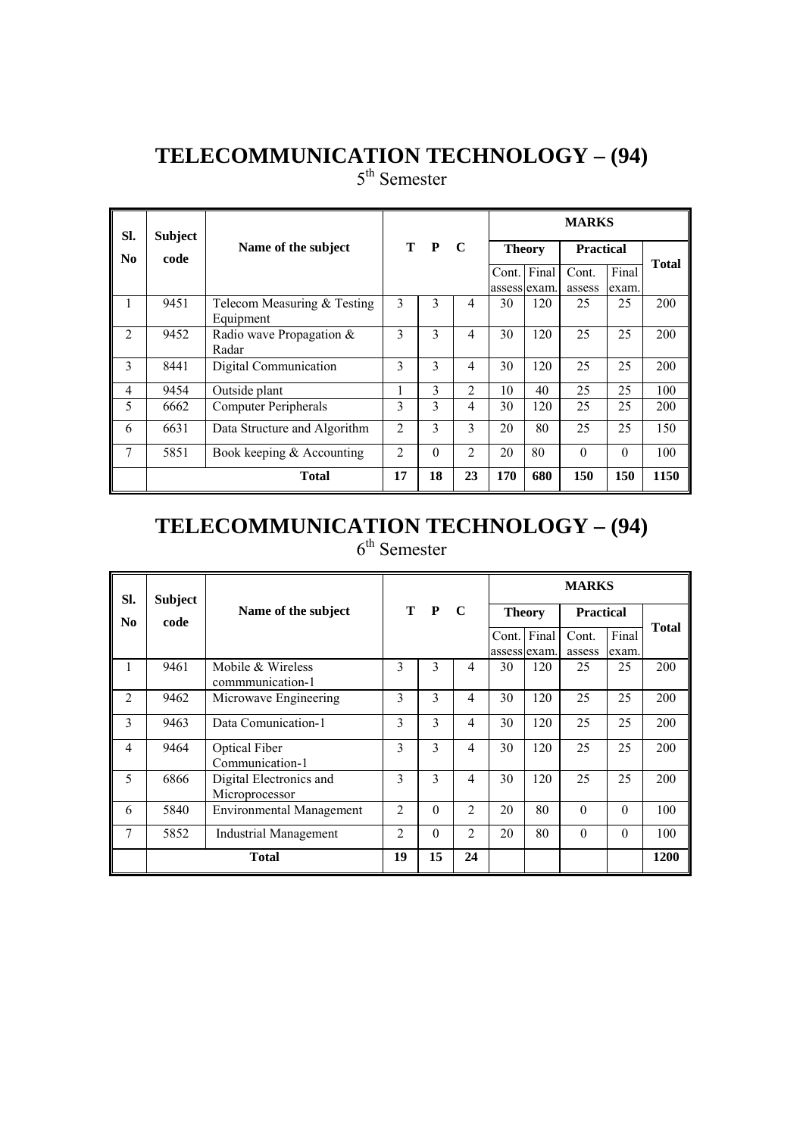5<sup>th</sup> Semester

| SI.            | <b>Subject</b> |                                          |                |          |                |               |                             | <b>MARKS</b>     |                |              |
|----------------|----------------|------------------------------------------|----------------|----------|----------------|---------------|-----------------------------|------------------|----------------|--------------|
| N <sub>0</sub> | code           | Name of the subject                      |                | T P      | $\mathbf C$    | <b>Theory</b> |                             | <b>Practical</b> |                | <b>Total</b> |
|                |                |                                          |                |          |                |               | Cont. Final<br>assess exam. | Cont.<br>assess  | Final<br>exam. |              |
| 1              | 9451           | Telecom Measuring & Testing<br>Equipment | 3              | 3        | 4              | 30            | 120                         | 25               | 25             | 200          |
| $\mathfrak{D}$ | 9452           | Radio wave Propagation $\&$<br>Radar     | 3              | 3        | $\overline{4}$ | 30            | 120                         | 25               | 25             | 200          |
| 3              | 8441           | Digital Communication                    | 3              | 3        | $\overline{4}$ | 30            | 120                         | 25               | 25             | 200          |
| 4              | 9454           | Outside plant                            | L              | 3        | $\mathfrak{D}$ | 10            | 40                          | 25               | 25             | 100          |
| 5              | 6662           | <b>Computer Peripherals</b>              | 3              | 3        | $\overline{4}$ | 30            | 120                         | 25               | 25             | 200          |
| 6              | 6631           | Data Structure and Algorithm             | $\overline{2}$ | 3        | 3              | 20            | 80                          | 25               | 25             | 150          |
| 7              | 5851           | Book keeping $&$ Accounting              | $\overline{2}$ | $\Omega$ | 2              | 20            | 80                          | $\Omega$         | $\Omega$       | 100          |
|                |                | <b>Total</b>                             | 17             | 18       | 23             | 170           | 680                         | 150              | 150            | 1150         |

#### **TELECOMMUNICATION TECHNOLOGY – (94)**   $6<sup>th</sup>$  Semester

| SI.            | <b>Subject</b> |                                           |                |          |                |       |               | <b>MARKS</b>     |          |              |
|----------------|----------------|-------------------------------------------|----------------|----------|----------------|-------|---------------|------------------|----------|--------------|
| No.            | code           | Name of the subject                       |                | T P      | $\mathbf C$    |       | <b>Theory</b> | <b>Practical</b> |          |              |
|                |                |                                           |                |          |                | Cont. | Final         | Cont.            | Final    | <b>Total</b> |
|                |                |                                           |                |          |                |       | assess exam.  | assess           | exam.    |              |
| 1              | 9461           | Mobile & Wireless                         | 3              | 3        | $\overline{4}$ | 30    | 120           | 25               | 25       | 200          |
|                |                | communication-1                           |                |          |                |       |               |                  |          |              |
| $\mathfrak{D}$ | 9462           | Microwave Engineering                     | 3              | 3        | 4              | 30    | 120           | 25               | 25       | 200          |
| 3              | 9463           | Data Comunication-1                       | 3              | 3        | $\overline{4}$ | 30    | 120           | 25               | 25       | 200          |
| $\overline{4}$ | 9464           | Optical Fiber                             | 3              | 3        | $\overline{4}$ | 30    | 120           | 25               | 25       | 200          |
|                |                | Communication-1                           |                |          |                |       |               |                  |          |              |
| 5              | 6866           | Digital Electronics and<br>Microprocessor | 3              | 3        | 4              | 30    | 120           | 25               | 25       | 200          |
| 6              | 5840           | <b>Environmental Management</b>           | $\mathfrak{D}$ | $\Omega$ | $\mathfrak{D}$ | 20    | 80            | $\Omega$         | $\Omega$ | 100          |
| 7              | 5852           | Industrial Management                     | $\overline{2}$ | $\Omega$ | $\overline{2}$ | 20    | 80            | $\theta$         | $\Omega$ | 100          |
|                |                | <b>Total</b>                              | 19             | 15       | 24             |       |               |                  |          | 1200         |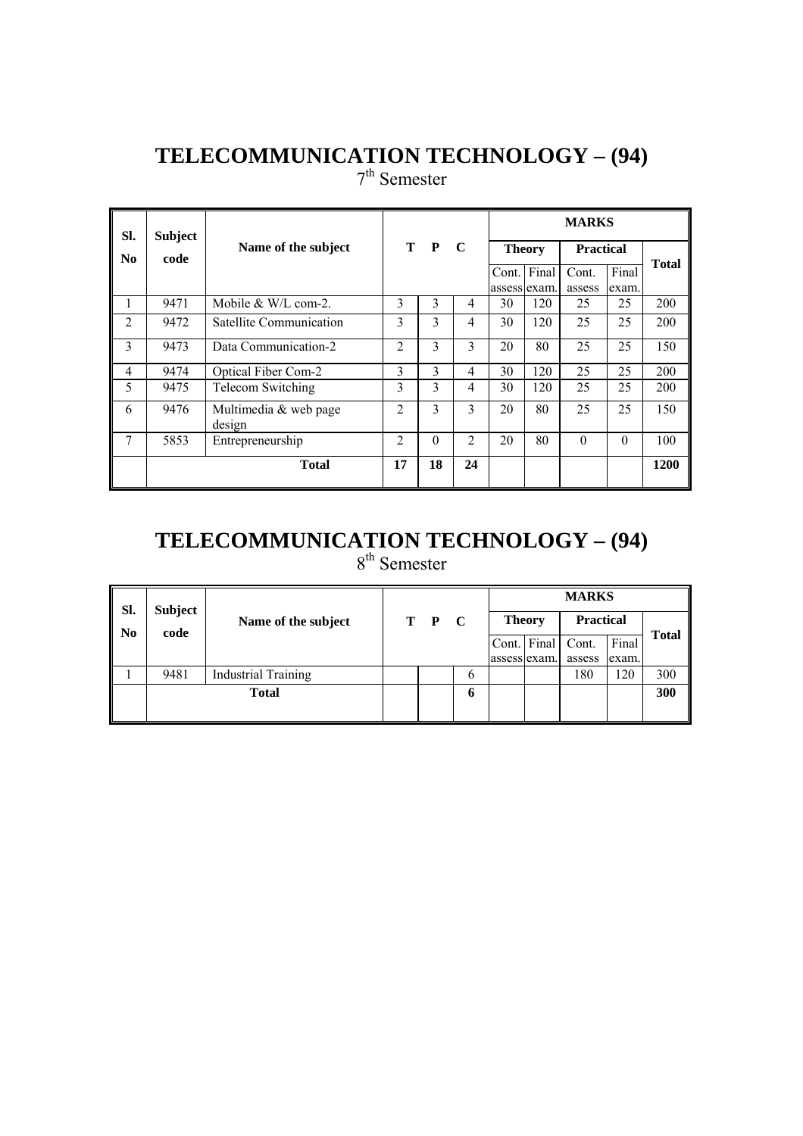7<sup>th</sup> Semester

| SI.            | <b>Subject</b> |                                 |                |          |                |               |     | <b>MARKS</b>     |          |              |
|----------------|----------------|---------------------------------|----------------|----------|----------------|---------------|-----|------------------|----------|--------------|
| No             | code           | Name of the subject             |                | T P      | $\mathbf C$    | <b>Theory</b> |     | <b>Practical</b> |          |              |
|                |                |                                 |                |          |                | Cont. Final   |     | Cont.            | Final    | <b>Total</b> |
|                |                |                                 |                |          |                | assess exam.  |     | assess           | exam.    |              |
|                | 9471           | Mobile $&$ W/L com-2.           | 3              | 3        | 4              | 30            | 120 | 25               | 25       | 200          |
| $\overline{2}$ | 9472           | Satellite Communication         | 3              | 3        | 4              | 30            | 120 | 25               | 25       | 200          |
| 3              | 9473           | Data Communication-2            | $\mathfrak{D}$ | 3        | 3              | 20            | 80  | 25               | 25       | 150          |
| $\overline{4}$ | 9474           | <b>Optical Fiber Com-2</b>      | 3              | 3        | 4              | 30            | 120 | 25               | 25       | 200          |
| 5              | 9475           | Telecom Switching               | 3              | 3        | 4              | 30            | 120 | 25               | 25       | 200          |
| 6              | 9476           | Multimedia & web page<br>design | $\mathfrak{D}$ | 3        | 3              | 20            | 80  | 25               | 25       | 150          |
| $\overline{7}$ | 5853           | Entrepreneurship                | $\mathfrak{D}$ | $\Omega$ | $\overline{c}$ | 20            | 80  | $\Omega$         | $\Omega$ | 100          |
|                |                | <b>Total</b>                    | 17             | 18       | 24             |               |     |                  |          | 1200         |

# **TELECOMMUNICATION TECHNOLOGY – (94)**

8<sup>th</sup> Semester

| Sl.                    | Subject |                            |         |             |              |               | <b>MARKS</b>     |       |              |
|------------------------|---------|----------------------------|---------|-------------|--------------|---------------|------------------|-------|--------------|
| $\mathbf{N}\mathbf{0}$ | code    | Name of the subject        | $T$ $P$ | $\mathbf C$ |              | <b>Theory</b> | <b>Practical</b> |       | <b>Total</b> |
|                        |         |                            |         |             | Cont. Final  |               | Cont.            | Final |              |
|                        |         |                            |         |             | assess exam. |               | assess           | exam. |              |
|                        | 9481    | <b>Industrial Training</b> |         | 6           |              |               | 180              | 120   | 300          |
|                        |         | <b>Total</b>               |         | 6           |              |               |                  |       | 300          |
|                        |         |                            |         |             |              |               |                  |       |              |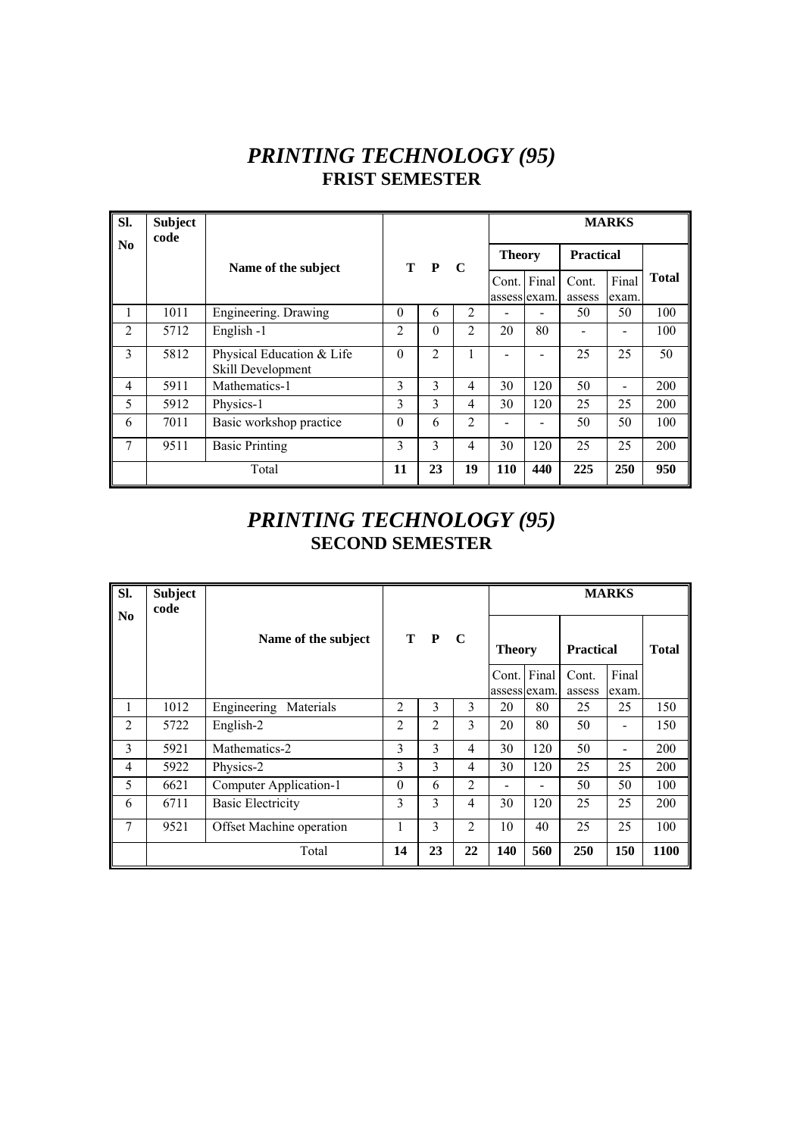### *PRINTING TECHNOLOGY (95)*  **FRIST SEMESTER**

| SI.                    | <b>Subject</b><br>code |                                                |                |          |                |               |                             |                  | <b>MARKS</b>   |              |
|------------------------|------------------------|------------------------------------------------|----------------|----------|----------------|---------------|-----------------------------|------------------|----------------|--------------|
| $\mathbf{N}\mathbf{0}$ |                        | Name of the subject                            |                | T P C    |                | <b>Theory</b> |                             | <b>Practical</b> |                |              |
|                        |                        |                                                |                |          |                |               | Cont. Final<br>assess exam. | Cont.<br>assess  | Final<br>exam. | <b>Total</b> |
| 1                      | 1011                   | Engineering. Drawing                           | $\Omega$       | 6        | 2              |               |                             | 50               | 50             | 100          |
| $\overline{2}$         | 5712                   | English -1                                     | $\overline{c}$ | $\Omega$ | $\overline{2}$ | 20            | 80                          |                  |                | 100          |
| 3                      | 5812                   | Physical Education & Life<br>Skill Development | $\Omega$       | 2        | 1              |               |                             | 25               | 25             | 50           |
| 4                      | 5911                   | Mathematics-1                                  | 3              | 3        | 4              | 30            | 120                         | 50               | -              | 200          |
| 5                      | 5912                   | Physics-1                                      | 3              | 3        | 4              | 30            | 120                         | 25               | 25             | 200          |
| 6                      | 7011                   | Basic workshop practice                        | $\Omega$       | 6        | $\overline{2}$ |               |                             | 50               | 50             | 100          |
| 7                      | 9511                   | <b>Basic Printing</b>                          | 3              | 3        | 4              | 30            | 120                         | 25               | 25             | 200          |
|                        |                        | Total                                          | 11             | 23       | 19             | 110           | 440                         | 225              | 250            | 950          |

# *PRINTING TECHNOLOGY (95)*  **SECOND SEMESTER**

| Sl.<br>No      | <b>Subject</b><br>code |                          |                |       |                |               |                          |                  | <b>MARKS</b> |              |
|----------------|------------------------|--------------------------|----------------|-------|----------------|---------------|--------------------------|------------------|--------------|--------------|
|                |                        | Name of the subject      |                | T P C |                | <b>Theory</b> |                          | <b>Practical</b> |              | <b>Total</b> |
|                |                        |                          |                |       |                | Cont. Final   |                          | Cont.            | Final        |              |
|                |                        |                          |                |       |                |               | assess exam.             | assess           | exam.        |              |
| 1              | 1012                   | Engineering<br>Materials | $\overline{2}$ | 3     | 3              | 20            | 80                       | 25               | 25           | 150          |
| $\overline{2}$ | 5722                   | English-2                | $\overline{2}$ | 2     | 3              | 20            | 80                       | 50               |              | 150          |
| 3              | 5921                   | Mathematics-2            | 3              | 3     | $\overline{4}$ | 30            | 120                      | 50               |              | 200          |
| $\overline{4}$ | 5922                   | Physics-2                | 3              | 3     | 4              | 30            | 120                      | 25               | 25           | 200          |
| 5              | 6621                   | Computer Application-1   | $\theta$       | 6     | 2              |               | $\overline{\phantom{0}}$ | 50               | 50           | 100          |
| 6              | 6711                   | <b>Basic Electricity</b> | 3              | 3     | 4              | 30            | 120                      | 25               | 25           | 200          |
| 7              | 9521                   | Offset Machine operation | 1              | 3     | $\overline{c}$ | 10            | 40                       | 25               | 25           | 100          |
|                |                        | Total                    | 14             | 23    | 22             | 140           | 560                      | 250              | 150          | 1100         |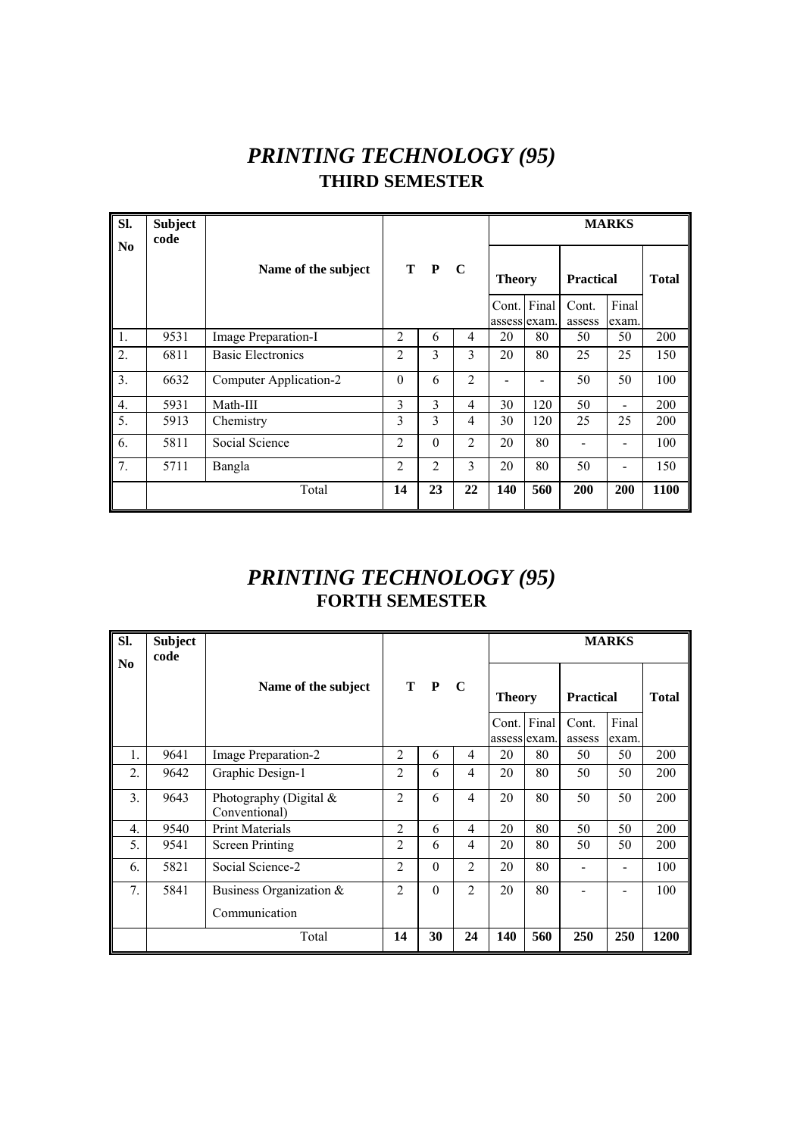# *PRINTING TECHNOLOGY (95)*  **THIRD SEMESTER**

| Sl.                    | <b>Subject</b><br>code |                          |                |          |                |               |             |                  | <b>MARKS</b> |              |
|------------------------|------------------------|--------------------------|----------------|----------|----------------|---------------|-------------|------------------|--------------|--------------|
| $\mathbf{N}\mathbf{0}$ |                        | Name of the subject      |                | T P      | - C            | <b>Theory</b> |             | <b>Practical</b> |              | <b>Total</b> |
|                        |                        |                          |                |          |                |               | Cont. Final | Cont.            | Final        |              |
|                        |                        |                          |                |          |                | assess exam.  |             | assess           | exam.        |              |
| 1.                     | 9531                   | Image Preparation-I      | $\overline{2}$ | 6        | 4              | 20            | 80          | 50               | 50           | 200          |
| 2.                     | 6811                   | <b>Basic Electronics</b> | $\overline{c}$ | 3        | 3              | 20            | 80          | 25               | 25           | 150          |
| 3.                     | 6632                   | Computer Application-2   | $\theta$       | 6        | $\overline{2}$ |               |             | 50               | 50           | 100          |
| $\overline{4}$ .       | 5931                   | Math-III                 | 3              | 3        | $\overline{4}$ | 30            | 120         | 50               |              | 200          |
| 5.                     | 5913                   | Chemistry                | 3              | 3        | $\overline{4}$ | 30            | 120         | 25               | 25           | 200          |
| 6.                     | 5811                   | Social Science           | $\overline{2}$ | $\theta$ | $\overline{2}$ | 20            | 80          |                  |              | 100          |
| 7.                     | 5711                   | Bangla                   | $\overline{2}$ | 2        | 3              | 20            | 80          | 50               |              | 150          |
|                        |                        | Total                    | 14             | 23       | 22             | 140           | 560         | 200              | 200          | 1100         |

# *PRINTING TECHNOLOGY (95)*  **FORTH SEMESTER**

| SI.              | <b>Subject</b><br>code |                                         |                |          |                |                       |       |                  | <b>MARKS</b>   |              |
|------------------|------------------------|-----------------------------------------|----------------|----------|----------------|-----------------------|-------|------------------|----------------|--------------|
| N <sub>0</sub>   |                        | Name of the subject                     |                | T P      | $\mathbf C$    | <b>Theory</b>         |       | <b>Practical</b> |                | <b>Total</b> |
|                  |                        |                                         |                |          |                | Cont.<br>assess exam. | Final | Cont.<br>assess  | Final<br>exam. |              |
| 1.               | 9641                   | Image Preparation-2                     | $\overline{2}$ | 6        | 4              | 20                    | 80    | 50               | 50             | 200          |
| 2.               | 9642                   | Graphic Design-1                        | 2              | 6        | 4              | 20                    | 80    | 50               | 50             | 200          |
| 3.               | 9643                   | Photography (Digital &<br>Conventional) | $\mathfrak{D}$ | 6        | 4              | 20                    | 80    | 50               | 50             | 200          |
| $\overline{4}$ . | 9540                   | <b>Print Materials</b>                  | 2              | 6        | 4              | 20                    | 80    | 50               | 50             | 200          |
| 5.               | 9541                   | <b>Screen Printing</b>                  | 2              | 6        | 4              | 20                    | 80    | 50               | 50             | 200          |
| 6.               | 5821                   | Social Science-2                        | 2              | $\theta$ | $\mathfrak{D}$ | 20                    | 80    |                  |                | 100          |
| 7.               | 5841                   | Business Organization $\&$              | 2              | $\theta$ | $\mathfrak{D}$ | 20                    | 80    |                  |                | 100          |
|                  |                        | Communication                           |                |          |                |                       |       |                  |                |              |
|                  |                        | Total                                   | 14             | 30       | 24             | 140                   | 560   | 250              | 250            | 1200         |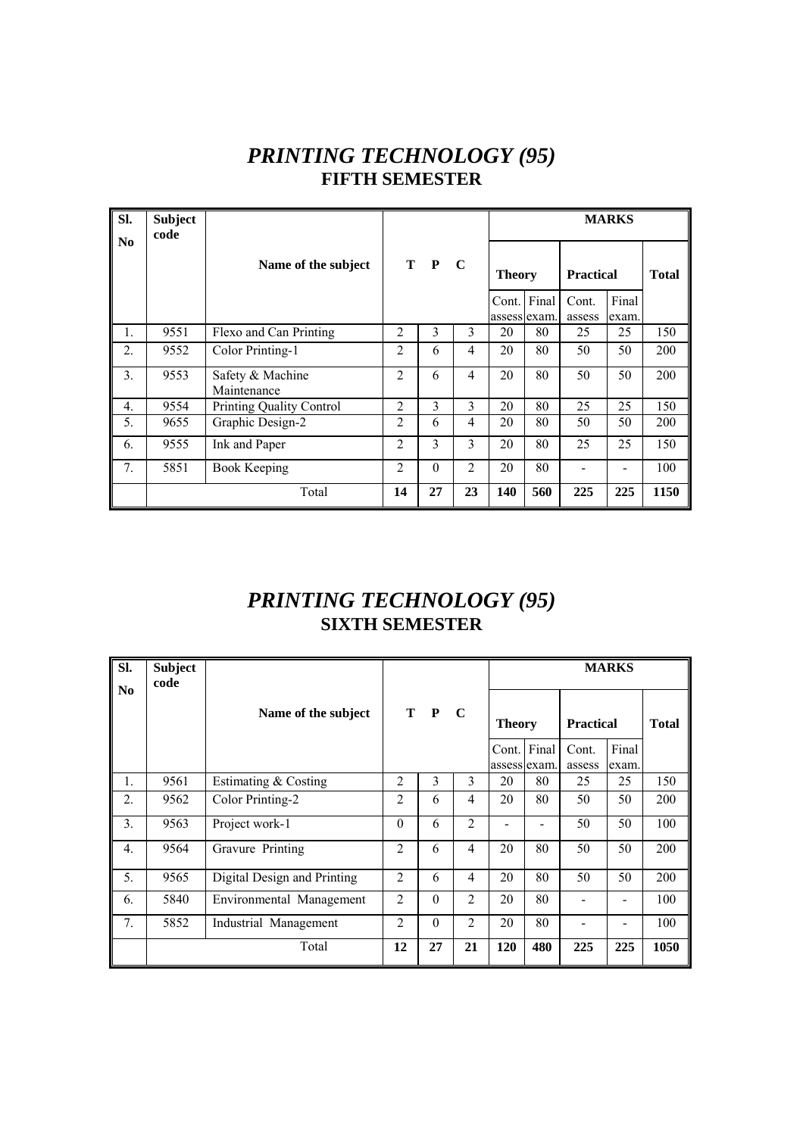## *PRINTING TECHNOLOGY (95)*  **FIFTH SEMESTER**

| SI.            | <b>Subject</b><br>code |                                 |                |          |             |               |     |                  | <b>MARKS</b> |              |
|----------------|------------------------|---------------------------------|----------------|----------|-------------|---------------|-----|------------------|--------------|--------------|
| N <sub>0</sub> |                        | Name of the subject             |                | T P      | $\mathbf C$ | <b>Theory</b> |     | <b>Practical</b> |              | <b>Total</b> |
|                |                        |                                 |                |          |             | Cont. Final   |     | Cont.            | Final        |              |
|                |                        |                                 |                |          |             | assess exam.  |     | assess           | exam.        |              |
| 1.             | 9551                   | Flexo and Can Printing          | 2              | 3        | 3           | 20            | 80  | 25               | 25           | 150          |
| 2.             | 9552                   | Color Printing-1                | $\overline{c}$ | 6        | 4           | 20            | 80  | 50               | 50           | 200          |
| 3.             | 9553                   | Safety & Machine<br>Maintenance | $\overline{c}$ | 6        | 4           | 20            | 80  | 50               | 50           | 200          |
| 4.             | 9554                   | <b>Printing Quality Control</b> | $\overline{2}$ | 3        | 3           | 20            | 80  | 25               | 25           | 150          |
| 5.             | 9655                   | Graphic Design-2                | $\overline{2}$ | 6        | 4           | 20            | 80  | 50               | 50           | 200          |
| 6.             | 9555                   | Ink and Paper                   | $\overline{2}$ | 3        | 3           | 20            | 80  | 25               | 25           | 150          |
| 7.             | 5851                   | <b>Book Keeping</b>             | $\overline{2}$ | $\theta$ | 2           | 20            | 80  |                  |              | 100          |
|                |                        | Total                           | 14             | 27       | 23          | 140           | 560 | 225              | 225          | 1150         |

# *PRINTING TECHNOLOGY (95)*  **SIXTH SEMESTER**

| SI.              | <b>Subject</b><br>code |                             |                |          |                |                    |     |                  | <b>MARKS</b> |              |
|------------------|------------------------|-----------------------------|----------------|----------|----------------|--------------------|-----|------------------|--------------|--------------|
| N <sub>0</sub>   |                        | Name of the subject         |                | T P      | $\mathbf C$    | <b>Theory</b>      |     | <b>Practical</b> |              | <b>Total</b> |
|                  |                        |                             |                |          |                | Cont. Final        |     | Cont.            | Final        |              |
| 1.               | 9561                   | Estimating & Costing        | $\overline{c}$ | 3        | 3              | assess exam.<br>20 | 80  | assess<br>25     | exam.<br>25  | 150          |
| 2.               | 9562                   | Color Printing-2            | $\mathfrak{D}$ | 6        | 4              | 20                 | 80  | 50               | 50           | 200          |
| 3.               | 9563                   | Project work-1              | $\theta$       | 6        | $\mathfrak{D}$ |                    |     | 50               | 50           | 100          |
| $\overline{4}$ . | 9564                   | Gravure Printing            | $\overline{c}$ | 6        | 4              | 20                 | 80  | 50               | 50           | 200          |
| 5.               | 9565                   | Digital Design and Printing | $\overline{2}$ | 6        | 4              | 20                 | 80  | 50               | 50           | 200          |
| 6.               | 5840                   | Environmental Management    | $\overline{c}$ | $\Omega$ | $\mathfrak{D}$ | 20                 | 80  |                  |              | 100          |
| 7.               | 5852                   | Industrial Management       | $\overline{2}$ | $\Omega$ | $\overline{2}$ | 20                 | 80  |                  |              | 100          |
|                  |                        | Total                       | 12             | 27       | 21             | 120                | 480 | 225              | 225          | 1050         |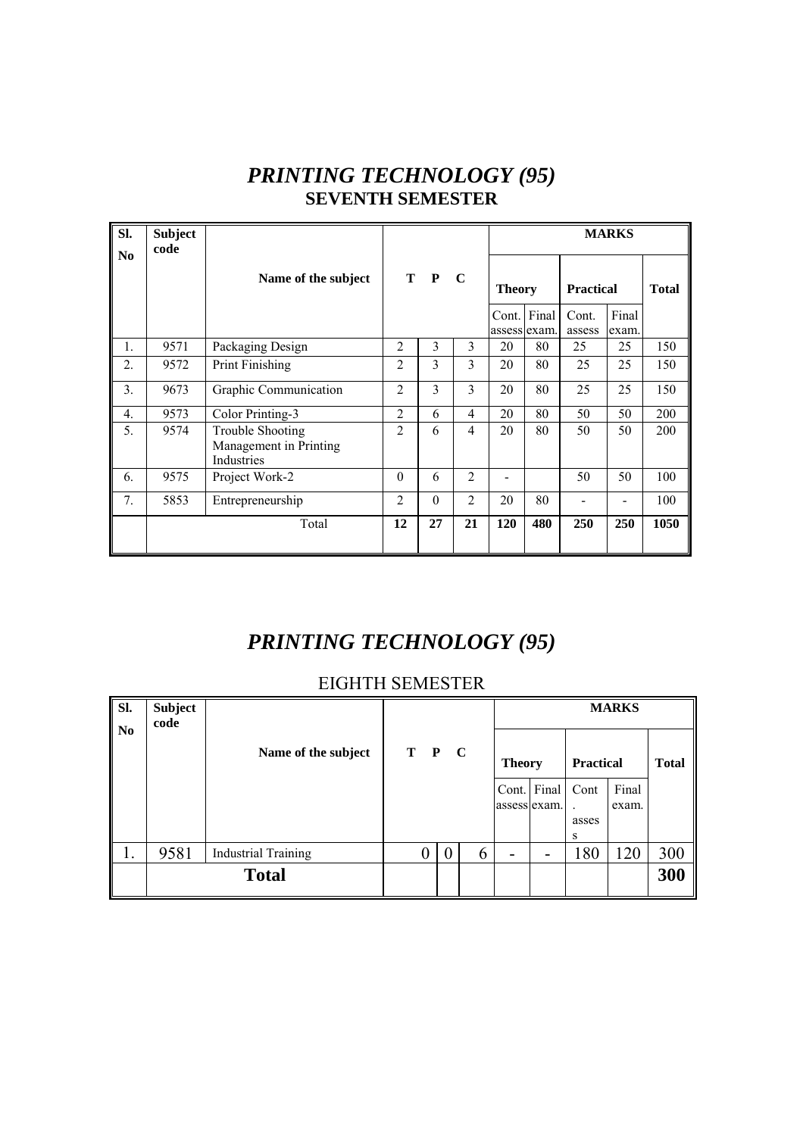| SI.            | <b>Subject</b><br>code |                                                                 |                |              |                |               |             |                  | <b>MARKS</b>   |              |
|----------------|------------------------|-----------------------------------------------------------------|----------------|--------------|----------------|---------------|-------------|------------------|----------------|--------------|
| N <sub>0</sub> |                        | Name of the subject                                             | T              | $\mathbf{P}$ | $\mathbf C$    | <b>Theory</b> |             | <b>Practical</b> |                | <b>Total</b> |
|                |                        |                                                                 |                |              |                | assess exam.  | Cont. Final | Cont.<br>assess  | Final<br>exam. |              |
| 1.             | 9571                   | Packaging Design                                                | $\overline{2}$ | 3            | 3              | 20            | 80          | 25               | 25             | 150          |
| 2.             | 9572                   | Print Finishing                                                 | $\overline{c}$ | 3            | 3              | 20            | 80          | 25               | 25             | 150          |
| 3.             | 9673                   | Graphic Communication                                           | $\overline{2}$ | 3            | 3              | 20            | 80          | 25               | 25             | 150          |
| 4.             | 9573                   | Color Printing-3                                                | 2              | 6            | $\overline{4}$ | 20            | 80          | 50               | 50             | 200          |
| 5.             | 9574                   | <b>Trouble Shooting</b><br>Management in Printing<br>Industries | $\overline{2}$ | 6            | $\overline{4}$ | 20            | 80          | 50               | 50             | 200          |
| 6.             | 9575                   | Project Work-2                                                  | $\theta$       | 6            | $\overline{2}$ |               |             | 50               | 50             | 100          |
| 7.             | 5853                   | Entrepreneurship                                                | $\overline{2}$ | $\theta$     | $\mathfrak{D}$ | 20            | 80          |                  |                | 100          |
|                |                        | Total                                                           | 12             | 27           | 21             | 120           | 480         | 250              | 250            | 1050         |

# *PRINTING TECHNOLOGY (95)*  **SEVENTH SEMESTER**

# *PRINTING TECHNOLOGY (95)*

#### EIGHTH SEMESTER

| Sl.<br>N <sub>0</sub> | <b>Subject</b><br>code |                            |       |   |               |             |                              | <b>MARKS</b>   |              |
|-----------------------|------------------------|----------------------------|-------|---|---------------|-------------|------------------------------|----------------|--------------|
|                       |                        | Name of the subject        | T P C |   | <b>Theory</b> |             | <b>Practical</b>             |                | <b>Total</b> |
|                       |                        |                            |       |   | assess exam.  | Cont. Final | Cont<br>$\ddot{\phantom{a}}$ | Final<br>exam. |              |
|                       |                        |                            |       |   |               |             | asses<br>S                   |                |              |
| Ī.                    | 9581                   | <b>Industrial Training</b> | 0     | 6 |               |             | 180                          | 120            | 300          |
|                       |                        | <b>Total</b>               |       |   |               |             |                              |                | 300          |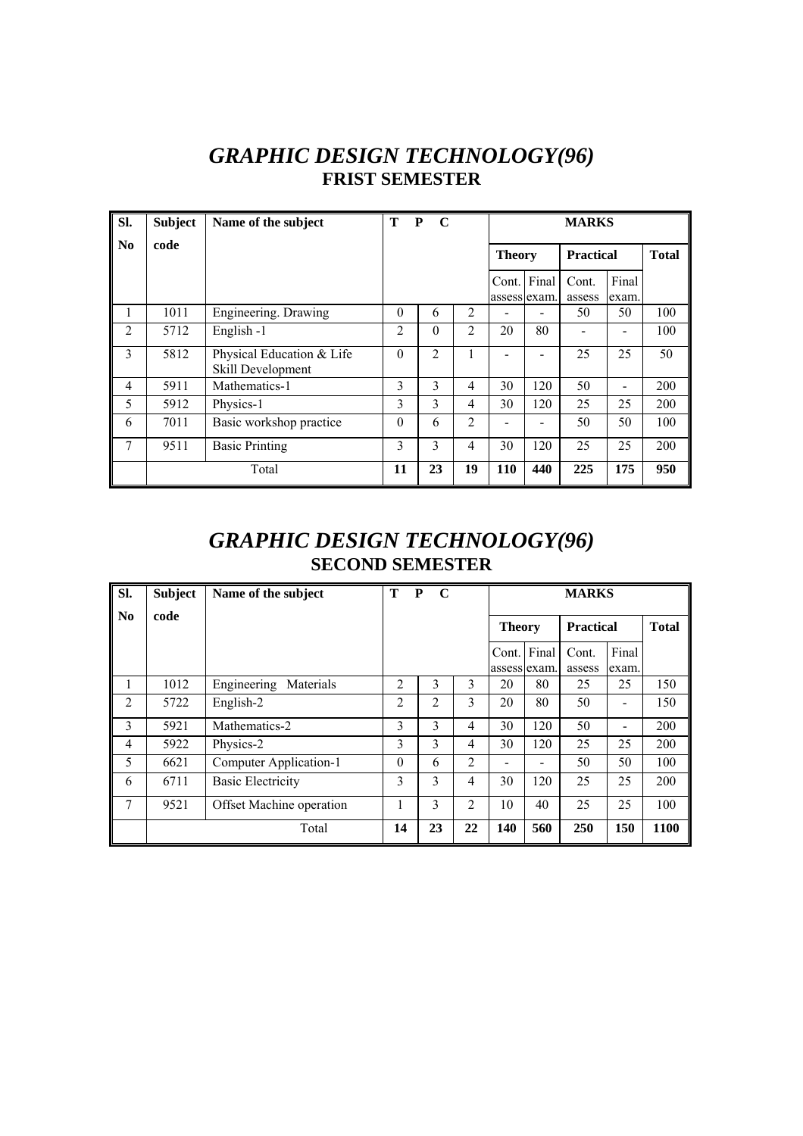### *GRAPHIC DESIGN TECHNOLOGY(96)*  **FRIST SEMESTER**

| Sl.                    | <b>Subject</b> | Name of the subject                            | т              | P<br>$\mathbf C$ |                |               | <b>MARKS</b> |                  |                |              |  |  |
|------------------------|----------------|------------------------------------------------|----------------|------------------|----------------|---------------|--------------|------------------|----------------|--------------|--|--|
| $\mathbf{N}\mathbf{0}$ | code           |                                                |                |                  |                | <b>Theory</b> |              | <b>Practical</b> |                | <b>Total</b> |  |  |
|                        |                |                                                |                |                  |                | Cont. Final   | assess exam. | Cont.<br>assess  | Final<br>exam. |              |  |  |
| 1                      | 1011           | Engineering. Drawing                           | $\theta$       | 6                | 2              |               |              | 50               | 50             | 100          |  |  |
| 2                      | 5712           | English -1                                     | $\overline{2}$ | $\Omega$         | $\mathfrak{D}$ | 20            | 80           |                  |                | 100          |  |  |
| 3                      | 5812           | Physical Education & Life<br>Skill Development | $\Omega$       | 2                | 1              |               |              | 25               | 25             | 50           |  |  |
| 4                      | 5911           | Mathematics-1                                  | 3              | 3                | 4              | 30            | 120          | 50               | -              | 200          |  |  |
| 5                      | 5912           | Physics-1                                      | 3              | 3                | 4              | 30            | 120          | 25               | 25             | 200          |  |  |
| 6                      | 7011           | Basic workshop practice                        | $\theta$       | 6                | $\overline{2}$ |               |              | 50               | 50             | 100          |  |  |
| 7                      | 9511           | <b>Basic Printing</b>                          | 3              | 3                | 4              | 30            | 120          | 25               | 25             | 200          |  |  |
|                        |                | Total                                          | 11             | 23               | 19             | <b>110</b>    | 440          | 225              | 175            | 950          |  |  |

### *GRAPHIC DESIGN TECHNOLOGY(96)*  **SECOND SEMESTER**

| SI.                    | <b>Subject</b> | Name of the subject      | Т              | P<br>C |                |                       | <b>MARKS</b> |                  |                |              |  |  |
|------------------------|----------------|--------------------------|----------------|--------|----------------|-----------------------|--------------|------------------|----------------|--------------|--|--|
| $\mathbf{N}\mathbf{0}$ | code           |                          |                |        |                | <b>Theory</b>         |              | <b>Practical</b> |                | <b>Total</b> |  |  |
|                        |                |                          |                |        |                | Cont.<br>assess exam. | Final        | Cont.<br>assess  | Final<br>exam. |              |  |  |
|                        | 1012           | Engineering<br>Materials | $\overline{2}$ | 3      | 3              | 20                    | 80           | 25               | 25             | 150          |  |  |
| $\overline{2}$         | 5722           | English-2                | 2              | 2      | 3              | 20                    | 80           | 50               |                | 150          |  |  |
| 3                      | 5921           | Mathematics-2            | 3              | 3      | 4              | 30                    | 120          | 50               |                | 200          |  |  |
| 4                      | 5922           | Physics-2                | 3              | 3      | 4              | 30                    | 120          | 25               | 25             | 200          |  |  |
| 5                      | 6621           | Computer Application-1   | $\theta$       | 6      | $\overline{2}$ |                       | -            | 50               | 50             | 100          |  |  |
| 6                      | 6711           | <b>Basic Electricity</b> | 3              | 3      | 4              | 30                    | 120          | 25               | 25             | 200          |  |  |
| 7                      | 9521           | Offset Machine operation |                | 3      | $\overline{c}$ | 10                    | 40           | 25               | 25             | 100          |  |  |
|                        |                | Total                    | 14             | 23     | 22             | 140                   | 560          | 250              | 150            | 1100         |  |  |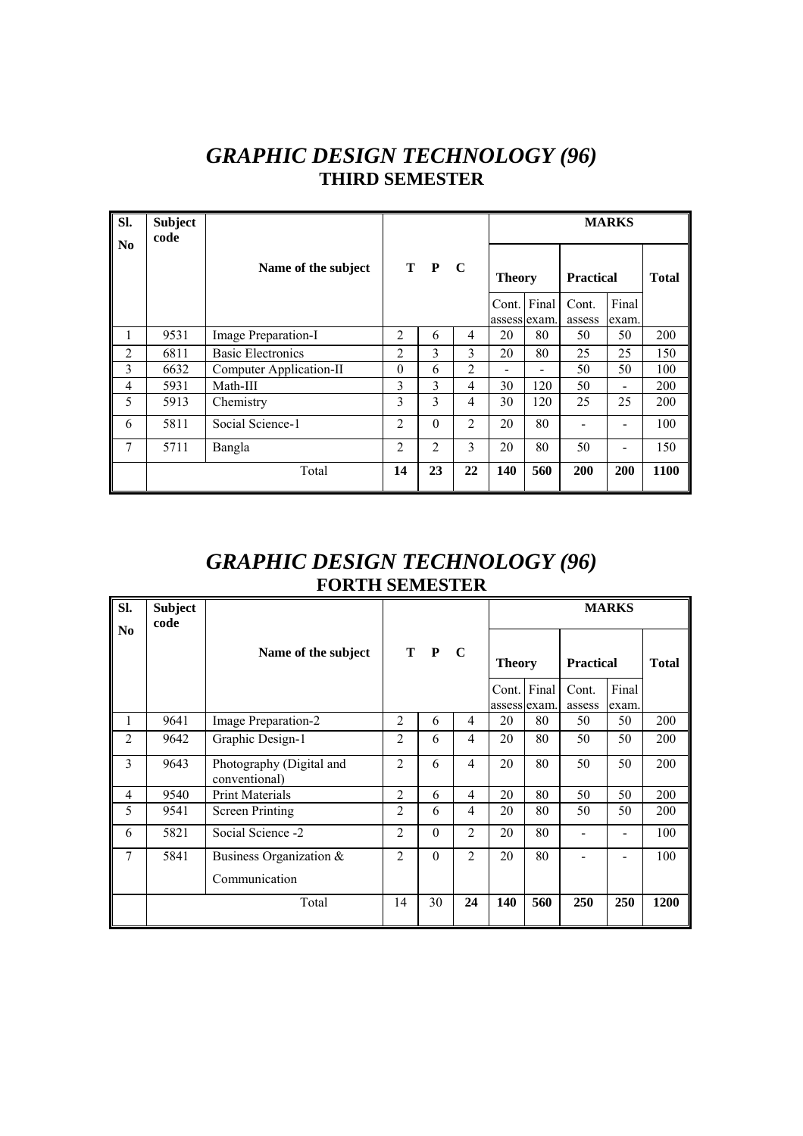## *GRAPHIC DESIGN TECHNOLOGY (96)*  **THIRD SEMESTER**

| Sl.<br>N <sub>0</sub> | <b>Subject</b><br>code |                          |                |                |                |               |                          |                  | <b>MARKS</b>             |              |
|-----------------------|------------------------|--------------------------|----------------|----------------|----------------|---------------|--------------------------|------------------|--------------------------|--------------|
|                       |                        | Name of the subject      |                | T P C          |                | <b>Theory</b> |                          | <b>Practical</b> |                          | <b>Total</b> |
|                       |                        |                          |                |                |                | Cont. Final   |                          | Cont.            | Final                    |              |
|                       |                        |                          |                |                |                | assess exam.  |                          | assess           | exam.                    |              |
| 1                     | 9531                   | Image Preparation-I      | $\mathfrak{D}$ | 6              | 4              | 20            | 80                       | 50               | 50                       | 200          |
| $\overline{2}$        | 6811                   | <b>Basic Electronics</b> | $\overline{2}$ | 3              | 3              | 20            | 80                       | 25               | 25                       | 150          |
| 3                     | 6632                   | Computer Application-II  | $\theta$       | 6              | 2              | -             | $\overline{\phantom{0}}$ | 50               | 50                       | 100          |
| $\overline{4}$        | 5931                   | Math-III                 | 3              | 3              | $\overline{4}$ | 30            | 120                      | 50               | $\overline{\phantom{a}}$ | 200          |
| 5                     | 5913                   | Chemistry                | 3              | 3              | 4              | 30            | 120                      | 25               | 25                       | 200          |
| 6                     | 5811                   | Social Science-1         | $\overline{2}$ | $\theta$       | 2              | 20            | 80                       |                  |                          | 100          |
| 7                     | 5711                   | Bangla                   | 2              | $\overline{2}$ | 3              | 20            | 80                       | 50               | $\overline{\phantom{a}}$ | 150          |
|                       |                        | Total                    | 14             | 23             | 22             | 140           | 560                      | 200              | 200                      | 1100         |

#### *GRAPHIC DESIGN TECHNOLOGY (96)*  **FORTH SEMESTER**

| SI.            | <b>Subject</b><br>code |                                           |                |          |                |                              |     |                           | <b>MARKS</b> |              |
|----------------|------------------------|-------------------------------------------|----------------|----------|----------------|------------------------------|-----|---------------------------|--------------|--------------|
| N <sub>0</sub> |                        | Name of the subject                       |                | T P      | $\mathbf C$    | <b>Theory</b><br>Cont. Final |     | <b>Practical</b><br>Cont. | Final        | <b>Total</b> |
|                |                        |                                           |                |          |                | assess exam.                 |     | assess                    | exam.        |              |
| 1              | 9641                   | Image Preparation-2                       | $\overline{2}$ | 6        | $\overline{4}$ | 20                           | 80  | 50                        | 50           | 200          |
| $\overline{2}$ | 9642                   | Graphic Design-1                          | $\overline{2}$ | 6        | $\overline{4}$ | 20                           | 80  | 50                        | 50           | 200          |
| 3              | 9643                   | Photography (Digital and<br>conventional) | $\overline{2}$ | 6        | 4              | 20                           | 80  | 50                        | 50           | 200          |
| $\overline{4}$ | 9540                   | <b>Print Materials</b>                    | $\overline{2}$ | 6        | 4              | 20                           | 80  | 50                        | 50           | 200          |
| 5              | 9541                   | Screen Printing                           | $\overline{c}$ | 6        | 4              | 20                           | 80  | 50                        | 50           | 200          |
| 6              | 5821                   | Social Science -2                         | $\overline{2}$ | $\theta$ | $\overline{2}$ | 20                           | 80  |                           |              | 100          |
| 7              | 5841                   | Business Organization &                   | $\overline{2}$ | $\theta$ | $\overline{2}$ | 20                           | 80  |                           |              | 100          |
|                |                        | Communication                             |                |          |                |                              |     |                           |              |              |
|                |                        | Total                                     | 14             | 30       | 24             | 140                          | 560 | 250                       | 250          | 1200         |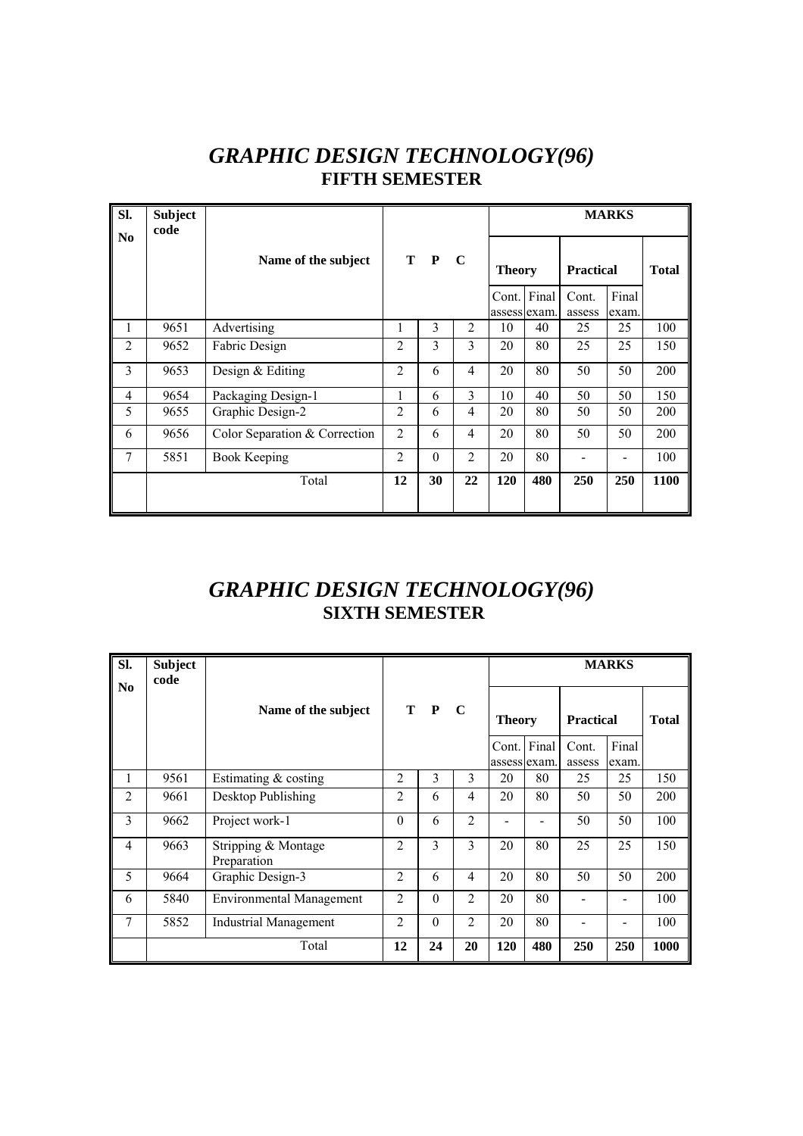# *GRAPHIC DESIGN TECHNOLOGY(96)*  **FIFTH SEMESTER**

| Sl.            | <b>Subject</b><br>code |                               |                |          |                |                             |     |                  | <b>MARKS</b>             |              |
|----------------|------------------------|-------------------------------|----------------|----------|----------------|-----------------------------|-----|------------------|--------------------------|--------------|
| N <sub>0</sub> |                        | Name of the subject           |                | T P C    |                | <b>Theory</b>               |     | <b>Practical</b> |                          | <b>Total</b> |
|                |                        |                               |                |          |                | Cont. Final<br>assess exam. |     | Cont.<br>assess  | Final<br>exam.           |              |
| 1              | 9651                   | Advertising                   | 1              | 3        | 2              | 10                          | 40  | 25               | 25                       | 100          |
| $\overline{2}$ | 9652                   | Fabric Design                 | $\overline{2}$ | 3        | 3              | 20                          | 80  | 25               | 25                       | 150          |
| 3              | 9653                   | Design & Editing              | $\overline{2}$ | 6        | 4              | 20                          | 80  | 50               | 50                       | 200          |
| $\overline{4}$ | 9654                   | Packaging Design-1            | 1              | 6        | 3              | 10                          | 40  | 50               | 50                       | 150          |
| 5              | 9655                   | Graphic Design-2              | $\overline{2}$ | 6        | $\overline{4}$ | 20                          | 80  | 50               | 50                       | 200          |
| 6              | 9656                   | Color Separation & Correction | $\overline{2}$ | 6        | 4              | 20                          | 80  | 50               | 50                       | 200          |
| 7              | 5851                   | Book Keeping                  | $\overline{2}$ | $\theta$ | $\overline{2}$ | 20                          | 80  |                  | $\overline{\phantom{a}}$ | 100          |
|                |                        | Total                         | 12             | 30       | 22             | 120                         | 480 | 250              | 250                      | 1100         |
|                |                        |                               |                |          |                |                             |     |                  |                          |              |

# *GRAPHIC DESIGN TECHNOLOGY(96)*   **SIXTH SEMESTER**

| SI.            | <b>Subject</b><br>code |                                    |                |          |                |               |     |                  | <b>MARKS</b> |              |
|----------------|------------------------|------------------------------------|----------------|----------|----------------|---------------|-----|------------------|--------------|--------------|
| N <sub>0</sub> |                        | Name of the subject                |                | T P      | <sup>-</sup> C | <b>Theory</b> |     | <b>Practical</b> |              | <b>Total</b> |
|                |                        |                                    |                |          |                | Cont. Final   |     | Cont.            | Final        |              |
|                |                        |                                    |                |          |                | assess exam.  |     | assess           | exam.        |              |
| 1              | 9561                   | Estimating & costing               | $\overline{2}$ | 3        | 3              | 20            | 80  | 25               | 25           | 150          |
| $\overline{2}$ | 9661                   | Desktop Publishing                 | $\overline{2}$ | 6        | 4              | 20            | 80  | 50               | 50           | 200          |
| 3              | 9662                   | Project work-1                     | $\Omega$       | 6        | $\overline{2}$ |               |     | 50               | 50           | 100          |
| $\overline{4}$ | 9663                   | Stripping & Montage<br>Preparation | $\mathfrak{D}$ | 3        | 3              | 20            | 80  | 25               | 25           | 150          |
| 5              | 9664                   | Graphic Design-3                   | $\overline{2}$ | 6        | 4              | 20            | 80  | 50               | 50           | 200          |
| 6              | 5840                   | <b>Environmental Management</b>    | $\overline{2}$ | $\theta$ | 2              | 20            | 80  |                  |              | 100          |
| 7              | 5852                   | <b>Industrial Management</b>       | $\mathfrak{D}$ | $\theta$ | $\overline{2}$ | 20            | 80  |                  |              | 100          |
|                |                        | Total                              | 12             | 24       | 20             | 120           | 480 | 250              | 250          | 1000         |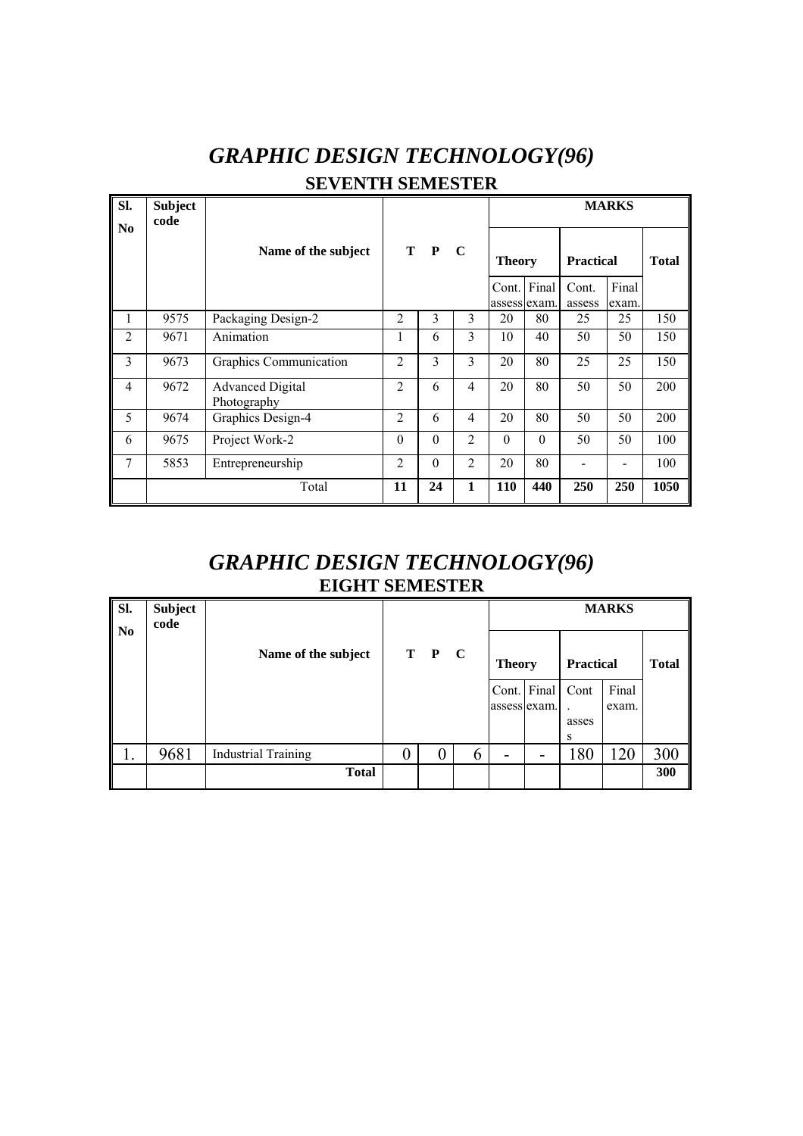# *GRAPHIC DESIGN TECHNOLOGY(96)*  **SEVENTH SEMESTER**

| SI.<br>N <sub>0</sub> | <b>Subject</b><br>code |                                        |                |          |                |                             |          |                  | <b>MARKS</b>   |              |
|-----------------------|------------------------|----------------------------------------|----------------|----------|----------------|-----------------------------|----------|------------------|----------------|--------------|
|                       |                        | Name of the subject                    | T P            |          | $\mathbf C$    | <b>Theory</b>               |          | <b>Practical</b> |                | <b>Total</b> |
|                       |                        |                                        |                |          |                | Cont. Final<br>assess exam. |          | Cont.<br>assess  | Final<br>exam. |              |
| 1                     | 9575                   | Packaging Design-2                     | $\overline{2}$ | 3        | 3              | 20                          | 80       | 25               | 25             | 150          |
| 2                     | 9671                   | Animation                              | 1              | 6        | 3              | 10                          | 40       | 50               | 50             | 150          |
| 3                     | 9673                   | Graphics Communication                 | $\overline{2}$ | 3        | 3              | 20                          | 80       | 25               | 25             | 150          |
| 4                     | 9672                   | <b>Advanced Digital</b><br>Photography | $\overline{2}$ | 6        | 4              | 20                          | 80       | 50               | 50             | 200          |
| 5                     | 9674                   | Graphics Design-4                      | $\overline{2}$ | 6        | 4              | 20                          | 80       | 50               | 50             | 200          |
| 6                     | 9675                   | Project Work-2                         | $\theta$       | $\Omega$ | $\overline{2}$ | $\Omega$                    | $\Omega$ | 50               | 50             | 100          |
| 7                     | 5853                   | Entrepreneurship                       | $\overline{2}$ | $\Omega$ | $\overline{2}$ | 20                          | 80       |                  |                | 100          |
|                       |                        | Total                                  | 11             | 24       | 1              | 110                         | 440      | 250              | 250            | 1050         |

#### *GRAPHIC DESIGN TECHNOLOGY(96)*  **EIGHT SEMESTER**

| Sl.<br>N <sub>0</sub> | Subject<br>code |                            |                  |       |   |                             |   |                    | <b>MARKS</b>   |              |
|-----------------------|-----------------|----------------------------|------------------|-------|---|-----------------------------|---|--------------------|----------------|--------------|
|                       |                 | Name of the subject        |                  | T P C |   | <b>Theory</b>               |   | <b>Practical</b>   |                | <b>Total</b> |
|                       |                 |                            |                  |       |   | Cont. Final<br>assess exam. |   | Cont<br>asses<br>S | Final<br>exam. |              |
| 1.                    | 9681            | <b>Industrial Training</b> | $\boldsymbol{0}$ | O     | 6 | -                           | - | 180                | 120            | 300          |
|                       |                 | <b>Total</b>               |                  |       |   |                             |   |                    |                | 300          |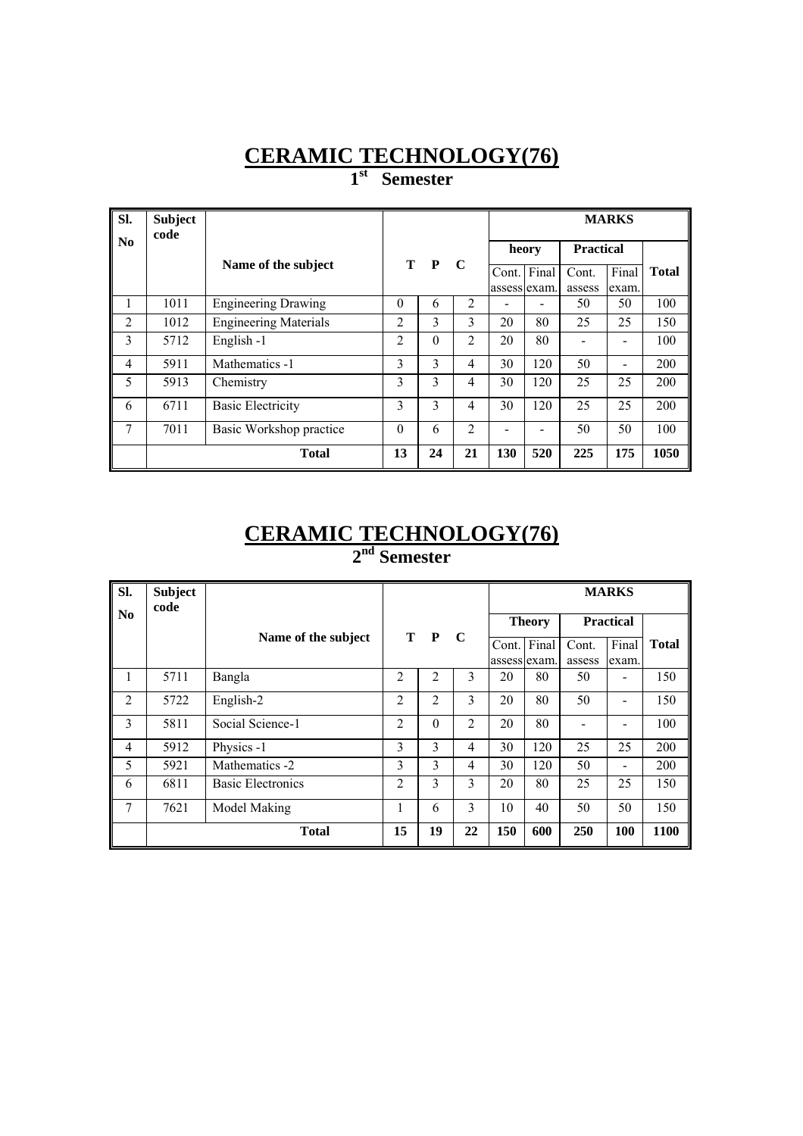**1st Semester** 

| Sl.                    | <b>Subject</b><br>code |                              |          |          |                |              |                          |                  |             |              |
|------------------------|------------------------|------------------------------|----------|----------|----------------|--------------|--------------------------|------------------|-------------|--------------|
| $\mathbf{N}\mathbf{0}$ |                        |                              |          |          |                | heory        |                          | <b>Practical</b> |             |              |
|                        |                        | Name of the subject          |          | T P      | $\mathbf C$    | Cont. Final  |                          | Cont.            | Final       | <b>Total</b> |
| 1                      | 1011                   | <b>Engineering Drawing</b>   | $\Omega$ | 6        | $\overline{2}$ | assess exam. |                          | assess<br>50     | exam.<br>50 | 100          |
|                        |                        |                              |          |          |                |              |                          |                  |             |              |
| 2                      | 1012                   | <b>Engineering Materials</b> | 2        | 3        | 3              | 20           | 80                       | 25               | 25          | 150          |
| 3                      | 5712                   | English-1                    | 2        | $\theta$ | 2              | 20           | 80                       |                  |             | 100          |
| 4                      | 5911                   | Mathematics -1               | 3        | 3        | 4              | 30           | 120                      | 50               |             | 200          |
| 5                      | 5913                   | Chemistry                    | 3        | 3        | 4              | 30           | 120                      | 25               | 25          | 200          |
| 6                      | 6711                   | <b>Basic Electricity</b>     | 3        | 3        | 4              | 30           | 120                      | 25               | 25          | 200          |
| 7                      | 7011                   | Basic Workshop practice      | $\Omega$ | 6        | $\overline{2}$ |              | $\overline{\phantom{0}}$ | 50               | 50          | 100          |
|                        |                        | <b>Total</b>                 | 13       | 24       | 21             | 130          | 520                      | 225              | 175         | 1050         |

#### **CERAMIC TECHNOLOGY(76) 2nd Semester**

| SI.                    | <b>Subject</b><br>code |                          |                |                |                |     |               |                  | <b>MARKS</b> |              |
|------------------------|------------------------|--------------------------|----------------|----------------|----------------|-----|---------------|------------------|--------------|--------------|
| $\mathbf{N}\mathbf{0}$ |                        |                          |                |                |                |     | <b>Theory</b> | <b>Practical</b> |              |              |
|                        |                        | Name of the subject      |                | T P            | $\mathbf C$    |     | Cont. Final   | Cont.            | Final        | <b>Total</b> |
|                        |                        |                          |                |                |                |     | assess exam.  | assess           | exam.        |              |
| 1                      | 5711                   | Bangla                   | $\overline{2}$ | 2              | 3              | 20  | 80            | 50               |              | 150          |
| $\overline{2}$         | 5722                   | English-2                | 2              | $\overline{2}$ | 3              | 20  | 80            | 50               |              | 150          |
| 3                      | 5811                   | Social Science-1         | $\overline{2}$ | $\Omega$       | $\overline{2}$ | 20  | 80            |                  | -            | 100          |
| 4                      | 5912                   | Physics -1               | 3              | 3              | 4              | 30  | 120           | 25               | 25           | 200          |
| 5                      | 5921                   | Mathematics -2           | 3              | 3              | 4              | 30  | 120           | 50               | -            | 200          |
| 6                      | 6811                   | <b>Basic Electronics</b> | $\overline{c}$ | 3              | 3              | 20  | 80            | 25               | 25           | 150          |
| 7                      | 7621                   | Model Making             | 1              | 6              | 3              | 10  | 40            | 50               | 50           | 150          |
|                        |                        | <b>Total</b>             | 15             | 19             | 22             | 150 | 600           | 250              | 100          | 1100         |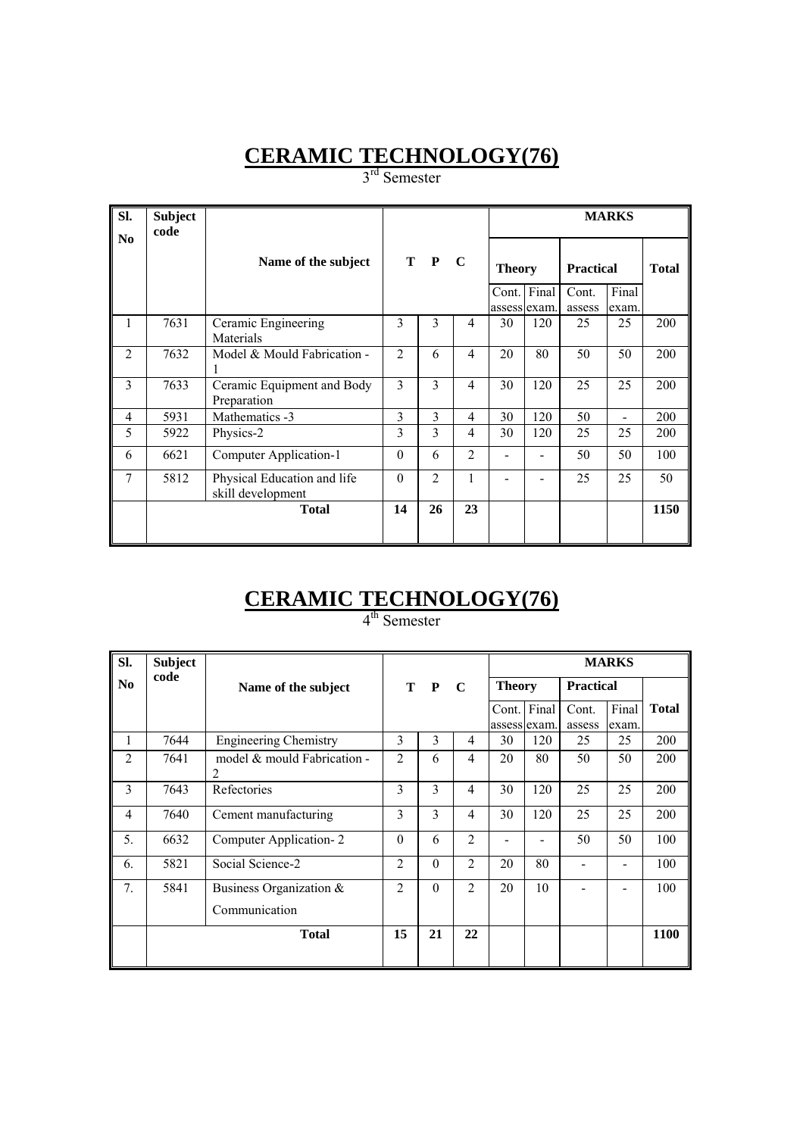3<sup>rd</sup> Semester

| SI.            | <b>Subject</b><br>code |                                                  |                |                |                |               |             |                           | <b>MARKS</b> |              |
|----------------|------------------------|--------------------------------------------------|----------------|----------------|----------------|---------------|-------------|---------------------------|--------------|--------------|
| N <sub>0</sub> |                        | Name of the subject                              |                | T P C          |                | <b>Theory</b> | Cont. Final | <b>Practical</b><br>Cont. | Final        | <b>Total</b> |
|                |                        |                                                  |                |                |                | assess exam.  |             | assess                    | exam.        |              |
| 1              | 7631                   | Ceramic Engineering<br>Materials                 | 3              | 3              | $\overline{4}$ | 30            | 120         | 25                        | 25           | 200          |
| $\overline{2}$ | 7632                   | Model & Mould Fabrication -                      | $\overline{2}$ | 6              | $\overline{4}$ | 20            | 80          | 50                        | 50           | 200          |
| 3              | 7633                   | Ceramic Equipment and Body<br>Preparation        | 3              | 3              | $\overline{4}$ | 30            | 120         | 25                        | 25           | 200          |
| 4              | 5931                   | Mathematics -3                                   | 3              | 3              | $\overline{4}$ | 30            | 120         | 50                        |              | 200          |
| 5              | 5922                   | Physics-2                                        | 3              | 3              | $\overline{4}$ | 30            | 120         | 25                        | 25           | 200          |
| 6              | 6621                   | Computer Application-1                           | $\Omega$       | 6              | $\mathfrak{D}$ |               |             | 50                        | 50           | 100          |
| 7              | 5812                   | Physical Education and life<br>skill development | $\theta$       | $\overline{2}$ | 1              |               |             | 25                        | 25           | 50           |
|                |                        | <b>Total</b>                                     | 14             | 26             | 23             |               |             |                           |              | 1150         |

# **CERAMIC TECHNOLOGY(76)**

4<sup>th</sup> Semester

| SI.            | <b>Subject</b> |                                  |                |          |                |               |                             |                  | <b>MARKS</b>   |              |
|----------------|----------------|----------------------------------|----------------|----------|----------------|---------------|-----------------------------|------------------|----------------|--------------|
| N <sub>0</sub> | code           | Name of the subject              |                | T P      | $\mathbf C$    | <b>Theory</b> |                             | <b>Practical</b> |                |              |
|                |                |                                  |                |          |                |               | Cont. Final<br>assess exam. | Cont.<br>assess  | Final<br>exam. | <b>Total</b> |
| 1              | 7644           | <b>Engineering Chemistry</b>     | 3              | 3        | 4              | 30            | 120                         | 25               | 25             | 200          |
| 2              | 7641           | model & mould Fabrication -<br>2 | $\overline{2}$ | 6        | $\overline{4}$ | 20            | 80                          | 50               | 50             | 200          |
| 3              | 7643           | Refectories                      | 3              | 3        | 4              | 30            | 120                         | 25               | 25             | 200          |
| $\overline{4}$ | 7640           | Cement manufacturing             | 3              | 3        | 4              | 30            | 120                         | 25               | 25             | 200          |
| 5.             | 6632           | Computer Application-2           | $\theta$       | 6        | $\overline{2}$ |               |                             | 50               | 50             | 100          |
| 6.             | 5821           | Social Science-2                 | $\overline{c}$ | $\Omega$ | $\overline{2}$ | 20            | 80                          |                  |                | 100          |
| 7.             | 5841           | Business Organization &          | $\overline{2}$ | $\theta$ | $\overline{2}$ | 20            | 10                          |                  |                | 100          |
|                |                | Communication                    |                |          |                |               |                             |                  |                |              |
|                |                | <b>Total</b>                     | 15             | 21       | 22             |               |                             |                  |                | 1100         |
|                |                |                                  |                |          |                |               |                             |                  |                |              |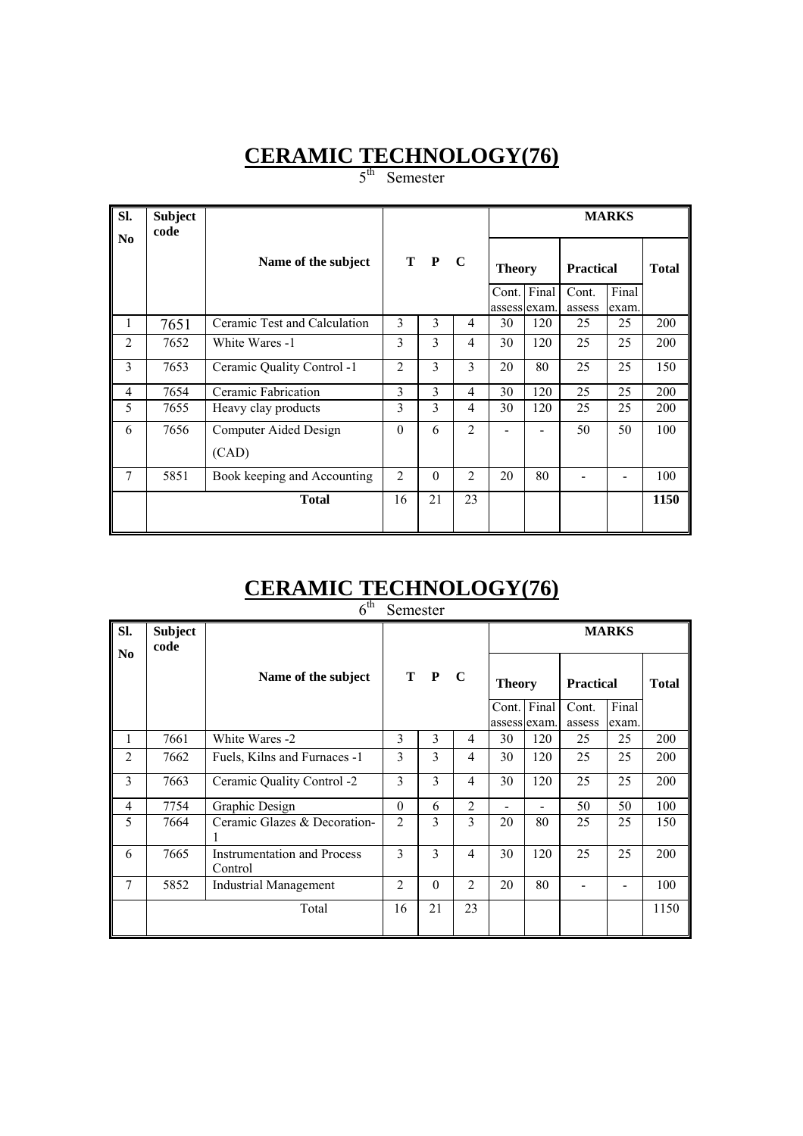5<sup>th</sup> Semester

| SI.            | <b>Subject</b><br>code |                                |                |          |                |                               |             |                                     | <b>MARKS</b>   |              |
|----------------|------------------------|--------------------------------|----------------|----------|----------------|-------------------------------|-------------|-------------------------------------|----------------|--------------|
| N <sub>0</sub> |                        | Name of the subject            |                | T P C    |                | <b>Theory</b><br>assess exam. | Cont. Final | <b>Practical</b><br>Cont.<br>assess | Final<br>exam. | <b>Total</b> |
| 1              | 7651                   | Ceramic Test and Calculation   | 3              | 3        | 4              | 30                            | 120         | 25                                  | 25             | 200          |
| $\overline{2}$ | 7652                   | White Wares -1                 | 3              | 3        | $\overline{4}$ | 30                            | 120         | 25                                  | 25             | 200          |
| 3              | 7653                   | Ceramic Quality Control -1     | $\overline{2}$ | 3        | 3              | 20                            | 80          | 25                                  | 25             | 150          |
| 4              | 7654                   | Ceramic Fabrication            | 3              | 3        | $\overline{4}$ | 30                            | 120         | 25                                  | 25             | 200          |
| 5              | 7655                   | Heavy clay products            | 3              | 3        | $\overline{4}$ | 30                            | 120         | 25                                  | 25             | 200          |
| 6              | 7656                   | Computer Aided Design<br>(CAD) | $\theta$       | 6        | $\overline{c}$ |                               |             | 50                                  | 50             | 100          |
| $\overline{7}$ | 5851                   | Book keeping and Accounting    | $\overline{2}$ | $\theta$ | $\overline{2}$ | 20                            | 80          |                                     |                | 100          |
|                |                        | <b>Total</b>                   | 16             | 21       | 23             |                               |             |                                     |                | 1150         |

# **CERAMIC TECHNOLOGY(76)**

| $6^{\text{th}}$ | Semester |
|-----------------|----------|
|                 |          |

| SI.            | <b>Subject</b><br>code |                                               |                |               |                | <b>MARKS</b>                |     |                  |                |              |  |  |
|----------------|------------------------|-----------------------------------------------|----------------|---------------|----------------|-----------------------------|-----|------------------|----------------|--------------|--|--|
| No             |                        | Name of the subject                           |                | T P           | $\mathbf C$    | <b>Theory</b>               |     | <b>Practical</b> |                | <b>Total</b> |  |  |
|                |                        |                                               |                |               |                | Cont. Final<br>assess exam. |     | Cont.<br>assess  | Final<br>exam. |              |  |  |
| 1              | 7661                   | White Wares -2                                | 3              | 3             | 4              | 30                          | 120 | 25               | 25             | 200          |  |  |
| $\overline{2}$ | 7662                   | Fuels, Kilns and Furnaces -1                  | 3              | $\mathcal{E}$ | 4              | 30                          | 120 | 25               | 25             | 200          |  |  |
| 3              | 7663                   | Ceramic Quality Control -2                    | 3              | 3             | 4              | 30                          | 120 | 25               | 25             | 200          |  |  |
| $\overline{4}$ | 7754                   | Graphic Design                                | $\theta$       | 6             | $\overline{2}$ |                             |     | 50               | 50             | 100          |  |  |
| 5              | 7664                   | Ceramic Glazes & Decoration-                  | $\overline{2}$ | 3             | 3              | 20                          | 80  | 25               | 25             | 150          |  |  |
| 6              | 7665                   | <b>Instrumentation and Process</b><br>Control | 3              | $\mathbf{3}$  | 4              | 30                          | 120 | 25               | 25             | 200          |  |  |
| 7              | 5852                   | <b>Industrial Management</b>                  | $\overline{c}$ | $\theta$      | $\overline{2}$ | 20                          | 80  |                  |                | 100          |  |  |
|                |                        | Total                                         | 16             | 21            | 23             |                             |     |                  |                | 1150         |  |  |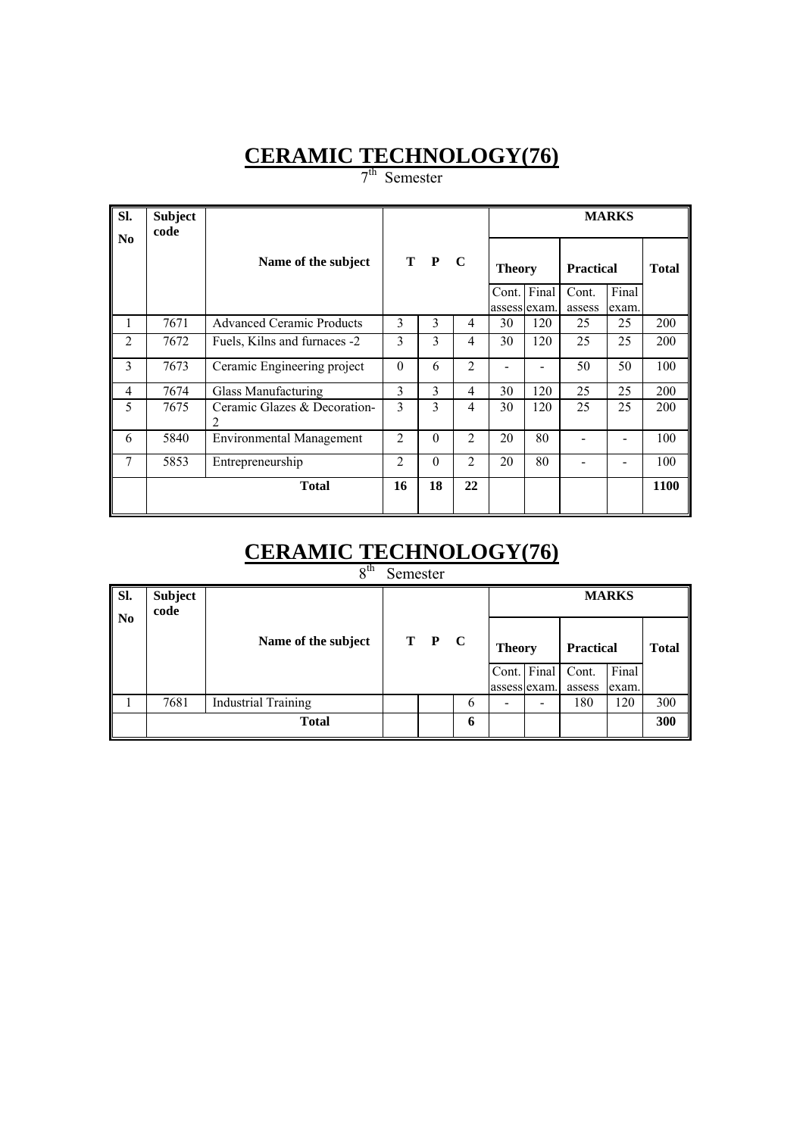7<sup>th</sup> Semester

| SI.            | <b>Subject</b><br>code |                                                |                |          |                |               |             |                  | <b>MARKS</b> |              |
|----------------|------------------------|------------------------------------------------|----------------|----------|----------------|---------------|-------------|------------------|--------------|--------------|
| N <sub>0</sub> |                        | Name of the subject                            |                | T P      | $\mathbf C$    | <b>Theory</b> |             | <b>Practical</b> |              | <b>Total</b> |
|                |                        |                                                |                |          |                | assess exam.  | Cont. Final | Cont.            | Final        |              |
| 1              | 7671                   | <b>Advanced Ceramic Products</b>               | 3              | 3        | 4              | 30            | 120         | assess<br>25     | exam.<br>25  | 200          |
|                |                        |                                                |                |          |                |               |             |                  |              |              |
| $\overline{2}$ | 7672                   | Fuels, Kilns and furnaces -2                   | 3              | 3        | 4              | 30            | 120         | 25               | 25           | 200          |
| 3              | 7673                   | Ceramic Engineering project                    | $\theta$       | 6        | $\overline{2}$ |               |             | 50               | 50           | 100          |
| 4              | 7674                   | Glass Manufacturing                            | 3              | 3        | 4              | 30            | 120         | 25               | 25           | 200          |
| 5              | 7675                   | Ceramic Glazes & Decoration-<br>$\mathfrak{D}$ | 3              | 3        | 4              | 30            | 120         | 25               | 25           | 200          |
| 6              | 5840                   | <b>Environmental Management</b>                | $\overline{c}$ | $\Omega$ | $\overline{2}$ | 20            | 80          |                  |              | 100          |
| 7              | 5853                   | Entrepreneurship                               | 2              | $\theta$ | $\overline{2}$ | 20            | 80          |                  |              | 100          |
|                |                        | <b>Total</b>                                   | 16             | 18       | 22             |               |             |                  |              | 1100         |

# **CERAMIC TECHNOLOGY(76)**

8<sup>th</sup> Semester

| Sl.<br>$\mathbf{N}$ | <b>Subject</b><br>code |                            |       |   | <b>MARKS</b>  |              |                  |       |              |  |  |
|---------------------|------------------------|----------------------------|-------|---|---------------|--------------|------------------|-------|--------------|--|--|
|                     |                        | Name of the subject        | T P C |   | <b>Theory</b> |              | <b>Practical</b> |       | <b>Total</b> |  |  |
|                     |                        |                            |       |   |               | Cont. Final  | Cont.            | Final |              |  |  |
|                     |                        |                            |       |   |               | assess exam. | assess           | exam. |              |  |  |
|                     | 7681                   | <b>Industrial Training</b> |       | 6 |               | -            | 180              | 120   | 300          |  |  |
|                     |                        | <b>Total</b>               |       | 6 |               |              |                  |       | 300          |  |  |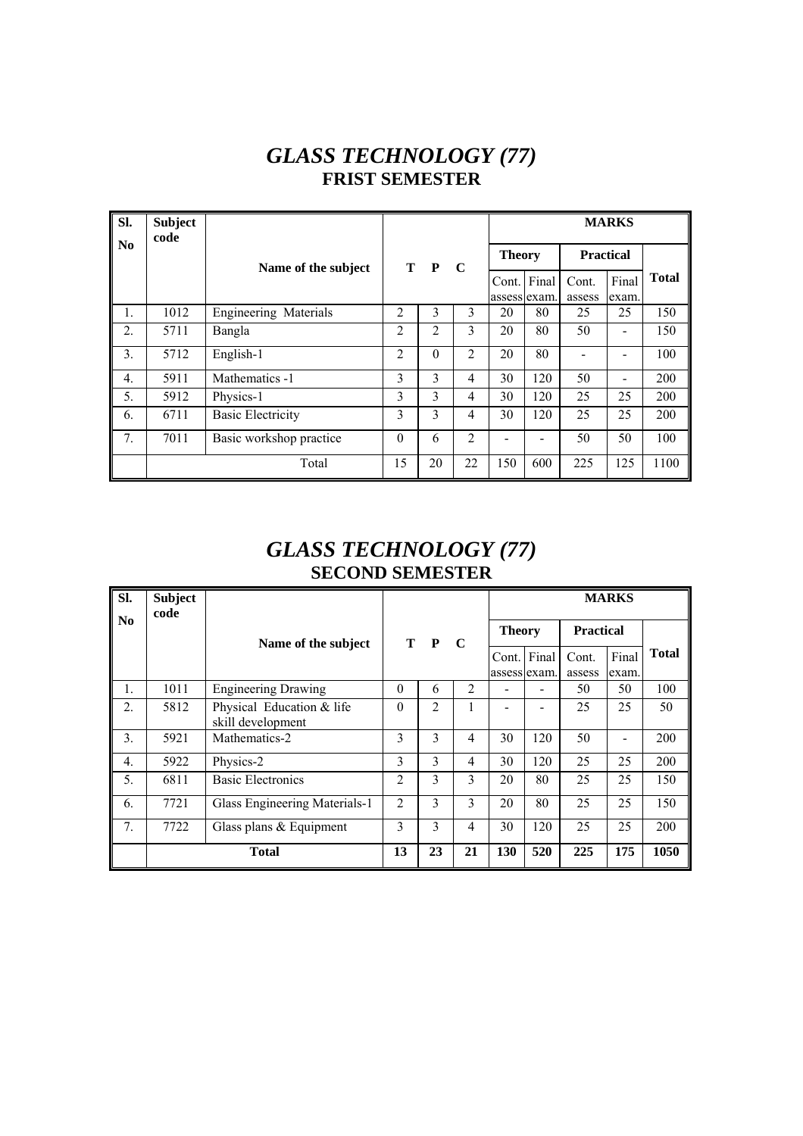### *GLASS TECHNOLOGY (77)*  **FRIST SEMESTER**

| Sl. | <b>Subject</b><br>code |                              |                |          |                |                       |       |                  | <b>MARKS</b>                 |              |
|-----|------------------------|------------------------------|----------------|----------|----------------|-----------------------|-------|------------------|------------------------------|--------------|
| No  |                        | Name of the subject          |                | T P      | $\mathbf C$    | <b>Theory</b>         |       | <b>Practical</b> |                              |              |
|     |                        |                              |                |          |                | Cont.<br>assess exam. | Final | Cont.<br>assess  | Final<br>exam.               | <b>Total</b> |
| 1.  | 1012                   | <b>Engineering Materials</b> | 2              | 3        | 3              | 20                    | 80    | 25               | 25                           | 150          |
| 2.  | 5711                   | Bangla                       | $\overline{2}$ | 2        | 3              | 20                    | 80    | 50               |                              | 150          |
| 3.  | 5712                   | English-1                    | 2              | $\theta$ | $\overline{2}$ | 20                    | 80    |                  |                              | 100          |
| 4.  | 5911                   | Mathematics -1               | 3              | 3        | 4              | 30                    | 120   | 50               | $\qquad \qquad \blacksquare$ | 200          |
| 5.  | 5912                   | Physics-1                    | 3              | 3        | 4              | 30                    | 120   | 25               | 25                           | 200          |
| 6.  | 6711                   | <b>Basic Electricity</b>     | 3              | 3        | 4              | 30                    | 120   | 25               | 25                           | 200          |
| 7.  | 7011                   | Basic workshop practice      | $\theta$       | 6        | $\overline{2}$ |                       |       | 50               | 50                           | 100          |
|     |                        | Total                        | 15             | 20       | 22             | 150                   | 600   | 225              | 125                          | 1100         |

### *GLASS TECHNOLOGY (77)*  **SECOND SEMESTER**

| Sl.                    | <b>Subject</b><br>code |                                                |                |     |             |               |                       |                  | <b>MARKS</b>   |              |
|------------------------|------------------------|------------------------------------------------|----------------|-----|-------------|---------------|-----------------------|------------------|----------------|--------------|
| $\mathbf{N}\mathbf{0}$ |                        | Name of the subject                            |                | T P | $\mathbf C$ | <b>Theory</b> |                       | <b>Practical</b> |                |              |
|                        |                        |                                                |                |     |             | Cont.         | Final<br>assess exam. | Cont.<br>assess  | Final<br>exam. | <b>Total</b> |
| 1.                     | 1011                   | <b>Engineering Drawing</b>                     | $\Omega$       | 6   | 2           |               |                       | 50               | 50             | 100          |
| 2.                     | 5812                   | Physical Education & life<br>skill development | $\Omega$       | 2   |             |               |                       | 25               | 25             | 50           |
| 3.                     | 5921                   | Mathematics-2                                  | 3              | 3   | 4           | 30            | 120                   | 50               |                | 200          |
| 4.                     | 5922                   | Physics-2                                      | 3              | 3   | 4           | 30            | 120                   | 25               | 25             | 200          |
| 5.                     | 6811                   | <b>Basic Electronics</b>                       | $\overline{c}$ | 3   | 3           | 20            | 80                    | 25               | 25             | 150          |
| 6.                     | 7721                   | Glass Engineering Materials-1                  | $\overline{2}$ | 3   | 3           | 20            | 80                    | 25               | 25             | 150          |
| 7.                     | 7722                   | Glass plans $&$ Equipment                      | 3              | 3   | 4           | 30            | 120                   | 25               | 25             | 200          |
|                        |                        | <b>Total</b>                                   | 13             | 23  | 21          | 130           | 520                   | 225              | 175            | 1050         |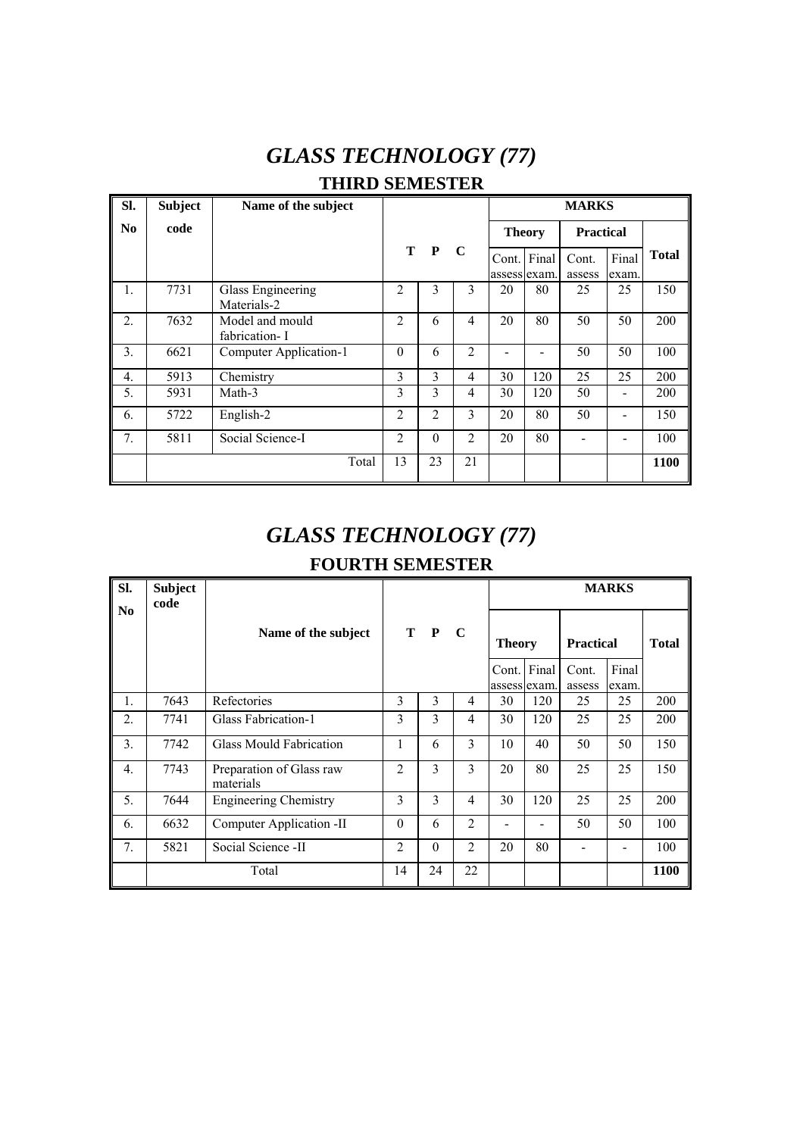## *GLASS TECHNOLOGY (77)*  **THIRD SEMESTER**

| Sl.              | <b>Subject</b> | Name of the subject              |                |                |                |                       |               | <b>MARKS</b>     |                |              |
|------------------|----------------|----------------------------------|----------------|----------------|----------------|-----------------------|---------------|------------------|----------------|--------------|
| N <sub>0</sub>   | code           |                                  |                |                |                |                       | <b>Theory</b> | <b>Practical</b> |                |              |
|                  |                |                                  | Т              | $\mathbf{P}$   | C              | Cont.<br>assess exam. | Final         | Cont.<br>assess  | Final<br>exam. | <b>Total</b> |
| $\mathbf{1}$ .   | 7731           | Glass Engineering<br>Materials-2 | $\overline{c}$ | 3              | 3              | 20                    | 80            | 25               | 25             | 150          |
| $\overline{2}$ . | 7632           | Model and mould<br>fabrication-I | $\mathfrak{D}$ | 6              | $\overline{4}$ | 20                    | 80            | 50               | 50             | 200          |
| 3.               | 6621           | Computer Application-1           | $\theta$       | 6              | 2              |                       |               | 50               | 50             | 100          |
| $\overline{4}$ . | 5913           | Chemistry                        | 3              | 3              | $\overline{4}$ | 30                    | 120           | 25               | 25             | 200          |
| 5.               | 5931           | Math-3                           | 3              | 3              | 4              | 30                    | 120           | 50               |                | 200          |
| 6.               | 5722           | English-2                        | $\overline{2}$ | $\overline{2}$ | 3              | 20                    | 80            | 50               | -              | 150          |
| 7.               | 5811           | Social Science-I                 | $\overline{2}$ | $\theta$       | 2              | 20                    | 80            |                  |                | 100          |
|                  |                | Total                            | 13             | 23             | 21             |                       |               |                  |                | 1100         |

# *GLASS TECHNOLOGY (77)*

#### **FOURTH SEMESTER**

| SI.<br>N <sub>0</sub> | <b>Subject</b><br>code |                                       |                |              |                |               |             |                  | <b>MARKS</b>   |              |
|-----------------------|------------------------|---------------------------------------|----------------|--------------|----------------|---------------|-------------|------------------|----------------|--------------|
|                       |                        | Name of the subject                   |                | T P          | $\mathbf{C}$   | <b>Theory</b> |             | <b>Practical</b> |                | <b>Total</b> |
|                       |                        |                                       |                |              |                | assess exam.  | Cont. Final | Cont.<br>assess  | Final<br>exam. |              |
| 1.                    | 7643                   | Refectories                           | 3              | $\mathbf{3}$ | $\overline{4}$ | 30            | 120         | 25               | 25             | 200          |
| 2.                    | 7741                   | Glass Fabrication-1                   | 3              | 3            | $\overline{4}$ | 30            | 120         | 25               | 25             | 200          |
| 3.                    | 7742                   | Glass Mould Fabrication               |                | 6            | 3              | 10            | 40          | 50               | 50             | 150          |
| $\overline{4}$ .      | 7743                   | Preparation of Glass raw<br>materials | 2              | 3            | 3              | 20            | 80          | 25               | 25             | 150          |
| 5.                    | 7644                   | <b>Engineering Chemistry</b>          | 3              | 3            | $\overline{4}$ | 30            | 120         | 25               | 25             | 200          |
| 6.                    | 6632                   | Computer Application -II              | $\theta$       | 6            | $\overline{2}$ |               |             | 50               | 50             | 100          |
| 7.                    | 5821                   | Social Science -II                    | $\overline{2}$ | $\theta$     | $\overline{2}$ | 20            | 80          |                  |                | 100          |
|                       |                        | Total                                 | 14             | 24           | 22             |               |             |                  |                | <b>1100</b>  |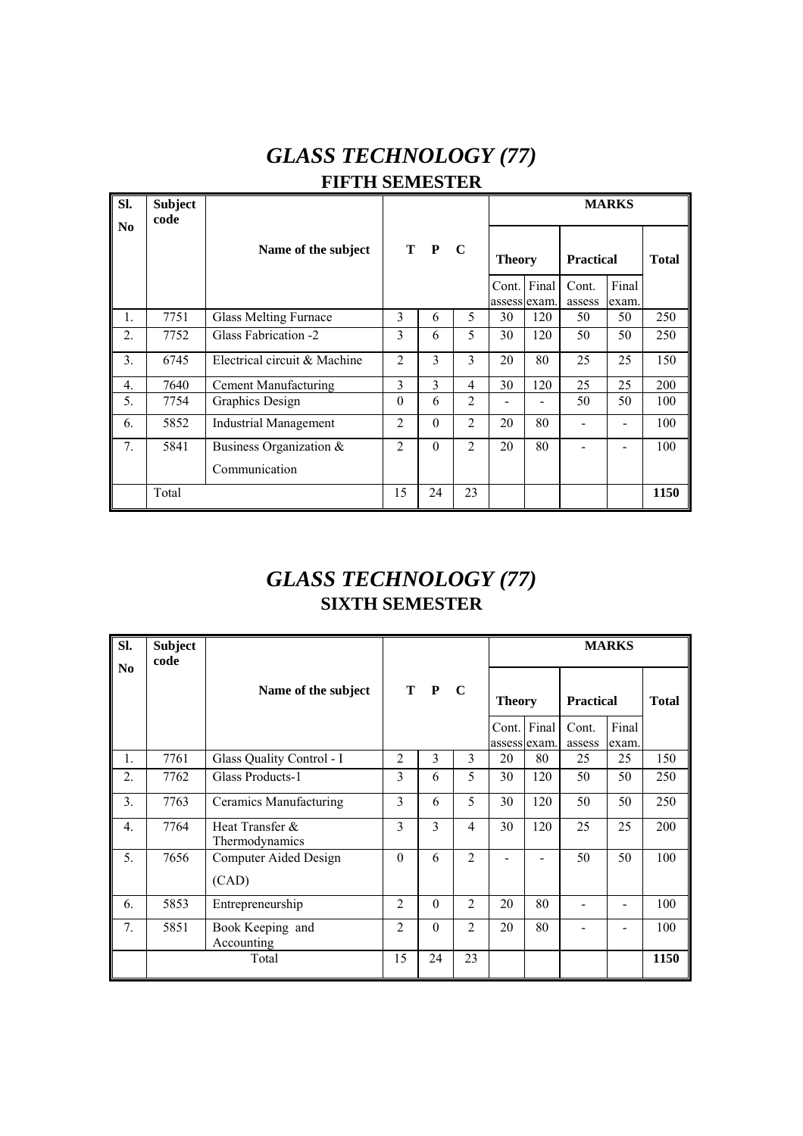# *GLASS TECHNOLOGY (77)*  **FIFTH SEMESTER**

| SI.<br>N <sub>0</sub> | <b>Subject</b><br>code |                              |                |          |                |               |             |                  | <b>MARKS</b>   |              |
|-----------------------|------------------------|------------------------------|----------------|----------|----------------|---------------|-------------|------------------|----------------|--------------|
|                       |                        | Name of the subject          |                | T P      | $\mathbf C$    | <b>Theory</b> |             | <b>Practical</b> |                | <b>Total</b> |
|                       |                        |                              |                |          |                | assess exam.  | Cont. Final | Cont.<br>assess  | Final<br>exam. |              |
| $\mathbf{1}$ .        | 7751                   | <b>Glass Melting Furnace</b> | 3              | 6        | 5              | 30            | 120         | 50               | 50             | 250          |
| $\overline{2}$ .      | 7752                   | Glass Fabrication -2         | 3              | 6        | 5              | 30            | 120         | 50               | 50             | 250          |
| 3.                    | 6745                   | Electrical circuit & Machine | $\overline{c}$ | 3        | 3              | 20            | 80          | 25               | 25             | 150          |
| $\overline{4}$ .      | 7640                   | Cement Manufacturing         | 3              | 3        | $\overline{4}$ | 30            | 120         | 25               | 25             | 200          |
| 5.                    | 7754                   | Graphics Design              | $\Omega$       | 6        | $\overline{2}$ |               |             | 50               | 50             | 100          |
| 6.                    | 5852                   | <b>Industrial Management</b> | $\mathfrak{D}$ | $\theta$ | $\overline{2}$ | 20            | 80          |                  |                | 100          |
| 7 <sub>1</sub>        | 5841                   | Business Organization &      | $\overline{2}$ | $\theta$ | $\overline{2}$ | 20            | 80          |                  |                | 100          |
|                       |                        | Communication                |                |          |                |               |             |                  |                |              |
|                       | Total                  |                              | 15             | 24       | 23             |               |             |                  |                | 1150         |

# *GLASS TECHNOLOGY (77)*  **SIXTH SEMESTER**

| SI.              | <b>Subject</b><br>code |                                   |                |          |                |               |              |                  | <b>MARKS</b>                 |              |
|------------------|------------------------|-----------------------------------|----------------|----------|----------------|---------------|--------------|------------------|------------------------------|--------------|
| N <sub>0</sub>   |                        | Name of the subject               |                | T P C    |                | <b>Theory</b> |              | <b>Practical</b> |                              | <b>Total</b> |
|                  |                        |                                   |                |          |                | Cont. Final   | assess exam. | Cont.<br>assess  | Final<br>exam.               |              |
| 1.               | 7761                   | Glass Quality Control - I         | $\overline{2}$ | 3        | 3              | 20            | 80           | 25               | 25                           | 150          |
| 2.               | 7762                   | Glass Products-1                  | 3              | 6        | 5              | 30            | 120          | 50               | 50                           | 250          |
| 3.               | 7763                   | Ceramics Manufacturing            | 3              | 6        | 5              | 30            | 120          | 50               | 50                           | 250          |
| $\overline{4}$ . | 7764                   | Heat Transfer &<br>Thermodynamics | 3              | 3        | 4              | 30            | 120          | 25               | 25                           | 200          |
| 5.               | 7656                   | Computer Aided Design<br>(CAD)    | $\Omega$       | 6        | $\overline{2}$ |               |              | 50               | 50                           | 100          |
| 6.               | 5853                   | Entrepreneurship                  | $\mathfrak{D}$ | $\Omega$ | $\mathfrak{D}$ | 20            | 80           |                  | $\qquad \qquad \blacksquare$ | 100          |
| 7.               | 5851                   | Book Keeping and<br>Accounting    | $\mathfrak{D}$ | $\theta$ | $\mathfrak{D}$ | 20            | 80           |                  |                              | 100          |
|                  |                        | Total                             | 15             | 24       | 23             |               |              |                  |                              | 1150         |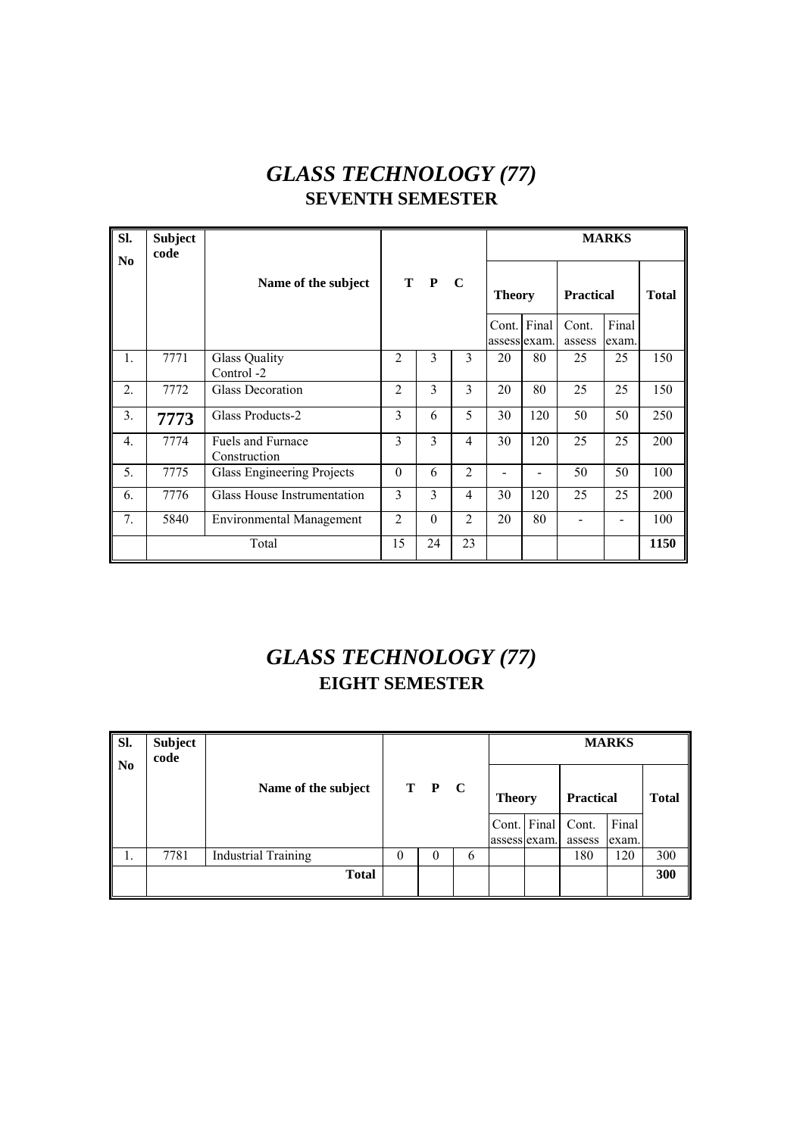# *GLASS TECHNOLOGY (77)*  **SEVENTH SEMESTER**

| SI.<br>No.       | <b>Subject</b><br>code |                                          |                |               |                |               |             |                  | <b>MARKS</b>   |              |
|------------------|------------------------|------------------------------------------|----------------|---------------|----------------|---------------|-------------|------------------|----------------|--------------|
|                  |                        | Name of the subject                      |                | T P           | $\mathbf C$    | <b>Theory</b> |             | <b>Practical</b> |                | <b>Total</b> |
|                  |                        |                                          |                |               |                | assess exam.  | Cont. Final | Cont.<br>assess  | Final<br>exam. |              |
| 1.               | 7771                   | <b>Glass Quality</b><br>Control -2       | $\overline{2}$ | 3             | 3              | 20            | 80          | 25               | 25             | 150          |
| 2.               | 7772                   | Glass Decoration                         | $\mathfrak{D}$ | 3             | 3              | 20            | 80          | 25               | 25             | 150          |
| 3 <sub>1</sub>   | 7773                   | Glass Products-2                         | 3              | 6             | 5              | 30            | 120         | 50               | 50             | 250          |
| $\overline{4}$ . | 7774                   | <b>Fuels and Furnace</b><br>Construction | 3              | 3             | $\overline{4}$ | 30            | 120         | 25               | 25             | 200          |
| 5.               | 7775                   | Glass Engineering Projects               | $\theta$       | 6             | $\overline{2}$ |               |             | 50               | 50             | 100          |
| 6.               | 7776                   | Glass House Instrumentation              | 3              | $\mathcal{E}$ | 4              | 30            | 120         | 25               | 25             | 200          |
| 7.               | 5840                   | <b>Environmental Management</b>          | $\overline{2}$ | $\theta$      | $\overline{2}$ | 20            | 80          |                  |                | 100          |
|                  |                        | Total                                    | 15             | 24            | 23             |               |             |                  |                | 1150         |

# *GLASS TECHNOLOGY (77)*  **EIGHT SEMESTER**

| SI.<br>$\mathbf{N_0}$ | <b>Subject</b><br>code |                            |   |          |   |               |             |                  | <b>MARKS</b>   |              |
|-----------------------|------------------------|----------------------------|---|----------|---|---------------|-------------|------------------|----------------|--------------|
|                       |                        | Name of the subject        |   | T P C    |   | <b>Theory</b> |             | <b>Practical</b> |                | <b>Total</b> |
|                       |                        |                            |   |          |   | assess exam.  | Cont. Final | Cont.<br>assess  | Final<br>exam. |              |
| 1.                    | 7781                   | <b>Industrial Training</b> | 0 | $\theta$ | 6 |               |             | 180              | 120            | 300          |
|                       |                        | <b>Total</b>               |   |          |   |               |             |                  |                | 300          |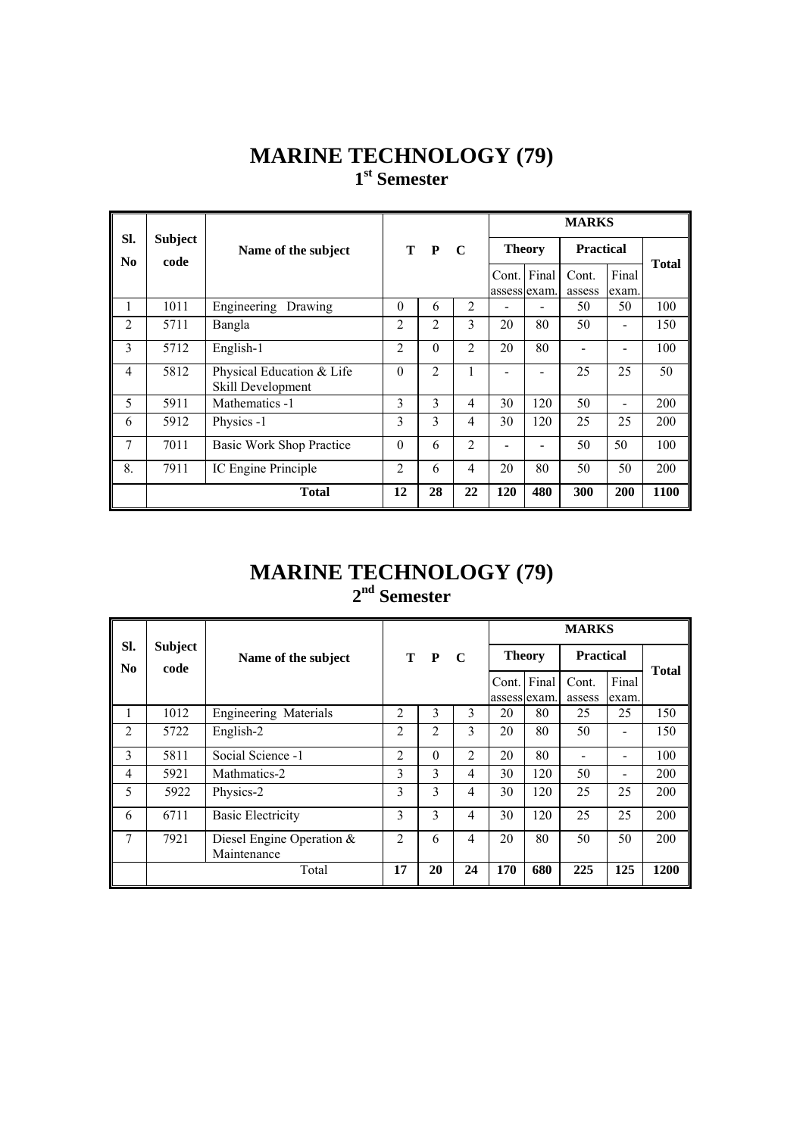#### **MARINE TECHNOLOGY (79) 1st Semester**

|                |                        |                                                |                |                |                |                       |               | <b>MARKS</b>     |                |              |
|----------------|------------------------|------------------------------------------------|----------------|----------------|----------------|-----------------------|---------------|------------------|----------------|--------------|
| SI.<br>No      | <b>Subject</b><br>code | Name of the subject                            | $\bf{T}$       | $\mathbf{P}$   | $\mathbf C$    |                       | <b>Theory</b> | <b>Practical</b> |                | <b>Total</b> |
|                |                        |                                                |                |                |                | Cont.<br>assess exam. | Final         | Cont.<br>assess  | Final<br>exam. |              |
| 1              | 1011                   | Engineering<br>Drawing                         | $\theta$       | 6              | 2              |                       |               | 50               | 50             | 100          |
| $\overline{2}$ | 5711                   | Bangla                                         | 2              | 2              | 3              | 20                    | 80            | 50               |                | 150          |
| 3              | 5712                   | English-1                                      | $\overline{c}$ | $\theta$       | $\overline{2}$ | 20                    | 80            |                  |                | 100          |
| 4              | 5812                   | Physical Education & Life<br>Skill Development | $\theta$       | $\overline{2}$ | 1              |                       |               | 25               | 25             | 50           |
| 5              | 5911                   | Mathematics -1                                 | 3              | 3              | 4              | 30                    | 120           | 50               |                | 200          |
| 6              | 5912                   | Physics -1                                     | 3              | 3              | $\overline{4}$ | 30                    | 120           | 25               | 25             | 200          |
| $\overline{7}$ | 7011                   | <b>Basic Work Shop Practice</b>                | $\theta$       | 6              | $\overline{2}$ |                       |               | 50               | 50             | 100          |
| 8.             | 7911                   | IC Engine Principle                            | $\overline{c}$ | 6              | 4              | 20                    | 80            | 50               | 50             | 200          |
|                |                        | <b>Total</b>                                   | 12             | 28             | 22             | 120                   | 480           | 300              | 200            | 1100         |

#### **MARINE TECHNOLOGY (79) 2nd Semester**

|                       |                        |                                             | T P<br>$\mathbf C$ |          |                |                       |       | <b>MARKS</b>     |                |              |
|-----------------------|------------------------|---------------------------------------------|--------------------|----------|----------------|-----------------------|-------|------------------|----------------|--------------|
| SI.<br>N <sub>0</sub> | <b>Subject</b><br>code | Name of the subject                         |                    |          |                | <b>Theory</b>         |       | <b>Practical</b> |                | <b>Total</b> |
|                       |                        |                                             |                    |          |                | Cont.<br>assess exam. | Final | Cont.<br>assess  | Final<br>exam. |              |
| 1                     | 1012                   | Engineering Materials                       | 2                  | 3        | 3              | 20                    | 80    | 25               | 25             | 150          |
| $\overline{2}$        | 5722                   | English-2                                   | $\overline{c}$     | 2        | 3              | 20                    | 80    | 50               |                | 150          |
| 3                     | 5811                   | Social Science -1                           | $\overline{c}$     | $\theta$ | 2              | 20                    | 80    |                  |                | 100          |
| $\overline{4}$        | 5921                   | Mathmatics-2                                | 3                  | 3        | 4              | 30                    | 120   | 50               |                | 200          |
| 5                     | 5922                   | Physics-2                                   | 3                  | 3        | 4              | 30                    | 120   | 25               | 25             | 200          |
| 6                     | 6711                   | <b>Basic Electricity</b>                    | 3                  | 3        | $\overline{4}$ | 30                    | 120   | 25               | 25             | 200          |
| 7                     | 7921                   | Diesel Engine Operation $\&$<br>Maintenance | $\overline{2}$     | 6        | 4              | 20                    | 80    | 50               | 50             | 200          |
|                       |                        | Total                                       | 17                 | 20       | 24             | 170                   | 680   | 225              | 125            | 1200         |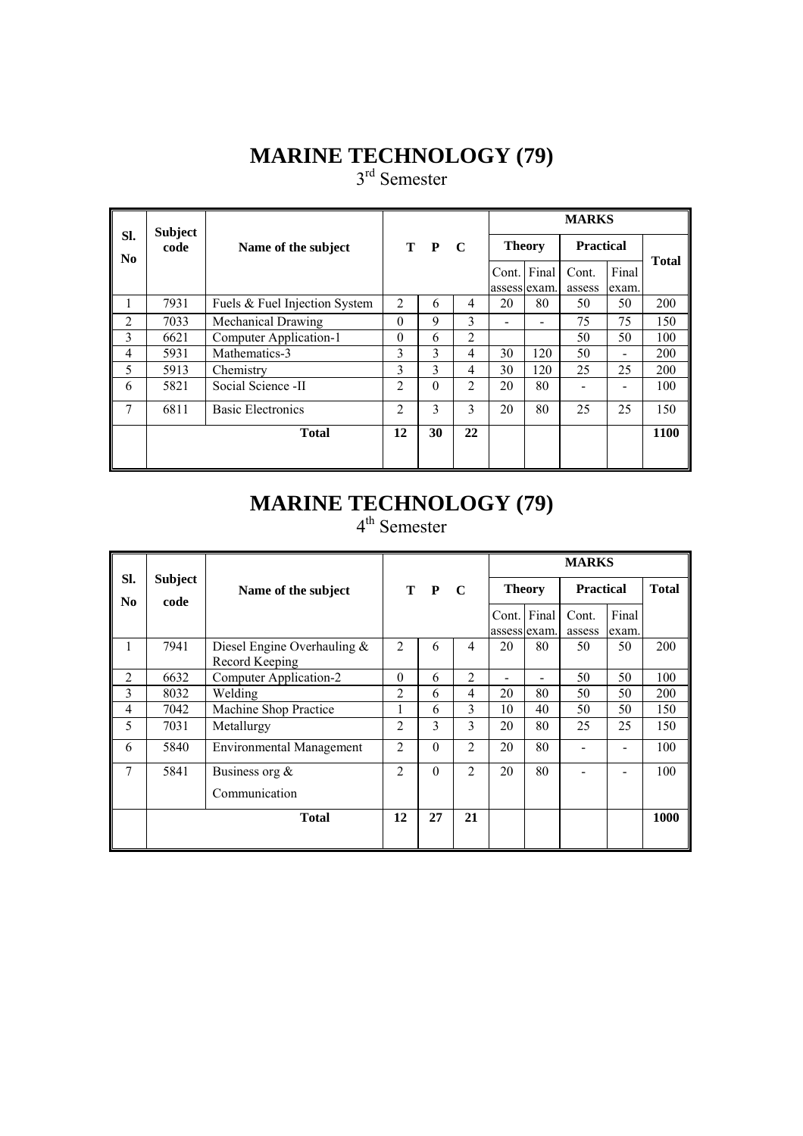# **MARINE TECHNOLOGY (79)**

3<sup>rd</sup> Semester

|                       | <b>Subject</b> |                               |                |          |                |               |                             | <b>MARKS</b>     |                              |              |
|-----------------------|----------------|-------------------------------|----------------|----------|----------------|---------------|-----------------------------|------------------|------------------------------|--------------|
| SI.<br>N <sub>0</sub> | code           | Name of the subject           |                | T P      | $\mathbf C$    | <b>Theory</b> |                             | <b>Practical</b> |                              | <b>Total</b> |
|                       |                |                               |                |          |                |               | Cont. Final<br>assess exam. | Cont.<br>assess  | Final<br>exam.               |              |
|                       | 7931           | Fuels & Fuel Injection System | $\overline{2}$ | 6        | 4              | 20            | 80                          | 50               | 50                           | 200          |
| $\overline{2}$        | 7033           | Mechanical Drawing            | $\Omega$       | 9        | 3              |               |                             | 75               | 75                           | 150          |
| 3                     | 6621           | Computer Application-1        | $\Omega$       | 6        | $\overline{2}$ |               |                             | 50               | 50                           | 100          |
| 4                     | 5931           | Mathematics-3                 | 3              | 3        | 4              | 30            | 120                         | 50               | $\qquad \qquad \blacksquare$ | 200          |
| 5                     | 5913           | Chemistry                     | 3              | 3        | 4              | 30            | 120                         | 25               | 25                           | 200          |
| 6                     | 5821           | Social Science -II            | $\mathfrak{D}$ | $\Omega$ | $\overline{2}$ | 20            | 80                          |                  |                              | 100          |
| 7                     | 6811           | <b>Basic Electronics</b>      | $\overline{c}$ | 3        | 3              | 20            | 80                          | 25               | 25                           | 150          |
|                       |                | <b>Total</b>                  | 12             | 30       | 22             |               |                             |                  |                              | 1100         |
|                       |                |                               |                |          |                |               |                             |                  |                              |              |

#### **MARINE TECHNOLOGY (79)** 4<sup>th</sup> Semester

|                       |                        |                                                  |                |          |                |               |                             | <b>MARKS</b>     |                |              |
|-----------------------|------------------------|--------------------------------------------------|----------------|----------|----------------|---------------|-----------------------------|------------------|----------------|--------------|
| Sl.<br>N <sub>0</sub> | <b>Subject</b><br>code | Name of the subject                              |                | T P C    |                | <b>Theory</b> |                             | <b>Practical</b> |                | <b>Total</b> |
|                       |                        |                                                  |                |          |                |               | Cont. Final<br>assess exam. | Cont.<br>assess  | Final<br>exam. |              |
| I.                    | 7941                   | Diesel Engine Overhauling $\&$<br>Record Keeping | $\overline{2}$ | 6        | 4              | 20            | 80                          | 50               | 50             | 200          |
| 2                     | 6632                   | Computer Application-2                           | $\theta$       | 6        | 2              |               |                             | 50               | 50             | 100          |
| 3                     | 8032                   | Welding                                          | 2              | 6        | $\overline{4}$ | 20            | 80                          | 50               | 50             | 200          |
| 4                     | 7042                   | Machine Shop Practice                            | 1              | 6        | 3              | 10            | 40                          | 50               | 50             | 150          |
| 5                     | 7031                   | Metallurgy                                       | $\overline{c}$ | 3        | 3              | 20            | 80                          | 25               | 25             | 150          |
| 6                     | 5840                   | <b>Environmental Management</b>                  | $\overline{c}$ | $\theta$ | $\overline{2}$ | 20            | 80                          |                  |                | 100          |
| 7                     | 5841                   | Business org $\&$                                | $\overline{c}$ | $\theta$ | $\overline{2}$ | 20            | 80                          |                  |                | 100          |
|                       |                        | Communication                                    |                |          |                |               |                             |                  |                |              |
|                       |                        | <b>Total</b>                                     | 12             | 27       | 21             |               |                             |                  |                | 1000         |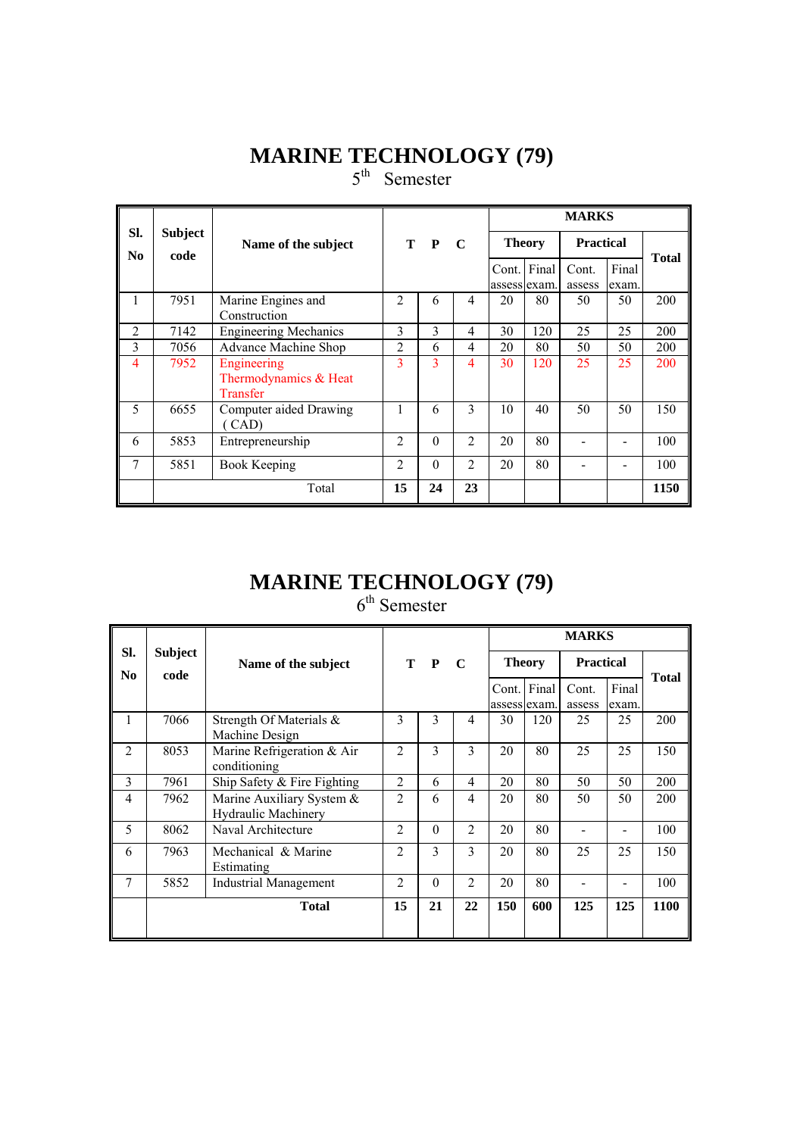# **MARINE TECHNOLOGY (79)**

5<sup>th</sup> Semester

|                       |                        |                                                  |                |          |                |    |                             | <b>MARKS</b>     |                |              |
|-----------------------|------------------------|--------------------------------------------------|----------------|----------|----------------|----|-----------------------------|------------------|----------------|--------------|
| Sl.<br>N <sub>0</sub> | <b>Subject</b><br>code | Name of the subject                              |                | T P C    |                |    | <b>Theory</b>               | <b>Practical</b> |                | <b>Total</b> |
|                       |                        |                                                  |                |          |                |    | Cont. Final<br>assess exam. | Cont.<br>assess  | Final<br>exam. |              |
|                       | 7951                   | Marine Engines and<br>Construction               | $\mathfrak{D}$ | 6        | 4              | 20 | 80                          | 50               | 50             | 200          |
| $\overline{2}$        | 7142                   | <b>Engineering Mechanics</b>                     | 3              | 3        | 4              | 30 | 120                         | 25               | 25             | 200          |
| 3                     | 7056                   | Advance Machine Shop                             | $\overline{c}$ | 6        | 4              | 20 | 80                          | 50               | 50             | 200          |
| 4                     | 7952                   | Engineering<br>Thermodynamics & Heat<br>Transfer | 3              | 3        | 4              | 30 | 120                         | 25               | 25             | 200          |
| 5                     | 6655                   | Computer aided Drawing<br>(CAD)                  |                | 6        | 3              | 10 | 40                          | 50               | 50             | 150          |
| 6                     | 5853                   | Entrepreneurship                                 | $\mathfrak{D}$ | $\theta$ | $\overline{2}$ | 20 | 80                          |                  |                | 100          |
| 7                     | 5851                   | <b>Book Keeping</b>                              | $\mathfrak{D}$ | $\theta$ | $\overline{2}$ | 20 | 80                          |                  |                | 100          |
|                       |                        | Total                                            | 15             | 24       | 23             |    |                             |                  |                | 1150         |

# **MARINE TECHNOLOGY (79)**

 $6<sup>th</sup>$  Semester

|                       |                        |                                                         |                |               |                |              |               | <b>MARKS</b>     |                |              |
|-----------------------|------------------------|---------------------------------------------------------|----------------|---------------|----------------|--------------|---------------|------------------|----------------|--------------|
| SI.<br>N <sub>0</sub> | <b>Subject</b><br>code | Name of the subject                                     |                | T P           | $\mathbf C$    |              | <b>Theory</b> | <b>Practical</b> |                | <b>Total</b> |
|                       |                        |                                                         |                |               |                | assess exam. | Cont. Final   | Cont.<br>assess  | Final<br>exam. |              |
| 1                     | 7066                   | Strength Of Materials &<br>Machine Design               | 3              | $\mathcal{E}$ | $\overline{4}$ | 30           | 120           | 25               | 25             | 200          |
| $\mathfrak{D}$        | 8053                   | Marine Refrigeration & Air<br>conditioning              | $\mathfrak{D}$ | $\mathcal{E}$ | $\mathcal{E}$  | 20           | 80            | 25               | 25             | 150          |
| 3                     | 7961                   | Ship Safety $&$ Fire Fighting                           | $\overline{c}$ | 6             | $\overline{4}$ | 20           | 80            | 50               | 50             | 200          |
| 4                     | 7962                   | Marine Auxiliary System &<br><b>Hydraulic Machinery</b> | $\overline{2}$ | 6             | $\overline{4}$ | 20           | 80            | 50               | 50             | 200          |
| 5                     | 8062                   | Naval Architecture                                      | $\mathfrak{D}$ | $\Omega$      | $\mathfrak{D}$ | 20           | 80            |                  |                | 100          |
| 6                     | 7963                   | Mechanical & Marine<br>Estimating                       | $\mathfrak{D}$ | 3             | 3              | 20           | 80            | 25               | 25             | 150          |
| 7                     | 5852                   | Industrial Management                                   | $\overline{c}$ | $\theta$      | 2              | 20           | 80            |                  |                | 100          |
|                       |                        | <b>Total</b>                                            | 15             | 21            | 22             | 150          | 600           | 125              | 125            | 1100         |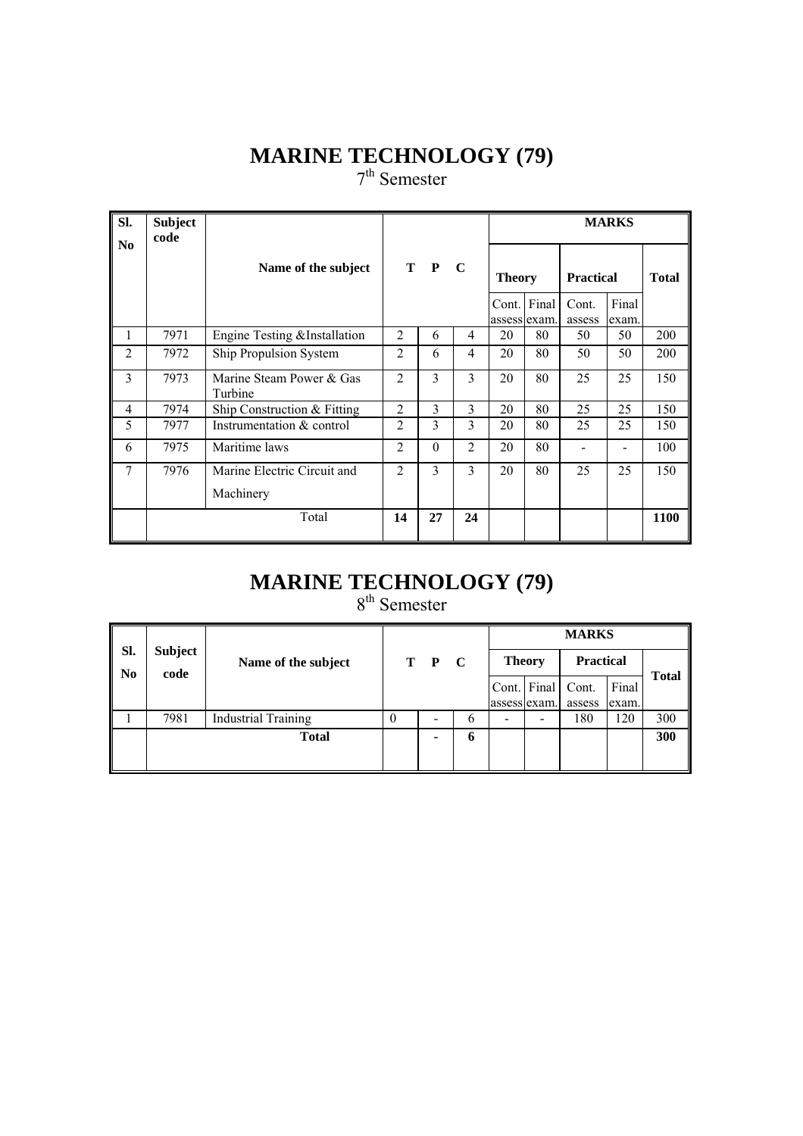# **MARINE TECHNOLOGY (79)**

7<sup>th</sup> Semester

| SI.            | <b>Subject</b><br>code |                                          |                |               |                |                               |             |                                     | <b>MARKS</b>   |              |
|----------------|------------------------|------------------------------------------|----------------|---------------|----------------|-------------------------------|-------------|-------------------------------------|----------------|--------------|
| N <sub>0</sub> |                        | Name of the subject                      |                | $T$ $P$       | $\mathbf C$    | <b>Theory</b><br>assess exam. | Cont. Final | <b>Practical</b><br>Cont.<br>assess | Final<br>exam. | <b>Total</b> |
| 1              | 7971                   | Engine Testing & Installation            | 2              | 6             | 4              | 20                            | 80          | 50                                  | 50             | 200          |
| $\overline{2}$ | 7972                   | Ship Propulsion System                   | $\overline{c}$ | 6             | 4              | 20                            | 80          | 50                                  | 50             | 200          |
| 3              | 7973                   | Marine Steam Power & Gas<br>Turbine      | $\mathfrak{D}$ | $\mathcal{E}$ | 3              | 20                            | 80          | 25                                  | 25             | 150          |
| 4              | 7974                   | Ship Construction & Fitting              | $\overline{c}$ | 3             | 3              | 20                            | 80          | 25                                  | 25             | 150          |
| 5              | 7977                   | Instrumentation & control                | $\overline{c}$ | 3             | 3              | 20                            | 80          | 25                                  | 25             | 150          |
| 6              | 7975                   | Maritime laws                            | $\overline{c}$ | $\theta$      | $\overline{2}$ | 20                            | 80          |                                     |                | 100          |
| 7              | 7976                   | Marine Electric Circuit and<br>Machinery | 2              | 3             | 3              | 20                            | 80          | 25                                  | 25             | 150          |
|                |                        | Total                                    | 14             | 27            | 24             |                               |             |                                     |                | 1100         |

# **MARINE TECHNOLOGY (79)**

8<sup>th</sup> Semester

|           |                        |                            |   |       |   |               |             | <b>MARKS</b>     |       |              |
|-----------|------------------------|----------------------------|---|-------|---|---------------|-------------|------------------|-------|--------------|
| Sl.<br>No | <b>Subject</b><br>code | Name of the subject        |   | T P C |   | <b>Theory</b> |             | <b>Practical</b> |       | <b>Total</b> |
|           |                        |                            |   |       |   |               | Cont. Final | Cont.            | Final |              |
|           |                        |                            |   |       |   | assess exam.  |             | assess           | exam. |              |
|           | 7981                   | <b>Industrial Training</b> | 0 | -     | 6 |               | -           | 180              | 120   | 300          |
|           |                        | <b>Total</b>               |   | -     | 6 |               |             |                  |       | 300          |
|           |                        |                            |   |       |   |               |             |                  |       |              |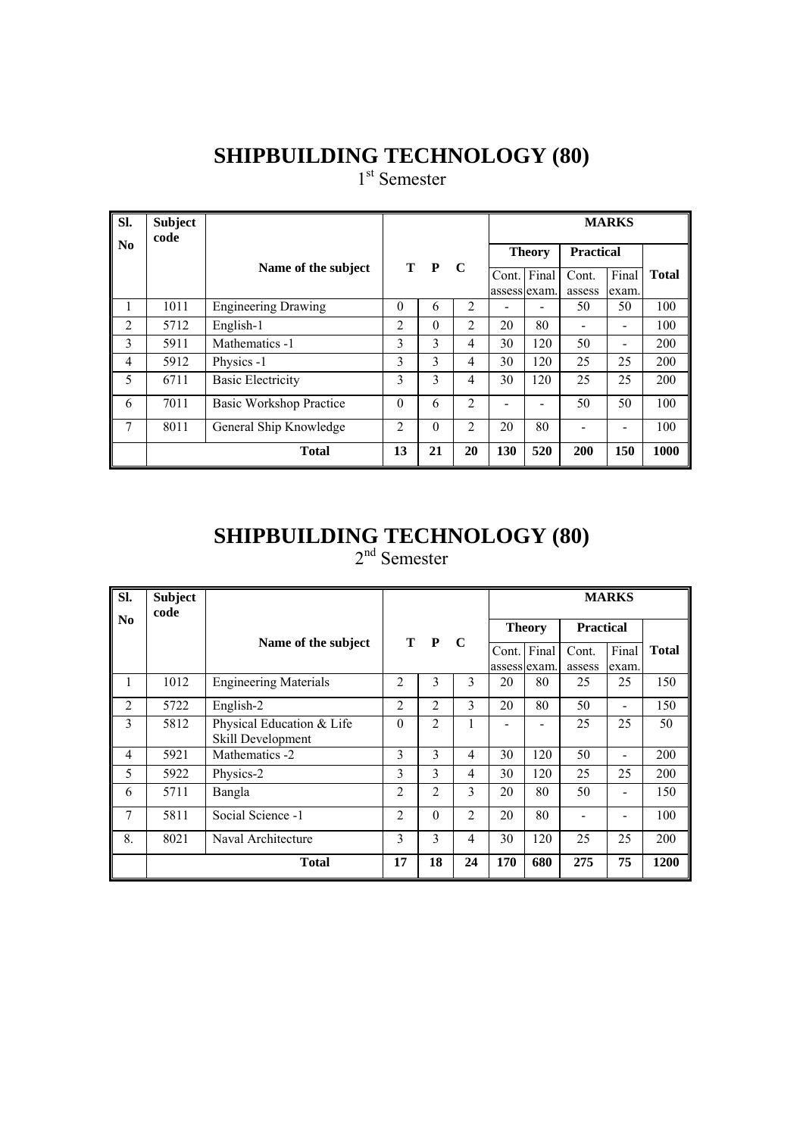1<sup>st</sup> Semester

| Sl.            | <b>Subject</b><br>code |                            |                |          |                |              | <b>MARKS</b>  |                  |                              |              |
|----------------|------------------------|----------------------------|----------------|----------|----------------|--------------|---------------|------------------|------------------------------|--------------|
| No             |                        |                            |                |          |                |              | <b>Theory</b> | <b>Practical</b> |                              |              |
|                |                        | Name of the subject        |                | T P      | $\mathbf C$    | Cont.        | Final         | Cont.            | Final                        | <b>Total</b> |
|                |                        |                            |                |          |                | assess exam. |               | assess           | exam.                        |              |
| Ι.             | 1011                   | <b>Engineering Drawing</b> | $\Omega$       | 6        | $\overline{2}$ |              |               | 50               | 50                           | 100          |
| 2              | 5712                   | English-1                  | 2              | $\theta$ | 2              | 20           | 80            |                  | $\qquad \qquad \blacksquare$ | 100          |
| 3              | 5911                   | Mathematics -1             | 3              | 3        | 4              | 30           | 120           | 50               |                              | 200          |
| $\overline{4}$ | 5912                   | Physics -1                 | 3              | 3        | 4              | 30           | 120           | 25               | 25                           | 200          |
| 5              | 6711                   | <b>Basic Electricity</b>   | 3              | 3        | 4              | 30           | 120           | 25               | 25                           | 200          |
| 6              | 7011                   | Basic Workshop Practice    | $\Omega$       | 6        | $\overline{2}$ |              |               | 50               | 50                           | 100          |
| 7              | 8011                   | General Ship Knowledge     | $\overline{c}$ | $\theta$ | $\overline{2}$ | 20           | 80            |                  |                              | 100          |
|                |                        | <b>Total</b>               | 13             | 21       | 20             | 130          | 520           | 200              | 150                          | 1000         |

# **SHIPBUILDING TECHNOLOGY (80)**

2<sup>nd</sup> Semester

| SI.            | <b>Subject</b><br>code |                                                |                |                |                |     |               |                  | <b>MARKS</b> |              |
|----------------|------------------------|------------------------------------------------|----------------|----------------|----------------|-----|---------------|------------------|--------------|--------------|
| N <sub>0</sub> |                        |                                                |                |                |                |     | <b>Theory</b> | <b>Practical</b> |              |              |
|                |                        | Name of the subject                            |                | T P            | $\mathbf C$    |     | Cont. Final   | Cont.            | Final        | <b>Total</b> |
|                |                        |                                                |                |                |                |     | assess exam.  | assess           | exam.        |              |
| 1              | 1012                   | <b>Engineering Materials</b>                   | $\mathfrak{D}$ | 3              | 3              | 20  | 80            | 25               | 25           | 150          |
| $\overline{2}$ | 5722                   | English-2                                      | $\overline{c}$ | $\mathfrak{D}$ | $\mathcal{E}$  | 20  | 80            | 50               |              | 150          |
| 3              | 5812                   | Physical Education & Life<br>Skill Development | $\theta$       | 2              |                |     |               | 25               | 25           | 50           |
| 4              | 5921                   | Mathematics -2                                 | 3              | 3              | 4              | 30  | 120           | 50               |              | 200          |
| 5              | 5922                   | Physics-2                                      | 3              | 3              | 4              | 30  | 120           | 25               | 25           | 200          |
| 6              | 5711                   | Bangla                                         | $\overline{c}$ | 2              | 3              | 20  | 80            | 50               |              | 150          |
| 7              | 5811                   | Social Science -1                              | $\overline{c}$ | $\theta$       | $\overline{2}$ | 20  | 80            |                  |              | 100          |
| 8.             | 8021                   | Naval Architecture                             | 3              | 3              | 4              | 30  | 120           | 25               | 25           | 200          |
|                |                        | <b>Total</b>                                   | 17             | 18             | 24             | 170 | 680           | 275              | 75           | 1200         |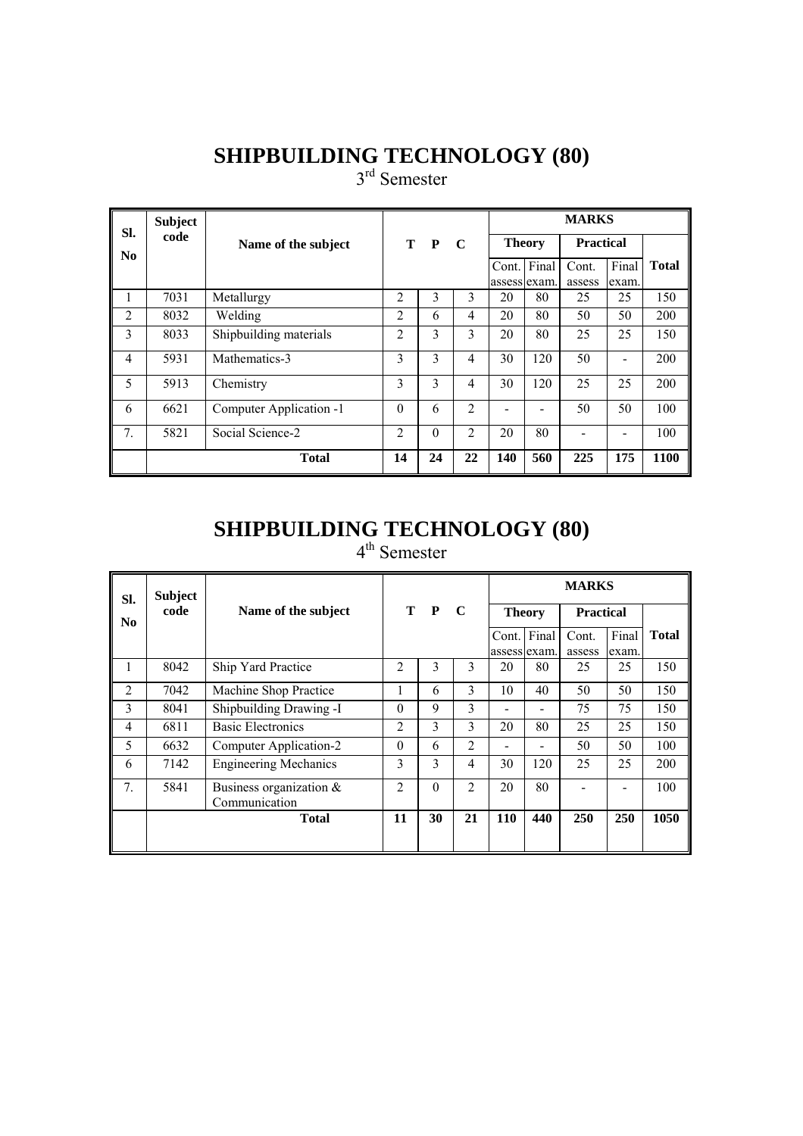3<sup>rd</sup> Semester

| SI.            | <b>Subject</b> |                         |                |          |                |               |             | <b>MARKS</b>     |       |              |
|----------------|----------------|-------------------------|----------------|----------|----------------|---------------|-------------|------------------|-------|--------------|
| N <sub>0</sub> | code           | Name of the subject     |                | T P      | C              | <b>Theory</b> |             | <b>Practical</b> |       |              |
|                |                |                         |                |          |                |               | Cont. Final | Cont.            | Final | <b>Total</b> |
|                |                |                         |                |          |                | assess exam.  |             | assess           | exam. |              |
| 1              | 7031           | Metallurgy              | $\overline{2}$ | 3        | 3              | 20            | 80          | 25               | 25    | 150          |
| $\overline{2}$ | 8032           | Welding                 | $\overline{c}$ | 6        | 4              | 20            | 80          | 50               | 50    | 200          |
| 3              | 8033           | Shipbuilding materials  | $\overline{2}$ | 3        | 3              | 20            | 80          | 25               | 25    | 150          |
| $\overline{4}$ | 5931           | Mathematics-3           | 3              | 3        | 4              | 30            | 120         | 50               |       | 200          |
| 5              | 5913           | Chemistry               | 3              | 3        | 4              | 30            | 120         | 25               | 25    | 200          |
| 6              | 6621           | Computer Application -1 | $\theta$       | 6        | $\overline{2}$ |               |             | 50               | 50    | 100          |
| 7 <sub>1</sub> | 5821           | Social Science-2        | $\overline{2}$ | $\Omega$ | 2              | 20            | 80          |                  |       | 100          |
|                |                | <b>Total</b>            | 14             | 24       | 22             | 140           | 560         | 225              | 175   | 1100         |

#### **SHIPBUILDING TECHNOLOGY (80)**  4<sup>th</sup> Semester

| SI.            | <b>Subject</b> |                              |                |          |                |               |                          | <b>MARKS</b>     |       |              |
|----------------|----------------|------------------------------|----------------|----------|----------------|---------------|--------------------------|------------------|-------|--------------|
| N <sub>0</sub> | code           | Name of the subject          |                | T P      | $\mathbf C$    | <b>Theory</b> |                          | <b>Practical</b> |       |              |
|                |                |                              |                |          |                |               | Cont. Final              | Cont.            | Final | <b>Total</b> |
|                |                |                              |                |          |                | assess exam.  |                          | assess           | exam. |              |
|                | 8042           | Ship Yard Practice           | $\mathfrak{D}$ | 3        | 3              | 20            | 80                       | 25               | 25    | 150          |
| $\overline{2}$ | 7042           | Machine Shop Practice        | 1              | 6        | 3              | 10            | 40                       | 50               | 50    | 150          |
| 3              | 8041           | Shipbuilding Drawing -I      | $\Omega$       | 9        | 3              |               |                          | 75               | 75    | 150          |
| 4              | 6811           | <b>Basic Electronics</b>     | $\overline{2}$ | 3        | 3              | 20            | 80                       | 25               | 25    | 150          |
| 5              | 6632           | Computer Application-2       | $\Omega$       | 6        | $\mathfrak{D}$ |               | $\overline{\phantom{a}}$ | 50               | 50    | 100          |
| 6              | 7142           | <b>Engineering Mechanics</b> | 3              | 3        | $\overline{4}$ | 30            | 120                      | 25               | 25    | 200          |
| 7 <sub>1</sub> | 5841           | Business organization $\&$   | $\overline{c}$ | $\theta$ | $\overline{2}$ | 20            | 80                       |                  |       | 100          |
|                |                | Communication                |                |          |                |               |                          |                  |       |              |
|                |                | <b>Total</b>                 | 11             | 30       | 21             | <b>110</b>    | 440                      | 250              | 250   | 1050         |
|                |                |                              |                |          |                |               |                          |                  |       |              |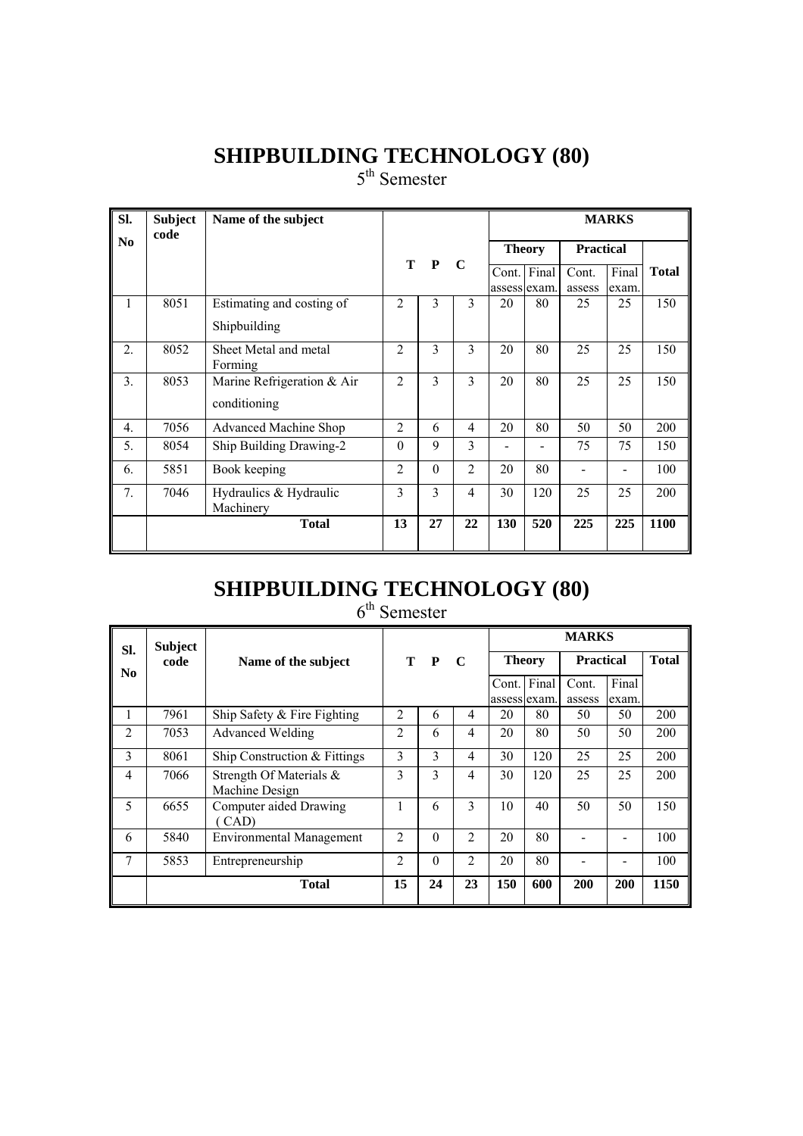5<sup>th</sup> Semester

| SI.              | <b>Subject</b><br>code | Name of the subject              |                    |              |                |              |                  |        | <b>MARKS</b> |              |
|------------------|------------------------|----------------------------------|--------------------|--------------|----------------|--------------|------------------|--------|--------------|--------------|
| N <sub>0</sub>   |                        |                                  | T P<br>$\mathbf C$ |              | <b>Theory</b>  |              | <b>Practical</b> |        |              |              |
|                  |                        |                                  |                    |              |                | Cont.        | Final            | Cont.  | Final        | <b>Total</b> |
|                  |                        |                                  |                    |              |                | assess exam. |                  | assess | exam.        |              |
| 1                | 8051                   | Estimating and costing of        | 2                  | 3            | 3              | 20           | 80               | 25     | 25           | 150          |
|                  |                        | Shipbuilding                     |                    |              |                |              |                  |        |              |              |
| 2.               | 8052                   | Sheet Metal and metal<br>Forming | $\overline{c}$     | $\mathbf{3}$ | $\mathbf{3}$   | 20           | 80               | 25     | 25           | 150          |
| 3.               | 8053                   | Marine Refrigeration & Air       | $\overline{2}$     | 3            | 3              | 20           | 80               | 25     | 25           | 150          |
|                  |                        | conditioning                     |                    |              |                |              |                  |        |              |              |
| $\overline{4}$ . | 7056                   | Advanced Machine Shop            | 2                  | 6            | $\overline{4}$ | 20           | 80               | 50     | 50           | 200          |
| 5.               | 8054                   | Ship Building Drawing-2          | $\theta$           | 9            | 3              |              |                  | 75     | 75           | 150          |
| 6.               | 5851                   | Book keeping                     | 2                  | $\theta$     | $\mathfrak{D}$ | 20           | 80               |        |              | 100          |
| 7.               | 7046                   | Hydraulics & Hydraulic           | 3                  | 3            | $\overline{4}$ | 30           | 120              | 25     | 25           | 200          |
|                  |                        | Machinery                        |                    |              |                |              |                  |        |              |              |
|                  |                        | <b>Total</b>                     | 13                 | 27           | 22             | 130          | 520              | 225    | 225          | 1100         |

# **SHIPBUILDING TECHNOLOGY (80)**

6<sup>th</sup> Semester

| SI.            | <b>Subject</b> |                                           |                |          |                |               |             | <b>MARKS</b>     |       |              |
|----------------|----------------|-------------------------------------------|----------------|----------|----------------|---------------|-------------|------------------|-------|--------------|
| N <sub>0</sub> | code           | Name of the subject                       |                | T P      | $\mathbf C$    | <b>Theory</b> |             | <b>Practical</b> |       | <b>Total</b> |
|                |                |                                           |                |          |                |               | Cont. Final | Cont.            | Final |              |
|                |                |                                           |                |          |                | assess exam.  |             | assess           | exam. |              |
|                | 7961           | Ship Safety & Fire Fighting               | $\overline{2}$ | 6        | 4              | 20            | 80          | 50               | 50    | 200          |
| $\overline{2}$ | 7053           | <b>Advanced Welding</b>                   | $\overline{2}$ | 6        | $\overline{4}$ | 20            | 80          | 50               | 50    | 200          |
| 3              | 8061           | Ship Construction & Fittings              | 3              | 3        | 4              | 30            | 120         | 25               | 25    | 200          |
| 4              | 7066           | Strength Of Materials &<br>Machine Design | 3              | 3        | 4              | 30            | 120         | 25               | 25    | 200          |
| 5              | 6655           | Computer aided Drawing<br>(CAD)           | 1              | 6        | 3              | 10            | 40          | 50               | 50    | 150          |
| 6              | 5840           | <b>Environmental Management</b>           | $\mathfrak{D}$ | $\Omega$ | $\overline{2}$ | 20            | 80          |                  |       | 100          |
| 7              | 5853           | Entrepreneurship                          | $\overline{2}$ | $\Omega$ | $\overline{2}$ | 20            | 80          |                  |       | 100          |
|                |                | <b>Total</b>                              | 15             | 24       | 23             | 150           | 600         | 200              | 200   | 1150         |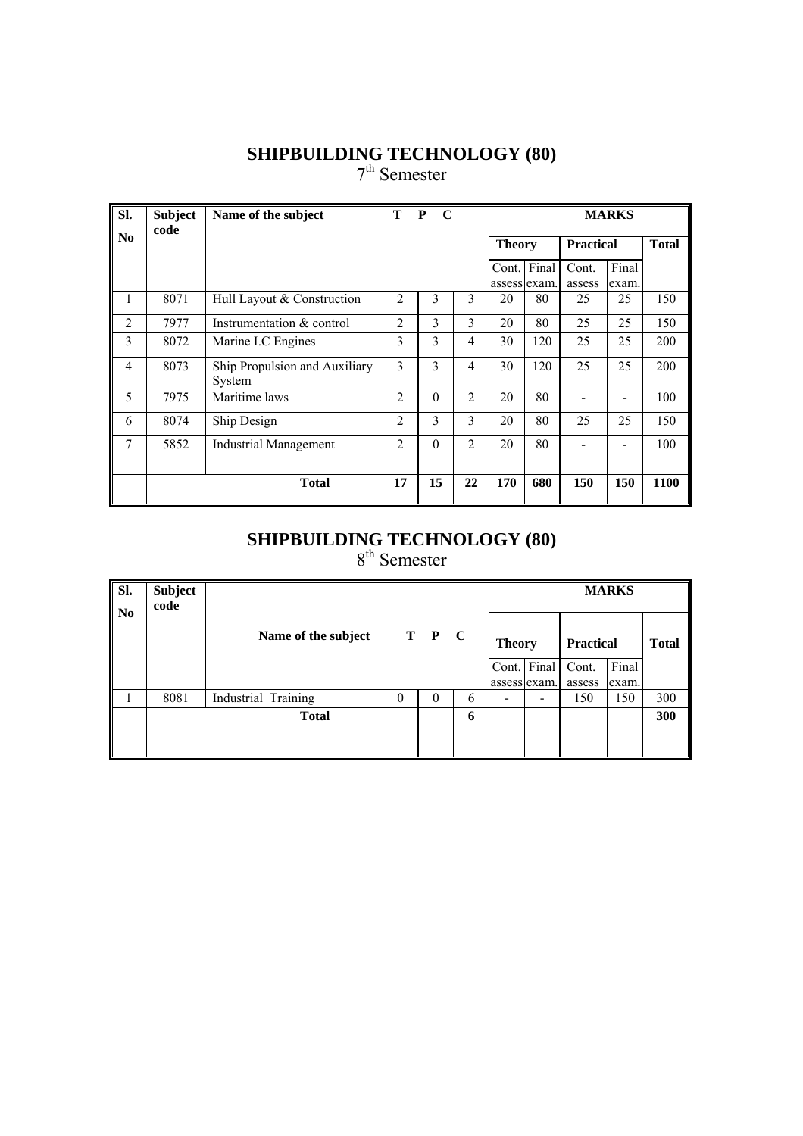7<sup>th</sup> Semester

| Sl.            | <b>Subject</b><br>code | Name of the subject                     | Т              | $\mathbf C$<br>$\mathbf{P}$<br><b>MARKS</b> |                |               |                       |                  |                |              |
|----------------|------------------------|-----------------------------------------|----------------|---------------------------------------------|----------------|---------------|-----------------------|------------------|----------------|--------------|
| N <sub>0</sub> |                        |                                         |                |                                             |                | <b>Theory</b> |                       | <b>Practical</b> |                | <b>Total</b> |
|                |                        |                                         |                |                                             |                | Cont.         | Final<br>assess exam. | Cont.<br>assess  | Final<br>exam. |              |
| 1              | 8071                   | Hull Layout & Construction              | 2              | 3                                           | 3              | 20            | 80                    | 25               | 25             | 150          |
| $\overline{2}$ | 7977                   | Instrumentation & control               | 2              | 3                                           | 3              | 20            | 80                    | 25               | 25             | 150          |
| 3              | 8072                   | Marine I.C Engines                      | 3              | 3                                           | 4              | 30            | 120                   | 25               | 25             | 200          |
| $\overline{4}$ | 8073                   | Ship Propulsion and Auxiliary<br>System | 3              | 3                                           | 4              | 30            | 120                   | 25               | 25             | 200          |
| 5              | 7975                   | Maritime laws                           | $\overline{c}$ | $\theta$                                    | 2              | 20            | 80                    |                  |                | 100          |
| 6              | 8074                   | Ship Design                             | 2              | 3                                           | $\overline{3}$ | 20            | 80                    | 25               | 25             | 150          |
| 7              | 5852                   | <b>Industrial Management</b>            | 2              | $\theta$                                    | $\overline{2}$ | 20            | 80                    |                  |                | 100          |
|                |                        | <b>Total</b>                            | 17             | 15                                          | 22             | 170           | 680                   | 150              | 150            | 1100         |

#### **SHIPBUILDING TECHNOLOGY (80)**

8<sup>th</sup> Semester

| SI.<br>N <sub>0</sub> | <b>Subject</b><br>code |                     |          |       |   |               |                          |                  | <b>MARKS</b> |              |
|-----------------------|------------------------|---------------------|----------|-------|---|---------------|--------------------------|------------------|--------------|--------------|
|                       |                        | Name of the subject |          | T P C |   | <b>Theory</b> |                          | <b>Practical</b> |              | <b>Total</b> |
|                       |                        |                     |          |       |   |               | Cont. Final              | Cont.            | Final        |              |
|                       |                        |                     |          |       |   |               | assess exam.             | assess           | exam.        |              |
|                       | 8081                   | Industrial Training | $\Omega$ | 0     | 6 | -             | $\overline{\phantom{a}}$ | 150              | 150          | 300          |
|                       |                        | <b>Total</b>        |          |       | 6 |               |                          |                  |              | 300          |
|                       |                        |                     |          |       |   |               |                          |                  |              |              |
|                       |                        |                     |          |       |   |               |                          |                  |              |              |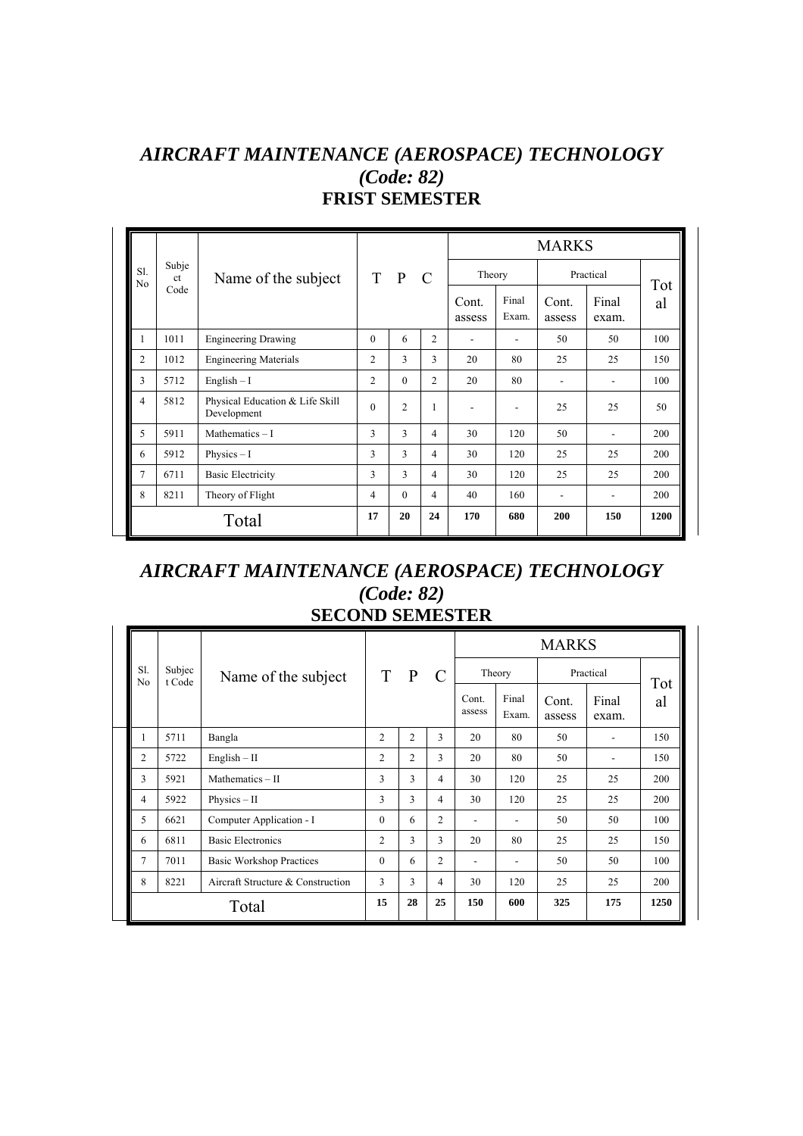#### *AIRCRAFT MAINTENANCE (AEROSPACE) TECHNOLOGY (Code: 82)*  **FRIST SEMESTER**

|                       |                        |                                                |                |                |                |                 |                | <b>MARKS</b>    |                          |      |
|-----------------------|------------------------|------------------------------------------------|----------------|----------------|----------------|-----------------|----------------|-----------------|--------------------------|------|
| S1.<br>N <sub>0</sub> | Subje<br><sub>ct</sub> | Name of the subject                            |                | T P            | $\mathbf C$    | Theory          |                |                 | Practical                | Tot  |
|                       | Code                   |                                                |                |                |                | Cont.<br>assess | Final<br>Exam. | Cont.<br>assess | Final<br>exam.           | al   |
| 1                     | 1011                   | <b>Engineering Drawing</b>                     | $\theta$       | 6              | 2              | ٠               | ٠              | 50              | 50                       | 100  |
| $\overline{2}$        | 1012                   | <b>Engineering Materials</b>                   | $\overline{c}$ | 3              | 3              | 20              | 80             | 25              | 25                       | 150  |
| 3                     | 5712                   | $English - I$                                  | $\overline{c}$ | $\Omega$       | $\overline{c}$ | 20              | 80             |                 |                          | 100  |
| 4                     | 5812                   | Physical Education & Life Skill<br>Development | $\theta$       | $\overline{c}$ | 1              |                 | ٠              | 25              | 25                       | 50   |
| 5                     | 5911                   | Mathematics $-1$                               | 3              | 3              | $\overline{4}$ | 30              | 120            | 50              |                          | 200  |
| 6                     | 5912                   | Physics $-1$                                   | 3              | 3              | 4              | 30              | 120            | 25              | 25                       | 200  |
| 7                     | 6711                   | <b>Basic Electricity</b>                       | 3              | 3              | $\overline{4}$ | 30              | 120            | 25              | 25                       | 200  |
| 8                     | 8211                   | Theory of Flight                               | 4              | $\Omega$       | $\overline{4}$ | 40              | 160            | ۰               | $\overline{\phantom{a}}$ | 200  |
|                       |                        | Total                                          | 17             | 20             | 24             | 170             | 680            | 200             | 150                      | 1200 |

#### *AIRCRAFT MAINTENANCE (AEROSPACE) TECHNOLOGY (Code: 82)*  **SECOND SEMESTER**

|                       |                  |                                   |                |                |                |                          |                          | <b>MARKS</b>    |                |      |
|-----------------------|------------------|-----------------------------------|----------------|----------------|----------------|--------------------------|--------------------------|-----------------|----------------|------|
| S1.<br>N <sub>0</sub> | Subjec<br>t Code | Name of the subject               | T              | $\mathbf{P}$   | $\mathcal{C}$  |                          | Theory                   |                 | Practical      | Tot  |
|                       |                  |                                   |                |                |                | Cont.<br>assess          | Final<br>Exam.           | Cont.<br>assess | Final<br>exam. | al   |
| 1                     | 5711             | Bangla                            | $\overline{c}$ | $\overline{c}$ | 3              | 20                       | 80                       | 50              |                | 150  |
| $\overline{2}$        | 5722             | $English - II$                    | 2              | $\overline{c}$ | 3              | 20                       | 80                       | 50              |                | 150  |
| 3                     | 5921             | Mathematics - II                  | 3              | 3              | 4              | 30                       | 120                      | 25              | 25             | 200  |
| 4                     | 5922             | $Physics - II$                    | 3              | 3              | 4              | 30                       | 120                      | 25              | 25             | 200  |
| 5                     | 6621             | Computer Application - I          | $\theta$       | 6              | $\overline{c}$ | $\overline{\phantom{0}}$ | $\overline{\phantom{a}}$ | 50              | 50             | 100  |
| 6                     | 6811             | <b>Basic Electronics</b>          | $\overline{2}$ | 3              | 3              | 20                       | 80                       | 25              | 25             | 150  |
| 7                     | 7011             | <b>Basic Workshop Practices</b>   | $\theta$       | 6              | $\overline{c}$ | $\overline{a}$           | ۰                        | 50              | 50             | 100  |
| 8                     | 8221             | Aircraft Structure & Construction | 3              | 3              | 4              | 30                       | 120                      | 25              | 25             | 200  |
|                       |                  | Total                             | 15             | 28             | 25             | 150                      | 600                      | 325             | 175            | 1250 |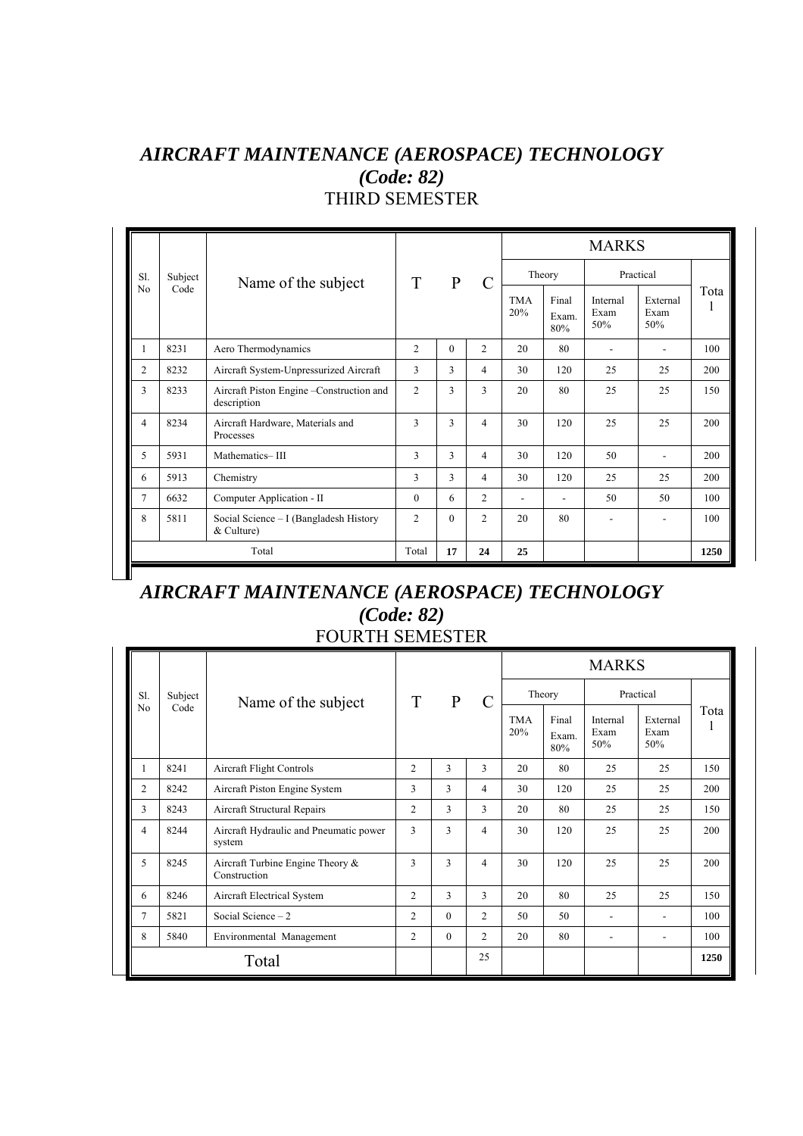#### *AIRCRAFT MAINTENANCE (AEROSPACE) TECHNOLOGY (Code: 82)* THIRD SEMESTER

|                |         |                                                          |                |              |                |                   |                       | <b>MARKS</b>             |                          |      |
|----------------|---------|----------------------------------------------------------|----------------|--------------|----------------|-------------------|-----------------------|--------------------------|--------------------------|------|
| S1.            | Subject | Name of the subject                                      | T              | $\mathbf{P}$ | $\mathcal{C}$  |                   | Theory                |                          | Practical                |      |
| No             | Code    |                                                          |                |              |                | <b>TMA</b><br>20% | Final<br>Exam.<br>80% | Internal<br>Exam<br>50%  | External<br>Exam<br>50%  | Tota |
| 1              | 8231    | Aero Thermodynamics                                      | $\overline{c}$ | $\Omega$     | $\overline{c}$ | 20                | 80                    | $\overline{\phantom{a}}$ |                          | 100  |
| $\overline{2}$ | 8232    | Aircraft System-Unpressurized Aircraft                   | 3              | 3            | 4              | 30                | 120                   | 25                       | 25                       | 200  |
| 3              | 8233    | Aircraft Piston Engine - Construction and<br>description | $\overline{c}$ | 3            | 3              | 20                | 80                    | 25                       | 25                       | 150  |
| 4              | 8234    | Aircraft Hardware, Materials and<br>Processes            | 3              | 3            | $\overline{4}$ | 30                | 120                   | 25                       | 25                       | 200  |
| 5              | 5931    | Mathematics-III                                          | $\mathcal{E}$  | 3            | 4              | 30                | 120                   | 50                       | $\overline{\phantom{0}}$ | 200  |
| 6              | 5913    | Chemistry                                                | 3              | 3            | 4              | 30                | 120                   | 25                       | 25                       | 200  |
| $\overline{7}$ | 6632    | Computer Application - II                                | $\mathbf{0}$   | 6            | $\overline{c}$ | ٠                 | $\blacksquare$        | 50                       | 50                       | 100  |
| 8              | 5811    | Social Science – I (Bangladesh History<br>& Culture)     | 2              | $\Omega$     | $\overline{c}$ | 20                | 80                    | ٠                        |                          | 100  |
|                |         | Total                                                    | Total          | 17           | 24             | 25                |                       |                          |                          | 1250 |

#### *AIRCRAFT MAINTENANCE (AEROSPACE) TECHNOLOGY (Code: 82)* FOURTH SEMESTER

Ш

|                |         |                                                  |                |              |                |                   |                       | <b>MARKS</b>             |                          |      |
|----------------|---------|--------------------------------------------------|----------------|--------------|----------------|-------------------|-----------------------|--------------------------|--------------------------|------|
| Sl.            | Subject | Name of the subject                              | T              | $\mathbf{P}$ | $\mathcal{C}$  |                   | Theory                |                          | Practical                |      |
| No             | Code    |                                                  |                |              |                | <b>TMA</b><br>20% | Final<br>Exam.<br>80% | Internal<br>Exam<br>50%  | External<br>Exam<br>50%  | Tota |
|                | 8241    | Aircraft Flight Controls                         | $\overline{2}$ | 3            | 3              | 20                | 80                    | 25                       | 25                       | 150  |
| $\overline{c}$ | 8242    | Aircraft Piston Engine System                    | 3              | 3            | 4              | 30                | 120                   | 25                       | 25                       | 200  |
| 3              | 8243    | Aircraft Structural Repairs                      | $\overline{2}$ | 3            | 3              | 20                | 80                    | 25                       | 25                       | 150  |
| $\overline{4}$ | 8244    | Aircraft Hydraulic and Pneumatic power<br>system | 3              | 3            | 4              | 30                | 120                   | 25                       | 25                       | 200  |
| 5              | 8245    | Aircraft Turbine Engine Theory &<br>Construction | 3              | 3            | 4              | 30                | 120                   | 25                       | 25                       | 200  |
| 6              | 8246    | Aircraft Electrical System                       | $\overline{2}$ | 3            | 3              | 20                | 80                    | 25                       | 25                       | 150  |
| 7              | 5821    | Social Science $-2$                              | 2              | $\Omega$     | 2              | 50                | 50                    | $\overline{\phantom{a}}$ | $\overline{\phantom{a}}$ | 100  |
| 8              | 5840    | Environmental Management                         | $\overline{2}$ | $\theta$     | $\overline{2}$ | 20                | 80                    | ٠                        | $\overline{\phantom{a}}$ | 100  |
|                |         | Total                                            |                |              | 25             |                   |                       |                          |                          | 1250 |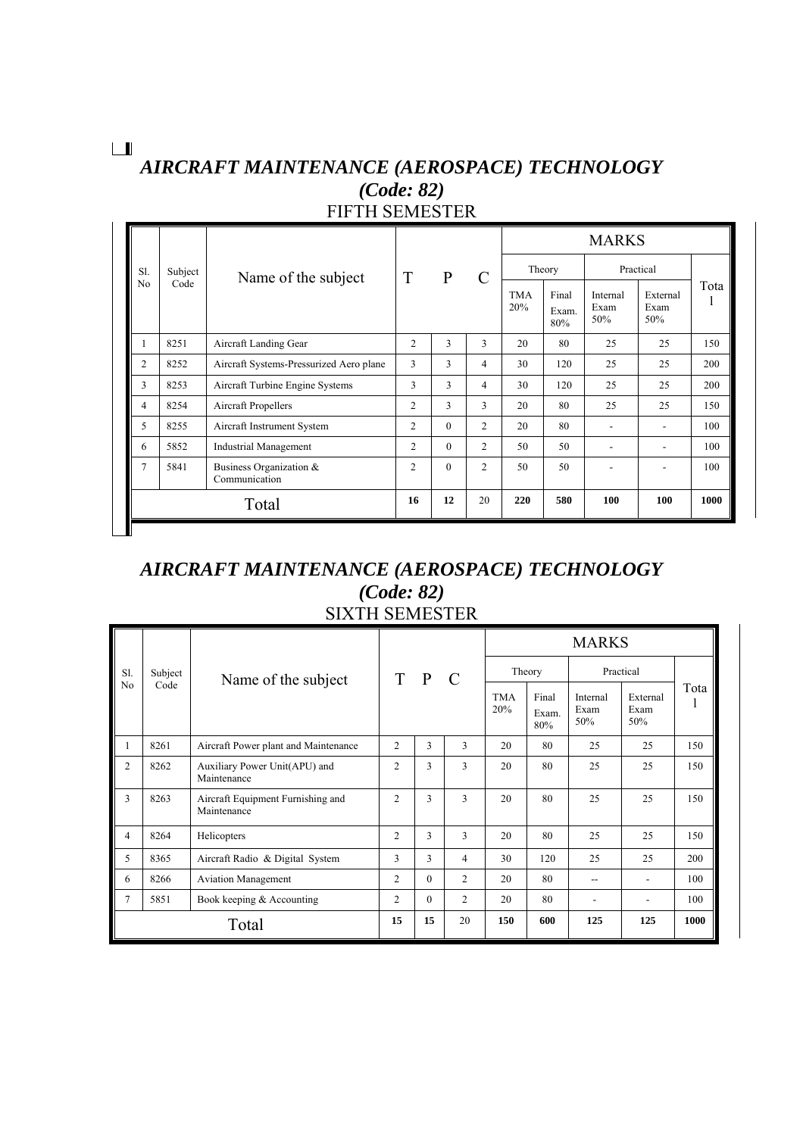#### $\boxed{\phantom{1}}$

### *AIRCRAFT MAINTENANCE (AEROSPACE) TECHNOLOGY (Code: 82)* FIFTH SEMESTER

|                |         |                                          |                |              |                |                   |                       | <b>MARKS</b>            |                         |      |
|----------------|---------|------------------------------------------|----------------|--------------|----------------|-------------------|-----------------------|-------------------------|-------------------------|------|
| S1.            | Subject | Name of the subject                      | T              | $\mathbf{P}$ | $\mathcal{C}$  |                   | Theory                |                         | Practical               |      |
| N <sub>0</sub> | Code    |                                          |                |              |                | <b>TMA</b><br>20% | Final<br>Exam.<br>80% | Internal<br>Exam<br>50% | External<br>Exam<br>50% | Tota |
|                | 8251    | Aircraft Landing Gear                    | 2              | 3            | 3              | 20                | 80                    | 25                      | 25                      | 150  |
| 2              | 8252    | Aircraft Systems-Pressurized Aero plane  | 3              | 3            | $\overline{4}$ | 30                | 120                   | 25                      | 25                      | 200  |
| 3              | 8253    | Aircraft Turbine Engine Systems          | 3              | 3            | $\overline{4}$ | 30                | 120                   | 25                      | 25                      | 200  |
| 4              | 8254    | Aircraft Propellers                      | 2              | 3            | 3              | 20                | 80                    | 25                      | 25                      | 150  |
| 5              | 8255    | Aircraft Instrument System               | $\overline{c}$ | $\Omega$     | $\overline{c}$ | 20                | 80                    | ٠                       | ۰                       | 100  |
| 6              | 5852    | <b>Industrial Management</b>             | 2              | $\mathbf{0}$ | $\overline{2}$ | 50                | 50                    | ۰                       | ۰                       | 100  |
| 7              | 5841    | Business Organization &<br>Communication | $\overline{2}$ | $\theta$     | $\overline{c}$ | 50                | 50                    |                         |                         | 100  |
|                |         | Total                                    | 16             | 12           | 20             | 220               | 580                   | 100                     | 100                     | 1000 |
|                |         |                                          |                |              |                |                   |                       |                         |                         |      |

#### *AIRCRAFT MAINTENANCE (AEROSPACE) TECHNOLOGY (Code: 82)* SIXTH SEMESTER

|                |         |                                                  |                |          |                |                   |                       | <b>MARKS</b>            |                          |      |
|----------------|---------|--------------------------------------------------|----------------|----------|----------------|-------------------|-----------------------|-------------------------|--------------------------|------|
| S1.            | Subject | Name of the subject                              | T P            |          | $\mathcal{C}$  |                   | Theory                |                         | Practical                |      |
| N <sub>0</sub> | Code    |                                                  |                |          |                | <b>TMA</b><br>20% | Final<br>Exam.<br>80% | Internal<br>Exam<br>50% | External<br>Exam<br>50%  | Tota |
| 1              | 8261    | Aircraft Power plant and Maintenance             | 2              | 3        | 3              | 20                | 80                    | 25                      | 25                       | 150  |
| $\overline{c}$ | 8262    | Auxiliary Power Unit(APU) and<br>Maintenance     | $\overline{2}$ | 3        | 3              | 20                | 80                    | 25                      | 25                       | 150  |
| 3              | 8263    | Aircraft Equipment Furnishing and<br>Maintenance | $\overline{c}$ | 3        | 3              | 20                | 80                    | 25                      | 25                       | 150  |
| $\overline{4}$ | 8264    | Helicopters                                      | $\overline{c}$ | 3        | 3              | 20                | 80                    | 25                      | 25                       | 150  |
| 5              | 8365    | Aircraft Radio & Digital System                  | 3              | 3        | 4              | 30                | 120                   | 25                      | 25                       | 200  |
| 6              | 8266    | <b>Aviation Management</b>                       | 2              | $\Omega$ | $\overline{2}$ | 20                | 80                    | --                      | $\overline{\phantom{0}}$ | 100  |
| 7              | 5851    | Book keeping & Accounting                        | $\overline{2}$ | $\Omega$ | $\overline{2}$ | 20                | 80                    |                         | ۰                        | 100  |
|                |         | Total                                            | 15             | 15       | 20             | 150               | 600                   | 125                     | 125                      | 1000 |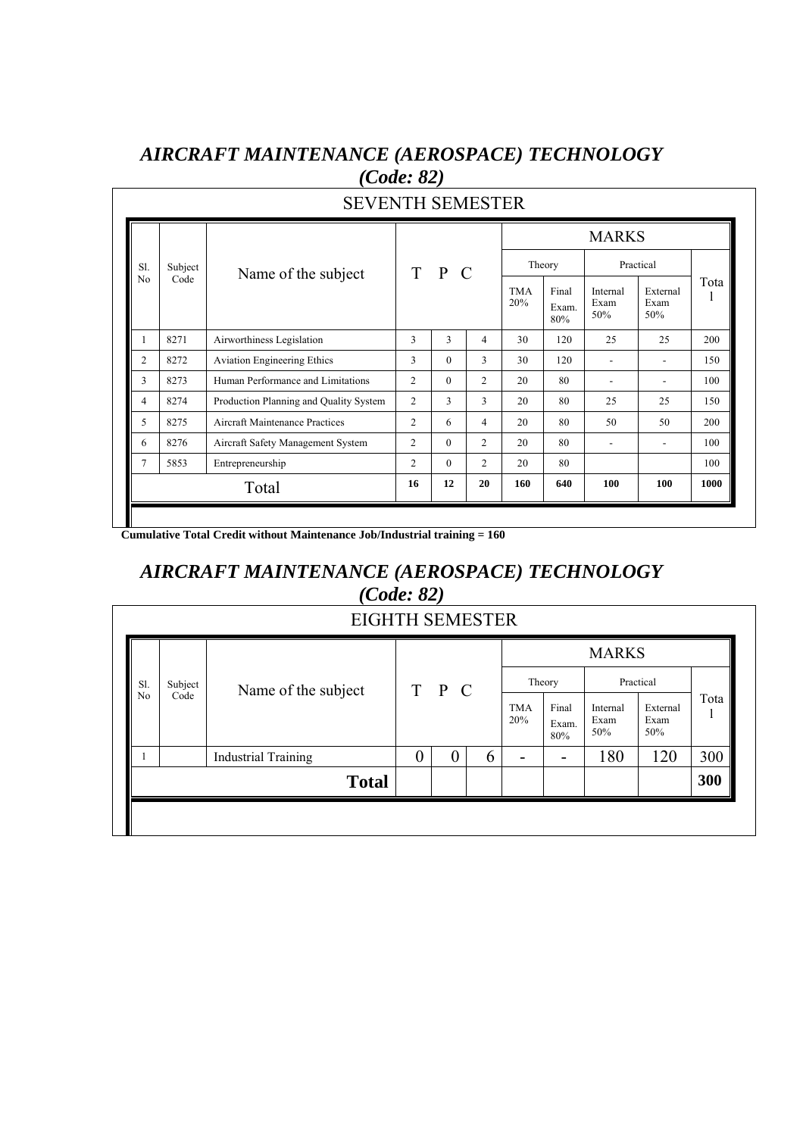|                |         |                                        |                |                |                |                   |                       | <b>MARKS</b>            |                         |      |
|----------------|---------|----------------------------------------|----------------|----------------|----------------|-------------------|-----------------------|-------------------------|-------------------------|------|
| S1.            | Subject | Name of the subject                    |                | $T$ $P$<br>- C |                |                   | Theory                |                         | Practical               |      |
| N <sub>0</sub> | Code    |                                        |                |                |                | <b>TMA</b><br>20% | Final<br>Exam.<br>80% | Internal<br>Exam<br>50% | External<br>Exam<br>50% | Tota |
| 1              | 8271    | Airworthiness Legislation              | 3              | 3              | 4              | 30                | 120                   | 25                      | 25                      | 200  |
| $\overline{2}$ | 8272    | <b>Aviation Engineering Ethics</b>     | 3              | $\theta$       | 3              | 30                | 120                   |                         |                         | 150  |
| 3              | 8273    | Human Performance and Limitations      | $\overline{c}$ | $\Omega$       | 2              | 20                | 80                    |                         |                         | 100  |
| $\overline{4}$ | 8274    | Production Planning and Quality System | $\overline{2}$ | 3              | 3              | 20                | 80                    | 25                      | 25                      | 150  |
| 5              | 8275    | <b>Aircraft Maintenance Practices</b>  | $\overline{2}$ | 6              | 4              | 20                | 80                    | 50                      | 50                      | 200  |
| 6              | 8276    | Aircraft Safety Management System      | $\overline{c}$ | $\Omega$       | $\overline{c}$ | 20                | 80                    |                         |                         | 100  |
| 7              | 5853    | Entrepreneurship                       | $\overline{c}$ | $\Omega$       | 2              | 20                | 80                    |                         |                         | 100  |
|                |         | Total                                  | 16             | 12             | 20             | 160               | 640                   | 100                     | 100                     | 1000 |

#### *AIRCRAFT MAINTENANCE (AEROSPACE) TECHNOLOGY (Code: 82)*

 **Cumulative Total Credit without Maintenance Job/Industrial training = 160** 

#### *AIRCRAFT MAINTENANCE (AEROSPACE) TECHNOLOGY (Code: 82)*

|                |         | <b>EIGHTH SEMESTER</b>     |   |          |   |                   |                       |                         |                         |      |
|----------------|---------|----------------------------|---|----------|---|-------------------|-----------------------|-------------------------|-------------------------|------|
|                |         |                            |   |          |   |                   |                       | <b>MARKS</b>            |                         |      |
| S1.            | Subject | Name of the subject        |   | T P C    |   |                   | Theory                |                         | Practical               |      |
| N <sub>0</sub> | Code    |                            |   |          |   | <b>TMA</b><br>20% | Final<br>Exam.<br>80% | Internal<br>Exam<br>50% | External<br>Exam<br>50% | Tota |
|                |         | <b>Industrial Training</b> | 0 | $\theta$ | 6 | -                 | -                     | 180                     | 120                     | 300  |
|                |         | <b>Total</b>               |   |          |   |                   |                       |                         |                         | 300  |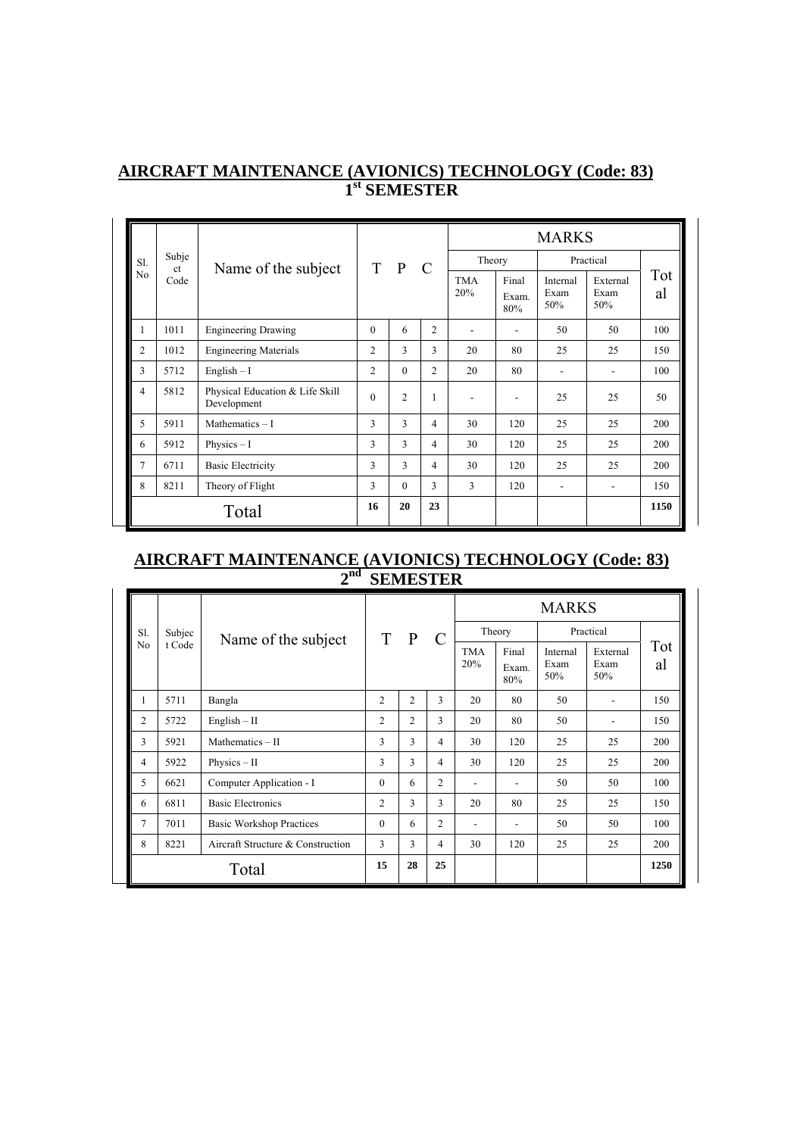|                |                        |                                                |                |                |                |                   |                       | <b>MARKS</b>             |                          |           |
|----------------|------------------------|------------------------------------------------|----------------|----------------|----------------|-------------------|-----------------------|--------------------------|--------------------------|-----------|
| S1.            | Subje<br><sub>ct</sub> | Name of the subject                            |                | T P            | $\mathcal{C}$  | Theory            |                       |                          | Practical                |           |
| No             | Code                   |                                                |                |                |                | <b>TMA</b><br>20% | Final<br>Exam.<br>80% | Internal<br>Exam<br>50%  | External<br>Exam<br>50%  | Tot<br>al |
| 1              | 1011                   | <b>Engineering Drawing</b>                     | $\theta$       | 6              | $\overline{2}$ |                   |                       | 50                       | 50                       | 100       |
| $\overline{c}$ | 1012                   | <b>Engineering Materials</b>                   | 2              | 3              | 3              | 20                | 80                    | 25                       | 25                       | 150       |
| 3              | 5712                   | $English - I$                                  | $\overline{c}$ | $\theta$       | 2              | 20                | 80                    |                          |                          | 100       |
| 4              | 5812                   | Physical Education & Life Skill<br>Development | $\Omega$       | $\overline{c}$ | $\mathbf{1}$   | $\blacksquare$    | ٠                     | 25                       | 25                       | 50        |
| 5              | 5911                   | Mathematics $-1$                               | 3              | 3              | 4              | 30                | 120                   | 25                       | 25                       | 200       |
| 6              | 5912                   | Physics $-1$                                   | 3              | 3              | 4              | 30                | 120                   | 25                       | 25                       | 200       |
| 7              | 6711                   | <b>Basic Electricity</b>                       | 3              | 3              | 4              | 30                | 120                   | 25                       | 25                       | 200       |
| 8              | 8211                   | Theory of Flight                               | 3              | $\theta$       | 3              | 3                 | 120                   | $\overline{\phantom{a}}$ | $\overline{\phantom{a}}$ | 150       |
|                |                        | Total                                          | 16             | 20             | 23             |                   |                       |                          |                          | 1150      |

#### **AIRCRAFT MAINTENANCE (AVIONICS) TECHNOLOGY (Code: 83) 1st SEMESTER**

#### **AIRCRAFT MAINTENANCE (AVIONICS) TECHNOLOGY (Code: 83) 2nd SEMESTER**

|                |        |                                   |                |                |                |                |                       | <b>MARKS</b>            |                         |           |
|----------------|--------|-----------------------------------|----------------|----------------|----------------|----------------|-----------------------|-------------------------|-------------------------|-----------|
| S1.            | Subjec | Name of the subject               | T              | $\mathbf{P}$   | $\mathcal{C}$  |                | Theory                |                         | Practical               |           |
| N <sub>0</sub> | t Code |                                   |                |                |                | TMA<br>20%     | Final<br>Exam.<br>80% | Internal<br>Exam<br>50% | External<br>Exam<br>50% | Tot<br>al |
| 1              | 5711   | Bangla                            | 2              | $\overline{c}$ | 3              | 20             | 80                    | 50                      |                         | 150       |
| 2              | 5722   | $English - II$                    | $\overline{c}$ | $\overline{2}$ | 3              | 20             | 80                    | 50                      |                         | 150       |
| 3              | 5921   | Mathematics - II                  | 3              | 3              | 4              | 30             | 120                   | 25                      | 25                      | 200       |
| 4              | 5922   | $Physics - II$                    | 3              | 3              | 4              | 30             | 120                   | 25                      | 25                      | 200       |
| 5              | 6621   | Computer Application - I          | $\theta$       | 6              | $\overline{2}$ |                |                       | 50                      | 50                      | 100       |
| 6              | 6811   | <b>Basic Electronics</b>          | $\overline{c}$ | 3              | 3              | 20             | 80                    | 25                      | 25                      | 150       |
| 7              | 7011   | <b>Basic Workshop Practices</b>   | $\theta$       | 6              | $\overline{c}$ | $\blacksquare$ | ۰                     | 50                      | 50                      | 100       |
| 8              | 8221   | Aircraft Structure & Construction | 3              | 3              | 4              | 30             | 120                   | 25                      | 25                      | 200       |
|                |        | Total                             | 15             | 28             | 25             |                |                       |                         |                         | 1250      |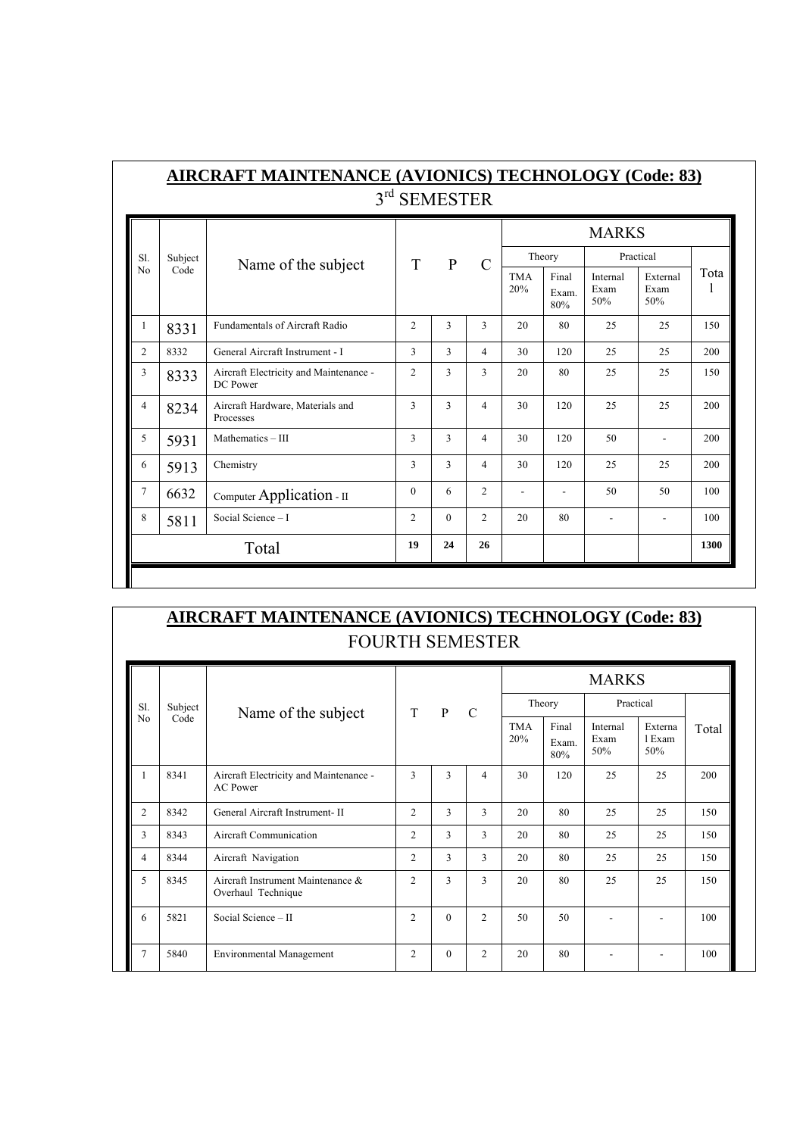|                |         |                                                    | 3rd SEMESTER   |               |                |                   |                       |                         |                         |      |
|----------------|---------|----------------------------------------------------|----------------|---------------|----------------|-------------------|-----------------------|-------------------------|-------------------------|------|
|                |         |                                                    |                |               |                |                   |                       | <b>MARKS</b>            |                         |      |
| S1.            | Subject | Name of the subject                                | T              | $\mathbf{P}$  | $\mathcal{C}$  |                   | Theory                |                         | Practical               |      |
| N <sub>0</sub> | Code    |                                                    |                |               |                | <b>TMA</b><br>20% | Final<br>Exam.<br>80% | Internal<br>Exam<br>50% | External<br>Exam<br>50% | Tota |
| 1              | 8331    | <b>Fundamentals of Aircraft Radio</b>              | $\overline{2}$ | 3             | 3              | 20                | 80                    | 25                      | 25                      | 150  |
| $\overline{2}$ | 8332    | General Aircraft Instrument - I                    | 3              | $\mathcal{F}$ | 4              | 30                | 120                   | 25                      | 25                      | 200  |
| 3              | 8333    | Aircraft Electricity and Maintenance -<br>DC Power | $\overline{2}$ | 3             | 3              | 20                | 80                    | 25                      | 25                      | 150  |
| 4              | 8234    | Aircraft Hardware, Materials and<br>Processes      | 3              | 3             | $\overline{4}$ | 30                | 120                   | 25                      | 25                      | 200  |
| 5              | 5931    | Mathematics - III                                  | 3              | $\mathbf{3}$  | 4              | 30                | 120                   | 50                      | $\overline{a}$          | 200  |
| 6              | 5913    | Chemistry                                          | 3              | 3             | 4              | 30                | 120                   | 25                      | 25                      | 200  |
| 7              | 6632    | Computer Application - II                          | $\theta$       | 6             | $\overline{c}$ |                   |                       | 50                      | 50                      | 100  |
| 8              | 5811    | Social Science - I                                 | $\mathcal{L}$  | $\Omega$      | $\mathfrak{D}$ | 20                | 80                    | ٠                       | $\overline{a}$          | 100  |
|                |         | Total                                              | 19             | 24            | 26             |                   |                       |                         |                         | 1300 |

## **AIRCRAFT MAINTENANCE (AVIONICS) TECHNOLOGY (Code: 83)** FOURTH SEMESTER

|                |         |                                                           |                |          |                |                   |                       | <b>MARKS</b>            |                          |       |
|----------------|---------|-----------------------------------------------------------|----------------|----------|----------------|-------------------|-----------------------|-------------------------|--------------------------|-------|
| S1.            | Subject | Name of the subject                                       | <sup>T</sup>   | P        | $\mathcal{C}$  |                   | Theory                | Practical               |                          |       |
| N <sub>0</sub> | Code    |                                                           |                |          |                | <b>TMA</b><br>20% | Final<br>Exam.<br>80% | Internal<br>Exam<br>50% | Externa<br>1 Exam<br>50% | Total |
|                | 8341    | Aircraft Electricity and Maintenance -<br><b>AC</b> Power | 3              | 3        | $\overline{4}$ | 30                | 120                   | 25                      | 25                       | 200   |
| $\overline{c}$ | 8342    | General Aircraft Instrument- II                           | $\overline{2}$ | 3        | 3              | 20                | 80                    | 25                      | 25                       | 150   |
| 3              | 8343    | <b>Aircraft Communication</b>                             | $\overline{2}$ | 3        | 3              | 20                | 80                    | 25                      | 25                       | 150   |
| 4              | 8344    | Aircraft Navigation                                       | $\overline{c}$ | 3        | 3              | 20                | 80                    | 25                      | 25                       | 150   |
| 5              | 8345    | Aircraft Instrument Maintenance &<br>Overhaul Technique   | $\overline{2}$ | 3        | 3              | 20                | 80                    | 25                      | 25                       | 150   |
| 6              | 5821    | Social Science - II                                       | $\overline{c}$ | $\Omega$ | $\overline{c}$ | 50                | 50                    |                         |                          | 100   |
| $\overline{7}$ | 5840    | <b>Environmental Management</b>                           | $\overline{2}$ | $\Omega$ | $\overline{c}$ | 20                | 80                    |                         |                          | 100   |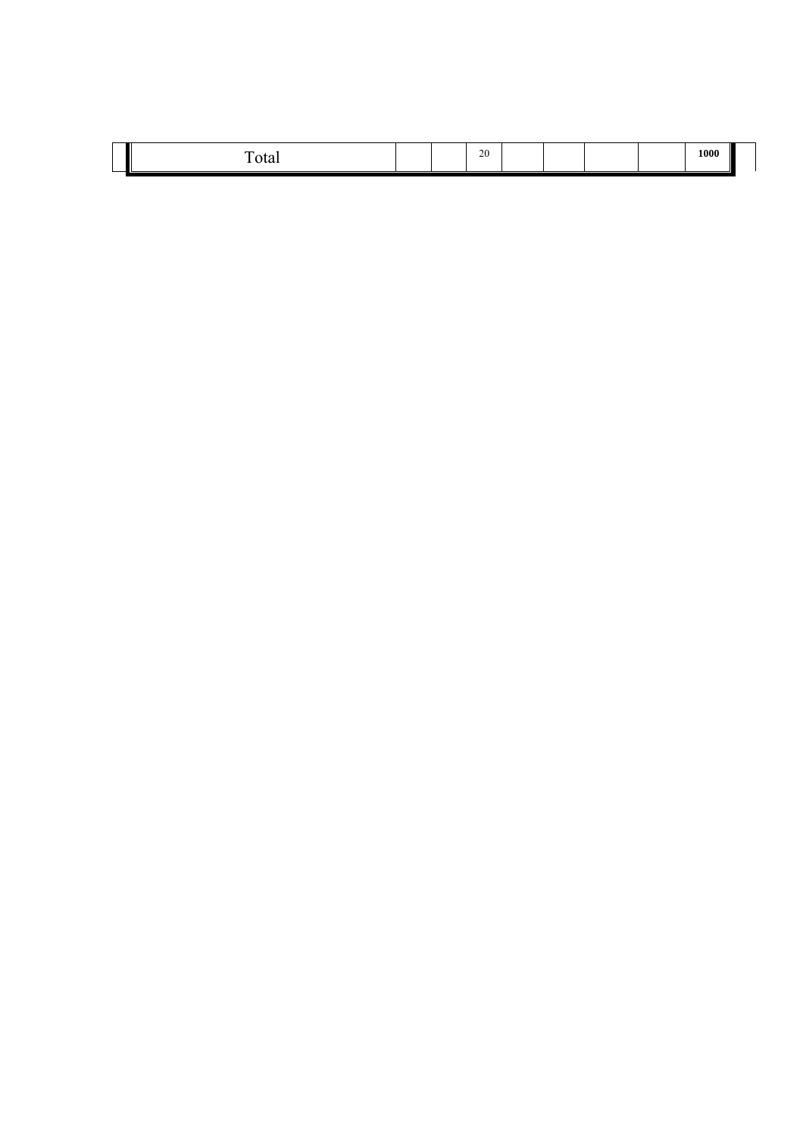|  | $\overline{\phantom{a}}$<br><b>vui</b> |  |  | 20<br>-45 |  |  |  |  | 1000 |  |
|--|----------------------------------------|--|--|-----------|--|--|--|--|------|--|
|--|----------------------------------------|--|--|-----------|--|--|--|--|------|--|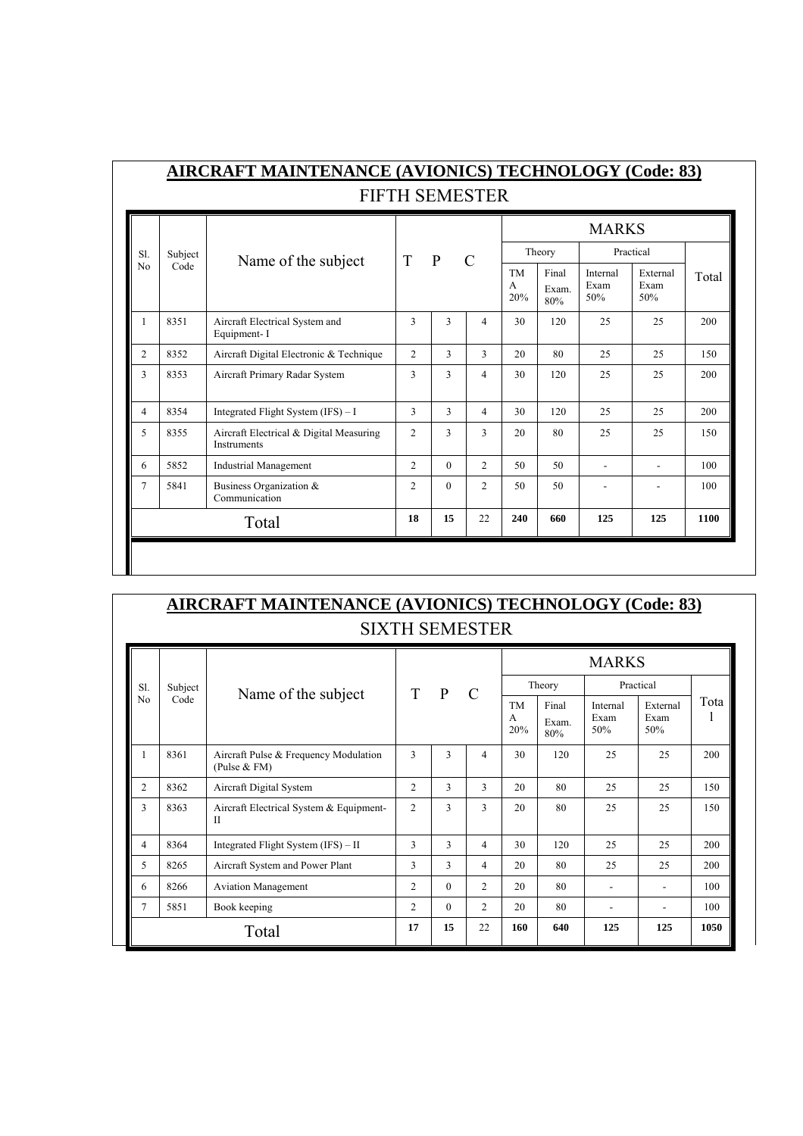|        |         |                                                               |                |               |                |                       |                       | <b>MARKS</b>            |                         |       |
|--------|---------|---------------------------------------------------------------|----------------|---------------|----------------|-----------------------|-----------------------|-------------------------|-------------------------|-------|
| S1.    | Subject |                                                               | T              | $\mathbf{P}$  | $\mathcal{C}$  |                       | Theory                |                         | Practical               |       |
| No     | Code    | Name of the subject                                           |                |               |                | <b>TM</b><br>A<br>20% | Final<br>Exam.<br>80% | Internal<br>Exam<br>50% | External<br>Exam<br>50% | Total |
| 1      | 8351    | Aircraft Electrical System and<br>Equipment-I                 | 3              | 3             | $\overline{4}$ | 30                    | 120                   | 25                      | 25                      | 200   |
| 2      | 8352    | Aircraft Digital Electronic & Technique                       | $\overline{2}$ | 3             | 3              | 20                    | 80                    | 25                      | 25                      | 150   |
| 3      | 8353    | Aircraft Primary Radar System                                 | 3              | $\mathcal{L}$ | 4              | 30                    | 120                   | 25                      | 25                      | 200   |
| 4      | 8354    | Integrated Flight System $(IFS) - I$                          | 3              | $\mathcal{L}$ | $\overline{4}$ | 30                    | 120                   | 25                      | 25                      | 200   |
| 5      | 8355    | Aircraft Electrical & Digital Measuring<br><b>Instruments</b> | $\overline{2}$ | $\mathbf{3}$  | $\mathcal{F}$  | 20                    | 80                    | 25                      | 25                      | 150   |
| 6      | 5852    | <b>Industrial Management</b>                                  | $\overline{2}$ | $\Omega$      | $\overline{2}$ | 50                    | 50                    | ٠                       | $\blacksquare$          | 100   |
| $\tau$ | 5841    | Business Organization &<br>Communication                      | $\mathfrak{D}$ | $\Omega$      | $\mathfrak{D}$ | 50                    | 50                    |                         |                         | 100   |
|        |         | Total                                                         | 18             | 15            | 22             | 240                   | 660                   | 125                     | 125                     | 1100  |

|                | <b>AIRCRAFT MAINTENANCE (AVIONICS) TECHNOLOGY (Code: 83)</b><br><b>SIXTH SEMESTER</b> |                                                          |                |               |                |                       |                       |                         |                         |      |  |  |  |  |
|----------------|---------------------------------------------------------------------------------------|----------------------------------------------------------|----------------|---------------|----------------|-----------------------|-----------------------|-------------------------|-------------------------|------|--|--|--|--|
|                |                                                                                       |                                                          |                |               |                |                       |                       | <b>MARKS</b>            |                         |      |  |  |  |  |
| S1.            | Subject                                                                               | Name of the subject                                      | T              | $\mathbf{P}$  | $\mathcal{C}$  |                       | Theory                |                         | Practical               |      |  |  |  |  |
| No             | Code                                                                                  |                                                          |                |               |                | <b>TM</b><br>A<br>20% | Final<br>Exam.<br>80% | Internal<br>Exam<br>50% | External<br>Exam<br>50% | Tota |  |  |  |  |
|                | 8361                                                                                  | Aircraft Pulse & Frequency Modulation<br>(Pulse $& FM$ ) | $\mathbf{3}$   | $\mathcal{F}$ | 4              | 30                    | 120                   | 25                      | 25                      | 200  |  |  |  |  |
| $\overline{c}$ | 8362                                                                                  | Aircraft Digital System                                  | $\overline{c}$ | $\mathcal{F}$ | $\mathcal{F}$  | 20                    | 80                    | 25                      | 25                      | 150  |  |  |  |  |
| 3              | 8363                                                                                  | Aircraft Electrical System & Equipment-<br>$\mathbf{I}$  | $\overline{2}$ | 3             | 3              | 20                    | 80                    | 25                      | 25                      | 150  |  |  |  |  |
| 4              | 8364                                                                                  | Integrated Flight System (IFS) – II                      | $\mathcal{L}$  | $\mathcal{F}$ | 4              | 30                    | 120                   | 25                      | 25                      | 200  |  |  |  |  |
| 5              | 8265                                                                                  | Aircraft System and Power Plant                          | 3              | 3             | 4              | 20                    | 80                    | 25                      | 25                      | 200  |  |  |  |  |
| 6              | 8266                                                                                  | <b>Aviation Management</b>                               | $\overline{2}$ | $\theta$      | $\overline{2}$ | 20                    | 80                    |                         |                         | 100  |  |  |  |  |
| 7              | 5851                                                                                  | Book keeping                                             | $\overline{2}$ | $\Omega$      | $\overline{2}$ | 20                    | 80                    |                         |                         | 100  |  |  |  |  |
|                |                                                                                       | Total                                                    | 17             | 15            | 22             | 160                   | 640                   | 125                     | 125                     | 1050 |  |  |  |  |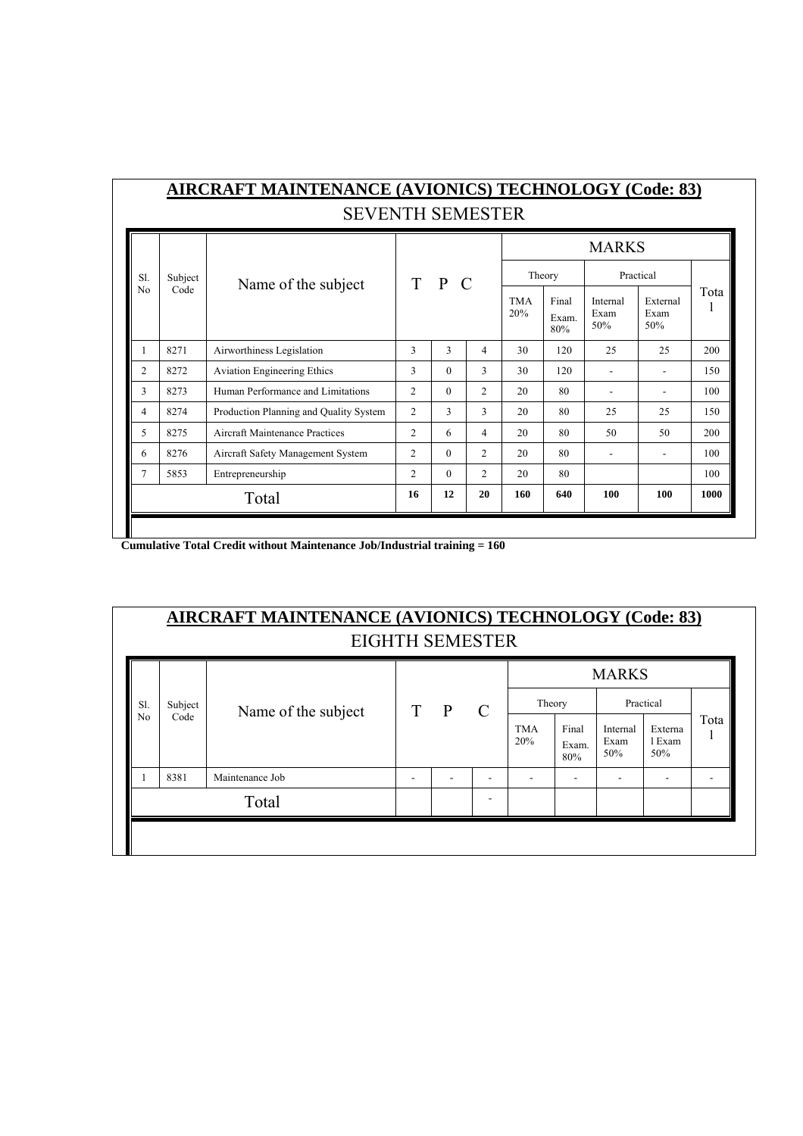|                |         | <b>SEVENTH SEMESTER</b>                |                                  |          |                |     |                       |                         |                         |      |
|----------------|---------|----------------------------------------|----------------------------------|----------|----------------|-----|-----------------------|-------------------------|-------------------------|------|
|                |         |                                        |                                  |          |                |     |                       | <b>MARKS</b>            |                         |      |
| Sl.            | Subject | Name of the subject                    | $T$ $P$                          | $\Gamma$ |                |     | Theory                |                         | Practical               |      |
| N <sub>0</sub> | Code    |                                        | <b>TMA</b><br>20%<br>3<br>3<br>4 |          |                |     | Final<br>Exam.<br>80% | Internal<br>Exam<br>50% | External<br>Exam<br>50% | Tota |
| 1              | 8271    | Airworthiness Legislation              |                                  |          |                | 30  | 120                   | 25                      | 25                      | 200  |
| $\overline{c}$ | 8272    | <b>Aviation Engineering Ethics</b>     | 3                                | $\Omega$ | $\mathcal{E}$  | 30  | 120                   |                         |                         | 150  |
| 3              | 8273    | Human Performance and Limitations      | 2                                | $\Omega$ | 2              | 20  | 80                    |                         |                         | 100  |
| 4              | 8274    | Production Planning and Quality System | $\overline{c}$                   | 3        | 3              | 20  | 80                    | 25                      | 25                      | 150  |
| 5              | 8275    | Aircraft Maintenance Practices         | $\overline{c}$                   | 6        | $\overline{4}$ | 20  | 80                    | 50                      | 50                      | 200  |
| 6              | 8276    | Aircraft Safety Management System      | 2                                | $\Omega$ | $\overline{c}$ | 20  | 80                    | ٠                       |                         | 100  |
| 7              | 5853    | Entrepreneurship                       | $\overline{c}$                   | $\Omega$ | $\overline{2}$ | 20  | 80                    |                         |                         | 100  |
|                |         | Total                                  | 16                               | 12       | 20             | 160 | 640                   | 100                     | 100                     | 1000 |

 **Cumulative Total Credit without Maintenance Job/Industrial training = 160** 

| <b>AIRCRAFT MAINTENANCE (AVIONICS) TECHNOLOGY (Code: 83)</b> |
|--------------------------------------------------------------|
| <b>EIGHTH SEMESTER</b>                                       |

| Subject<br>Sl.<br>Code<br>No |                     |             |              |               |                   |                       |                         |                          |      |
|------------------------------|---------------------|-------------|--------------|---------------|-------------------|-----------------------|-------------------------|--------------------------|------|
|                              | Name of the subject | $\mathbf T$ | $\mathbf{P}$ | $\mathcal{C}$ | Theory            |                       | Practical               |                          |      |
|                              |                     |             |              |               | <b>TMA</b><br>20% | Final<br>Exam.<br>80% | Internal<br>Exam<br>50% | Externa<br>1 Exam<br>50% | Tota |
| 8381<br>Maintenance Job      |                     |             | ۰            |               |                   | ۰                     | -                       |                          |      |
| Total                        |                     |             |              |               |                   |                       |                         |                          |      |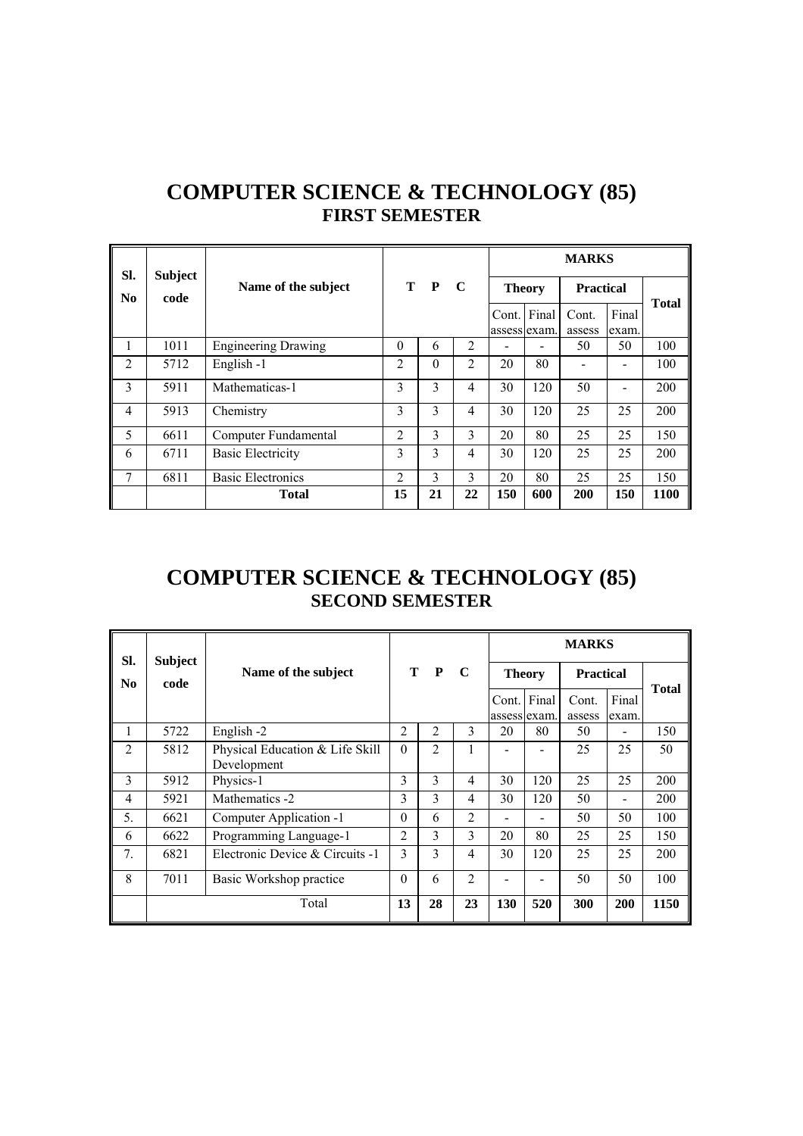| SI.            | <b>Subject</b> |                            | T P            |          |                |                             |     | <b>MARKS</b>     |                |              |
|----------------|----------------|----------------------------|----------------|----------|----------------|-----------------------------|-----|------------------|----------------|--------------|
| No.            | code           | Name of the subject        |                |          | C              | <b>Theory</b>               |     | <b>Practical</b> |                | <b>Total</b> |
|                |                |                            |                |          |                | Cont. Final<br>assess exam. |     | Cont.<br>assess  | Final<br>exam. |              |
| 1              | 1011           | <b>Engineering Drawing</b> | $\theta$       | 6        | 2              |                             |     | 50               | 50             | 100          |
| 2              | 5712           | English -1                 | $\overline{c}$ | $\theta$ | $\overline{2}$ | 20                          | 80  |                  |                | 100          |
| $\mathbf{3}$   | 5911           | Mathematicas-1             | 3              | 3        | 4              | 30                          | 120 | 50               |                | 200          |
| $\overline{4}$ | 5913           | Chemistry                  | 3              | 3        | 4              | 30                          | 120 | 25               | 25             | 200          |
| 5              | 6611           | Computer Fundamental       | $\overline{c}$ | 3        | 3              | 20                          | 80  | 25               | 25             | 150          |
| 6              | 6711           | <b>Basic Electricity</b>   | 3              | 3        | 4              | 30                          | 120 | 25               | 25             | 200          |
| 7              | 6811           | <b>Basic Electronics</b>   | $\overline{c}$ | 3        | 3              | 20                          | 80  | 25               | 25             | 150          |
|                |                | <b>Total</b>               | 15             | 21       | 22             | 150                         | 600 | 200              | 150            | 1100         |

# **COMPUTER SCIENCE & TECHNOLOGY (85) FIRST SEMESTER**

## **COMPUTER SCIENCE & TECHNOLOGY (85) SECOND SEMESTER**

| SI.            |                        |                                                | T<br>$\mathbf{P}$<br>$\mathbf C$ |                |                |               | <b>MARKS</b>                |                  |                |              |
|----------------|------------------------|------------------------------------------------|----------------------------------|----------------|----------------|---------------|-----------------------------|------------------|----------------|--------------|
| N <sub>0</sub> | <b>Subject</b><br>code | Name of the subject                            |                                  |                |                | <b>Theory</b> |                             | <b>Practical</b> |                | <b>Total</b> |
|                |                        |                                                |                                  |                |                |               | Cont. Final<br>assess exam. | Cont.<br>assess  | Final<br>exam. |              |
| 1              | 5722                   | English -2                                     | 2                                | $\overline{2}$ | 3              | 20            | 80                          | 50               |                | 150          |
| $\overline{2}$ | 5812                   | Physical Education & Life Skill<br>Development | $\theta$                         | $\overline{2}$ | 1              |               |                             | 25               | 25             | 50           |
| 3              | 5912                   | Physics-1                                      | 3                                | 3              | $\overline{4}$ | 30            | 120                         | 25               | 25             | 200          |
| $\overline{4}$ | 5921                   | Mathematics -2                                 | 3                                | 3              | $\overline{4}$ | 30            | 120                         | 50               |                | 200          |
| 5.             | 6621                   | Computer Application -1                        | $\Omega$                         | 6              | 2              |               |                             | 50               | 50             | 100          |
| 6              | 6622                   | Programming Language-1                         | $\mathfrak{D}$                   | 3              | 3              | 20            | 80                          | 25               | 25             | 150          |
| 7.             | 6821                   | Electronic Device & Circuits -1                | 3                                | 3              | 4              | 30            | 120                         | 25               | 25             | 200          |
| 8              | 7011                   | Basic Workshop practice                        | $\Omega$                         | 6              | $\mathfrak{D}$ |               |                             | 50               | 50             | 100          |
|                |                        | Total                                          | 13                               | 28             | 23             | 130           | 520                         | 300              | 200            | 1150         |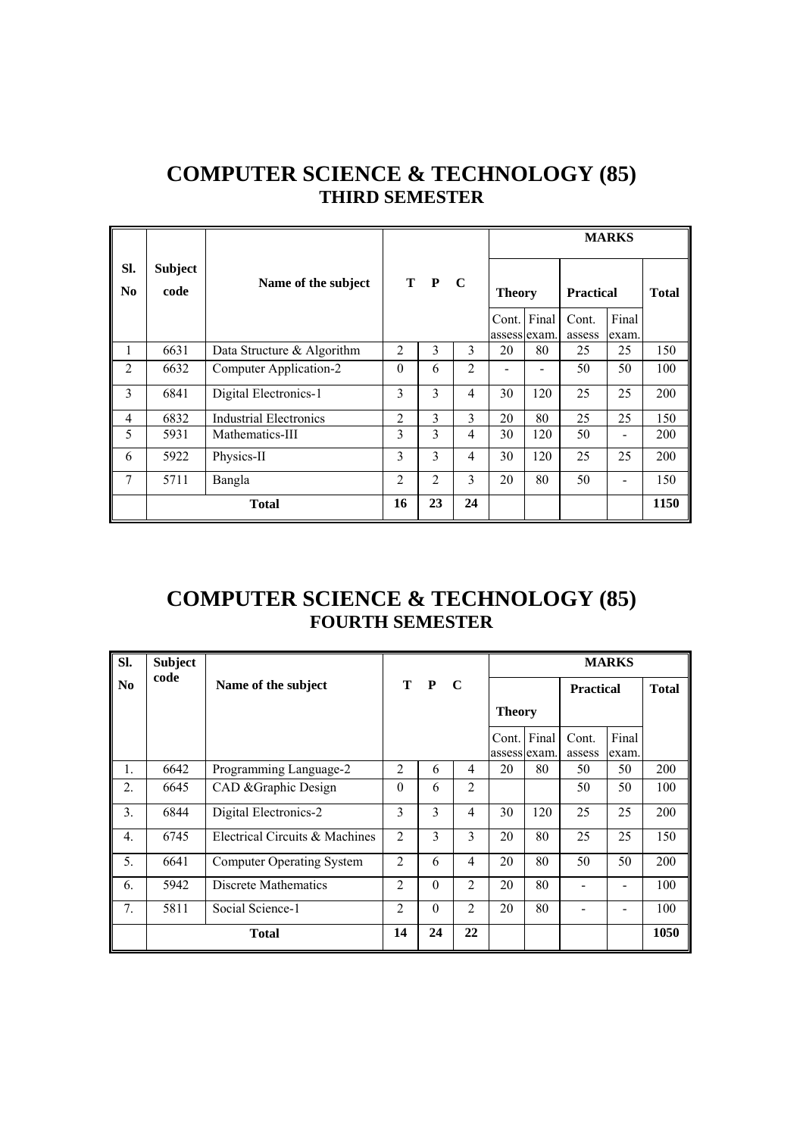|                       |                        |                               |                |                |                |               |             | <b>MARKS</b>     |                |              |
|-----------------------|------------------------|-------------------------------|----------------|----------------|----------------|---------------|-------------|------------------|----------------|--------------|
| SI.<br>N <sub>0</sub> | <b>Subject</b><br>code | Name of the subject           |                | T P            | $\mathbf C$    | <b>Theory</b> |             | <b>Practical</b> |                | <b>Total</b> |
|                       |                        |                               |                |                |                | assess exam.  | Cont. Final | Cont.<br>assess  | Final<br>exam. |              |
| 1                     | 6631                   | Data Structure & Algorithm    | $\mathfrak{D}$ | 3              | 3              | 20            | 80          | 25               | 25             | 150          |
| $\overline{2}$        | 6632                   | Computer Application-2        | $\theta$       | 6              | $\overline{2}$ |               |             | 50               | 50             | 100          |
| 3                     | 6841                   | Digital Electronics-1         | 3              | 3              | 4              | 30            | 120         | 25               | 25             | 200          |
| $\overline{4}$        | 6832                   | <b>Industrial Electronics</b> | $\overline{2}$ | 3              | $\mathcal{E}$  | 20            | 80          | 25               | 25             | 150          |
| 5                     | 5931                   | Mathematics-III               | 3              | 3              | 4              | 30            | 120         | 50               |                | 200          |
| 6                     | 5922                   | Physics-II                    | 3              | 3              | 4              | 30            | 120         | 25               | 25             | 200          |
| 7                     | 5711                   | Bangla                        | $\overline{2}$ | $\overline{2}$ | 3              | 20            | 80          | 50               |                | 150          |
|                       |                        | <b>Total</b>                  | 16             | 23             | 24             |               |             |                  |                | 1150         |

# **COMPUTER SCIENCE & TECHNOLOGY (85) THIRD SEMESTER**

# **COMPUTER SCIENCE & TECHNOLOGY (85) FOURTH SEMESTER**

| SI.              | <b>Subject</b> |                                  |                |              |                |               |              |                  | <b>MARKS</b> |              |
|------------------|----------------|----------------------------------|----------------|--------------|----------------|---------------|--------------|------------------|--------------|--------------|
| N <sub>0</sub>   | code           | Name of the subject              | Т              | $\mathbf{P}$ | - C            |               |              | <b>Practical</b> |              | <b>Total</b> |
|                  |                |                                  |                |              |                | <b>Theory</b> |              |                  |              |              |
|                  |                |                                  |                |              |                | Cont. Final   |              | Cont.            | Final        |              |
|                  |                |                                  |                |              |                |               | assess exam. | assess           | exam.        |              |
| $\mathbf{1}$ .   | 6642           | Programming Language-2           | $\overline{2}$ | 6            | $\overline{4}$ | 20            | 80           | 50               | 50           | 200          |
| 2.               | 6645           | CAD & Graphic Design             | $\theta$       | 6            | $\overline{2}$ |               |              | 50               | 50           | 100          |
| 3.               | 6844           | Digital Electronics-2            | 3              | 3            | 4              | 30            | 120          | 25               | 25           | 200          |
| $\overline{4}$ . | 6745           | Electrical Circuits & Machines   | $\overline{2}$ | 3            | $\mathcal{E}$  | 20            | 80           | 25               | 25           | 150          |
| 5.               | 6641           | <b>Computer Operating System</b> | $\overline{2}$ | 6            | $\overline{4}$ | 20            | 80           | 50               | 50           | 200          |
| 6.               | 5942           | Discrete Mathematics             | $\overline{2}$ | $\theta$     | $\overline{2}$ | 20            | 80           |                  |              | 100          |
| 7.               | 5811           | Social Science-1                 | $\overline{2}$ | $\theta$     | $\overline{2}$ | 20            | 80           |                  |              | 100          |
|                  |                | <b>Total</b>                     | 14             | 24           | 22             |               |              |                  |              | 1050         |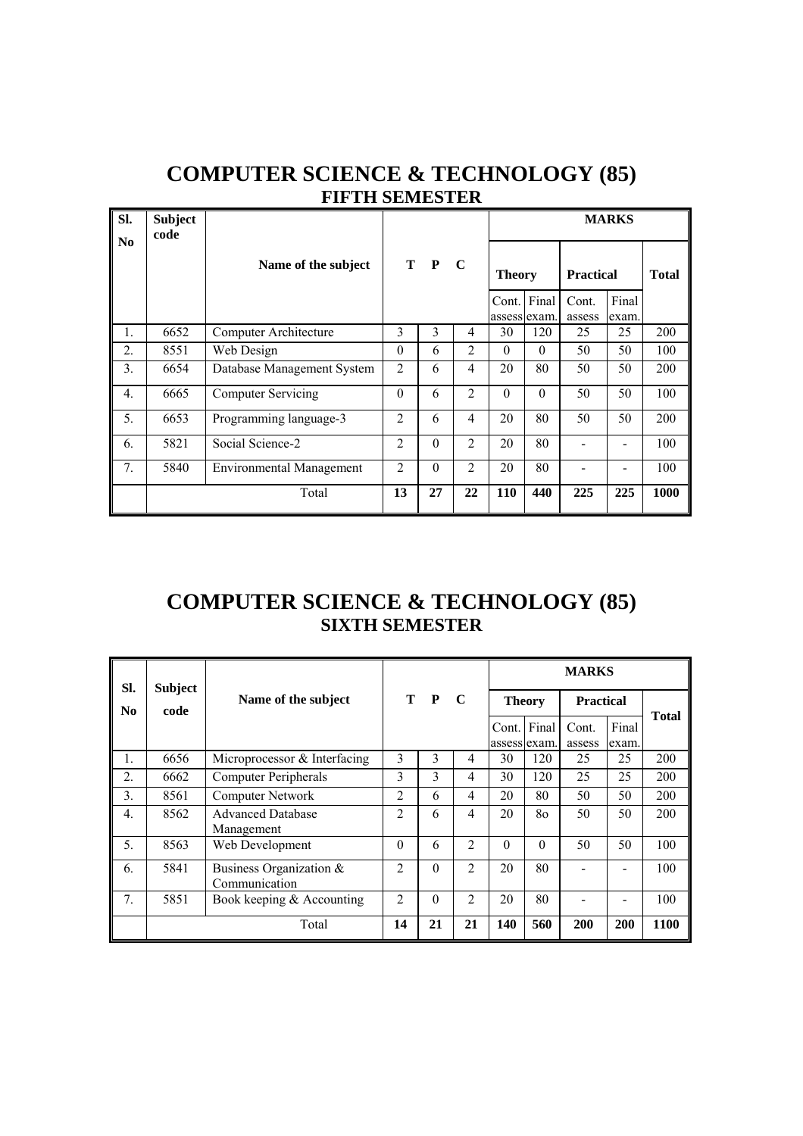# **COMPUTER SCIENCE & TECHNOLOGY (85) FIFTH SEMESTER**

| SI.              | <b>Subject</b><br>code |                                 |                |          |                |               |                       |                  | <b>MARKS</b>   |              |
|------------------|------------------------|---------------------------------|----------------|----------|----------------|---------------|-----------------------|------------------|----------------|--------------|
| No               |                        | Name of the subject             |                | T P C    |                | <b>Theory</b> |                       | <b>Practical</b> |                | <b>Total</b> |
|                  |                        |                                 |                |          |                | Cont.         | Final<br>assess exam. | Cont.<br>assess  | Final<br>exam. |              |
| 1.               | 6652                   | Computer Architecture           | 3              | 3        | 4              | 30            | 120                   | 25               | 25             | 200          |
| 2.               | 8551                   | Web Design                      | $\theta$       | 6        | 2              | $\Omega$      | $\Omega$              | 50               | 50             | 100          |
| 3.               | 6654                   | Database Management System      | $\overline{2}$ | 6        | 4              | 20            | 80                    | 50               | 50             | 200          |
| $\overline{4}$ . | 6665                   | <b>Computer Servicing</b>       | $\Omega$       | 6        | $\overline{2}$ | $\Omega$      | $\Omega$              | 50               | 50             | 100          |
| 5.               | 6653                   | Programming language-3          | $\overline{2}$ | 6        | 4              | 20            | 80                    | 50               | 50             | 200          |
| 6.               | 5821                   | Social Science-2                | $\overline{2}$ | $\theta$ | 2              | 20            | 80                    |                  |                | 100          |
| 7.               | 5840                   | <b>Environmental Management</b> | $\overline{2}$ | $\theta$ | 2              | 20            | 80                    |                  |                | 100          |
|                  |                        | Total                           | 13             | 27       | 22             | 110           | 440                   | 225              | 225            | 1000         |

## **COMPUTER SCIENCE & TECHNOLOGY (85) SIXTH SEMESTER**

| SI.              | <b>Subject</b> |                                             |                |          |                |                             |          | <b>MARKS</b>     |                |              |
|------------------|----------------|---------------------------------------------|----------------|----------|----------------|-----------------------------|----------|------------------|----------------|--------------|
| N <sub>0</sub>   | code           | Name of the subject                         |                | T P      | $\mathbf C$    | <b>Theory</b>               |          | <b>Practical</b> |                | <b>Total</b> |
|                  |                |                                             |                |          |                | Cont. Final<br>assess exam. |          | Cont.<br>assess  | Final<br>exam. |              |
| 1.               | 6656           | Microprocessor & Interfacing                | 3              | 3        | 4              | 30                          | 120      | 25               | 25             | 200          |
| 2.               | 6662           | <b>Computer Peripherals</b>                 | 3              | 3        | 4              | 30                          | 120      | 25               | 25             | 200          |
| 3.               | 8561           | Computer Network                            | $\overline{2}$ | 6        | 4              | 20                          | 80       | 50               | 50             | 200          |
| $\overline{4}$ . | 8562           | <b>Advanced Database</b><br>Management      | $\overline{2}$ | 6        | 4              | 20                          | 80       | 50               | 50             | 200          |
| 5.               | 8563           | Web Development                             | $\Omega$       | 6        | $\overline{c}$ | 0                           | $\Omega$ | 50               | 50             | 100          |
| 6.               | 5841           | Business Organization $\&$<br>Communication | $\overline{2}$ | $\Omega$ | 2              | 20                          | 80       |                  |                | 100          |
| 7.               | 5851           | Book keeping $&$ Accounting                 | $\overline{2}$ | $\Omega$ | $\overline{2}$ | 20                          | 80       |                  |                | 100          |
|                  |                | Total                                       | 14             | 21       | 21             | 140                         | 560      | 200              | 200            | 1100         |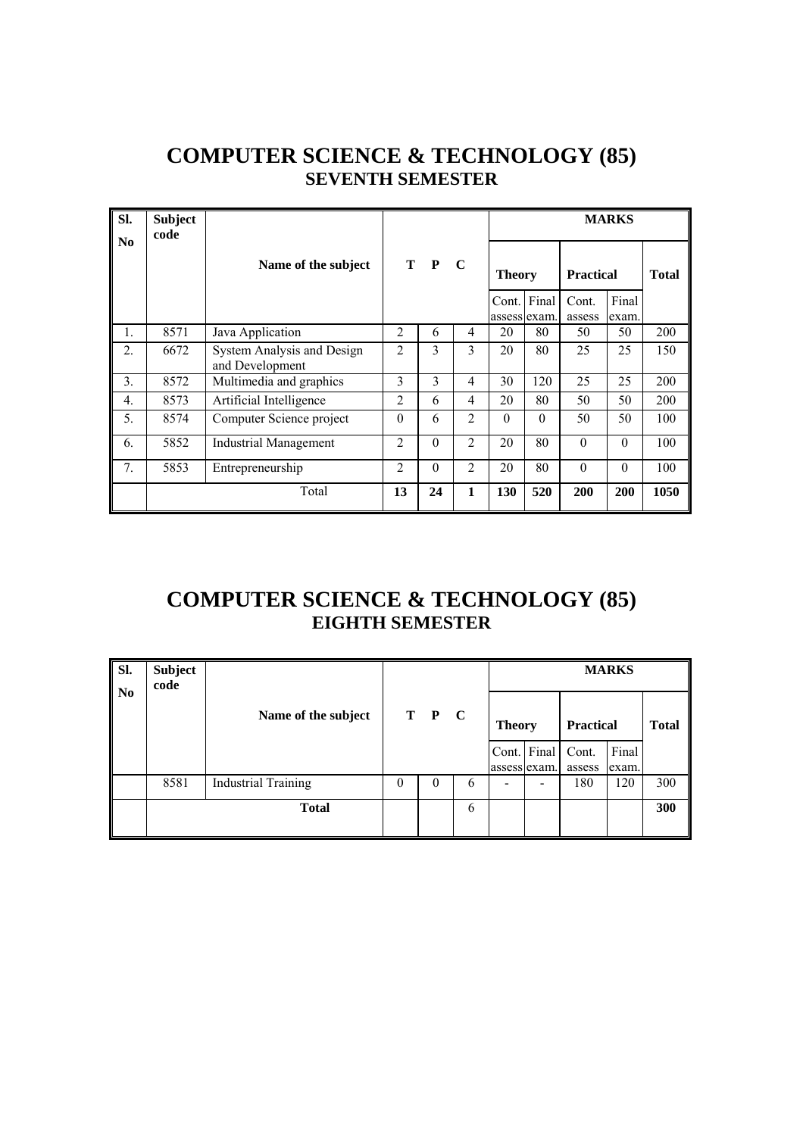## **COMPUTER SCIENCE & TECHNOLOGY (85) SEVENTH SEMESTER**

| SI.              | <b>Subject</b><br>code |                                               |                |          |                |               |          |                  | <b>MARKS</b> |              |
|------------------|------------------------|-----------------------------------------------|----------------|----------|----------------|---------------|----------|------------------|--------------|--------------|
| N <sub>0</sub>   |                        | Name of the subject                           |                | T P      | $\mathbf C$    | <b>Theory</b> |          | <b>Practical</b> |              | <b>Total</b> |
|                  |                        |                                               |                |          |                | Cont. Final   |          | Cont.            | Final        |              |
|                  |                        |                                               |                |          |                | assess exam.  |          | assess           | exam.        |              |
| 1.               | 8571                   | Java Application                              | $\overline{2}$ | 6        | 4              | 20            | 80       | 50               | 50           | 200          |
| 2.               | 6672                   | System Analysis and Design<br>and Development | $\overline{2}$ | 3        | 3              | 20            | 80       | 25               | 25           | 150          |
| 3.               | 8572                   | Multimedia and graphics                       | 3              | 3        | 4              | 30            | 120      | 25               | 25           | 200          |
| $\overline{4}$ . | 8573                   | Artificial Intelligence                       | $\overline{2}$ | 6        | 4              | 20            | 80       | 50               | 50           | 200          |
| 5.               | 8574                   | Computer Science project                      | $\theta$       | 6        | 2              | $\Omega$      | $\theta$ | 50               | 50           | 100          |
| 6.               | 5852                   | Industrial Management                         | $\overline{2}$ | $\theta$ | $\overline{2}$ | 20            | 80       | $\theta$         | $\theta$     | 100          |
| 7.               | 5853                   | Entrepreneurship                              | $\overline{2}$ | $\theta$ | $\overline{2}$ | 20            | 80       | $\Omega$         | $\theta$     | 100          |
|                  |                        | Total                                         | 13             | 24       | 1              | 130           | 520      | 200              | 200          | 1050         |

# **COMPUTER SCIENCE & TECHNOLOGY (85) EIGHTH SEMESTER**

| $\overline{\mathbf{S}}$<br>  No | <b>Subject</b><br>code |                            |          |          |   |               |                             |                  | <b>MARKS</b>   |              |
|---------------------------------|------------------------|----------------------------|----------|----------|---|---------------|-----------------------------|------------------|----------------|--------------|
|                                 |                        | Name of the subject        |          | T P C    |   | <b>Theory</b> |                             | <b>Practical</b> |                | <b>Total</b> |
|                                 |                        |                            |          |          |   |               | Cont. Final<br>assess exam. | Cont.<br>assess  | Final<br>exam. |              |
|                                 | 8581                   | <b>Industrial Training</b> | $\Omega$ | $\theta$ | 6 |               |                             | 180              | 120            | 300          |
|                                 |                        | <b>Total</b>               |          |          | 6 |               |                             |                  |                | 300          |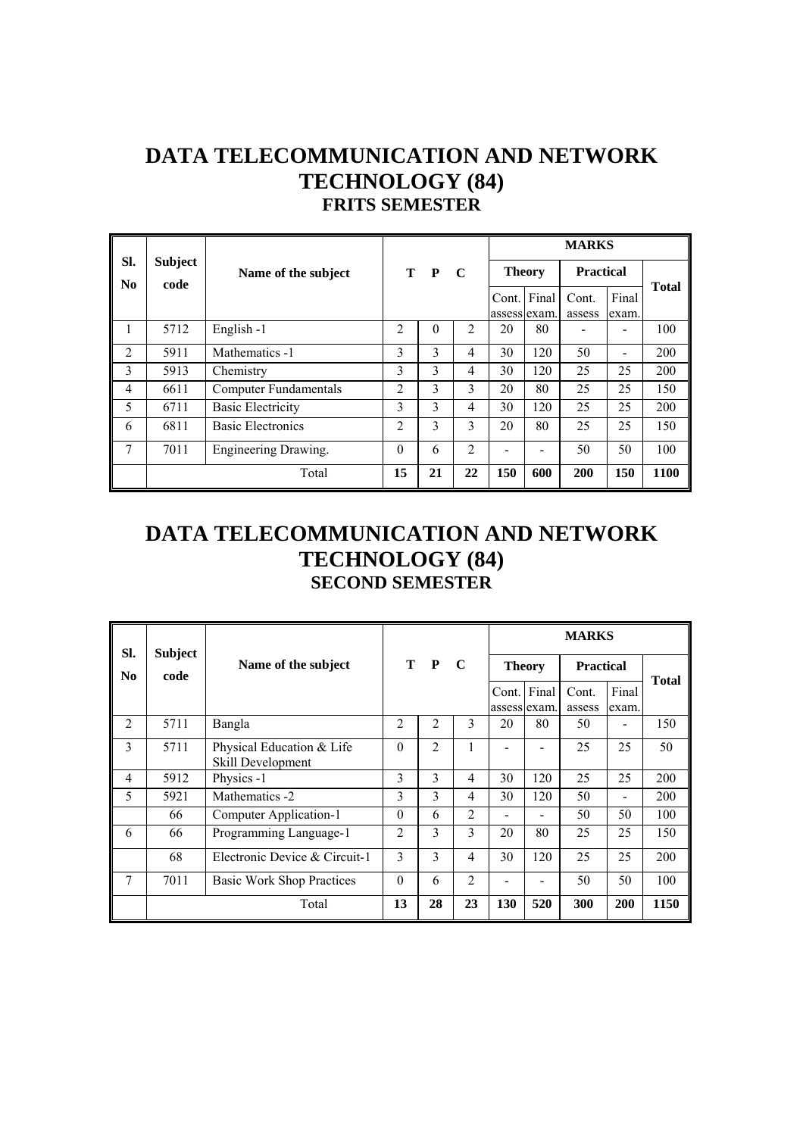### **DATA TELECOMMUNICATION AND NETWORK TECHNOLOGY (84) FRITS SEMESTER**

|                       |                        |                          |                |          |                |               |                          | <b>MARKS</b>     |                              |              |
|-----------------------|------------------------|--------------------------|----------------|----------|----------------|---------------|--------------------------|------------------|------------------------------|--------------|
| SI.<br>N <sub>0</sub> | <b>Subject</b><br>code | Name of the subject      |                | T P      | - C            | <b>Theory</b> |                          | <b>Practical</b> |                              |              |
|                       |                        |                          |                |          |                | Cont.         | Final<br>assess lexam.   | Cont.<br>assess  | Final<br>exam.               | <b>Total</b> |
| 1                     | 5712                   | English-1                | 2              | $\theta$ | 2              | 20            | 80                       |                  |                              | 100          |
| $\mathfrak{D}$        | 5911                   | Mathematics -1           | 3              | 3        | 4              | 30            | 120                      | 50               | $\qquad \qquad \blacksquare$ | 200          |
| 3                     | 5913                   | Chemistry                | 3              | 3        | 4              | 30            | 120                      | 25               | 25                           | 200          |
| $\overline{4}$        | 6611                   | Computer Fundamentals    | $\mathfrak{D}$ | 3        | 3              | 20            | 80                       | 25               | 25                           | 150          |
| 5                     | 6711                   | <b>Basic Electricity</b> | 3              | 3        | 4              | 30            | 120                      | 25               | 25                           | 200          |
| 6                     | 6811                   | <b>Basic Electronics</b> | $\mathfrak{D}$ | 3        | 3              | 20            | 80                       | 25               | 25                           | 150          |
| 7                     | 7011                   | Engineering Drawing.     | $\theta$       | 6        | $\overline{c}$ |               | $\overline{\phantom{0}}$ | 50               | 50                           | 100          |
|                       |                        | Total                    | 15             | 21       | 22             | 150           | 600                      | 200              | 150                          | 1100         |

## **DATA TELECOMMUNICATION AND NETWORK TECHNOLOGY (84) SECOND SEMESTER**

| SI.            | <b>Subject</b> |                                                |                                                         |                |                |     |                             | <b>MARKS</b>    |                              |      |
|----------------|----------------|------------------------------------------------|---------------------------------------------------------|----------------|----------------|-----|-----------------------------|-----------------|------------------------------|------|
| N <sub>0</sub> | code           | Name of the subject                            | T P<br>$\mathbf C$<br><b>Theory</b><br><b>Practical</b> |                |                |     |                             | <b>Total</b>    |                              |      |
|                |                |                                                |                                                         |                |                |     | Cont. Final<br>assess exam. | Cont.<br>assess | Final<br>exam.               |      |
| 2              | 5711           | Bangla                                         | 2                                                       | 2              | 3              | 20  | 80                          | 50              |                              | 150  |
| 3              | 5711           | Physical Education & Life<br>Skill Development | $\Omega$                                                | $\overline{2}$ |                |     |                             | 25              | 25                           | 50   |
| $\overline{4}$ | 5912           | Physics -1                                     | 3                                                       | 3              | 4              | 30  | 120                         | 25              | 25                           | 200  |
| 5              | 5921           | Mathematics -2                                 | 3                                                       | 3              | 4              | 30  | 120                         | 50              | $\qquad \qquad \blacksquare$ | 200  |
|                | 66             | Computer Application-1                         | $\Omega$                                                | 6              | $\overline{2}$ | ۳   | -                           | 50              | 50                           | 100  |
| 6              | 66             | Programming Language-1                         | 2                                                       | 3              | 3              | 20  | 80                          | 25              | 25                           | 150  |
|                | 68             | Electronic Device & Circuit-1                  | 3                                                       | 3              | $\overline{4}$ | 30  | 120                         | 25              | 25                           | 200  |
| 7              | 7011           | Basic Work Shop Practices                      | $\Omega$                                                | 6              | $\overline{2}$ |     |                             | 50              | 50                           | 100  |
|                |                | Total                                          | 13                                                      | 28             | 23             | 130 | 520                         | 300             | 200                          | 1150 |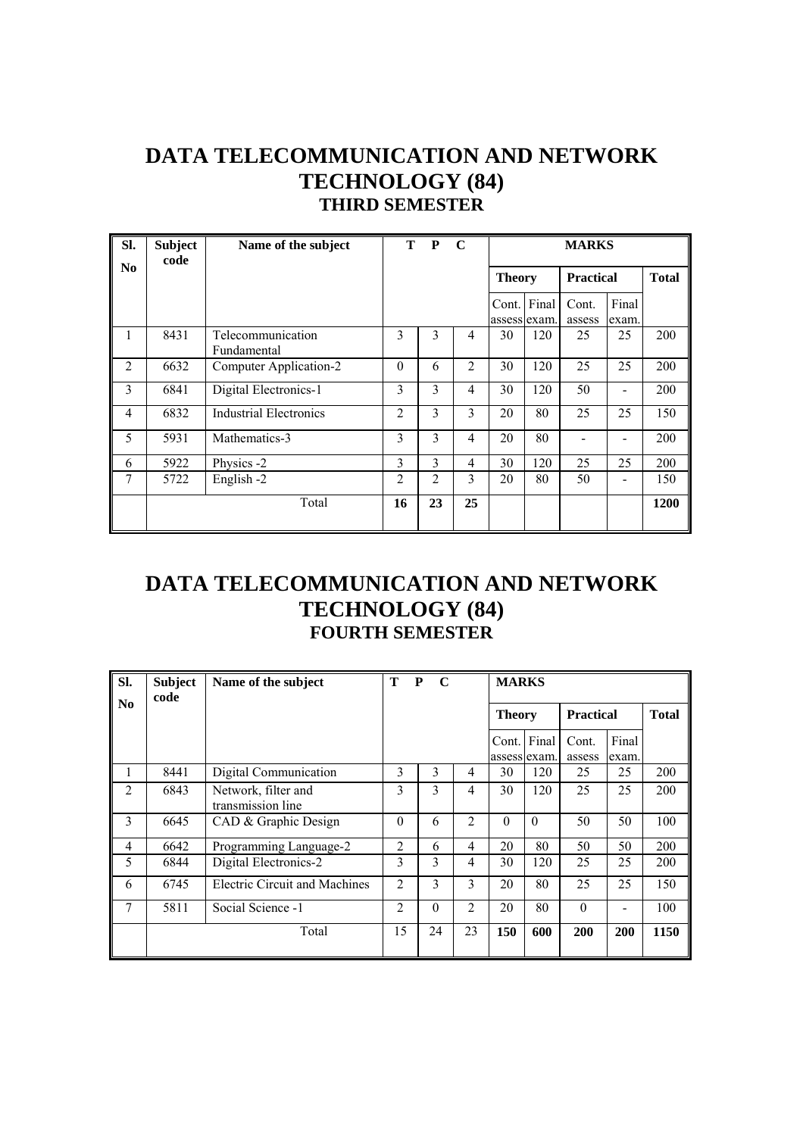## **DATA TELECOMMUNICATION AND NETWORK TECHNOLOGY (84) THIRD SEMESTER**

| SI.            | <b>Subject</b><br>code | Name of the subject              | т        | P              | $\mathbf C$    |               | <b>MARKS</b>          |                  |                |              |  |  |
|----------------|------------------------|----------------------------------|----------|----------------|----------------|---------------|-----------------------|------------------|----------------|--------------|--|--|
| No             |                        |                                  |          |                |                | <b>Theory</b> |                       | <b>Practical</b> |                | <b>Total</b> |  |  |
|                |                        |                                  |          |                |                | Cont.         | Final<br>assess exam. | Cont.<br>assess  | Final<br>exam. |              |  |  |
| 1              | 8431                   | Telecommunication<br>Fundamental | 3        | 3              | $\overline{4}$ | 30            | 120                   | 25               | 25             | 200          |  |  |
| $\overline{2}$ | 6632                   | Computer Application-2           | $\theta$ | 6              | $\overline{2}$ | 30            | 120                   | 25               | 25             | 200          |  |  |
| 3              | 6841                   | Digital Electronics-1            | 3        | $\overline{3}$ | $\overline{4}$ | 30            | 120                   | 50               |                | 200          |  |  |
| 4              | 6832                   | <b>Industrial Electronics</b>    | 2        | 3              | 3              | 20            | 80                    | 25               | 25             | 150          |  |  |
| 5              | 5931                   | Mathematics-3                    | 3        | 3              | $\overline{4}$ | 20            | 80                    |                  |                | 200          |  |  |
| 6              | 5922                   | Physics -2                       | 3        | 3              | $\overline{4}$ | 30            | 120                   | 25               | 25             | 200          |  |  |
| 7              | 5722                   | English -2                       | 2        | $\overline{2}$ | 3              | 20            | 80                    | 50               |                | 150          |  |  |
|                |                        | Total                            | 16       | 23             | 25             |               |                       |                  |                | 1200         |  |  |

#### **DATA TELECOMMUNICATION AND NETWORK TECHNOLOGY (84) FOURTH SEMESTER**

| SI.            | <b>Subject</b><br>code | Name of the subject                      | T              | P<br>$\mathbf C$ |                | <b>MARKS</b>          |          |                  |                |              |
|----------------|------------------------|------------------------------------------|----------------|------------------|----------------|-----------------------|----------|------------------|----------------|--------------|
| No.            |                        |                                          |                |                  |                | <b>Theory</b>         |          | <b>Practical</b> |                | <b>Total</b> |
|                |                        |                                          |                |                  |                | Cont.<br>assess exam. | Final    | Cont.<br>assess  | Final<br>exam. |              |
| 1              | 8441                   | Digital Communication                    | 3              | 3                | 4              | 30                    | 120      | 25               | 25             | 200          |
| 2              | 6843                   | Network, filter and<br>transmission line | 3              | 3                | 4              | 30                    | 120      | 25               | 25             | 200          |
| 3              | 6645                   | CAD & Graphic Design                     | $\theta$       | 6                | $\overline{2}$ | $\theta$              | $\Omega$ | 50               | 50             | 100          |
| $\overline{4}$ | 6642                   | Programming Language-2                   | $\overline{c}$ | 6                | 4              | 20                    | 80       | 50               | 50             | 200          |
| 5              | 6844                   | Digital Electronics-2                    | 3              | 3                | 4              | 30                    | 120      | 25               | 25             | 200          |
| 6              | 6745                   | <b>Electric Circuit and Machines</b>     | $\overline{c}$ | 3                | 3              | 20                    | 80       | 25               | 25             | 150          |
| 7              | 5811                   | Social Science -1                        | 2              | $\theta$         | $\overline{2}$ | 20                    | 80       | $\theta$         |                | 100          |
|                |                        | Total                                    | 15             | 24               | 23             | 150                   | 600      | 200              | 200            | 1150         |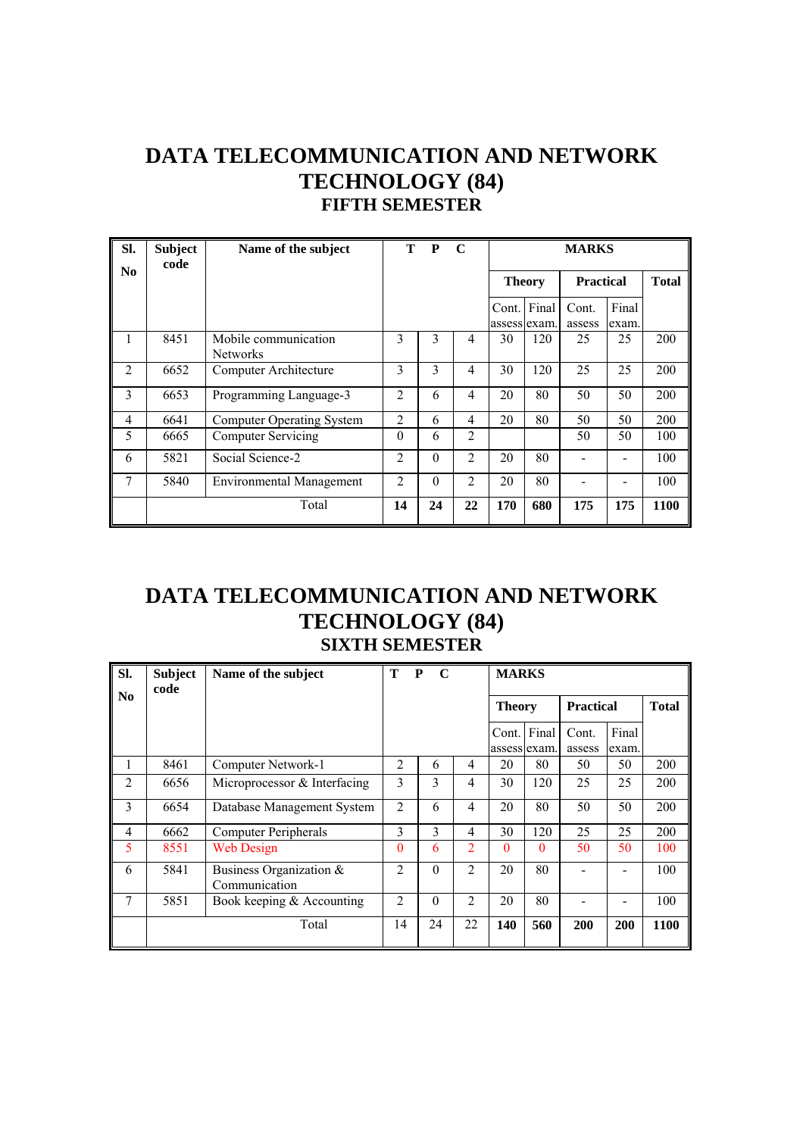## **DATA TELECOMMUNICATION AND NETWORK TECHNOLOGY (84) FIFTH SEMESTER**

| SI.            | <b>Subject</b><br>code | Name of the subject                     | Т              | P        | $\mathbf C$    |               |                             | <b>MARKS</b>     |                |              |
|----------------|------------------------|-----------------------------------------|----------------|----------|----------------|---------------|-----------------------------|------------------|----------------|--------------|
| No.            |                        |                                         |                |          |                | <b>Theory</b> |                             | <b>Practical</b> |                | <b>Total</b> |
|                |                        |                                         |                |          |                |               | Cont. Final<br>assess exam. | Cont.<br>assess  | Final<br>exam. |              |
| 1              | 8451                   | Mobile communication<br><b>Networks</b> | 3              | 3        | 4              | 30            | 120                         | 25               | 25             | 200          |
| $\overline{2}$ | 6652                   | Computer Architecture                   | 3              | 3        | $\overline{4}$ | 30            | 120                         | 25               | 25             | 200          |
| 3              | 6653                   | Programming Language-3                  | $\overline{2}$ | 6        | 4              | 20            | 80                          | 50               | 50             | 200          |
| 4              | 6641                   | <b>Computer Operating System</b>        | $\overline{2}$ | 6        | 4              | 20            | 80                          | 50               | 50             | 200          |
| 5              | 6665                   | <b>Computer Servicing</b>               | $\theta$       | 6        | $\overline{2}$ |               |                             | 50               | 50             | 100          |
| 6              | 5821                   | Social Science-2                        | $\overline{2}$ | $\theta$ | 2              | 20            | 80                          |                  |                | 100          |
| 7              | 5840                   | Environmental Management                | $\overline{2}$ | $\theta$ | $\overline{2}$ | 20            | 80                          |                  |                | 100          |
|                |                        | Total                                   | 14             | 24       | 22             | 170           | 680                         | 175              | 175            | 1100         |

## **DATA TELECOMMUNICATION AND NETWORK TECHNOLOGY (84) SIXTH SEMESTER**

| Sl.            | <b>Subject</b><br>code | Name of the subject                      | T              | P<br>$\mathbf C$ |                | <b>MARKS</b>          |              |                  |                |              |
|----------------|------------------------|------------------------------------------|----------------|------------------|----------------|-----------------------|--------------|------------------|----------------|--------------|
| N <sub>0</sub> |                        |                                          |                |                  |                | <b>Theory</b>         |              | <b>Practical</b> |                | <b>Total</b> |
|                |                        |                                          |                |                  |                | Cont.<br>assess exam. | Final        | Cont.<br>assess  | Final<br>exam. |              |
| л.             | 8461                   | Computer Network-1                       | $\overline{c}$ | 6                | 4              | 20                    | 80           | 50               | 50             | 200          |
| $\overline{2}$ | 6656                   | Microprocessor & Interfacing             | 3              | 3                | $\overline{4}$ | 30                    | 120          | 25               | 25             | 200          |
| 3              | 6654                   | Database Management System               | $\overline{2}$ | 6                | $\overline{4}$ | 20                    | 80           | 50               | 50             | 200          |
| $\overline{4}$ | 6662                   | <b>Computer Peripherals</b>              | 3              | 3                | $\overline{4}$ | 30                    | 120          | 25               | 25             | 200          |
| 5              | 8551                   | Web Design                               | 0              | 6                | $\overline{2}$ | $\Omega$              | $\mathbf{0}$ | 50               | 50             | 100          |
| 6              | 5841                   | Business Organization &<br>Communication | $\mathfrak{D}$ | $\Omega$         | $\mathfrak{D}$ | 20                    | 80           |                  |                | 100          |
| $\overline{7}$ | 5851                   | Book keeping $&$ Accounting              | $\overline{c}$ | $\theta$         | $\mathfrak{D}$ | 20                    | 80           |                  |                | 100          |
|                |                        | Total                                    | 14             | 24               | 22             | 140                   | 560          | 200              | 200            | 1100         |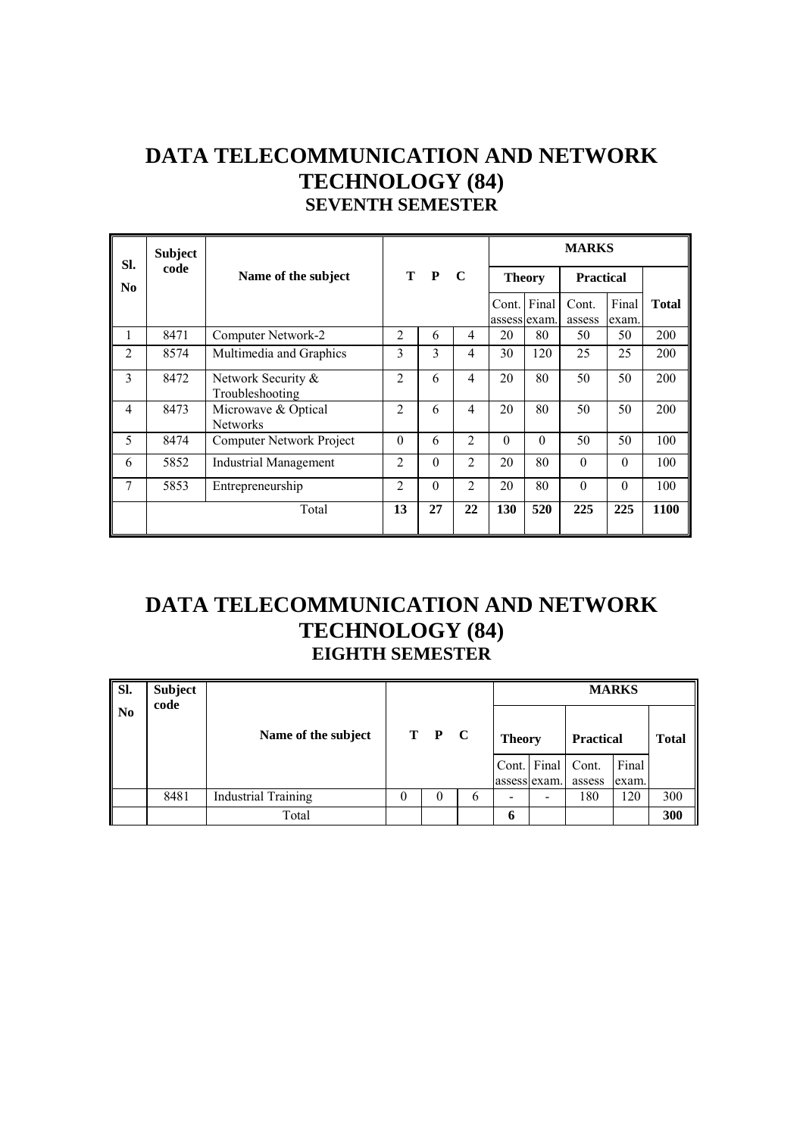## **DATA TELECOMMUNICATION AND NETWORK TECHNOLOGY (84) SEVENTH SEMESTER**

| SI.            | <b>Subject</b> |                                        |                |              |                |             |               | <b>MARKS</b>     |                |              |
|----------------|----------------|----------------------------------------|----------------|--------------|----------------|-------------|---------------|------------------|----------------|--------------|
| N <sub>0</sub> | code           | Name of the subject                    | T              | $\mathbf{P}$ | $\mathbf C$    |             | <b>Theory</b> | <b>Practical</b> |                |              |
|                |                |                                        |                |              |                | Cont. Final | assess exam.  | Cont.<br>assess  | Final<br>exam. | <b>Total</b> |
| 1              | 8471           | Computer Network-2                     | $\overline{2}$ | 6            | 4              | 20          | 80            | 50               | 50             | 200          |
| $\overline{2}$ | 8574           | Multimedia and Graphics                | 3              | 3            | $\overline{4}$ | 30          | 120           | 25               | 25             | 200          |
| 3              | 8472           | Network Security &<br>Troubleshooting  | $\overline{2}$ | 6            | $\overline{4}$ | 20          | 80            | 50               | 50             | 200          |
| $\overline{4}$ | 8473           | Microwave & Optical<br><b>Networks</b> | $\overline{2}$ | 6            | $\overline{4}$ | 20          | 80            | 50               | 50             | 200          |
| 5              | 8474           | Computer Network Project               | $\theta$       | 6            | $\overline{2}$ | 0           | $\Omega$      | 50               | 50             | 100          |
| 6              | 5852           | <b>Industrial Management</b>           | $\overline{2}$ | $\Omega$     | 2              | 20          | 80            | $\Omega$         | $\Omega$       | 100          |
| 7              | 5853           | Entrepreneurship                       | $\overline{2}$ | $\theta$     | 2              | 20          | 80            | $\theta$         | $\theta$       | 100          |
|                |                | Total                                  | 13             | 27           | 22             | <b>130</b>  | 520           | 225              | 225            | 1100         |

## **DATA TELECOMMUNICATION AND NETWORK TECHNOLOGY (84) EIGHTH SEMESTER**

| Sl.       | <b>Subject</b><br>code |                            |   |       |   |               |                              |                  | <b>MARKS</b> |              |
|-----------|------------------------|----------------------------|---|-------|---|---------------|------------------------------|------------------|--------------|--------------|
| <b>No</b> |                        |                            |   |       |   |               |                              |                  |              |              |
|           |                        | Name of the subject        |   | T P C |   | <b>Theory</b> |                              | <b>Practical</b> |              | <b>Total</b> |
|           |                        |                            |   |       |   |               | Cont. Final Cont.            |                  | Final        |              |
|           |                        |                            |   |       |   | assess exam.  |                              | assess           | exam.        |              |
|           | 8481                   | <b>Industrial Training</b> | 0 | 0     | 6 | -             | $\qquad \qquad \blacksquare$ | 180              | 120          | 300          |
|           |                        | Total                      |   |       |   | 6             |                              |                  |              | 300          |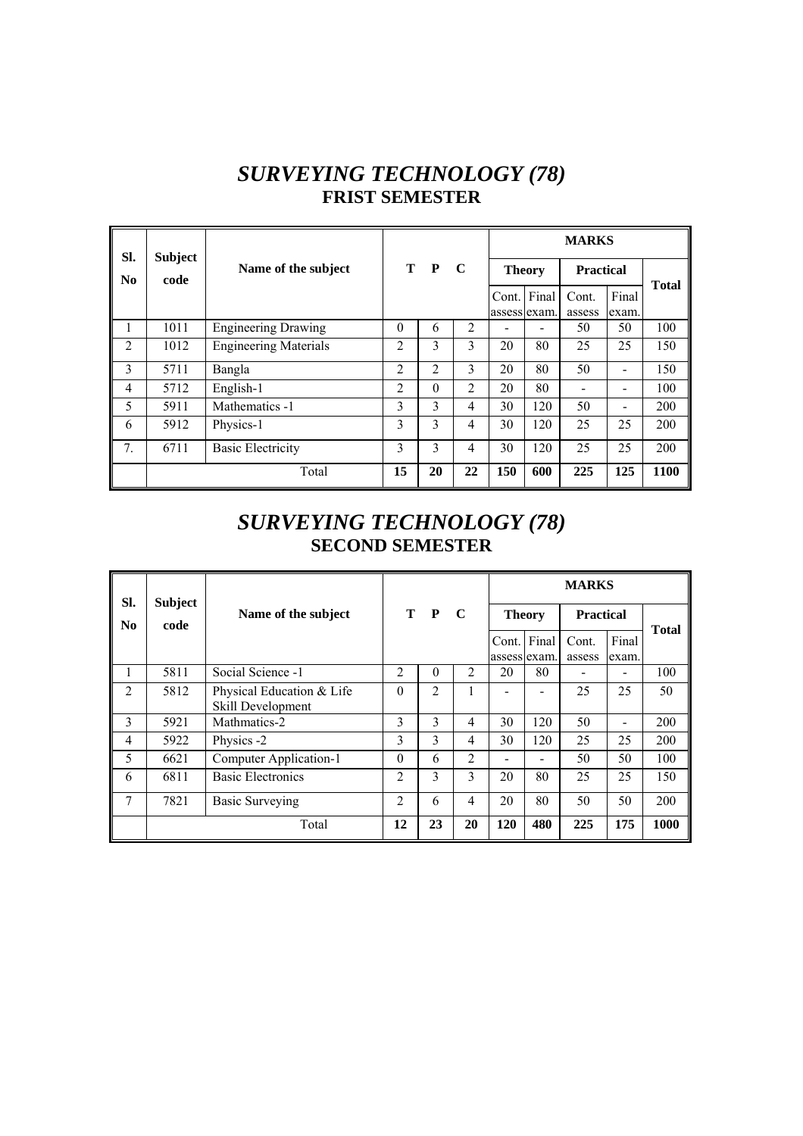## *SURVEYING TECHNOLOGY (78)*  **FRIST SEMESTER**

| SI.                    | <b>Subject</b> |                              |                |          |    |                       |                              | <b>MARKS</b>     |                              |              |
|------------------------|----------------|------------------------------|----------------|----------|----|-----------------------|------------------------------|------------------|------------------------------|--------------|
| $\mathbf{N}\mathbf{0}$ | code           | Name of the subject          |                | T P      | C  | <b>Theory</b>         |                              | <b>Practical</b> |                              | <b>Total</b> |
|                        |                |                              |                |          |    | Cont.<br>assess exam. | Final                        | Cont.<br>assess  | Final<br>exam.               |              |
| 1                      | 1011           | <b>Engineering Drawing</b>   | $\theta$       | 6        | 2  |                       | $\qquad \qquad \blacksquare$ | 50               | 50                           | 100          |
| $\mathfrak{D}$         | 1012           | <b>Engineering Materials</b> | $\mathfrak{D}$ | 3        | 3  | 20                    | 80                           | 25               | 25                           | 150          |
| 3                      | 5711           | Bangla                       | $\overline{2}$ | 2        | 3  | 20                    | 80                           | 50               |                              | 150          |
| $\overline{4}$         | 5712           | English-1                    | 2              | $\Omega$ | 2  | 20                    | 80                           |                  | $\qquad \qquad \blacksquare$ | 100          |
| 5                      | 5911           | Mathematics -1               | 3              | 3        | 4  | 30                    | 120                          | 50               | -                            | 200          |
| 6                      | 5912           | Physics-1                    | 3              | 3        | 4  | 30                    | 120                          | 25               | 25                           | 200          |
| 7.                     | 6711           | <b>Basic Electricity</b>     | 3              | 3        | 4  | 30                    | 120                          | 25               | 25                           | 200          |
|                        |                | Total                        | 15             | 20       | 22 | 150                   | 600                          | 225              | 125                          | 1100         |

## *SURVEYING TECHNOLOGY (78)*  **SECOND SEMESTER**

| SI.                    | <b>Subject</b> |                                                | T P<br>$\mathbf C$ |          |                |                       | <b>MARKS</b> |                  |                |              |
|------------------------|----------------|------------------------------------------------|--------------------|----------|----------------|-----------------------|--------------|------------------|----------------|--------------|
| $\mathbf{N}\mathbf{0}$ | code           | Name of the subject                            |                    |          |                | <b>Theory</b>         |              | <b>Practical</b> |                | <b>Total</b> |
|                        |                |                                                |                    |          |                | Cont.<br>assess exam. | Final        | Cont.<br>assess  | Final<br>exam. |              |
|                        | 5811           | Social Science -1                              | 2                  | $\theta$ | 2              | 20                    | 80           |                  |                | 100          |
| $\overline{2}$         | 5812           | Physical Education & Life<br>Skill Development | $\theta$           | 2        | 1              |                       |              | 25               | 25             | 50           |
| 3                      | 5921           | Mathmatics-2                                   | 3                  | 3        | 4              | 30                    | 120          | 50               |                | 200          |
| 4                      | 5922           | Physics -2                                     | 3                  | 3        | $\overline{4}$ | 30                    | 120          | 25               | 25             | 200          |
| 5                      | 6621           | Computer Application-1                         | $\theta$           | 6        | $\overline{2}$ |                       |              | 50               | 50             | 100          |
| 6                      | 6811           | <b>Basic Electronics</b>                       | 2                  | 3        | 3              | 20                    | 80           | 25               | 25             | 150          |
| 7                      | 7821           | <b>Basic Surveying</b>                         | $\overline{c}$     | 6        | 4              | 20                    | 80           | 50               | 50             | 200          |
|                        |                | Total                                          | 12                 | 23       | 20             | 120                   | 480          | 225              | 175            | 1000         |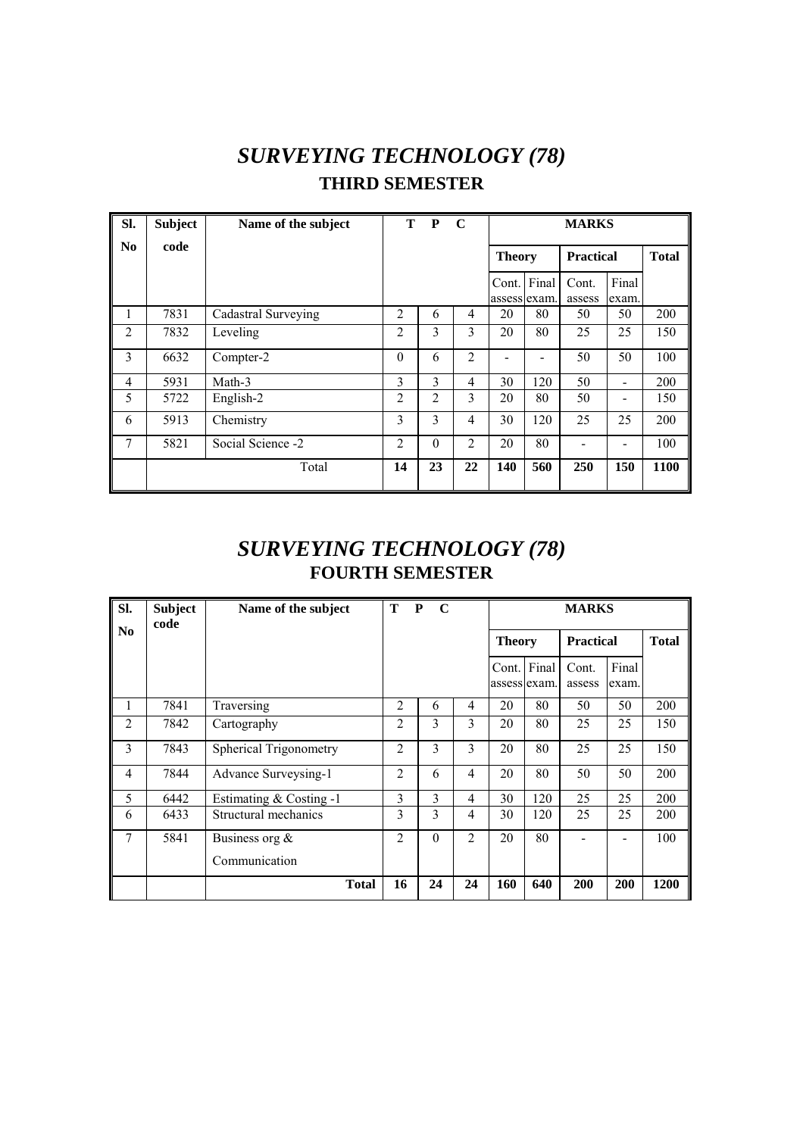# *SURVEYING TECHNOLOGY (78)*  **THIRD SEMESTER**

| SI.            | <b>Subject</b> | Name of the subject | T.             | $\mathbf{P}$   | $\mathbf C$    | <b>MARKS</b>  |                          |                  |                              |      |  |
|----------------|----------------|---------------------|----------------|----------------|----------------|---------------|--------------------------|------------------|------------------------------|------|--|
| N <sub>0</sub> | code           |                     |                |                |                | <b>Theory</b> |                          | <b>Practical</b> | <b>Total</b>                 |      |  |
|                |                |                     |                |                |                | Cont. Final   | assess exam.             | Cont.<br>assess  | Final<br>exam.               |      |  |
| 1              | 7831           | Cadastral Surveying | 2              | 6              | 4              | 20            | 80                       | 50               | 50                           | 200  |  |
| 2              | 7832           | Leveling            | 2              | 3              | 3              | 20            | 80                       | 25               | 25                           | 150  |  |
| 3              | 6632           | Compter-2           | $\Omega$       | 6              | $\overline{2}$ |               | $\overline{\phantom{0}}$ | 50               | 50                           | 100  |  |
| $\overline{4}$ | 5931           | Math-3              | 3              | 3              | 4              | 30            | 120                      | 50               | $\overline{\phantom{0}}$     | 200  |  |
| 5              | 5722           | English-2           | $\overline{c}$ | $\overline{2}$ | 3              | 20            | 80                       | 50               | $\qquad \qquad \blacksquare$ | 150  |  |
| 6              | 5913           | Chemistry           | 3              | 3              | $\overline{4}$ | 30            | 120                      | 25               | 25                           | 200  |  |
| 7              | 5821           | Social Science -2   | $\overline{2}$ | $\theta$       | $\overline{2}$ | 20            | 80                       |                  |                              | 100  |  |
|                |                | Total               | 14             | 23             | 22             | 140           | 560                      | 250              | 150                          | 1100 |  |

## *SURVEYING TECHNOLOGY (78)*  **FOURTH SEMESTER**

| Sl.                    | <b>Subject</b><br>code | Name of the subject           | T<br>$\mathbf{P}$ | $\mathbf C$ |                | <b>MARKS</b>  |                  |                 |                |              |
|------------------------|------------------------|-------------------------------|-------------------|-------------|----------------|---------------|------------------|-----------------|----------------|--------------|
| $\mathbf{N}\mathbf{0}$ |                        |                               |                   |             |                | <b>Theory</b> | <b>Practical</b> |                 |                | <b>Total</b> |
|                        |                        |                               |                   |             |                | Cont. Final   | assess exam.     | Cont.<br>assess | Final<br>exam. |              |
| 1                      | 7841                   | Traversing                    | $\overline{2}$    | 6           | 4              | 20            | 80               | 50              | 50             | 200          |
| $\overline{2}$         | 7842                   | Cartography                   | 2                 | 3           | 3              | 20            | 80               | 25              | 25             | 150          |
| 3                      | 7843                   | <b>Spherical Trigonometry</b> | 2                 | 3           | 3              | 20            | 80               | 25              | 25             | 150          |
| $\overline{4}$         | 7844                   | Advance Surveysing-1          | 2                 | 6           | 4              | 20            | 80               | 50              | 50             | 200          |
| 5                      | 6442                   | Estimating & Costing -1       | 3                 | 3           | 4              | 30            | 120              | 25              | 25             | 200          |
| 6                      | 6433                   | Structural mechanics          | 3                 | 3           | 4              | 30            | 120              | 25              | 25             | 200          |
| 7                      | 5841                   | Business org $\&$             | $\mathfrak{D}$    | $\theta$    | $\overline{2}$ | 20            | 80               |                 |                | 100          |
|                        |                        | Communication                 |                   |             |                |               |                  |                 |                |              |
|                        |                        | <b>Total</b>                  | 16                | 24          | 24             | 160           | 640              | 200             | 200            | 1200         |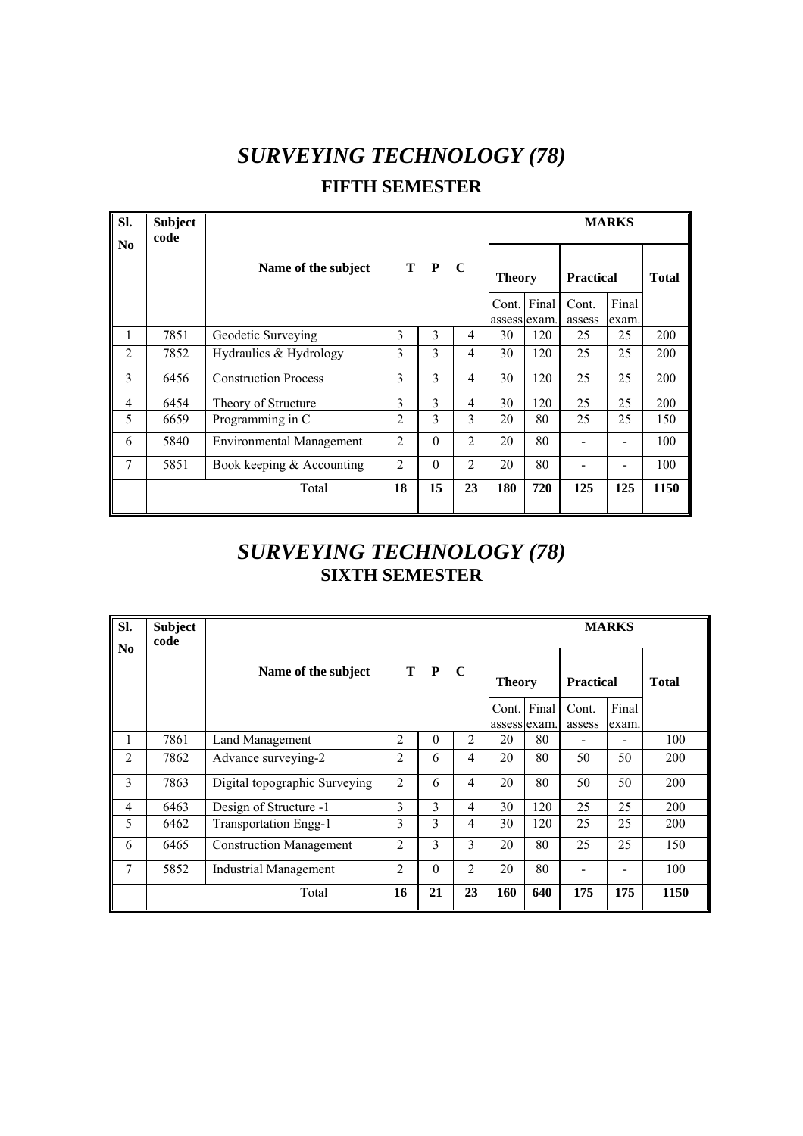# *SURVEYING TECHNOLOGY (78)*

#### **FIFTH SEMESTER**

| Sl.            | <b>Subject</b><br>code |                                 |                |          |                | <b>MARKS</b>  |     |                  |       |              |  |  |
|----------------|------------------------|---------------------------------|----------------|----------|----------------|---------------|-----|------------------|-------|--------------|--|--|
| N <sub>0</sub> |                        | Name of the subject             |                | T P C    |                | <b>Theory</b> |     | <b>Practical</b> |       | <b>Total</b> |  |  |
|                |                        |                                 |                |          |                | Cont. Final   |     | Cont.            | Final |              |  |  |
|                |                        |                                 |                |          |                | assess exam.  |     | assess           | exam. |              |  |  |
| 1              | 7851                   | Geodetic Surveying              | 3              | 3        | 4              | 30            | 120 | 25               | 25    | 200          |  |  |
| 2              | 7852                   | Hydraulics & Hydrology          | 3              | 3        | 4              | 30            | 120 | 25               | 25    | 200          |  |  |
| 3              | 6456                   | <b>Construction Process</b>     | 3              | 3        | 4              | 30            | 120 | 25               | 25    | 200          |  |  |
| $\overline{4}$ | 6454                   | Theory of Structure             | 3              | 3        | 4              | 30            | 120 | 25               | 25    | 200          |  |  |
| 5              | 6659                   | Programming in C                | 2              | 3        | 3              | 20            | 80  | 25               | 25    | 150          |  |  |
| 6              | 5840                   | <b>Environmental Management</b> | $\overline{2}$ | $\Omega$ | $\overline{2}$ | 20            | 80  |                  |       | 100          |  |  |
| 7              | 5851                   | Book keeping $&$ Accounting     | $\overline{2}$ | $\theta$ | $\overline{2}$ | 20            | 80  |                  |       | 100          |  |  |
|                |                        | Total                           | 18             | 15       | 23             | 180           | 720 | 125              | 125   | 1150         |  |  |

#### *SURVEYING TECHNOLOGY (78)*  **SIXTH SEMESTER**

| SI.            | <b>Subject</b><br>code |                                |                |          |                |               |       | <b>MARKS</b>     |       |              |  |
|----------------|------------------------|--------------------------------|----------------|----------|----------------|---------------|-------|------------------|-------|--------------|--|
| N <sub>0</sub> |                        | Name of the subject            | $T$ $P$        |          | - C            | <b>Theory</b> |       | <b>Practical</b> |       | <b>Total</b> |  |
|                |                        |                                |                |          |                | Cont.         | Final | Cont.            | Final |              |  |
|                |                        |                                |                |          |                | assess exam.  |       | assess           | exam. |              |  |
| 1              | 7861                   | Land Management                | 2              | $\theta$ | 2              | 20            | 80    |                  |       | 100          |  |
| $\overline{2}$ | 7862                   | Advance surveying-2            | $\overline{2}$ | 6        | 4              | 20            | 80    | 50               | 50    | 200          |  |
| 3              | 7863                   | Digital topographic Surveying  | $\overline{2}$ | 6        | $\overline{4}$ | 20            | 80    | 50               | 50    | 200          |  |
| $\overline{4}$ | 6463                   | Design of Structure -1         | 3              | 3        | 4              | 30            | 120   | 25               | 25    | 200          |  |
| 5              | 6462                   | <b>Transportation Engg-1</b>   | 3              | 3        | 4              | 30            | 120   | 25               | 25    | 200          |  |
| 6              | 6465                   | <b>Construction Management</b> | 2              | 3        | 3              | 20            | 80    | 25               | 25    | 150          |  |
| 7              | 5852                   | <b>Industrial Management</b>   | 2              | $\theta$ | $\overline{2}$ | 20            | 80    |                  |       | 100          |  |
|                |                        | Total                          | 16             | 21       | 23             | 160           | 640   | 175              | 175   | 1150         |  |